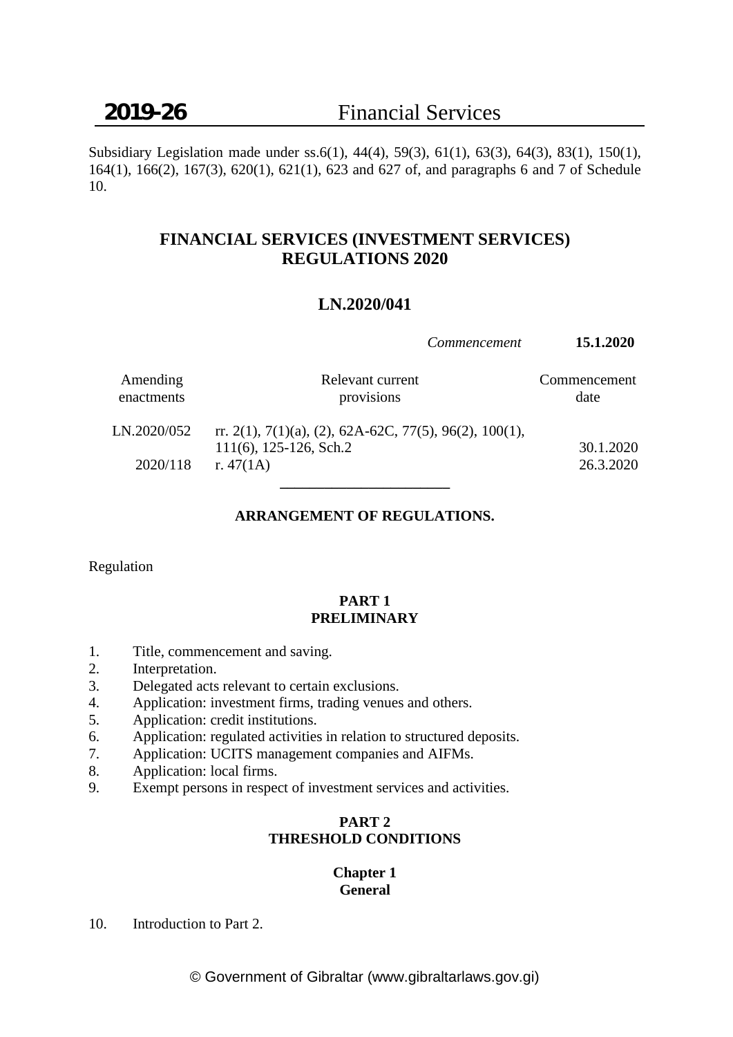Subsidiary Legislation made under ss.6(1), 44(4), 59(3), 61(1), 63(3), 64(3), 83(1), 150(1), 164(1), 166(2), 167(3), 620(1), 621(1), 623 and 627 of, and paragraphs 6 and 7 of Schedule 10.

## **FINANCIAL SERVICES (INVESTMENT SERVICES) REGULATIONS 2020**

## **LN.2020/041**

*Commencement* **15.1.2020**

| Amending    | Relevant current                                       | Commencement |  |
|-------------|--------------------------------------------------------|--------------|--|
| enactments  | provisions                                             | date         |  |
|             |                                                        |              |  |
| LN.2020/052 | rr. 2(1), 7(1)(a), (2), 62A-62C, 77(5), 96(2), 100(1), |              |  |
|             | $111(6)$ , 125-126, Sch.2                              | 30.1.2020    |  |
| 2020/118    | r. $47(1A)$                                            | 26.3.2020    |  |
|             |                                                        |              |  |

#### **ARRANGEMENT OF REGULATIONS.**

Regulation

### **PART 1 PRELIMINARY**

- 1. Title, commencement and saving.
- 2. Interpretation.
- 3. Delegated acts relevant to certain exclusions.
- 4. Application: investment firms, trading venues and others.
- 5. Application: credit institutions.
- 6. Application: regulated activities in relation to structured deposits.
- 7. Application: UCITS management companies and AIFMs.
- 8. Application: local firms.
- 9. Exempt persons in respect of investment services and activities.

#### **PART 2 THRESHOLD CONDITIONS**

#### **Chapter 1 General**

10. Introduction to Part 2.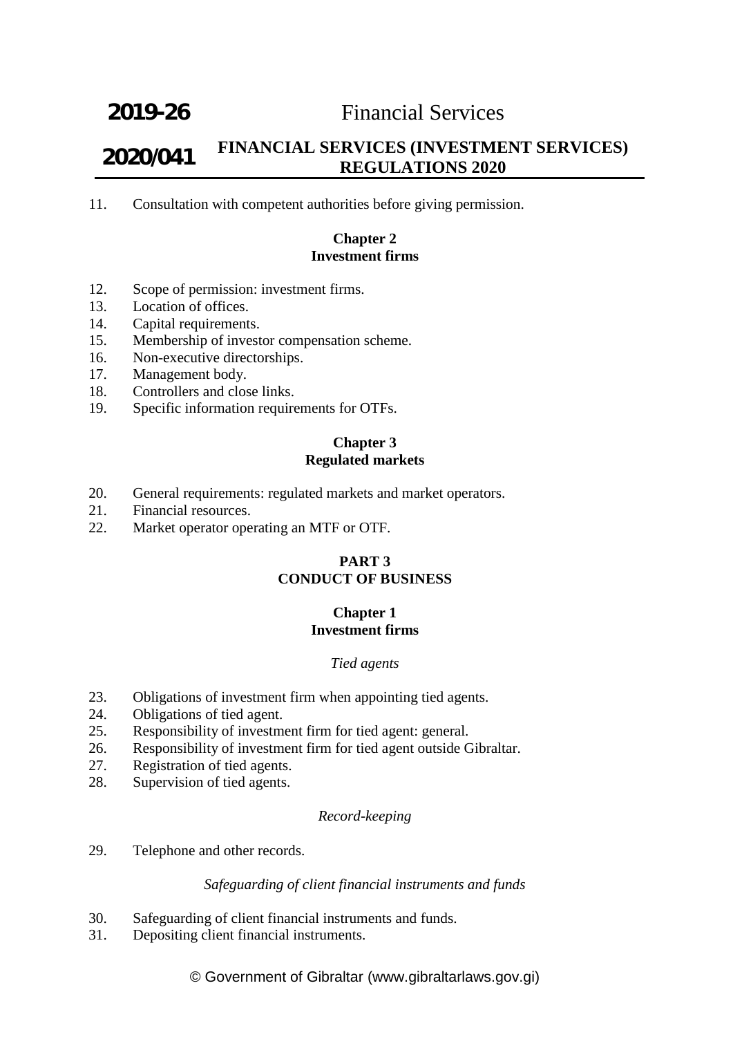## **2020/041 FINANCIAL SERVICES (INVESTMENT SERVICES) REGULATIONS 2020**

11. Consultation with competent authorities before giving permission.

#### **Chapter 2 Investment firms**

- 12. Scope of permission: investment firms.
- 13. Location of offices.
- 14. Capital requirements.
- 15. Membership of investor compensation scheme.
- 16. Non-executive directorships.
- 17. Management body.
- 18. Controllers and close links.
- 19. Specific information requirements for OTFs.

#### **Chapter 3 Regulated markets**

- 20. General requirements: regulated markets and market operators.
- 21. Financial resources.
- 22. Market operator operating an MTF or OTF.

### **PART 3 CONDUCT OF BUSINESS**

#### **Chapter 1 Investment firms**

#### *Tied agents*

- 23. Obligations of investment firm when appointing tied agents.
- 24. Obligations of tied agent.
- 25. Responsibility of investment firm for tied agent: general.
- 26. Responsibility of investment firm for tied agent outside Gibraltar.
- 27. Registration of tied agents.
- 28. Supervision of tied agents.

#### *Record-keeping*

29. Telephone and other records.

*Safeguarding of client financial instruments and funds*

- 30. Safeguarding of client financial instruments and funds.
- 31. Depositing client financial instruments.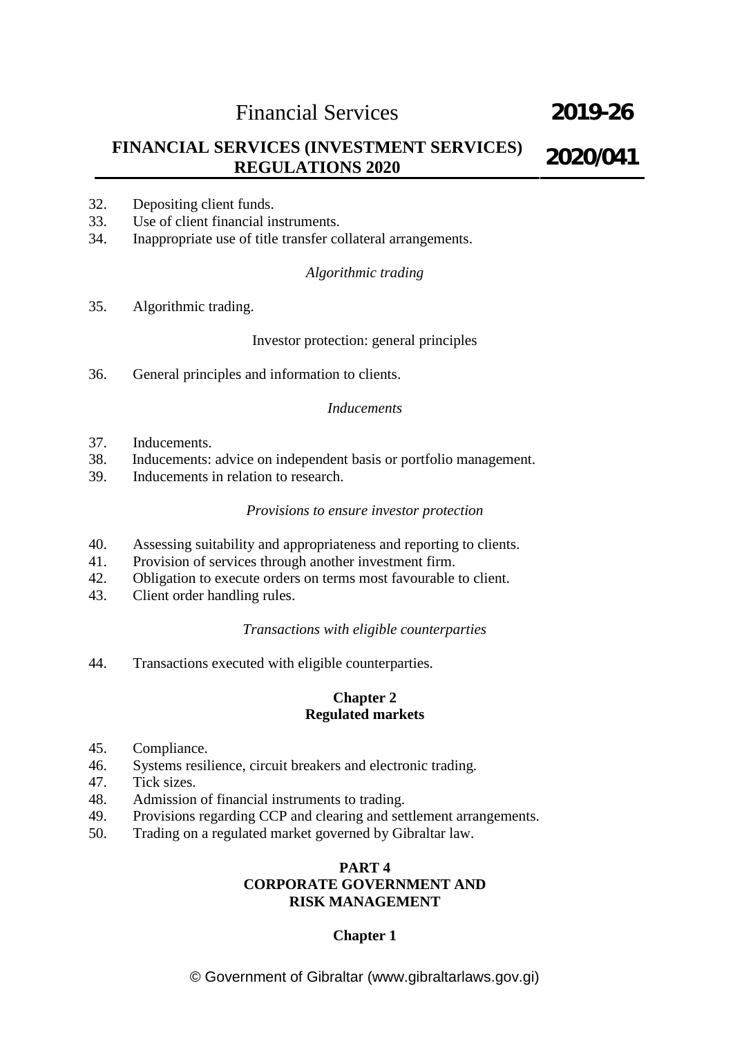## FINANCIAL SERVICES (INVESTMENT SERVICES) 2020/041 **REGULATIONS 2020**

- 32. Depositing client funds.
- 33. Use of client financial instruments.
- 34. Inappropriate use of title transfer collateral arrangements.

*Algorithmic trading*

35. Algorithmic trading.

Investor protection: general principles

36. General principles and information to clients.

#### *Inducements*

- 37. Inducements.
- 38. Inducements: advice on independent basis or portfolio management.
- 39. Inducements in relation to research.

#### *Provisions to ensure investor protection*

- 40. Assessing suitability and appropriateness and reporting to clients.
- 41. Provision of services through another investment firm.
- 42. Obligation to execute orders on terms most favourable to client.
- 43. Client order handling rules.

#### *Transactions with eligible counterparties*

44. Transactions executed with eligible counterparties.

#### **Chapter 2 Regulated markets**

- 45. Compliance.
- 46. Systems resilience, circuit breakers and electronic trading.
- 47. Tick sizes.
- 48. Admission of financial instruments to trading.
- 49. Provisions regarding CCP and clearing and settlement arrangements.
- 50. Trading on a regulated market governed by Gibraltar law.

#### **PART 4 CORPORATE GOVERNMENT AND RISK MANAGEMENT**

#### **Chapter 1**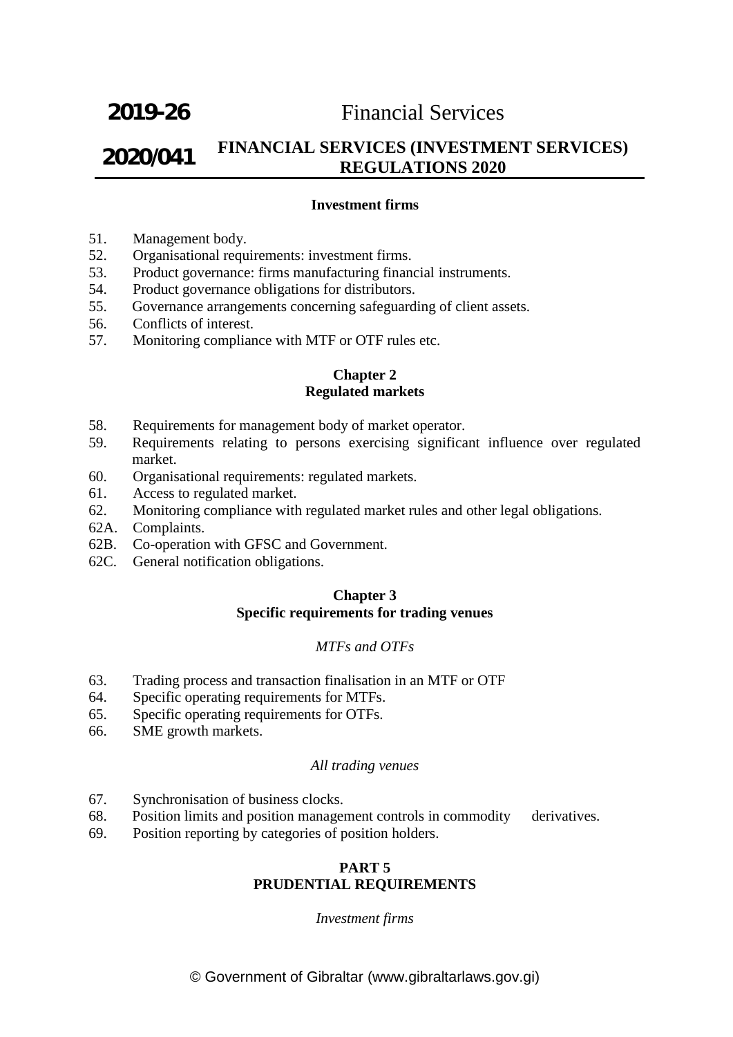## **2020/041 FINANCIAL SERVICES (INVESTMENT SERVICES) REGULATIONS 2020**

#### **Investment firms**

- 51. Management body.
- 52. Organisational requirements: investment firms.
- 53. Product governance: firms manufacturing financial instruments.
- 54. Product governance obligations for distributors.
- 55. Governance arrangements concerning safeguarding of client assets.
- 56. Conflicts of interest.
- 57. Monitoring compliance with MTF or OTF rules etc.

#### **Chapter 2 Regulated markets**

- 58. Requirements for management body of market operator.
- 59. Requirements relating to persons exercising significant influence over regulated market.
- 60. Organisational requirements: regulated markets.
- 61. Access to regulated market.
- 62. Monitoring compliance with regulated market rules and other legal obligations.
- 62A. Complaints.
- 62B. Co-operation with GFSC and Government.
- 62C. General notification obligations.

#### **Chapter 3 Specific requirements for trading venues**

#### *MTFs and OTFs*

- 63. Trading process and transaction finalisation in an MTF or OTF
- 64. Specific operating requirements for MTFs.
- 65. Specific operating requirements for OTFs.
- 66. SME growth markets.

#### *All trading venues*

- 67. Synchronisation of business clocks.
- 68. Position limits and position management controls in commodity derivatives.
- 69. Position reporting by categories of position holders.

#### **PART 5 PRUDENTIAL REQUIREMENTS**

*Investment firms*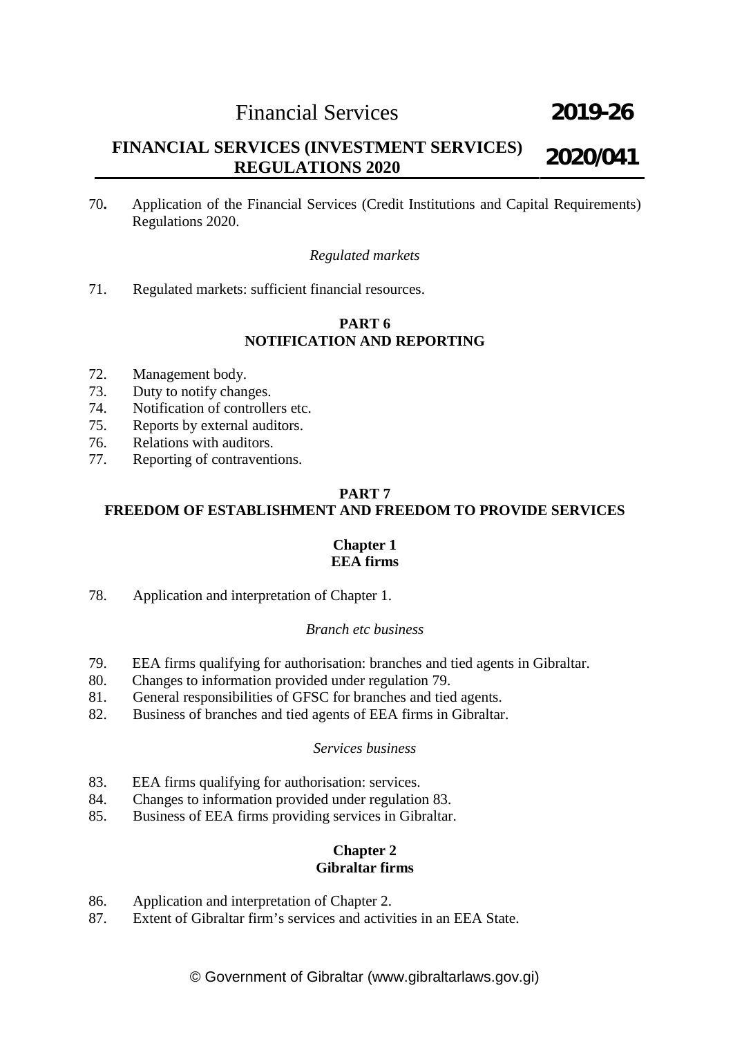## FINANCIAL SERVICES (INVESTMENT SERVICES) 2020/041 **REGULATIONS 2020**

70**.** Application of the Financial Services (Credit Institutions and Capital Requirements) Regulations 2020.

#### *Regulated markets*

71. Regulated markets: sufficient financial resources.

#### **PART 6 NOTIFICATION AND REPORTING**

- 72. Management body.
- 73. Duty to notify changes.
- 74. Notification of controllers etc.
- 75. Reports by external auditors.
- 76. Relations with auditors.
- 77. Reporting of contraventions.

#### **PART 7 FREEDOM OF ESTABLISHMENT AND FREEDOM TO PROVIDE SERVICES**

#### **Chapter 1 EEA firms**

78. Application and interpretation of Chapter 1.

#### *Branch etc business*

- 79. EEA firms qualifying for authorisation: branches and tied agents in Gibraltar.
- 80. Changes to information provided under regulation 79.
- 81. General responsibilities of GFSC for branches and tied agents.
- 82. Business of branches and tied agents of EEA firms in Gibraltar.

#### *Services business*

- 83. EEA firms qualifying for authorisation: services.
- 84. Changes to information provided under regulation 83.
- 85. Business of EEA firms providing services in Gibraltar.

#### **Chapter 2 Gibraltar firms**

- 86. Application and interpretation of Chapter 2.
- 87. Extent of Gibraltar firm's services and activities in an EEA State.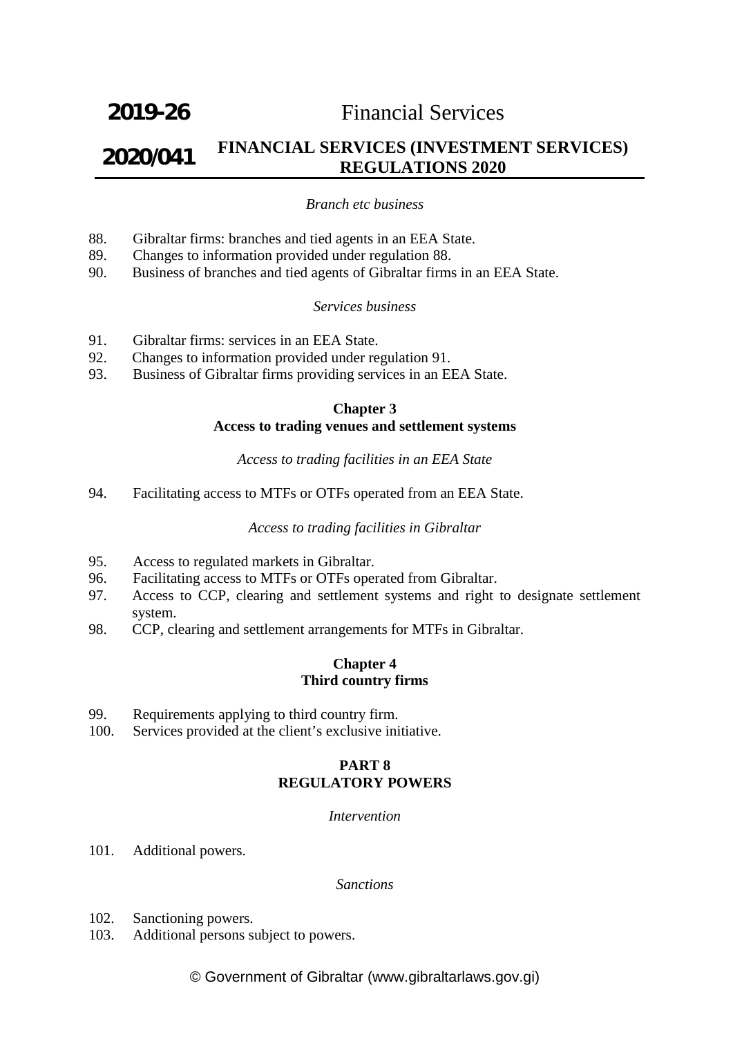## **2020/041 FINANCIAL SERVICES (INVESTMENT SERVICES) REGULATIONS 2020**

#### *Branch etc business*

- 88. Gibraltar firms: branches and tied agents in an EEA State.
- 89. Changes to information provided under regulation 88.
- 90. Business of branches and tied agents of Gibraltar firms in an EEA State.

#### *Services business*

- 91. Gibraltar firms: services in an EEA State.
- 92. Changes to information provided under regulation 91.
- 93. Business of Gibraltar firms providing services in an EEA State.

#### **Chapter 3 Access to trading venues and settlement systems**

*Access to trading facilities in an EEA State*

94. Facilitating access to MTFs or OTFs operated from an EEA State.

#### *Access to trading facilities in Gibraltar*

- 95. Access to regulated markets in Gibraltar.
- 96. Facilitating access to MTFs or OTFs operated from Gibraltar.
- 97. Access to CCP, clearing and settlement systems and right to designate settlement system.
- 98. CCP, clearing and settlement arrangements for MTFs in Gibraltar.

#### **Chapter 4 Third country firms**

- 99. Requirements applying to third country firm.
- 100. Services provided at the client's exclusive initiative.

### **PART 8 REGULATORY POWERS**

#### *Intervention*

101. Additional powers.

#### *Sanctions*

- 102. Sanctioning powers.
- 103. Additional persons subject to powers.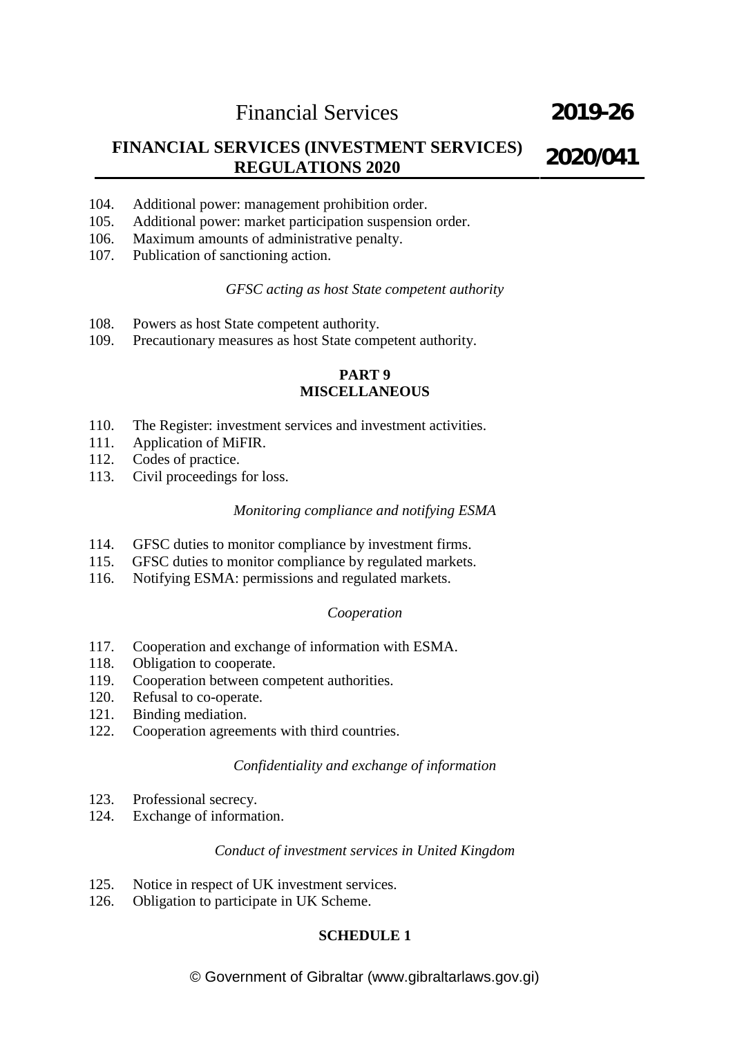## FINANCIAL SERVICES (INVESTMENT SERVICES) 2020/041 **REGULATIONS 2020**

- 104. Additional power: management prohibition order.
- 105. Additional power: market participation suspension order.
- 106. Maximum amounts of administrative penalty.
- 107. Publication of sanctioning action.

#### *GFSC acting as host State competent authority*

- 108. Powers as host State competent authority.
- 109. Precautionary measures as host State competent authority.

#### **PART 9 MISCELLANEOUS**

- 110. The Register: investment services and investment activities.
- 111. Application of MiFIR.
- 112. Codes of practice.
- 113. Civil proceedings for loss.

#### *Monitoring compliance and notifying ESMA*

- 114. GFSC duties to monitor compliance by investment firms.
- 115. GFSC duties to monitor compliance by regulated markets.
- 116. Notifying ESMA: permissions and regulated markets.

### *Cooperation*

- 117. Cooperation and exchange of information with ESMA.
- 118. Obligation to cooperate.
- 119. Cooperation between competent authorities.
- 120. Refusal to co-operate.<br>121. Binding mediation.
- Binding mediation.
- 122. Cooperation agreements with third countries.

#### *Confidentiality and exchange of information*

- 123. Professional secrecy.
- 124. Exchange of information.

#### *Conduct of investment services in United Kingdom*

- 125. Notice in respect of UK investment services.
- 126. Obligation to participate in UK Scheme.

#### **SCHEDULE 1**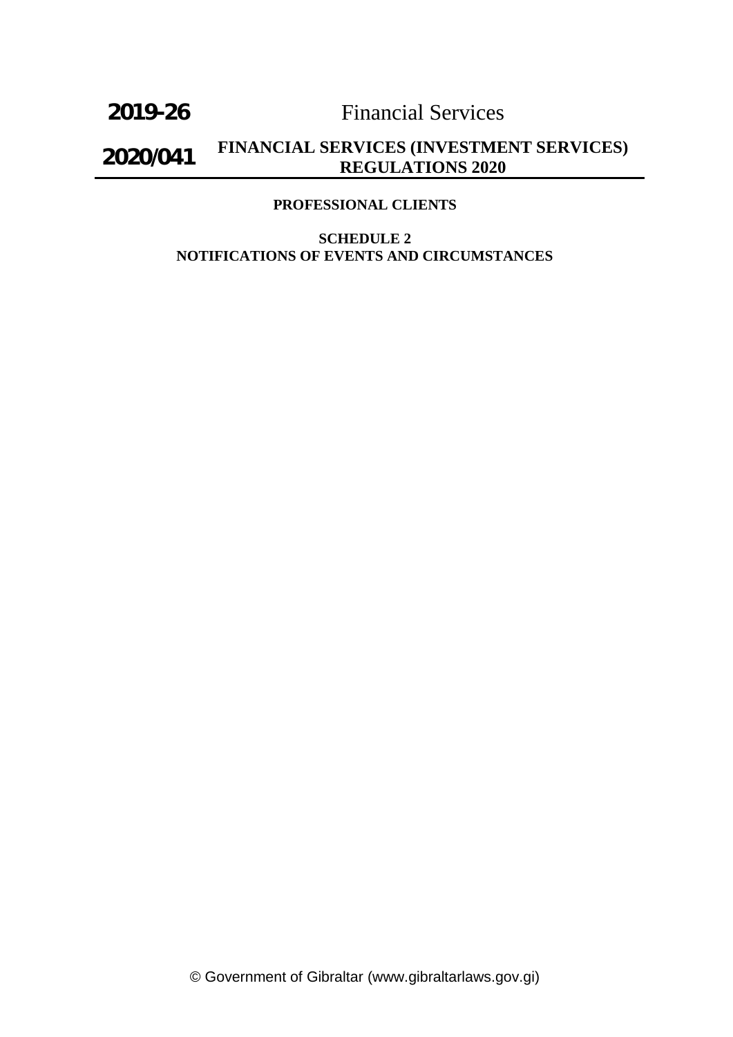## **2020/041 FINANCIAL SERVICES (INVESTMENT SERVICES) REGULATIONS 2020**

#### **PROFESSIONAL CLIENTS**

**SCHEDULE 2 NOTIFICATIONS OF EVENTS AND CIRCUMSTANCES**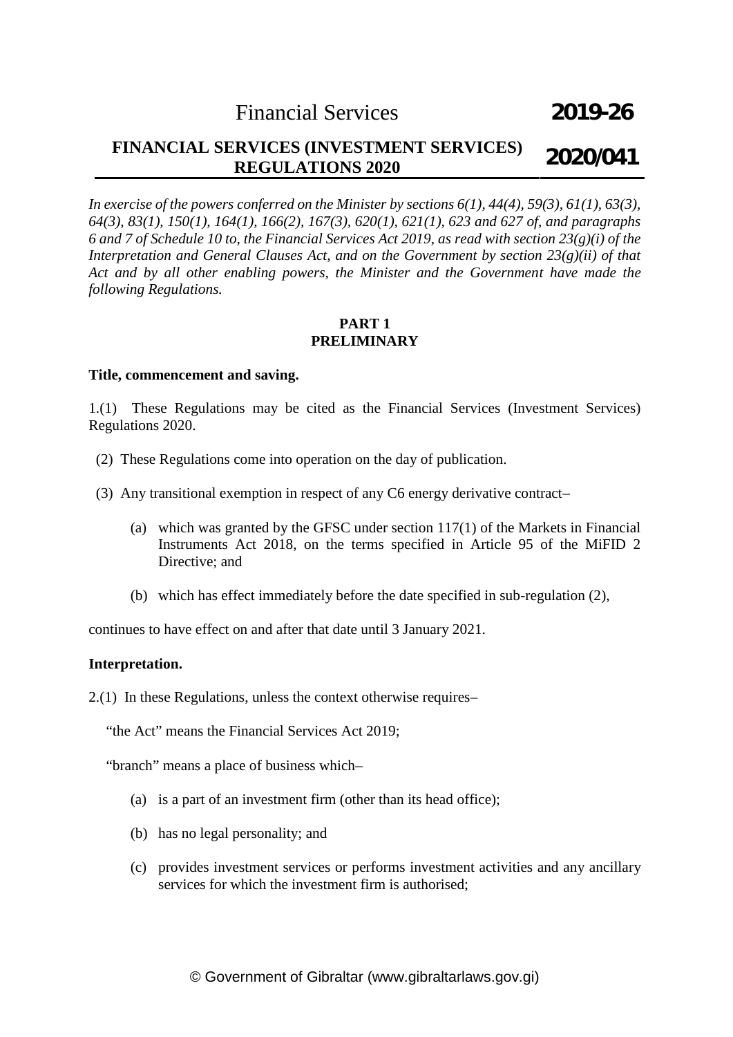## FINANCIAL SERVICES (INVESTMENT SERVICES) 2020/041 **REGULATIONS 2020**

*In exercise of the powers conferred on the Minister by sections 6(1), 44(4), 59(3), 61(1), 63(3), 64(3), 83(1), 150(1), 164(1), 166(2), 167(3), 620(1), 621(1), 623 and 627 of, and paragraphs 6 and 7 of Schedule 10 to, the Financial Services Act 2019, as read with section 23(g)(i) of the Interpretation and General Clauses Act, and on the Government by section 23(g)(ii) of that Act and by all other enabling powers, the Minister and the Government have made the following Regulations.*

#### **PART 1 PRELIMINARY**

#### **Title, commencement and saving.**

1.(1) These Regulations may be cited as the Financial Services (Investment Services) Regulations 2020.

- (2) These Regulations come into operation on the day of publication.
- (3) Any transitional exemption in respect of any C6 energy derivative contract–
	- (a) which was granted by the GFSC under section 117(1) of the Markets in Financial Instruments Act 2018, on the terms specified in Article 95 of the MiFID 2 Directive: and
	- (b) which has effect immediately before the date specified in sub-regulation (2),

continues to have effect on and after that date until 3 January 2021.

#### **Interpretation.**

2.(1) In these Regulations, unless the context otherwise requires–

"the Act" means the Financial Services Act 2019;

"branch" means a place of business which–

- (a) is a part of an investment firm (other than its head office);
- (b) has no legal personality; and
- (c) provides investment services or performs investment activities and any ancillary services for which the investment firm is authorised;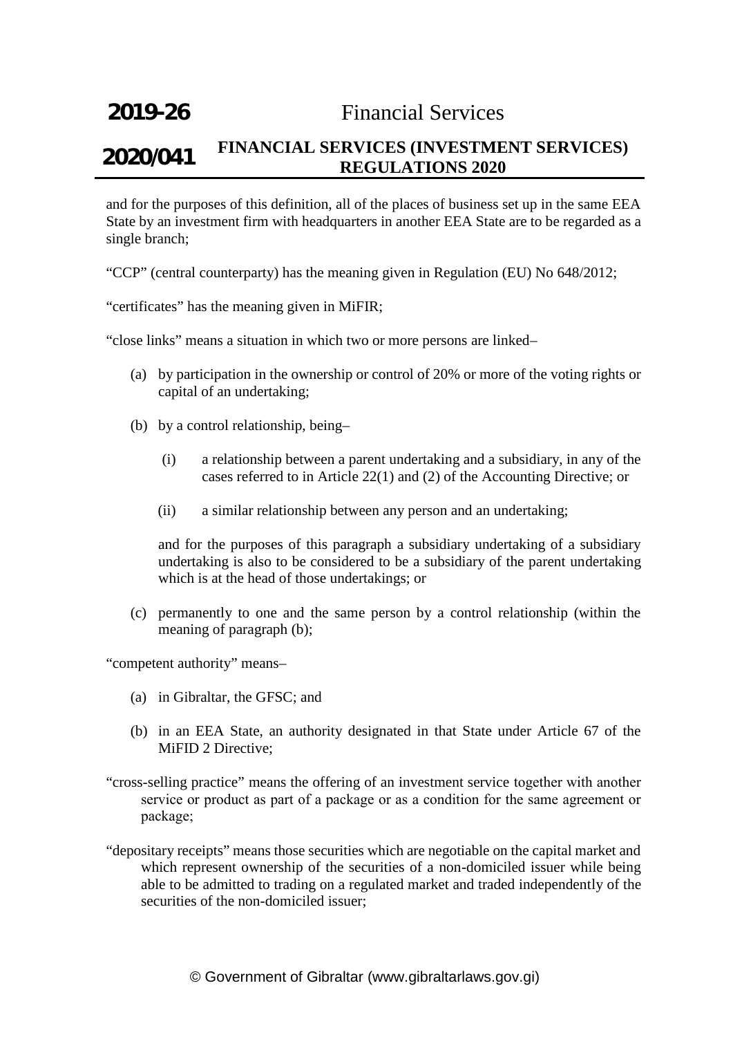## **2020/041 FINANCIAL SERVICES (INVESTMENT SERVICES) REGULATIONS 2020**

and for the purposes of this definition, all of the places of business set up in the same EEA State by an investment firm with headquarters in another EEA State are to be regarded as a single branch;

"CCP" (central counterparty) has the meaning given in Regulation (EU) No 648/2012;

"certificates" has the meaning given in MiFIR;

"close links" means a situation in which two or more persons are linked–

- (a) by participation in the ownership or control of 20% or more of the voting rights or capital of an undertaking;
- (b) by a control relationship, being–
	- (i) a relationship between a parent undertaking and a subsidiary, in any of the cases referred to in Article 22(1) and (2) of the Accounting Directive; or
	- (ii) a similar relationship between any person and an undertaking;

and for the purposes of this paragraph a subsidiary undertaking of a subsidiary undertaking is also to be considered to be a subsidiary of the parent undertaking which is at the head of those undertakings; or

(c) permanently to one and the same person by a control relationship (within the meaning of paragraph (b);

"competent authority" means–

- (a) in Gibraltar, the GFSC; and
- (b) in an EEA State, an authority designated in that State under Article 67 of the MiFID 2 Directive;
- "cross-selling practice" means the offering of an investment service together with another service or product as part of a package or as a condition for the same agreement or package;
- "depositary receipts" means those securities which are negotiable on the capital market and which represent ownership of the securities of a non-domiciled issuer while being able to be admitted to trading on a regulated market and traded independently of the securities of the non-domiciled issuer;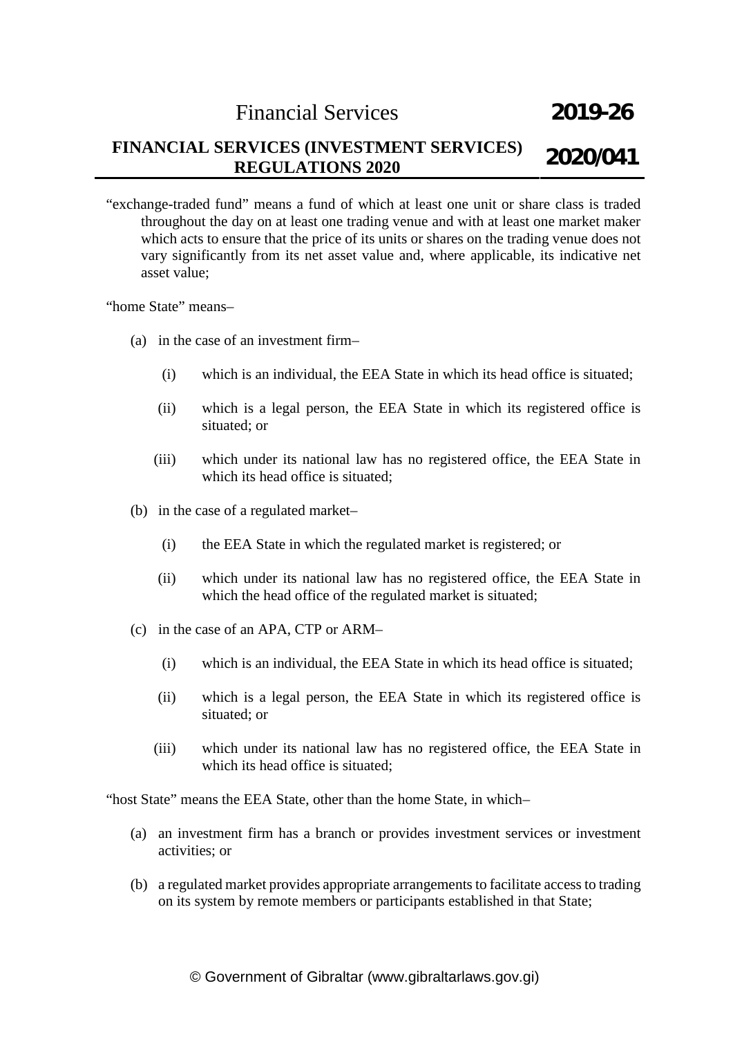## FINANCIAL SERVICES (INVESTMENT SERVICES) 2020/041 **REGULATIONS 2020**

"exchange-traded fund" means a fund of which at least one unit or share class is traded throughout the day on at least one trading venue and with at least one market maker which acts to ensure that the price of its units or shares on the trading venue does not vary significantly from its net asset value and, where applicable, its indicative net asset value;

"home State" means–

- (a) in the case of an investment firm–
	- (i) which is an individual, the EEA State in which its head office is situated;
	- (ii) which is a legal person, the EEA State in which its registered office is situated; or
	- (iii) which under its national law has no registered office, the EEA State in which its head office is situated;
- (b) in the case of a regulated market–
	- (i) the EEA State in which the regulated market is registered; or
	- (ii) which under its national law has no registered office, the EEA State in which the head office of the regulated market is situated;
- (c) in the case of an APA, CTP or ARM–
	- (i) which is an individual, the EEA State in which its head office is situated;
	- (ii) which is a legal person, the EEA State in which its registered office is situated; or
	- (iii) which under its national law has no registered office, the EEA State in which its head office is situated:

"host State" means the EEA State, other than the home State, in which–

- (a) an investment firm has a branch or provides investment services or investment activities; or
- (b) a regulated market provides appropriate arrangements to facilitate access to trading on its system by remote members or participants established in that State;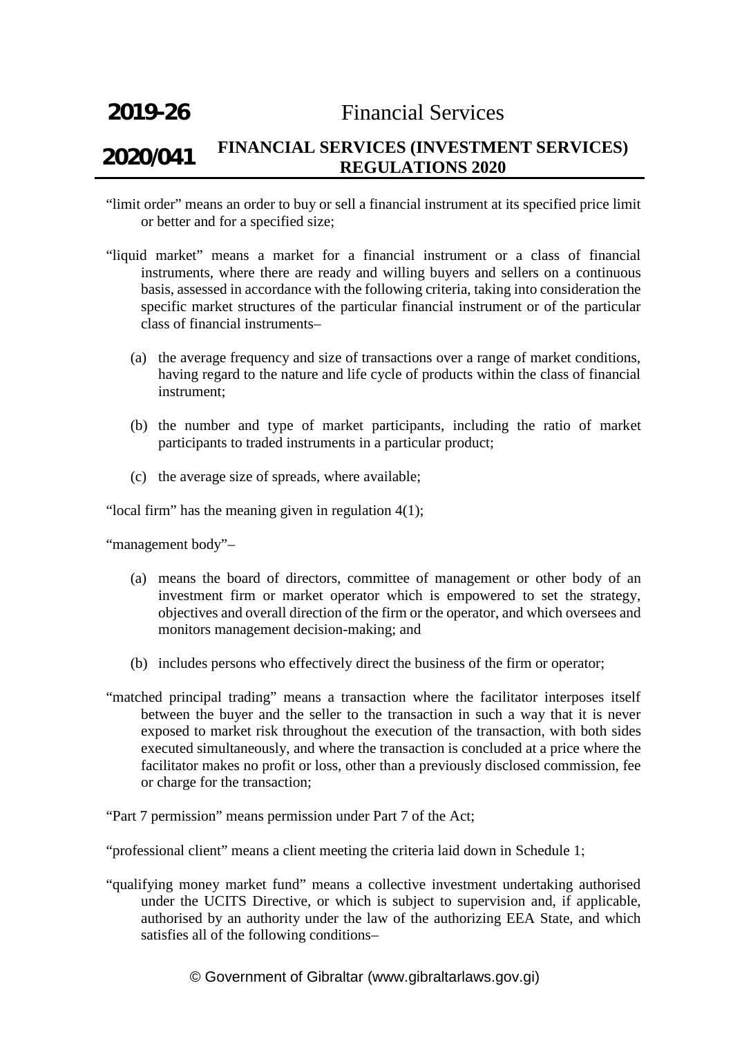## **2020/041 FINANCIAL SERVICES (INVESTMENT SERVICES) REGULATIONS 2020**

- "limit order" means an order to buy or sell a financial instrument at its specified price limit or better and for a specified size;
- "liquid market" means a market for a financial instrument or a class of financial instruments, where there are ready and willing buyers and sellers on a continuous basis, assessed in accordance with the following criteria, taking into consideration the specific market structures of the particular financial instrument or of the particular class of financial instruments–
	- (a) the average frequency and size of transactions over a range of market conditions, having regard to the nature and life cycle of products within the class of financial instrument;
	- (b) the number and type of market participants, including the ratio of market participants to traded instruments in a particular product;
	- (c) the average size of spreads, where available;

"local firm" has the meaning given in regulation  $4(1)$ ;

"management body"–

- (a) means the board of directors, committee of management or other body of an investment firm or market operator which is empowered to set the strategy, objectives and overall direction of the firm or the operator, and which oversees and monitors management decision-making; and
- (b) includes persons who effectively direct the business of the firm or operator;
- "matched principal trading" means a transaction where the facilitator interposes itself between the buyer and the seller to the transaction in such a way that it is never exposed to market risk throughout the execution of the transaction, with both sides executed simultaneously, and where the transaction is concluded at a price where the facilitator makes no profit or loss, other than a previously disclosed commission, fee or charge for the transaction;

"Part 7 permission" means permission under Part 7 of the Act;

"professional client" means a client meeting the criteria laid down in Schedule 1;

"qualifying money market fund" means a collective investment undertaking authorised under the UCITS Directive, or which is subject to supervision and, if applicable, authorised by an authority under the law of the authorizing EEA State, and which satisfies all of the following conditions–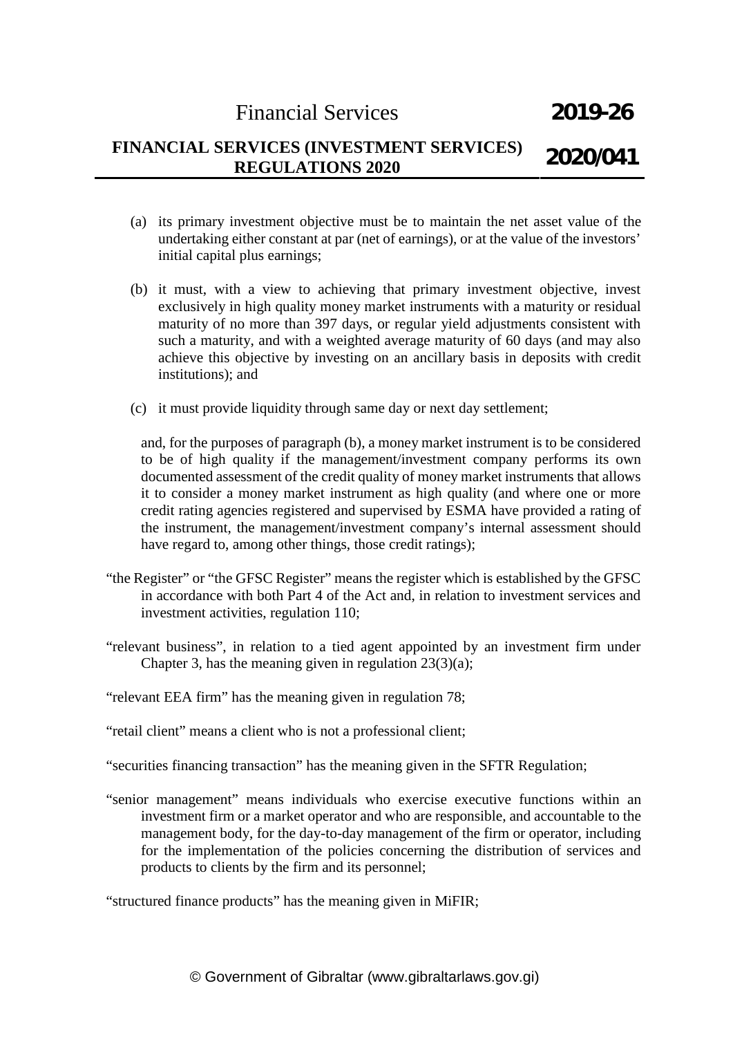## FINANCIAL SERVICES (INVESTMENT SERVICES) 2020/041 **REGULATIONS 2020**

- (a) its primary investment objective must be to maintain the net asset value of the undertaking either constant at par (net of earnings), or at the value of the investors' initial capital plus earnings;
- (b) it must, with a view to achieving that primary investment objective, invest exclusively in high quality money market instruments with a maturity or residual maturity of no more than 397 days, or regular yield adjustments consistent with such a maturity, and with a weighted average maturity of 60 days (and may also achieve this objective by investing on an ancillary basis in deposits with credit institutions); and
- (c) it must provide liquidity through same day or next day settlement;

and, for the purposes of paragraph (b), a money market instrument is to be considered to be of high quality if the management/investment company performs its own documented assessment of the credit quality of money market instruments that allows it to consider a money market instrument as high quality (and where one or more credit rating agencies registered and supervised by ESMA have provided a rating of the instrument, the management/investment company's internal assessment should have regard to, among other things, those credit ratings);

- "the Register" or "the GFSC Register" means the register which is established by the GFSC in accordance with both Part 4 of the Act and, in relation to investment services and investment activities, regulation 110;
- "relevant business", in relation to a tied agent appointed by an investment firm under Chapter 3, has the meaning given in regulation  $23(3)(a)$ ;
- "relevant EEA firm" has the meaning given in regulation 78;

"retail client" means a client who is not a professional client;

"securities financing transaction" has the meaning given in the SFTR Regulation;

"senior management" means individuals who exercise executive functions within an investment firm or a market operator and who are responsible, and accountable to the management body, for the day-to-day management of the firm or operator, including for the implementation of the policies concerning the distribution of services and products to clients by the firm and its personnel;

"structured finance products" has the meaning given in MiFIR;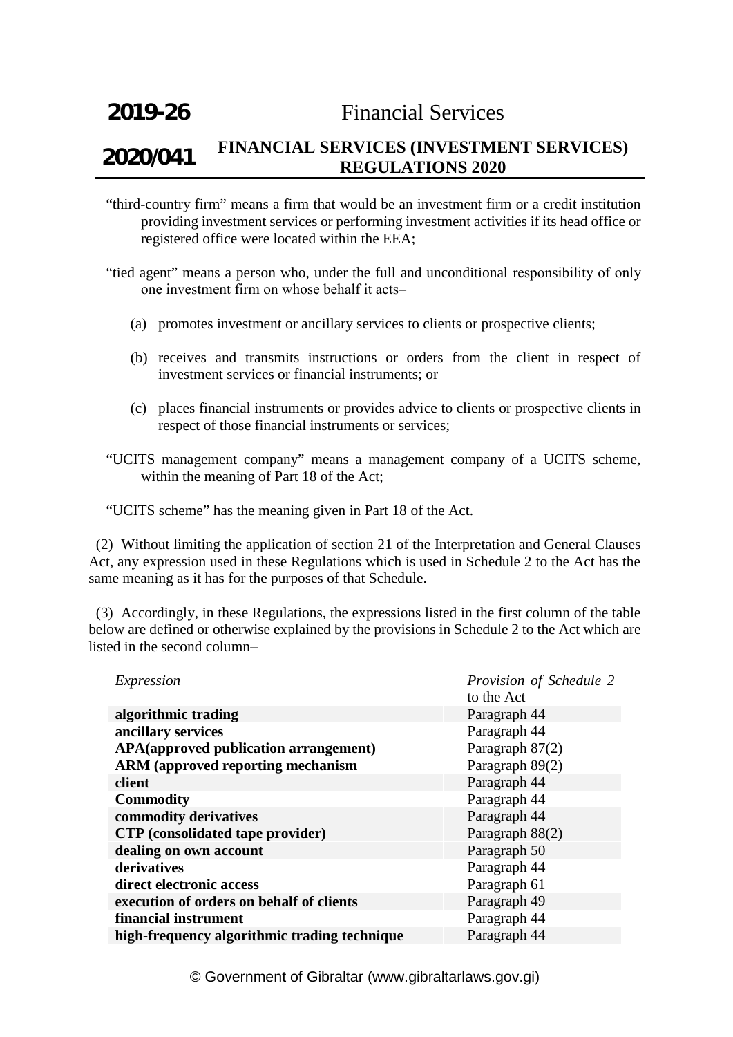## **2020/041 FINANCIAL SERVICES (INVESTMENT SERVICES) REGULATIONS 2020**

"third-country firm" means a firm that would be an investment firm or a credit institution providing investment services or performing investment activities if its head office or registered office were located within the EEA;

"tied agent" means a person who, under the full and unconditional responsibility of only one investment firm on whose behalf it acts–

- (a) promotes investment or ancillary services to clients or prospective clients;
- (b) receives and transmits instructions or orders from the client in respect of investment services or financial instruments; or
- (c) places financial instruments or provides advice to clients or prospective clients in respect of those financial instruments or services;
- "UCITS management company" means a management company of a UCITS scheme, within the meaning of Part 18 of the Act;

"UCITS scheme" has the meaning given in Part 18 of the Act.

(2) Without limiting the application of section 21 of the Interpretation and General Clauses Act, any expression used in these Regulations which is used in Schedule 2 to the Act has the same meaning as it has for the purposes of that Schedule.

(3) Accordingly, in these Regulations, the expressions listed in the first column of the table below are defined or otherwise explained by the provisions in Schedule 2 to the Act which are listed in the second column–

| Expression                                    | Provision of Schedule 2 |
|-----------------------------------------------|-------------------------|
|                                               | to the Act              |
| algorithmic trading                           | Paragraph 44            |
| ancillary services                            | Paragraph 44            |
| <b>APA</b> (approved publication arrangement) | Paragraph 87(2)         |
| <b>ARM</b> (approved reporting mechanism      | Paragraph 89(2)         |
| client                                        | Paragraph 44            |
| <b>Commodity</b>                              | Paragraph 44            |
| commodity derivatives                         | Paragraph 44            |
| <b>CTP</b> (consolidated tape provider)       | Paragraph 88(2)         |
| dealing on own account                        | Paragraph 50            |
| derivatives                                   | Paragraph 44            |
| direct electronic access                      | Paragraph 61            |
| execution of orders on behalf of clients      | Paragraph 49            |
| financial instrument                          | Paragraph 44            |
| high-frequency algorithmic trading technique  | Paragraph 44            |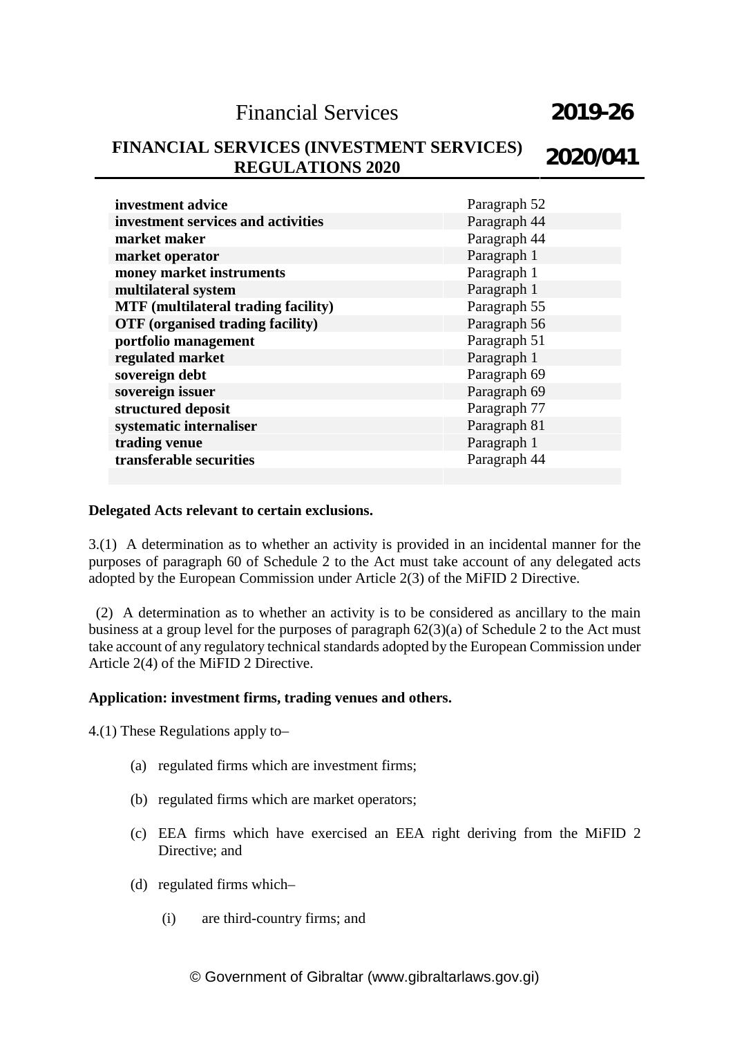## FINANCIAL SERVICES (INVESTMENT SERVICES) 2020/041 **REGULATIONS 2020**

| investment advice                          | Paragraph 52 |
|--------------------------------------------|--------------|
| investment services and activities         | Paragraph 44 |
| market maker                               | Paragraph 44 |
| market operator                            | Paragraph 1  |
| money market instruments                   | Paragraph 1  |
| multilateral system                        | Paragraph 1  |
| <b>MTF</b> (multilateral trading facility) | Paragraph 55 |
| <b>OTF</b> (organised trading facility)    | Paragraph 56 |
| portfolio management                       | Paragraph 51 |
| regulated market                           | Paragraph 1  |
| sovereign debt                             | Paragraph 69 |
| sovereign issuer                           | Paragraph 69 |
| structured deposit                         | Paragraph 77 |
| systematic internaliser                    | Paragraph 81 |
| trading venue                              | Paragraph 1  |
| transferable securities                    | Paragraph 44 |
|                                            |              |

#### **Delegated Acts relevant to certain exclusions.**

3.(1) A determination as to whether an activity is provided in an incidental manner for the purposes of paragraph 60 of Schedule 2 to the Act must take account of any delegated acts adopted by the European Commission under Article 2(3) of the MiFID 2 Directive.

(2) A determination as to whether an activity is to be considered as ancillary to the main business at a group level for the purposes of paragraph 62(3)(a) of Schedule 2 to the Act must take account of any regulatory technical standards adopted by the European Commission under Article 2(4) of the MiFID 2 Directive.

#### **Application: investment firms, trading venues and others.**

4.(1) These Regulations apply to–

- (a) regulated firms which are investment firms;
- (b) regulated firms which are market operators;
- (c) EEA firms which have exercised an EEA right deriving from the MiFID 2 Directive; and
- (d) regulated firms which–
	- (i) are third-country firms; and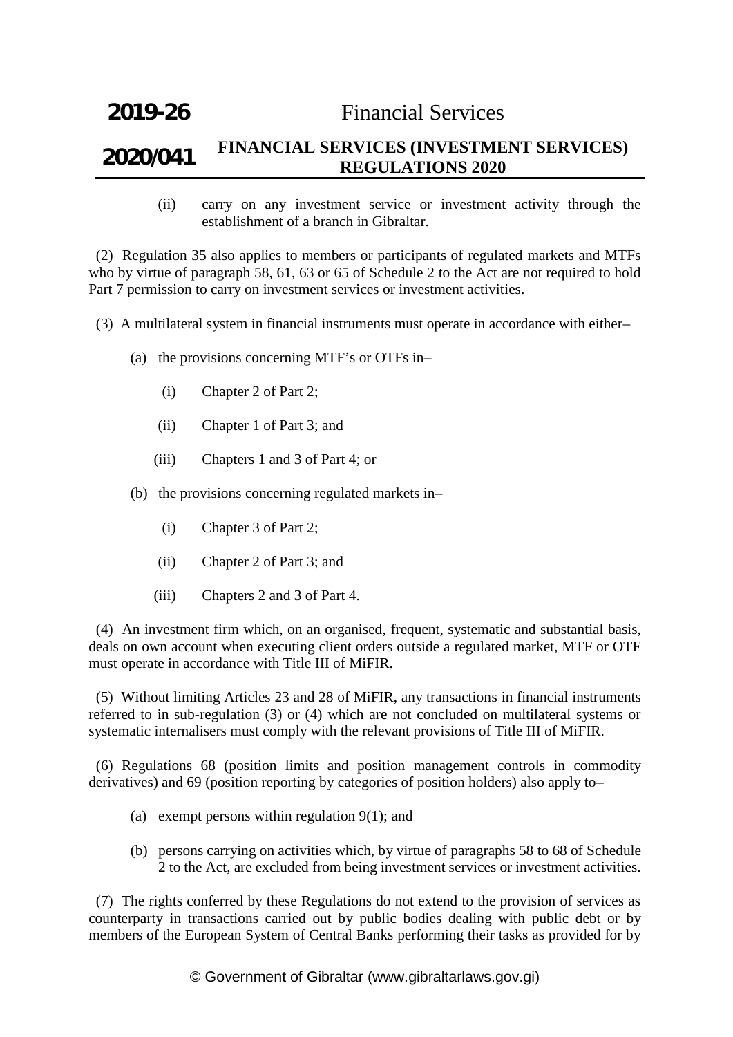## **2020/041 FINANCIAL SERVICES (INVESTMENT SERVICES) REGULATIONS 2020**

(ii) carry on any investment service or investment activity through the establishment of a branch in Gibraltar.

(2) Regulation 35 also applies to members or participants of regulated markets and MTFs who by virtue of paragraph 58, 61, 63 or 65 of Schedule 2 to the Act are not required to hold Part 7 permission to carry on investment services or investment activities.

(3) A multilateral system in financial instruments must operate in accordance with either–

- (a) the provisions concerning MTF's or OTFs in–
	- (i) Chapter 2 of Part 2;
	- (ii) Chapter 1 of Part 3; and
	- (iii) Chapters 1 and 3 of Part 4; or
- (b) the provisions concerning regulated markets in–
	- (i) Chapter 3 of Part 2;
	- (ii) Chapter 2 of Part 3; and
	- (iii) Chapters 2 and 3 of Part 4.

(4) An investment firm which, on an organised, frequent, systematic and substantial basis, deals on own account when executing client orders outside a regulated market, MTF or OTF must operate in accordance with Title III of MiFIR.

(5) Without limiting Articles 23 and 28 of MiFIR, any transactions in financial instruments referred to in sub-regulation (3) or (4) which are not concluded on multilateral systems or systematic internalisers must comply with the relevant provisions of Title III of MiFIR.

(6) Regulations 68 (position limits and position management controls in commodity derivatives) and 69 (position reporting by categories of position holders) also apply to–

- (a) exempt persons within regulation 9(1); and
- (b) persons carrying on activities which, by virtue of paragraphs 58 to 68 of Schedule 2 to the Act, are excluded from being investment services or investment activities.

(7) The rights conferred by these Regulations do not extend to the provision of services as counterparty in transactions carried out by public bodies dealing with public debt or by members of the European System of Central Banks performing their tasks as provided for by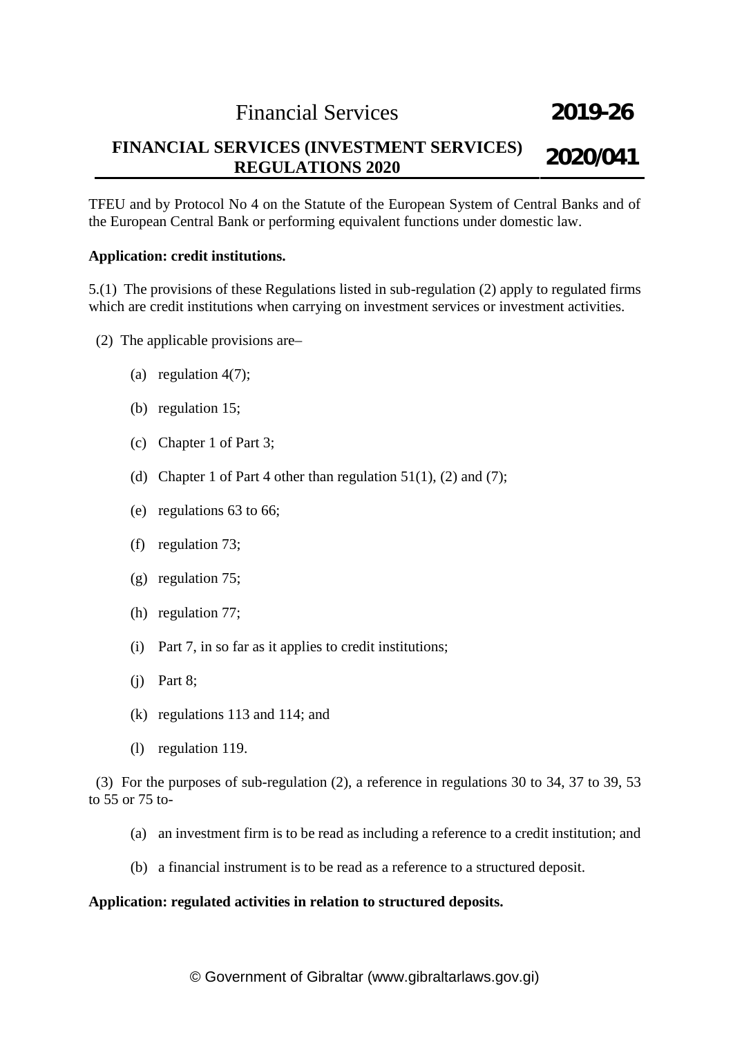## FINANCIAL SERVICES (INVESTMENT SERVICES) 2020/041 **REGULATIONS 2020**

TFEU and by Protocol No 4 on the Statute of the European System of Central Banks and of the European Central Bank or performing equivalent functions under domestic law.

#### **Application: credit institutions.**

5.(1) The provisions of these Regulations listed in sub-regulation (2) apply to regulated firms which are credit institutions when carrying on investment services or investment activities.

- (2) The applicable provisions are–
	- (a) regulation 4(7);
	- (b) regulation 15;
	- (c) Chapter 1 of Part 3;
	- (d) Chapter 1 of Part 4 other than regulation  $51(1)$ , (2) and (7);
	- (e) regulations 63 to 66;
	- (f) regulation 73;
	- (g) regulation 75;
	- (h) regulation 77;
	- (i) Part 7, in so far as it applies to credit institutions;
	- (j) Part 8;
	- (k) regulations 113 and 114; and
	- (l) regulation 119.

(3) For the purposes of sub-regulation (2), a reference in regulations 30 to 34, 37 to 39, 53 to 55 or 75 to-

- (a) an investment firm is to be read as including a reference to a credit institution; and
- (b) a financial instrument is to be read as a reference to a structured deposit.

#### **Application: regulated activities in relation to structured deposits.**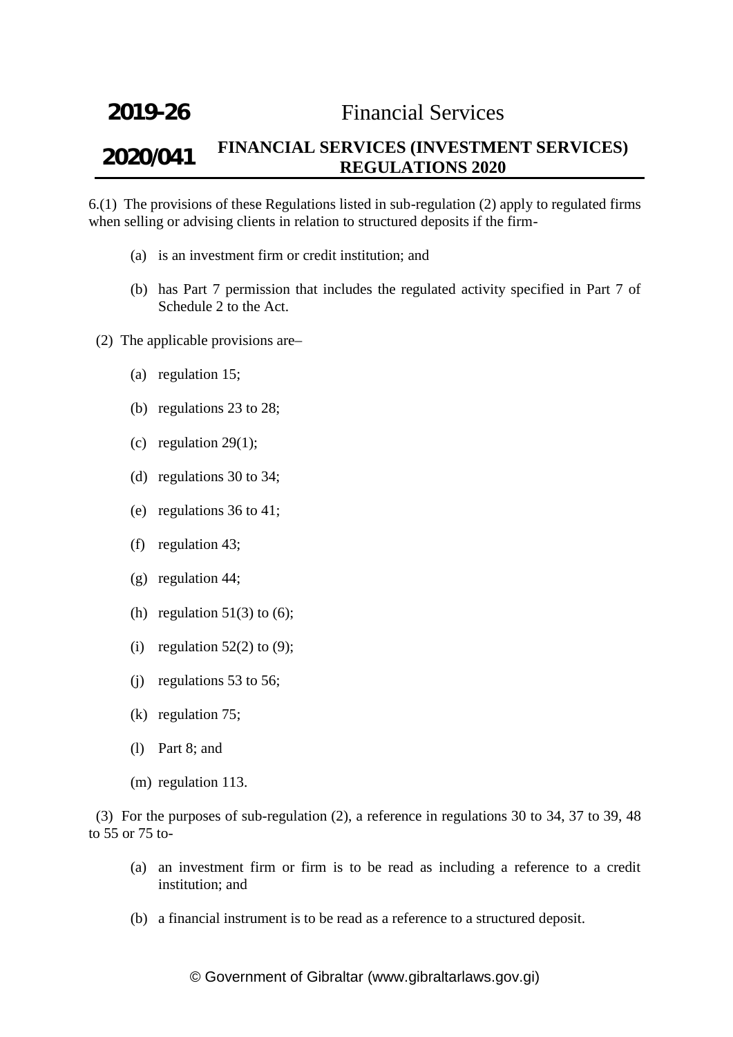## **2020/041 FINANCIAL SERVICES (INVESTMENT SERVICES) REGULATIONS 2020**

6.(1) The provisions of these Regulations listed in sub-regulation (2) apply to regulated firms when selling or advising clients in relation to structured deposits if the firm-

- (a) is an investment firm or credit institution; and
- (b) has Part 7 permission that includes the regulated activity specified in Part 7 of Schedule 2 to the Act.
- (2) The applicable provisions are–
	- (a) regulation 15;
	- (b) regulations 23 to 28;
	- (c) regulation  $29(1)$ ;
	- (d) regulations 30 to 34;
	- (e) regulations 36 to 41;
	- (f) regulation 43;
	- (g) regulation 44;
	- (h) regulation  $51(3)$  to (6);
	- (i) regulation  $52(2)$  to  $(9)$ ;
	- (j) regulations 53 to 56;
	- (k) regulation 75;
	- (l) Part 8; and
	- (m) regulation 113.

(3) For the purposes of sub-regulation (2), a reference in regulations 30 to 34, 37 to 39, 48 to 55 or 75 to-

- (a) an investment firm or firm is to be read as including a reference to a credit institution; and
- (b) a financial instrument is to be read as a reference to a structured deposit.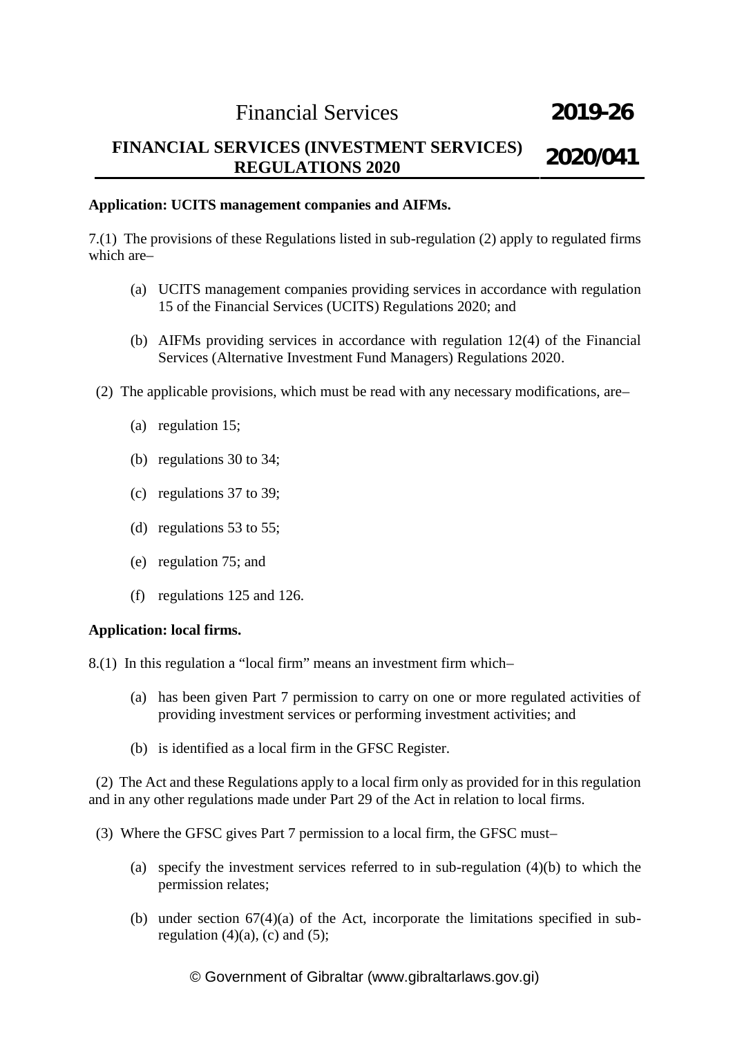## FINANCIAL SERVICES (INVESTMENT SERVICES) 2020/041 **REGULATIONS 2020**

#### **Application: UCITS management companies and AIFMs.**

7.(1) The provisions of these Regulations listed in sub-regulation (2) apply to regulated firms which are–

- (a) UCITS management companies providing services in accordance with regulation 15 of the Financial Services (UCITS) Regulations 2020; and
- (b) AIFMs providing services in accordance with regulation 12(4) of the Financial Services (Alternative Investment Fund Managers) Regulations 2020.
- (2) The applicable provisions, which must be read with any necessary modifications, are–
	- (a) regulation 15;
	- (b) regulations 30 to 34;
	- (c) regulations 37 to 39;
	- (d) regulations 53 to 55;
	- (e) regulation 75; and
	- (f) regulations 125 and 126.

#### **Application: local firms.**

8.(1) In this regulation a "local firm" means an investment firm which–

- (a) has been given Part 7 permission to carry on one or more regulated activities of providing investment services or performing investment activities; and
- (b) is identified as a local firm in the GFSC Register.

(2) The Act and these Regulations apply to a local firm only as provided for in this regulation and in any other regulations made under Part 29 of the Act in relation to local firms.

- (3) Where the GFSC gives Part 7 permission to a local firm, the GFSC must–
	- (a) specify the investment services referred to in sub-regulation (4)(b) to which the permission relates;
	- (b) under section 67(4)(a) of the Act, incorporate the limitations specified in subregulation  $(4)(a)$ , (c) and  $(5)$ ;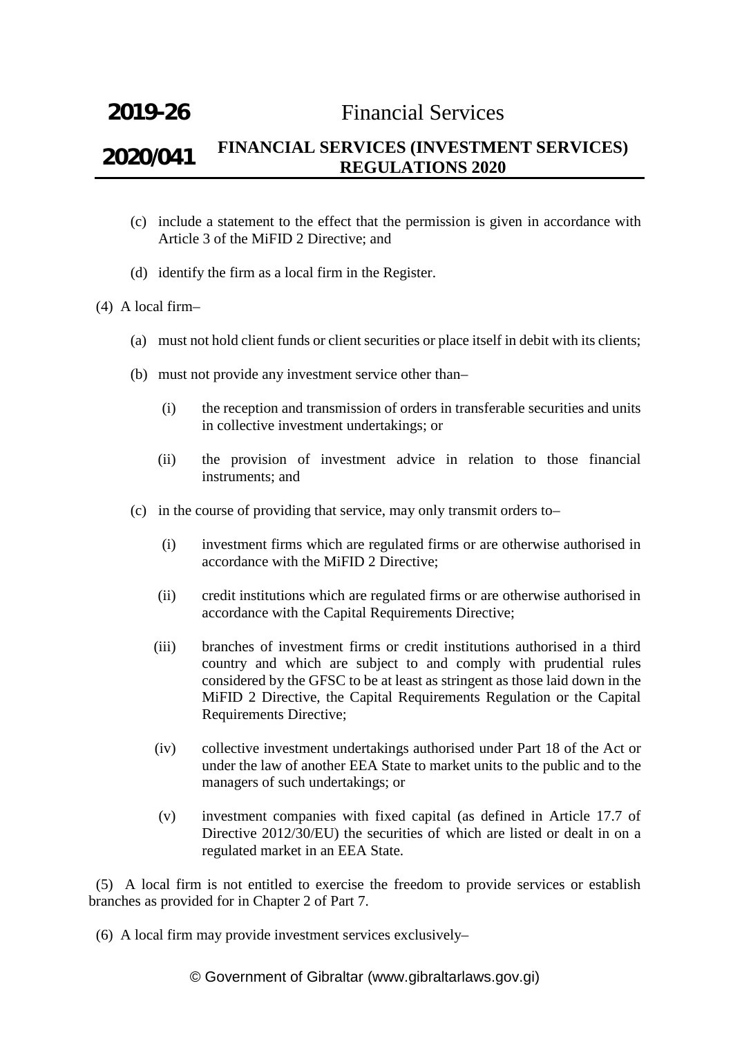## **2020/041 FINANCIAL SERVICES (INVESTMENT SERVICES) REGULATIONS 2020**

- (c) include a statement to the effect that the permission is given in accordance with Article 3 of the MiFID 2 Directive; and
- (d) identify the firm as a local firm in the Register.
- (4) A local firm–
	- (a) must not hold client funds or client securities or place itself in debit with its clients;
	- (b) must not provide any investment service other than–
		- (i) the reception and transmission of orders in transferable securities and units in collective investment undertakings; or
		- (ii) the provision of investment advice in relation to those financial instruments; and
	- (c) in the course of providing that service, may only transmit orders to–
		- (i) investment firms which are regulated firms or are otherwise authorised in accordance with the MiFID 2 Directive;
		- (ii) credit institutions which are regulated firms or are otherwise authorised in accordance with the Capital Requirements Directive;
		- (iii) branches of investment firms or credit institutions authorised in a third country and which are subject to and comply with prudential rules considered by the GFSC to be at least as stringent as those laid down in the MiFID 2 Directive, the Capital Requirements Regulation or the Capital Requirements Directive;
		- (iv) collective investment undertakings authorised under Part 18 of the Act or under the law of another EEA State to market units to the public and to the managers of such undertakings; or
		- (v) investment companies with fixed capital (as defined in Article 17.7 of Directive 2012/30/EU) the securities of which are listed or dealt in on a regulated market in an EEA State.

(5) A local firm is not entitled to exercise the freedom to provide services or establish branches as provided for in Chapter 2 of Part 7.

(6) A local firm may provide investment services exclusively–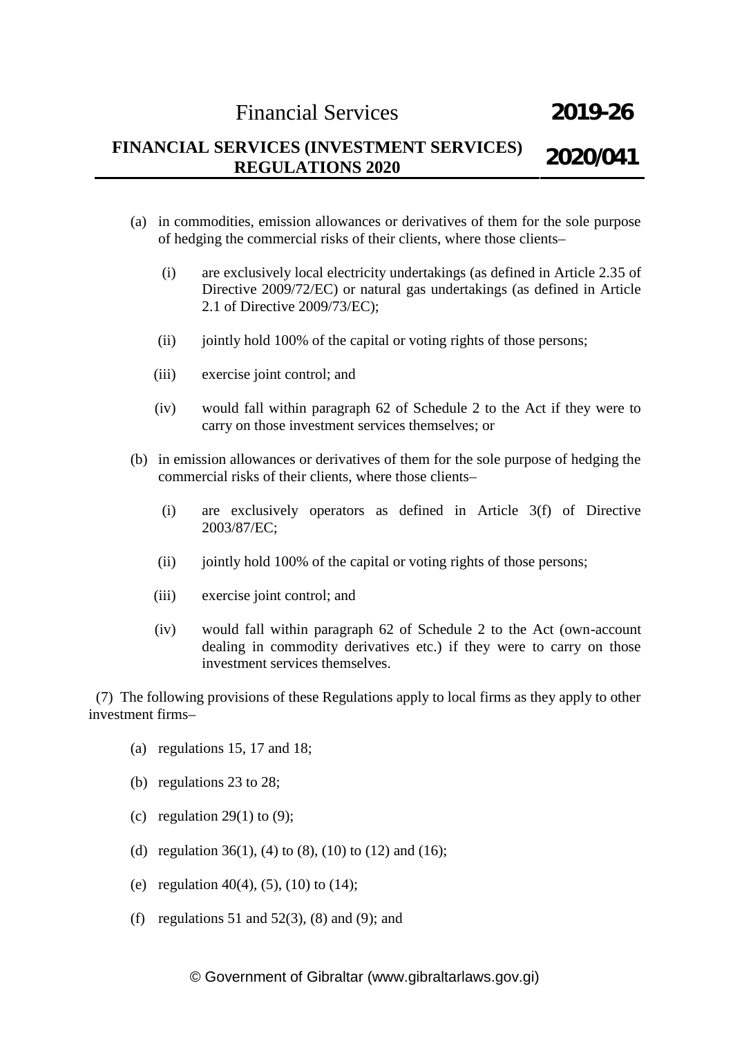## FINANCIAL SERVICES (INVESTMENT SERVICES) 2020/041 **REGULATIONS 2020**

- (a) in commodities, emission allowances or derivatives of them for the sole purpose of hedging the commercial risks of their clients, where those clients–
	- (i) are exclusively local electricity undertakings (as defined in Article 2.35 of Directive 2009/72/EC) or natural gas undertakings (as defined in Article 2.1 of Directive 2009/73/EC);
	- (ii) jointly hold 100% of the capital or voting rights of those persons;
	- (iii) exercise joint control; and
	- (iv) would fall within paragraph 62 of Schedule 2 to the Act if they were to carry on those investment services themselves; or
- (b) in emission allowances or derivatives of them for the sole purpose of hedging the commercial risks of their clients, where those clients–
	- (i) are exclusively operators as defined in Article 3(f) of Directive 2003/87/EC;
	- $(iii)$  jointly hold 100% of the capital or voting rights of those persons;
	- (iii) exercise joint control; and
	- (iv) would fall within paragraph 62 of Schedule 2 to the Act (own-account dealing in commodity derivatives etc.) if they were to carry on those investment services themselves.

(7) The following provisions of these Regulations apply to local firms as they apply to other investment firms–

- (a) regulations 15, 17 and 18;
- (b) regulations 23 to 28;
- (c) regulation  $29(1)$  to  $(9)$ :
- (d) regulation 36(1), (4) to (8), (10) to (12) and (16);
- (e) regulation 40(4), (5), (10) to (14);
- (f) regulations 51 and 52(3), (8) and (9); and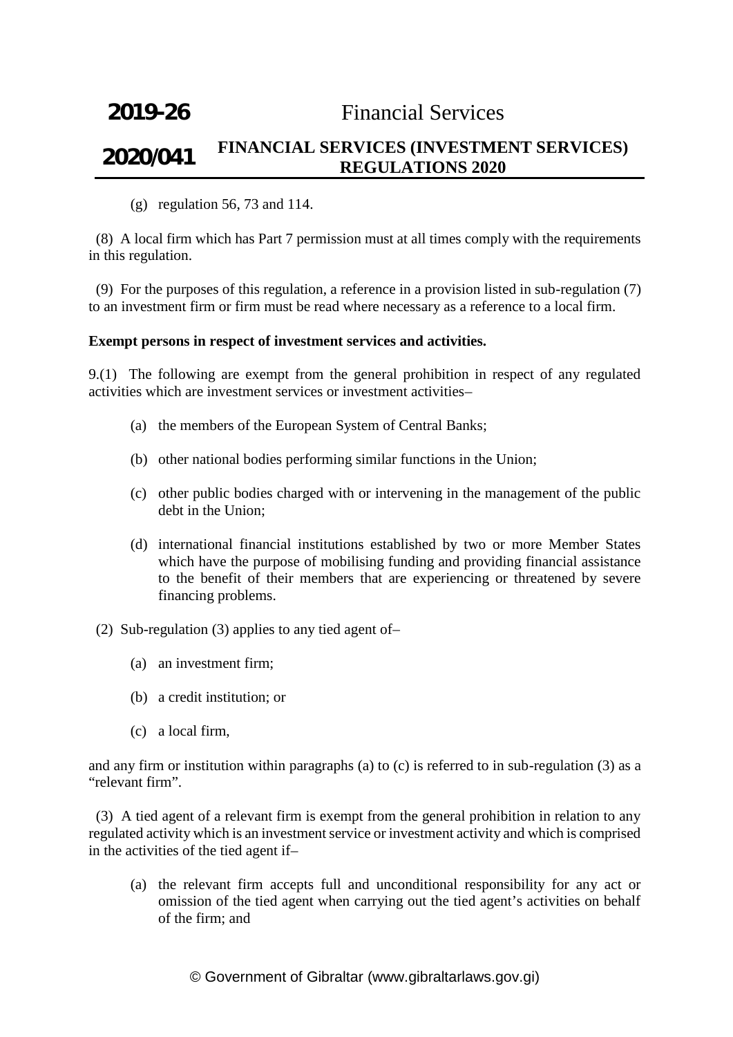## **2020/041 FINANCIAL SERVICES (INVESTMENT SERVICES) REGULATIONS 2020**

(g) regulation 56, 73 and 114.

(8) A local firm which has Part 7 permission must at all times comply with the requirements in this regulation.

(9) For the purposes of this regulation, a reference in a provision listed in sub-regulation (7) to an investment firm or firm must be read where necessary as a reference to a local firm.

#### **Exempt persons in respect of investment services and activities.**

9.(1) The following are exempt from the general prohibition in respect of any regulated activities which are investment services or investment activities–

- (a) the members of the European System of Central Banks;
- (b) other national bodies performing similar functions in the Union;
- (c) other public bodies charged with or intervening in the management of the public debt in the Union;
- (d) international financial institutions established by two or more Member States which have the purpose of mobilising funding and providing financial assistance to the benefit of their members that are experiencing or threatened by severe financing problems.
- (2) Sub-regulation (3) applies to any tied agent of–
	- (a) an investment firm;
	- (b) a credit institution; or
	- (c) a local firm,

and any firm or institution within paragraphs (a) to (c) is referred to in sub-regulation (3) as a "relevant firm".

(3) A tied agent of a relevant firm is exempt from the general prohibition in relation to any regulated activity which is an investment service or investment activity and which is comprised in the activities of the tied agent if–

(a) the relevant firm accepts full and unconditional responsibility for any act or omission of the tied agent when carrying out the tied agent's activities on behalf of the firm; and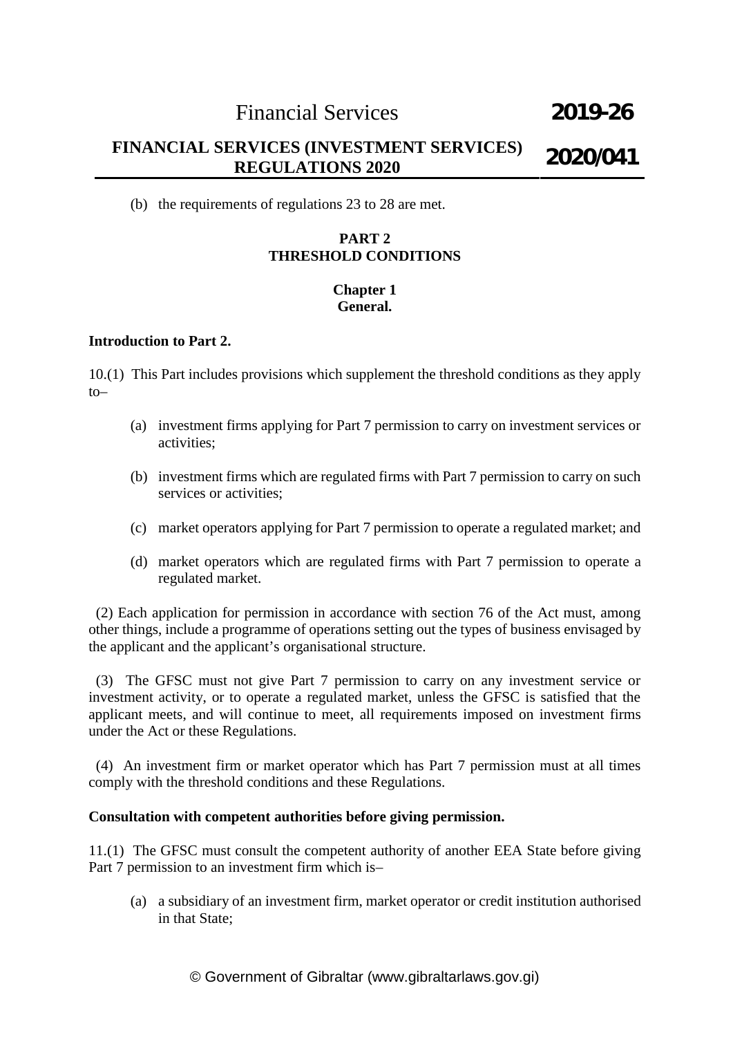## FINANCIAL SERVICES (INVESTMENT SERVICES) 2020/041 **REGULATIONS 2020**

(b) the requirements of regulations 23 to 28 are met.

### **PART 2 THRESHOLD CONDITIONS**

#### **Chapter 1 General.**

#### **Introduction to Part 2.**

10.(1) This Part includes provisions which supplement the threshold conditions as they apply  $t_0$ –

- (a) investment firms applying for Part 7 permission to carry on investment services or activities;
- (b) investment firms which are regulated firms with Part 7 permission to carry on such services or activities;
- (c) market operators applying for Part 7 permission to operate a regulated market; and
- (d) market operators which are regulated firms with Part 7 permission to operate a regulated market.

(2) Each application for permission in accordance with section 76 of the Act must, among other things, include a programme of operations setting out the types of business envisaged by the applicant and the applicant's organisational structure.

(3) The GFSC must not give Part 7 permission to carry on any investment service or investment activity, or to operate a regulated market, unless the GFSC is satisfied that the applicant meets, and will continue to meet, all requirements imposed on investment firms under the Act or these Regulations.

(4) An investment firm or market operator which has Part 7 permission must at all times comply with the threshold conditions and these Regulations.

#### **Consultation with competent authorities before giving permission.**

11.(1) The GFSC must consult the competent authority of another EEA State before giving Part 7 permission to an investment firm which is–

(a) a subsidiary of an investment firm, market operator or credit institution authorised in that State;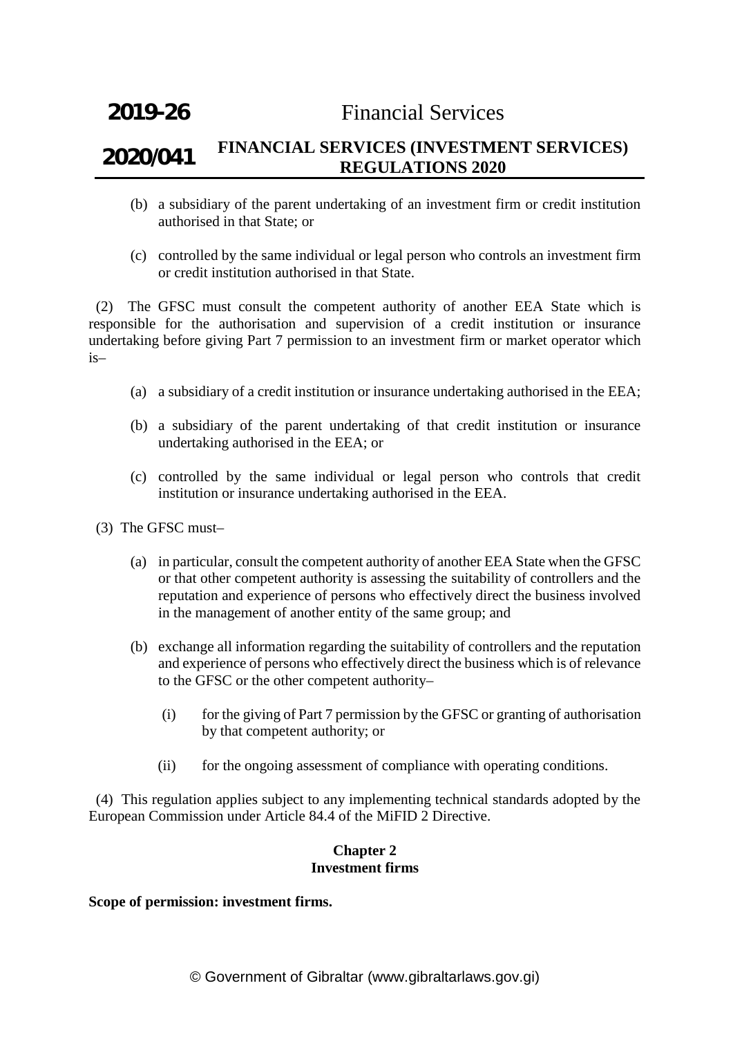## **2020/041 FINANCIAL SERVICES (INVESTMENT SERVICES) REGULATIONS 2020**

- (b) a subsidiary of the parent undertaking of an investment firm or credit institution authorised in that State; or
- (c) controlled by the same individual or legal person who controls an investment firm or credit institution authorised in that State.

(2) The GFSC must consult the competent authority of another EEA State which is responsible for the authorisation and supervision of a credit institution or insurance undertaking before giving Part 7 permission to an investment firm or market operator which is–

- (a) a subsidiary of a credit institution or insurance undertaking authorised in the EEA;
- (b) a subsidiary of the parent undertaking of that credit institution or insurance undertaking authorised in the EEA; or
- (c) controlled by the same individual or legal person who controls that credit institution or insurance undertaking authorised in the EEA.
- (3) The GFSC must–
	- (a) in particular, consult the competent authority of another EEA State when the GFSC or that other competent authority is assessing the suitability of controllers and the reputation and experience of persons who effectively direct the business involved in the management of another entity of the same group; and
	- (b) exchange all information regarding the suitability of controllers and the reputation and experience of persons who effectively direct the business which is of relevance to the GFSC or the other competent authority–
		- (i) for the giving of Part 7 permission by the GFSC or granting of authorisation by that competent authority; or
		- (ii) for the ongoing assessment of compliance with operating conditions.

(4) This regulation applies subject to any implementing technical standards adopted by the European Commission under Article 84.4 of the MiFID 2 Directive.

#### **Chapter 2 Investment firms**

#### **Scope of permission: investment firms.**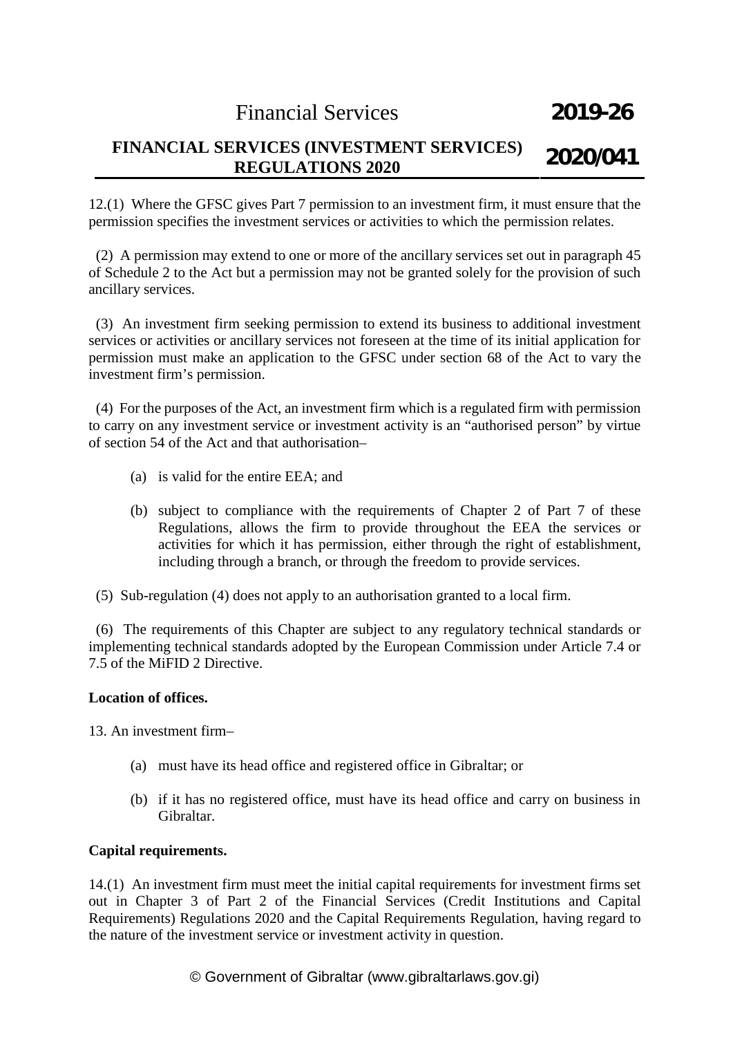## FINANCIAL SERVICES (INVESTMENT SERVICES) 2020/041 **REGULATIONS 2020**

12.(1) Where the GFSC gives Part 7 permission to an investment firm, it must ensure that the permission specifies the investment services or activities to which the permission relates.

(2) A permission may extend to one or more of the ancillary services set out in paragraph 45 of Schedule 2 to the Act but a permission may not be granted solely for the provision of such ancillary services.

(3) An investment firm seeking permission to extend its business to additional investment services or activities or ancillary services not foreseen at the time of its initial application for permission must make an application to the GFSC under section 68 of the Act to vary the investment firm's permission.

(4) For the purposes of the Act, an investment firm which is a regulated firm with permission to carry on any investment service or investment activity is an "authorised person" by virtue of section 54 of the Act and that authorisation–

- (a) is valid for the entire EEA; and
- (b) subject to compliance with the requirements of Chapter 2 of Part 7 of these Regulations, allows the firm to provide throughout the EEA the services or activities for which it has permission, either through the right of establishment, including through a branch, or through the freedom to provide services.
- (5) Sub-regulation (4) does not apply to an authorisation granted to a local firm.

(6) The requirements of this Chapter are subject to any regulatory technical standards or implementing technical standards adopted by the European Commission under Article 7.4 or 7.5 of the MiFID 2 Directive.

#### **Location of offices.**

13. An investment firm–

- (a) must have its head office and registered office in Gibraltar; or
- (b) if it has no registered office, must have its head office and carry on business in Gibraltar.

#### **Capital requirements.**

14.(1) An investment firm must meet the initial capital requirements for investment firms set out in Chapter 3 of Part 2 of the Financial Services (Credit Institutions and Capital Requirements) Regulations 2020 and the Capital Requirements Regulation, having regard to the nature of the investment service or investment activity in question.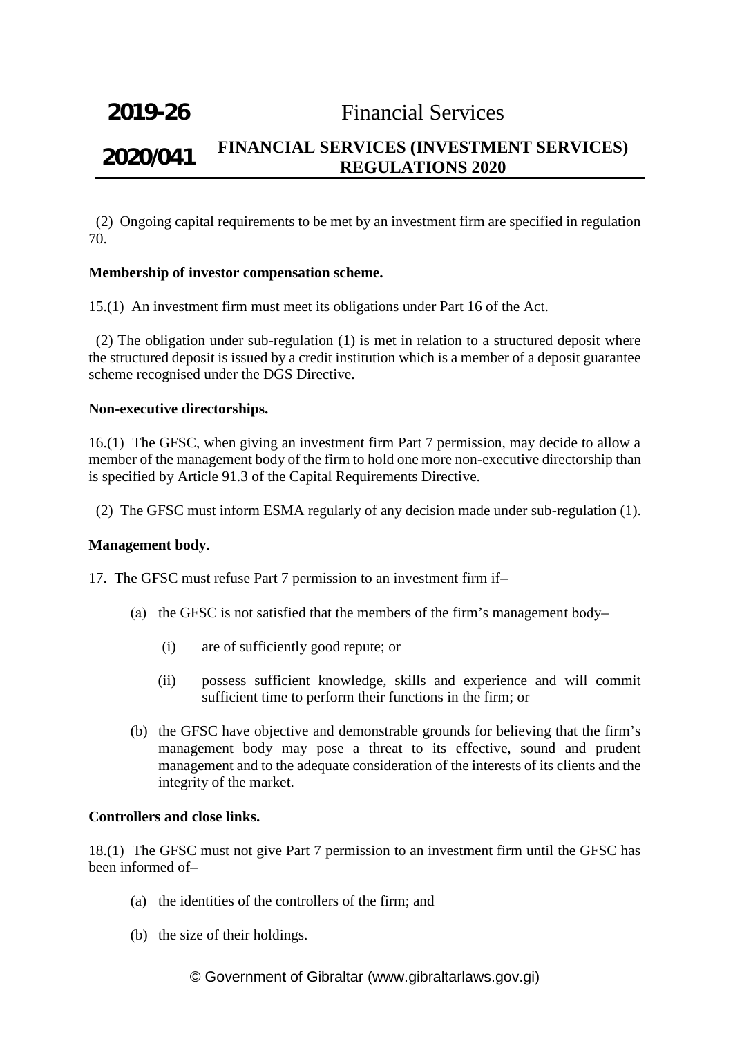## **2020/041 FINANCIAL SERVICES (INVESTMENT SERVICES) REGULATIONS 2020**

(2) Ongoing capital requirements to be met by an investment firm are specified in regulation 70.

#### **Membership of investor compensation scheme.**

15.(1) An investment firm must meet its obligations under Part 16 of the Act.

(2) The obligation under sub-regulation (1) is met in relation to a structured deposit where the structured deposit is issued by a credit institution which is a member of a deposit guarantee scheme recognised under the DGS Directive.

#### **Non-executive directorships.**

16.(1) The GFSC, when giving an investment firm Part 7 permission, may decide to allow a member of the management body of the firm to hold one more non-executive directorship than is specified by Article 91.3 of the Capital Requirements Directive.

(2) The GFSC must inform ESMA regularly of any decision made under sub-regulation (1).

#### **Management body.**

17. The GFSC must refuse Part 7 permission to an investment firm if–

- (a) the GFSC is not satisfied that the members of the firm's management body–
	- (i) are of sufficiently good repute; or
	- (ii) possess sufficient knowledge, skills and experience and will commit sufficient time to perform their functions in the firm; or
- (b) the GFSC have objective and demonstrable grounds for believing that the firm's management body may pose a threat to its effective, sound and prudent management and to the adequate consideration of the interests of its clients and the integrity of the market.

#### **Controllers and close links.**

18.(1) The GFSC must not give Part 7 permission to an investment firm until the GFSC has been informed of–

- (a) the identities of the controllers of the firm; and
- (b) the size of their holdings.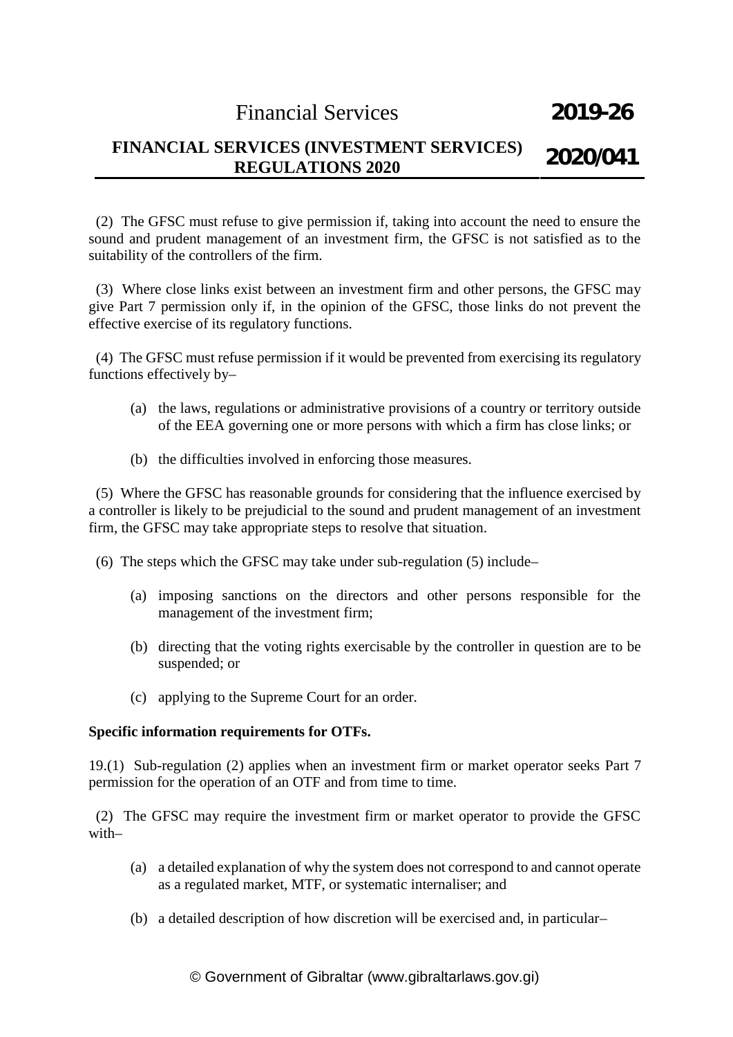## FINANCIAL SERVICES (INVESTMENT SERVICES) 2020/041 **REGULATIONS 2020**

(2) The GFSC must refuse to give permission if, taking into account the need to ensure the sound and prudent management of an investment firm, the GFSC is not satisfied as to the suitability of the controllers of the firm.

(3) Where close links exist between an investment firm and other persons, the GFSC may give Part 7 permission only if, in the opinion of the GFSC, those links do not prevent the effective exercise of its regulatory functions.

(4) The GFSC must refuse permission if it would be prevented from exercising its regulatory functions effectively by–

- (a) the laws, regulations or administrative provisions of a country or territory outside of the EEA governing one or more persons with which a firm has close links; or
- (b) the difficulties involved in enforcing those measures.

(5) Where the GFSC has reasonable grounds for considering that the influence exercised by a controller is likely to be prejudicial to the sound and prudent management of an investment firm, the GFSC may take appropriate steps to resolve that situation.

- (6) The steps which the GFSC may take under sub-regulation (5) include–
	- (a) imposing sanctions on the directors and other persons responsible for the management of the investment firm;
	- (b) directing that the voting rights exercisable by the controller in question are to be suspended; or
	- (c) applying to the Supreme Court for an order.

#### **Specific information requirements for OTFs.**

19.(1) Sub-regulation (2) applies when an investment firm or market operator seeks Part 7 permission for the operation of an OTF and from time to time.

(2) The GFSC may require the investment firm or market operator to provide the GFSC with–

- (a) a detailed explanation of why the system does not correspond to and cannot operate as a regulated market, MTF, or systematic internaliser; and
- (b) a detailed description of how discretion will be exercised and, in particular–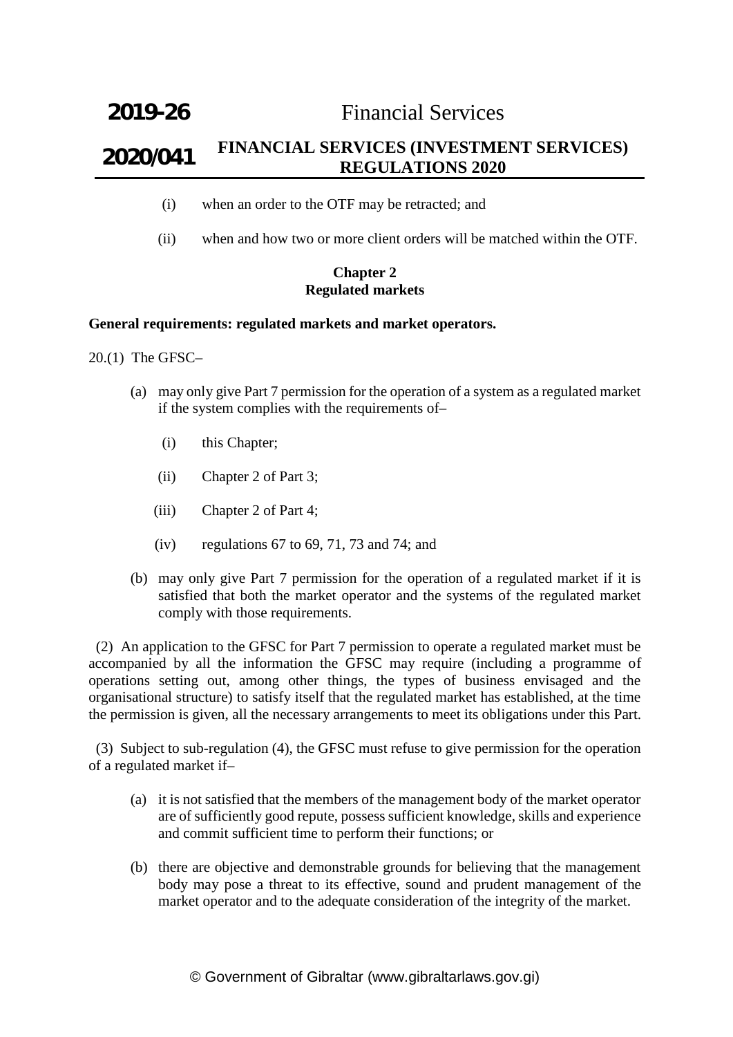## **2020/041 FINANCIAL SERVICES (INVESTMENT SERVICES) REGULATIONS 2020**

- (i) when an order to the OTF may be retracted; and
- (ii) when and how two or more client orders will be matched within the OTF.

#### **Chapter 2 Regulated markets**

#### **General requirements: regulated markets and market operators.**

20.(1) The GFSC–

- (a) may only give Part 7 permission for the operation of a system as a regulated market if the system complies with the requirements of–
	- (i) this Chapter;
	- (ii) Chapter 2 of Part 3;
	- (iii) Chapter 2 of Part 4;
	- (iv) regulations 67 to 69, 71, 73 and 74; and
- (b) may only give Part 7 permission for the operation of a regulated market if it is satisfied that both the market operator and the systems of the regulated market comply with those requirements.

(2) An application to the GFSC for Part 7 permission to operate a regulated market must be accompanied by all the information the GFSC may require (including a programme of operations setting out, among other things, the types of business envisaged and the organisational structure) to satisfy itself that the regulated market has established, at the time the permission is given, all the necessary arrangements to meet its obligations under this Part.

(3) Subject to sub-regulation (4), the GFSC must refuse to give permission for the operation of a regulated market if–

- (a) it is not satisfied that the members of the management body of the market operator are of sufficiently good repute, possess sufficient knowledge, skills and experience and commit sufficient time to perform their functions; or
- (b) there are objective and demonstrable grounds for believing that the management body may pose a threat to its effective, sound and prudent management of the market operator and to the adequate consideration of the integrity of the market.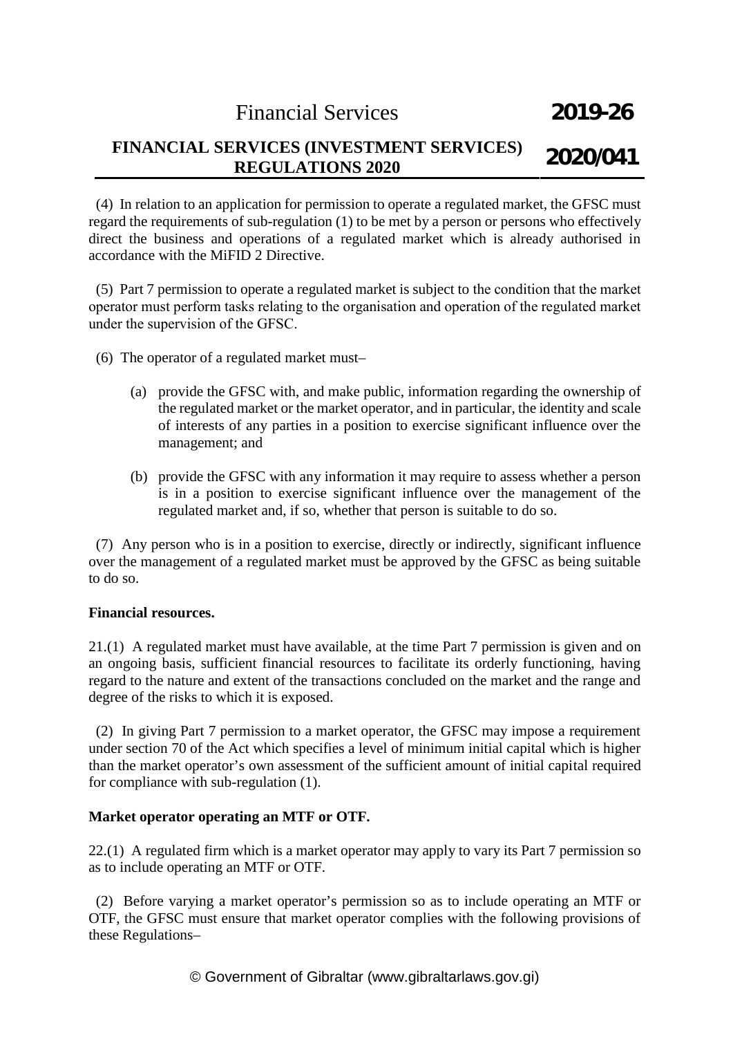## FINANCIAL SERVICES (INVESTMENT SERVICES) 2020/041 **REGULATIONS 2020**

(4) In relation to an application for permission to operate a regulated market, the GFSC must regard the requirements of sub-regulation (1) to be met by a person or persons who effectively direct the business and operations of a regulated market which is already authorised in accordance with the MiFID 2 Directive.

(5) Part 7 permission to operate a regulated market is subject to the condition that the market operator must perform tasks relating to the organisation and operation of the regulated market under the supervision of the GFSC.

- (6) The operator of a regulated market must–
	- (a) provide the GFSC with, and make public, information regarding the ownership of the regulated market or the market operator, and in particular, the identity and scale of interests of any parties in a position to exercise significant influence over the management; and
	- (b) provide the GFSC with any information it may require to assess whether a person is in a position to exercise significant influence over the management of the regulated market and, if so, whether that person is suitable to do so.

(7) Any person who is in a position to exercise, directly or indirectly, significant influence over the management of a regulated market must be approved by the GFSC as being suitable to do so.

#### **Financial resources.**

21.(1) A regulated market must have available, at the time Part 7 permission is given and on an ongoing basis, sufficient financial resources to facilitate its orderly functioning, having regard to the nature and extent of the transactions concluded on the market and the range and degree of the risks to which it is exposed.

(2) In giving Part 7 permission to a market operator, the GFSC may impose a requirement under section 70 of the Act which specifies a level of minimum initial capital which is higher than the market operator's own assessment of the sufficient amount of initial capital required for compliance with sub-regulation (1).

#### **Market operator operating an MTF or OTF.**

22.(1) A regulated firm which is a market operator may apply to vary its Part 7 permission so as to include operating an MTF or OTF.

(2) Before varying a market operator's permission so as to include operating an MTF or OTF, the GFSC must ensure that market operator complies with the following provisions of these Regulations–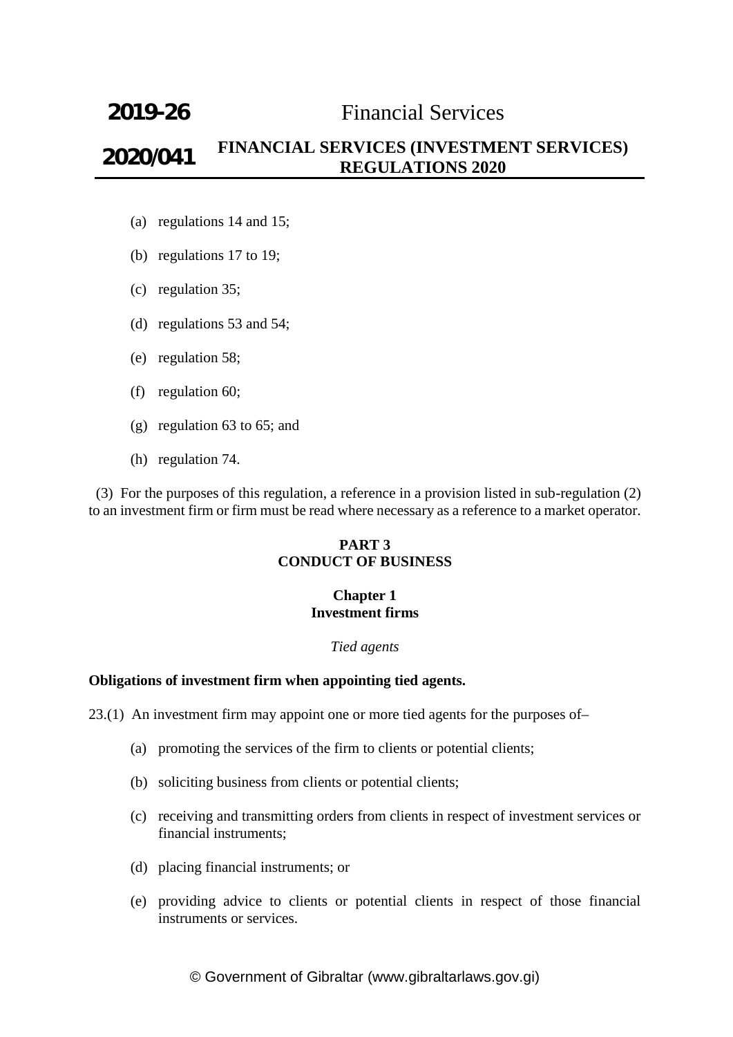## **2020/041 FINANCIAL SERVICES (INVESTMENT SERVICES) REGULATIONS 2020**

- (a) regulations 14 and 15;
- (b) regulations 17 to 19;
- (c) regulation 35;
- (d) regulations 53 and 54;
- (e) regulation 58;
- (f) regulation 60;
- (g) regulation 63 to 65; and
- (h) regulation 74.

(3) For the purposes of this regulation, a reference in a provision listed in sub-regulation (2) to an investment firm or firm must be read where necessary as a reference to a market operator.

#### **PART 3 CONDUCT OF BUSINESS**

#### **Chapter 1 Investment firms**

#### *Tied agents*

#### **Obligations of investment firm when appointing tied agents.**

23.(1) An investment firm may appoint one or more tied agents for the purposes of–

- (a) promoting the services of the firm to clients or potential clients;
- (b) soliciting business from clients or potential clients;
- (c) receiving and transmitting orders from clients in respect of investment services or financial instruments;
- (d) placing financial instruments; or
- (e) providing advice to clients or potential clients in respect of those financial instruments or services.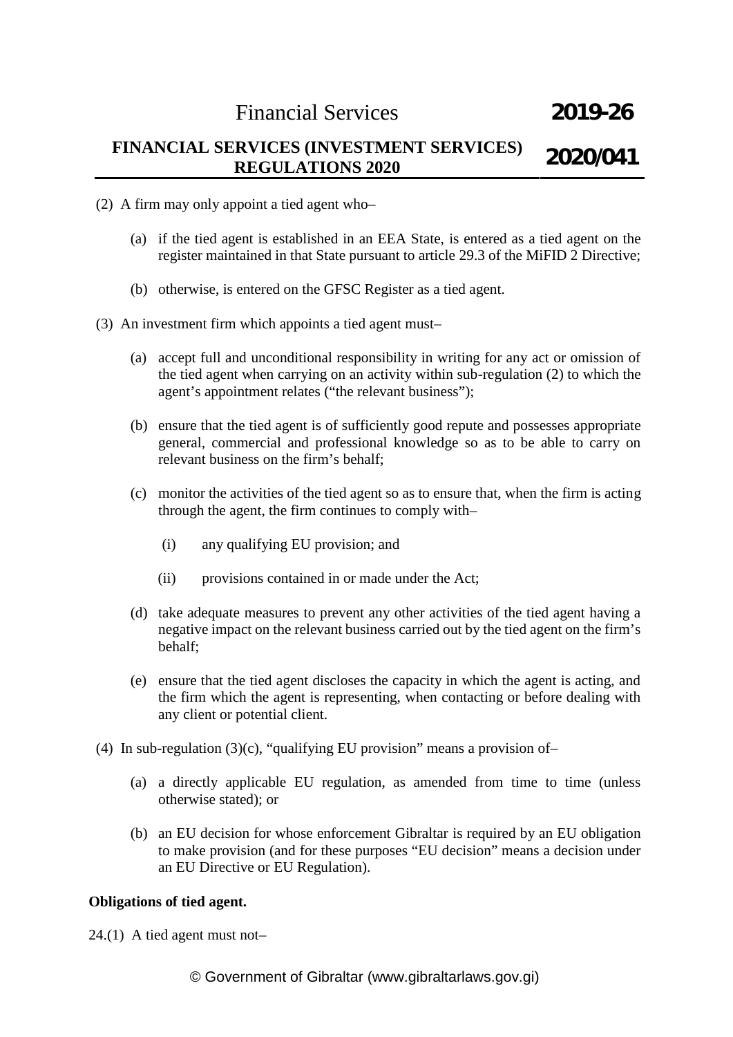## FINANCIAL SERVICES (INVESTMENT SERVICES) 2020/041 **REGULATIONS 2020**

- (2) A firm may only appoint a tied agent who–
	- (a) if the tied agent is established in an EEA State, is entered as a tied agent on the register maintained in that State pursuant to article 29.3 of the MiFID 2 Directive;
	- (b) otherwise, is entered on the GFSC Register as a tied agent.
- (3) An investment firm which appoints a tied agent must–
	- (a) accept full and unconditional responsibility in writing for any act or omission of the tied agent when carrying on an activity within sub-regulation (2) to which the agent's appointment relates ("the relevant business");
	- (b) ensure that the tied agent is of sufficiently good repute and possesses appropriate general, commercial and professional knowledge so as to be able to carry on relevant business on the firm's behalf;
	- (c) monitor the activities of the tied agent so as to ensure that, when the firm is acting through the agent, the firm continues to comply with–
		- (i) any qualifying EU provision; and
		- (ii) provisions contained in or made under the Act;
	- (d) take adequate measures to prevent any other activities of the tied agent having a negative impact on the relevant business carried out by the tied agent on the firm's behalf;
	- (e) ensure that the tied agent discloses the capacity in which the agent is acting, and the firm which the agent is representing, when contacting or before dealing with any client or potential client.
- (4) In sub-regulation (3)(c), "qualifying EU provision" means a provision of-
	- (a) a directly applicable EU regulation, as amended from time to time (unless otherwise stated); or
	- (b) an EU decision for whose enforcement Gibraltar is required by an EU obligation to make provision (and for these purposes "EU decision" means a decision under an EU Directive or EU Regulation).

#### **Obligations of tied agent.**

24.(1) A tied agent must not–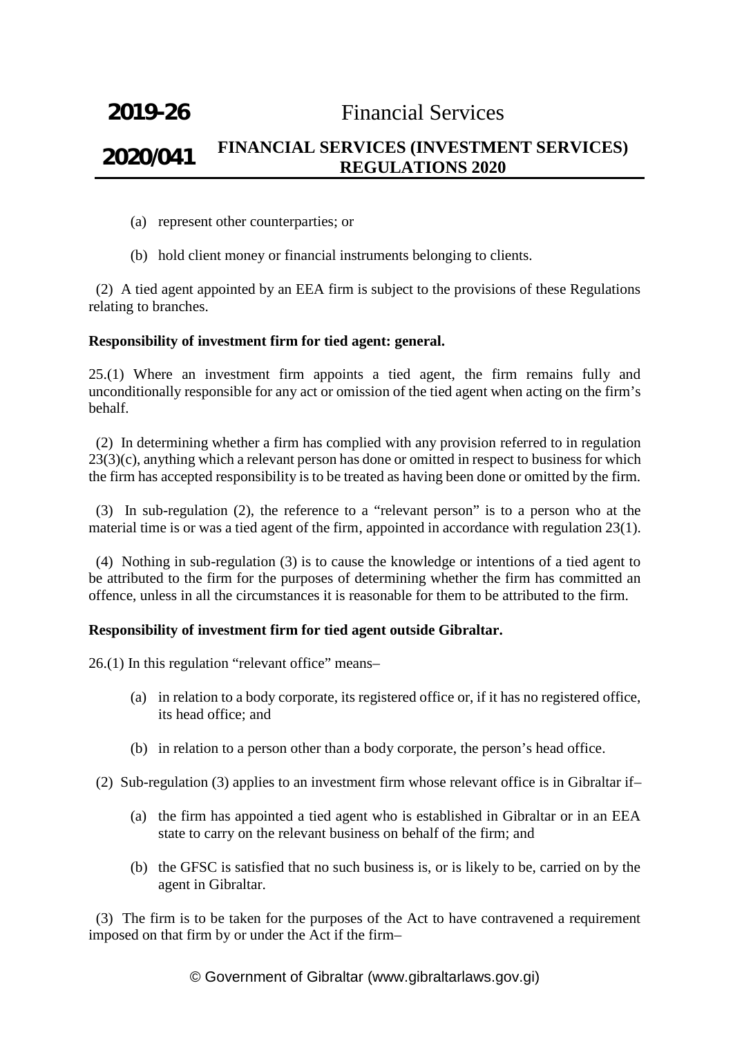## **2020/041 FINANCIAL SERVICES (INVESTMENT SERVICES) REGULATIONS 2020**

- (a) represent other counterparties; or
- (b) hold client money or financial instruments belonging to clients.

(2) A tied agent appointed by an EEA firm is subject to the provisions of these Regulations relating to branches.

#### **Responsibility of investment firm for tied agent: general.**

25.(1) Where an investment firm appoints a tied agent, the firm remains fully and unconditionally responsible for any act or omission of the tied agent when acting on the firm's behalf.

(2) In determining whether a firm has complied with any provision referred to in regulation 23(3)(c), anything which a relevant person has done or omitted in respect to business for which the firm has accepted responsibility is to be treated as having been done or omitted by the firm.

(3) In sub-regulation (2), the reference to a "relevant person" is to a person who at the material time is or was a tied agent of the firm, appointed in accordance with regulation 23(1).

(4) Nothing in sub-regulation (3) is to cause the knowledge or intentions of a tied agent to be attributed to the firm for the purposes of determining whether the firm has committed an offence, unless in all the circumstances it is reasonable for them to be attributed to the firm.

## **Responsibility of investment firm for tied agent outside Gibraltar.**

26.(1) In this regulation "relevant office" means–

- (a) in relation to a body corporate, its registered office or, if it has no registered office, its head office; and
- (b) in relation to a person other than a body corporate, the person's head office.

(2) Sub-regulation (3) applies to an investment firm whose relevant office is in Gibraltar if–

- (a) the firm has appointed a tied agent who is established in Gibraltar or in an EEA state to carry on the relevant business on behalf of the firm; and
- (b) the GFSC is satisfied that no such business is, or is likely to be, carried on by the agent in Gibraltar.

(3) The firm is to be taken for the purposes of the Act to have contravened a requirement imposed on that firm by or under the Act if the firm–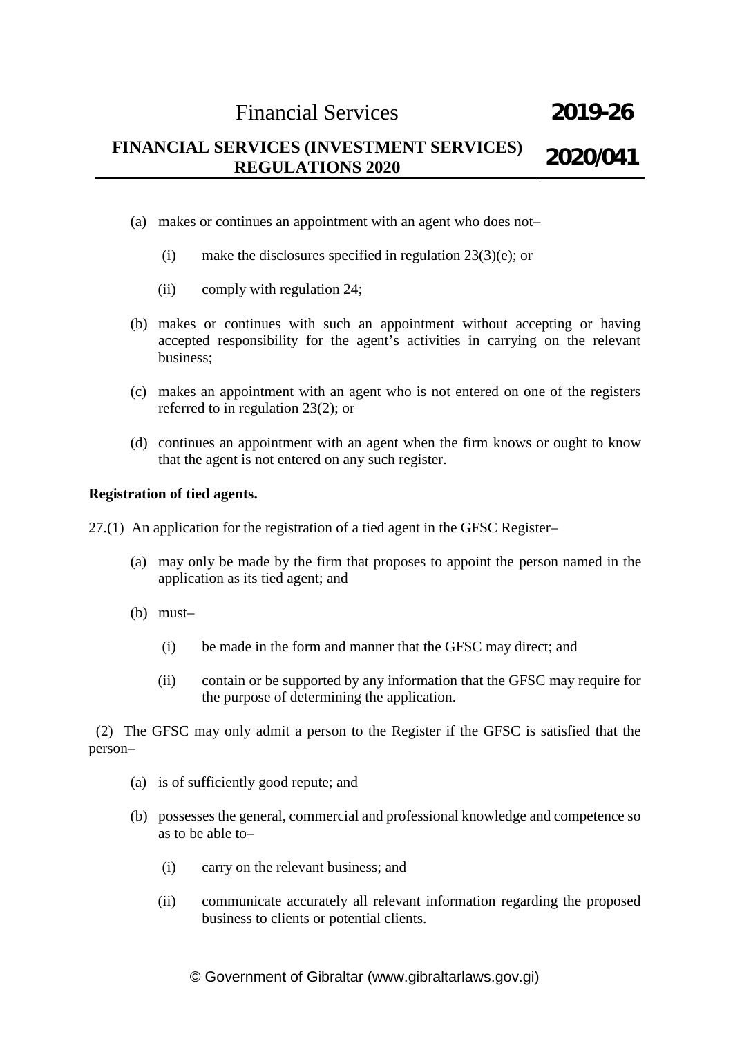## FINANCIAL SERVICES (INVESTMENT SERVICES) 2020/041 **REGULATIONS 2020**

- (a) makes or continues an appointment with an agent who does not–
	- (i) make the disclosures specified in regulation  $23(3)(e)$ ; or
	- (ii) comply with regulation 24;
- (b) makes or continues with such an appointment without accepting or having accepted responsibility for the agent's activities in carrying on the relevant business;
- (c) makes an appointment with an agent who is not entered on one of the registers referred to in regulation 23(2); or
- (d) continues an appointment with an agent when the firm knows or ought to know that the agent is not entered on any such register.

#### **Registration of tied agents.**

27.(1) An application for the registration of a tied agent in the GFSC Register–

- (a) may only be made by the firm that proposes to appoint the person named in the application as its tied agent; and
- (b) must–
	- (i) be made in the form and manner that the GFSC may direct; and
	- (ii) contain or be supported by any information that the GFSC may require for the purpose of determining the application.

(2) The GFSC may only admit a person to the Register if the GFSC is satisfied that the person–

- (a) is of sufficiently good repute; and
- (b) possesses the general, commercial and professional knowledge and competence so as to be able to–
	- (i) carry on the relevant business; and
	- (ii) communicate accurately all relevant information regarding the proposed business to clients or potential clients.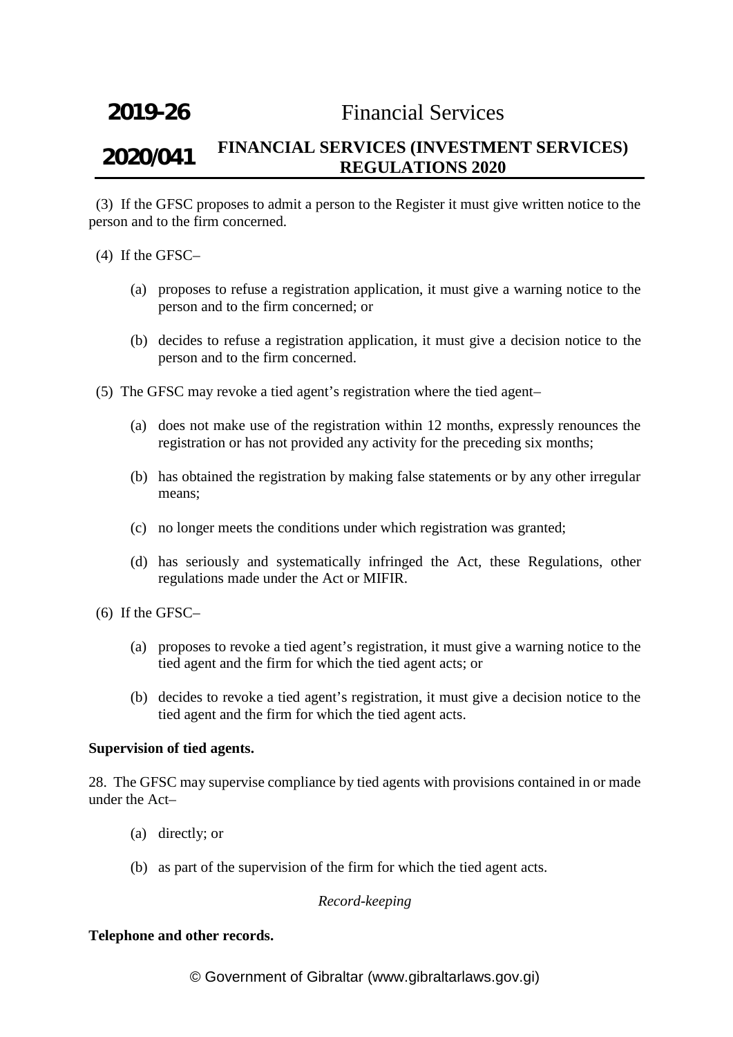## **2020/041 FINANCIAL SERVICES (INVESTMENT SERVICES) REGULATIONS 2020**

(3) If the GFSC proposes to admit a person to the Register it must give written notice to the person and to the firm concerned.

(4) If the GFSC–

- (a) proposes to refuse a registration application, it must give a warning notice to the person and to the firm concerned; or
- (b) decides to refuse a registration application, it must give a decision notice to the person and to the firm concerned.
- (5) The GFSC may revoke a tied agent's registration where the tied agent–
	- (a) does not make use of the registration within 12 months, expressly renounces the registration or has not provided any activity for the preceding six months;
	- (b) has obtained the registration by making false statements or by any other irregular means;
	- (c) no longer meets the conditions under which registration was granted;
	- (d) has seriously and systematically infringed the Act, these Regulations, other regulations made under the Act or MIFIR.

(6) If the GFSC–

- (a) proposes to revoke a tied agent's registration, it must give a warning notice to the tied agent and the firm for which the tied agent acts; or
- (b) decides to revoke a tied agent's registration, it must give a decision notice to the tied agent and the firm for which the tied agent acts.

#### **Supervision of tied agents.**

28. The GFSC may supervise compliance by tied agents with provisions contained in or made under the Act–

- (a) directly; or
- (b) as part of the supervision of the firm for which the tied agent acts.

*Record-keeping*

#### **Telephone and other records.**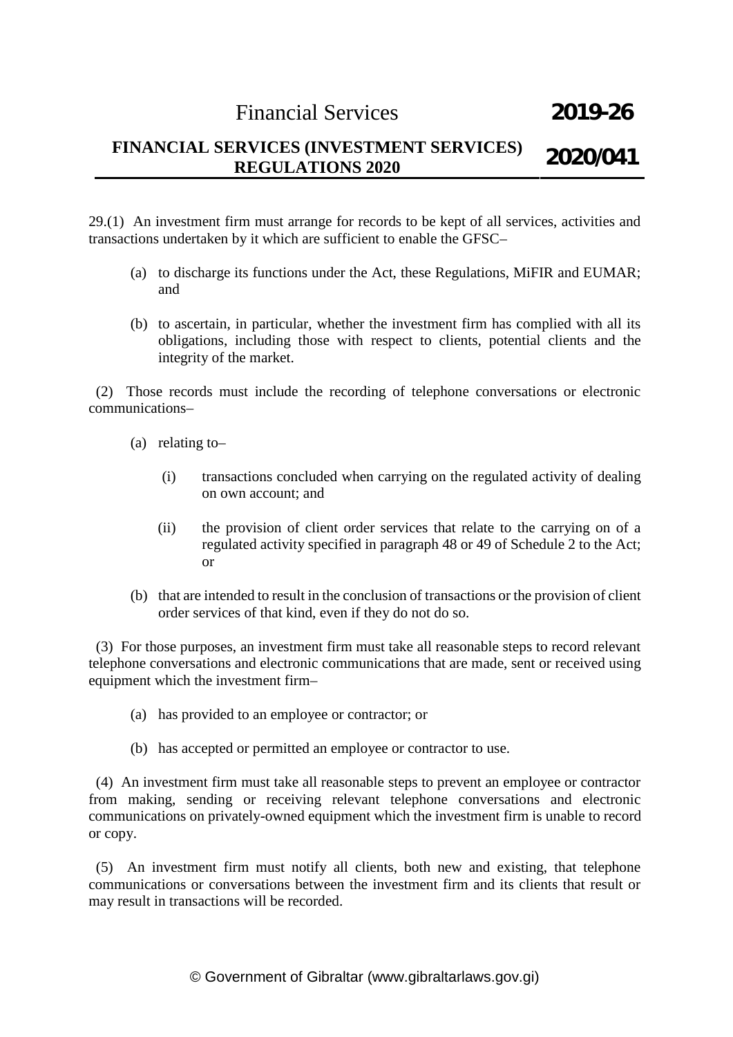## FINANCIAL SERVICES (INVESTMENT SERVICES) 2020/041 **REGULATIONS 2020**

29.(1) An investment firm must arrange for records to be kept of all services, activities and transactions undertaken by it which are sufficient to enable the GFSC–

- (a) to discharge its functions under the Act, these Regulations, MiFIR and EUMAR; and
- (b) to ascertain, in particular, whether the investment firm has complied with all its obligations, including those with respect to clients, potential clients and the integrity of the market.

(2) Those records must include the recording of telephone conversations or electronic communications–

- (a) relating to–
	- (i) transactions concluded when carrying on the regulated activity of dealing on own account; and
	- (ii) the provision of client order services that relate to the carrying on of a regulated activity specified in paragraph 48 or 49 of Schedule 2 to the Act; or
- (b) that are intended to result in the conclusion of transactions or the provision of client order services of that kind, even if they do not do so.

(3) For those purposes, an investment firm must take all reasonable steps to record relevant telephone conversations and electronic communications that are made, sent or received using equipment which the investment firm–

- (a) has provided to an employee or contractor; or
- (b) has accepted or permitted an employee or contractor to use.

(4) An investment firm must take all reasonable steps to prevent an employee or contractor from making, sending or receiving relevant telephone conversations and electronic communications on privately-owned equipment which the investment firm is unable to record or copy.

(5) An investment firm must notify all clients, both new and existing, that telephone communications or conversations between the investment firm and its clients that result or may result in transactions will be recorded.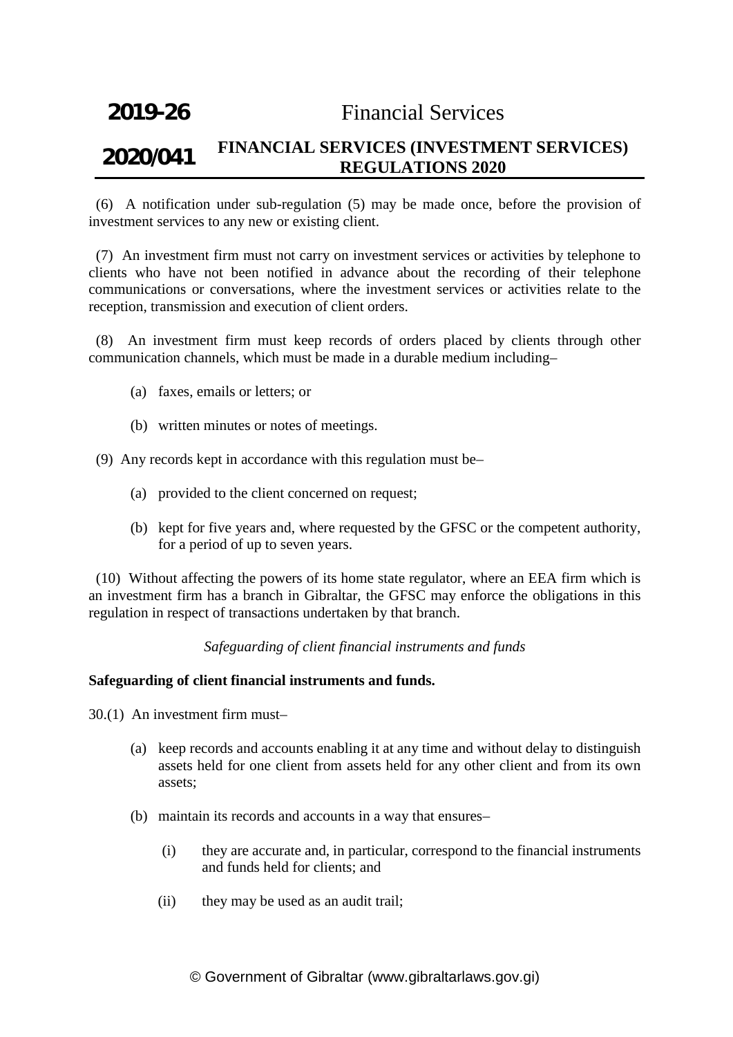## **2020/041 FINANCIAL SERVICES (INVESTMENT SERVICES) REGULATIONS 2020**

(6) A notification under sub-regulation (5) may be made once, before the provision of investment services to any new or existing client.

(7) An investment firm must not carry on investment services or activities by telephone to clients who have not been notified in advance about the recording of their telephone communications or conversations, where the investment services or activities relate to the reception, transmission and execution of client orders.

(8) An investment firm must keep records of orders placed by clients through other communication channels, which must be made in a durable medium including–

- (a) faxes, emails or letters; or
- (b) written minutes or notes of meetings.
- (9) Any records kept in accordance with this regulation must be–
	- (a) provided to the client concerned on request;
	- (b) kept for five years and, where requested by the GFSC or the competent authority, for a period of up to seven years.

(10) Without affecting the powers of its home state regulator, where an EEA firm which is an investment firm has a branch in Gibraltar, the GFSC may enforce the obligations in this regulation in respect of transactions undertaken by that branch.

*Safeguarding of client financial instruments and funds*

#### **Safeguarding of client financial instruments and funds.**

30.(1) An investment firm must–

- (a) keep records and accounts enabling it at any time and without delay to distinguish assets held for one client from assets held for any other client and from its own assets;
- (b) maintain its records and accounts in a way that ensures–
	- (i) they are accurate and, in particular, correspond to the financial instruments and funds held for clients; and
	- (ii) they may be used as an audit trail;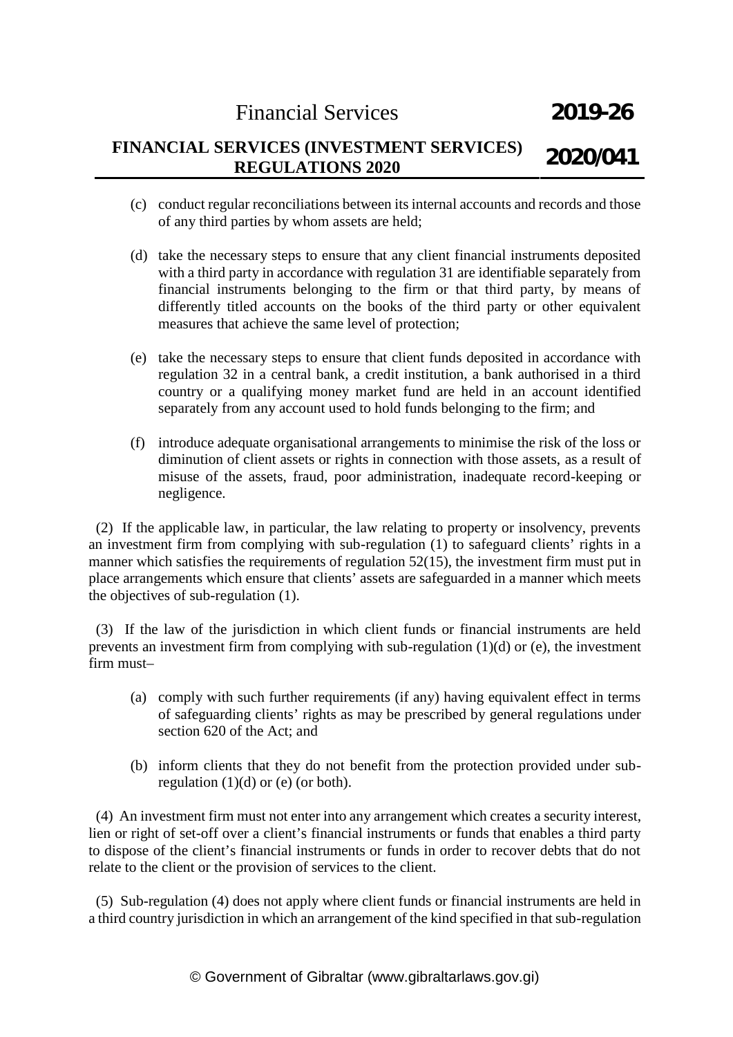## FINANCIAL SERVICES (INVESTMENT SERVICES) 2020/041 **REGULATIONS 2020**

- (c) conduct regular reconciliations between its internal accounts and records and those of any third parties by whom assets are held;
- (d) take the necessary steps to ensure that any client financial instruments deposited with a third party in accordance with regulation 31 are identifiable separately from financial instruments belonging to the firm or that third party, by means of differently titled accounts on the books of the third party or other equivalent measures that achieve the same level of protection;
- (e) take the necessary steps to ensure that client funds deposited in accordance with regulation 32 in a central bank, a credit institution, a bank authorised in a third country or a qualifying money market fund are held in an account identified separately from any account used to hold funds belonging to the firm; and
- (f) introduce adequate organisational arrangements to minimise the risk of the loss or diminution of client assets or rights in connection with those assets, as a result of misuse of the assets, fraud, poor administration, inadequate record-keeping or negligence.

(2) If the applicable law, in particular, the law relating to property or insolvency, prevents an investment firm from complying with sub-regulation (1) to safeguard clients' rights in a manner which satisfies the requirements of regulation 52(15), the investment firm must put in place arrangements which ensure that clients' assets are safeguarded in a manner which meets the objectives of sub-regulation (1).

(3) If the law of the jurisdiction in which client funds or financial instruments are held prevents an investment firm from complying with sub-regulation (1)(d) or (e), the investment firm must–

- (a) comply with such further requirements (if any) having equivalent effect in terms of safeguarding clients' rights as may be prescribed by general regulations under section 620 of the Act; and
- (b) inform clients that they do not benefit from the protection provided under subregulation  $(1)(d)$  or  $(e)$  (or both).

(4) An investment firm must not enter into any arrangement which creates a security interest, lien or right of set-off over a client's financial instruments or funds that enables a third party to dispose of the client's financial instruments or funds in order to recover debts that do not relate to the client or the provision of services to the client.

(5) Sub-regulation (4) does not apply where client funds or financial instruments are held in a third country jurisdiction in which an arrangement of the kind specified in that sub-regulation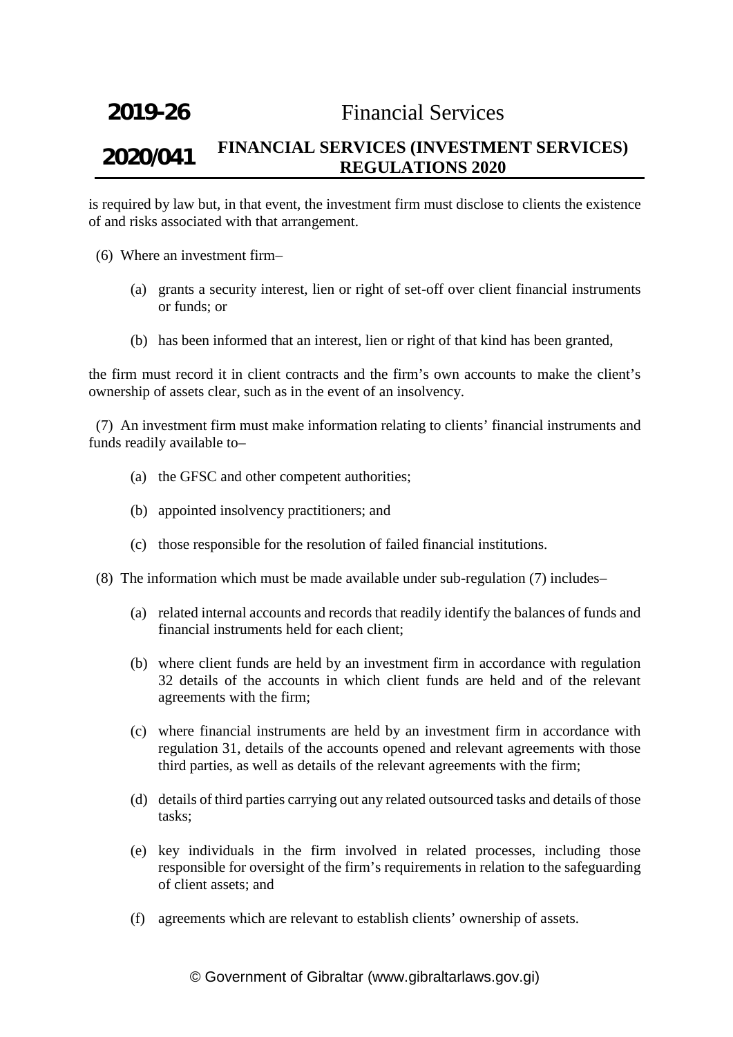### **2020/041 FINANCIAL SERVICES (INVESTMENT SERVICES) REGULATIONS 2020**

is required by law but, in that event, the investment firm must disclose to clients the existence of and risks associated with that arrangement.

- (6) Where an investment firm–
	- (a) grants a security interest, lien or right of set-off over client financial instruments or funds; or
	- (b) has been informed that an interest, lien or right of that kind has been granted,

the firm must record it in client contracts and the firm's own accounts to make the client's ownership of assets clear, such as in the event of an insolvency.

(7) An investment firm must make information relating to clients' financial instruments and funds readily available to–

- (a) the GFSC and other competent authorities;
- (b) appointed insolvency practitioners; and
- (c) those responsible for the resolution of failed financial institutions.
- (8) The information which must be made available under sub-regulation (7) includes–
	- (a) related internal accounts and records that readily identify the balances of funds and financial instruments held for each client;
	- (b) where client funds are held by an investment firm in accordance with regulation 32 details of the accounts in which client funds are held and of the relevant agreements with the firm;
	- (c) where financial instruments are held by an investment firm in accordance with regulation 31, details of the accounts opened and relevant agreements with those third parties, as well as details of the relevant agreements with the firm;
	- (d) details of third parties carrying out any related outsourced tasks and details of those tasks;
	- (e) key individuals in the firm involved in related processes, including those responsible for oversight of the firm's requirements in relation to the safeguarding of client assets; and
	- (f) agreements which are relevant to establish clients' ownership of assets.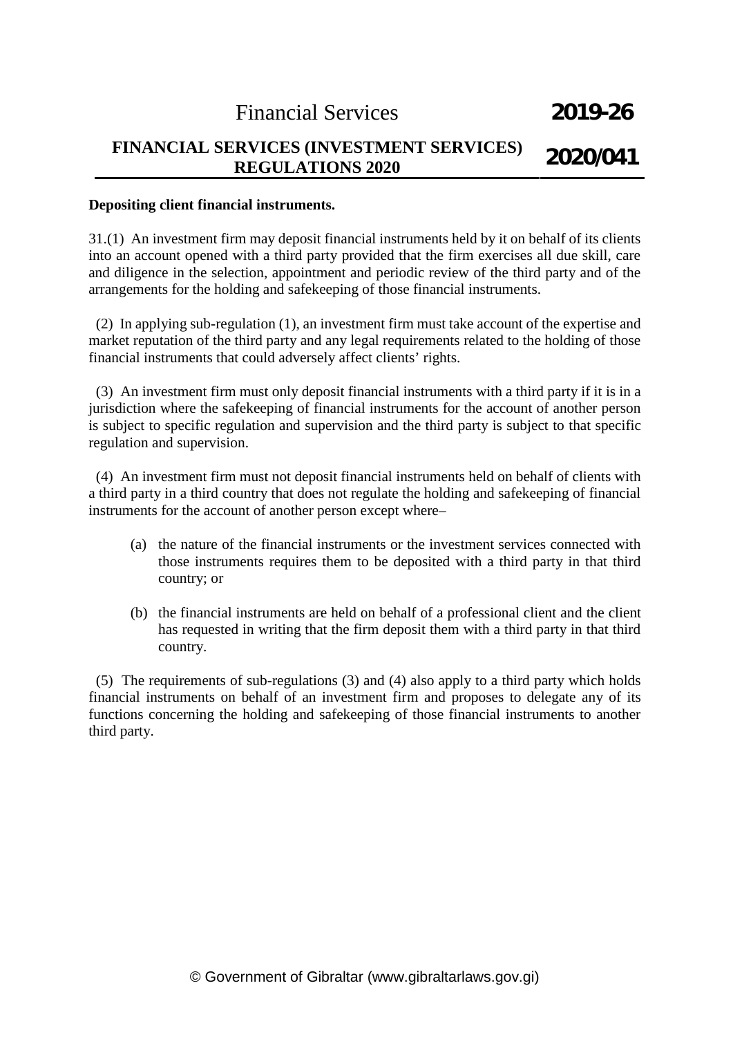#### FINANCIAL SERVICES (INVESTMENT SERVICES) 2020/041 **REGULATIONS 2020**

#### **Depositing client financial instruments.**

31.(1) An investment firm may deposit financial instruments held by it on behalf of its clients into an account opened with a third party provided that the firm exercises all due skill, care and diligence in the selection, appointment and periodic review of the third party and of the arrangements for the holding and safekeeping of those financial instruments.

(2) In applying sub-regulation (1), an investment firm must take account of the expertise and market reputation of the third party and any legal requirements related to the holding of those financial instruments that could adversely affect clients' rights.

(3) An investment firm must only deposit financial instruments with a third party if it is in a jurisdiction where the safekeeping of financial instruments for the account of another person is subject to specific regulation and supervision and the third party is subject to that specific regulation and supervision.

(4) An investment firm must not deposit financial instruments held on behalf of clients with a third party in a third country that does not regulate the holding and safekeeping of financial instruments for the account of another person except where–

- (a) the nature of the financial instruments or the investment services connected with those instruments requires them to be deposited with a third party in that third country; or
- (b) the financial instruments are held on behalf of a professional client and the client has requested in writing that the firm deposit them with a third party in that third country.

(5) The requirements of sub-regulations (3) and (4) also apply to a third party which holds financial instruments on behalf of an investment firm and proposes to delegate any of its functions concerning the holding and safekeeping of those financial instruments to another third party.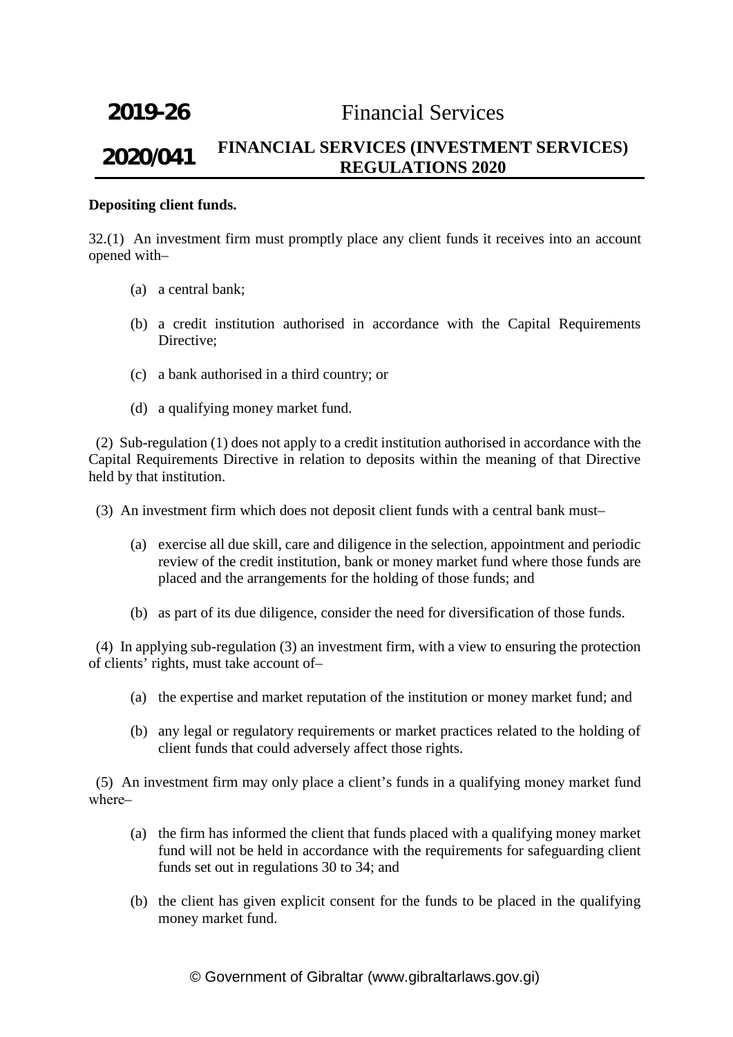## **2020/041 FINANCIAL SERVICES (INVESTMENT SERVICES) REGULATIONS 2020**

#### **Depositing client funds.**

32.(1) An investment firm must promptly place any client funds it receives into an account opened with–

- (a) a central bank;
- (b) a credit institution authorised in accordance with the Capital Requirements Directive;
- (c) a bank authorised in a third country; or
- (d) a qualifying money market fund.

(2) Sub-regulation (1) does not apply to a credit institution authorised in accordance with the Capital Requirements Directive in relation to deposits within the meaning of that Directive held by that institution.

- (3) An investment firm which does not deposit client funds with a central bank must–
	- (a) exercise all due skill, care and diligence in the selection, appointment and periodic review of the credit institution, bank or money market fund where those funds are placed and the arrangements for the holding of those funds; and
	- (b) as part of its due diligence, consider the need for diversification of those funds.

(4) In applying sub-regulation (3) an investment firm, with a view to ensuring the protection of clients' rights, must take account of–

- (a) the expertise and market reputation of the institution or money market fund; and
- (b) any legal or regulatory requirements or market practices related to the holding of client funds that could adversely affect those rights.

(5) An investment firm may only place a client's funds in a qualifying money market fund where–

- (a) the firm has informed the client that funds placed with a qualifying money market fund will not be held in accordance with the requirements for safeguarding client funds set out in regulations 30 to 34; and
- (b) the client has given explicit consent for the funds to be placed in the qualifying money market fund.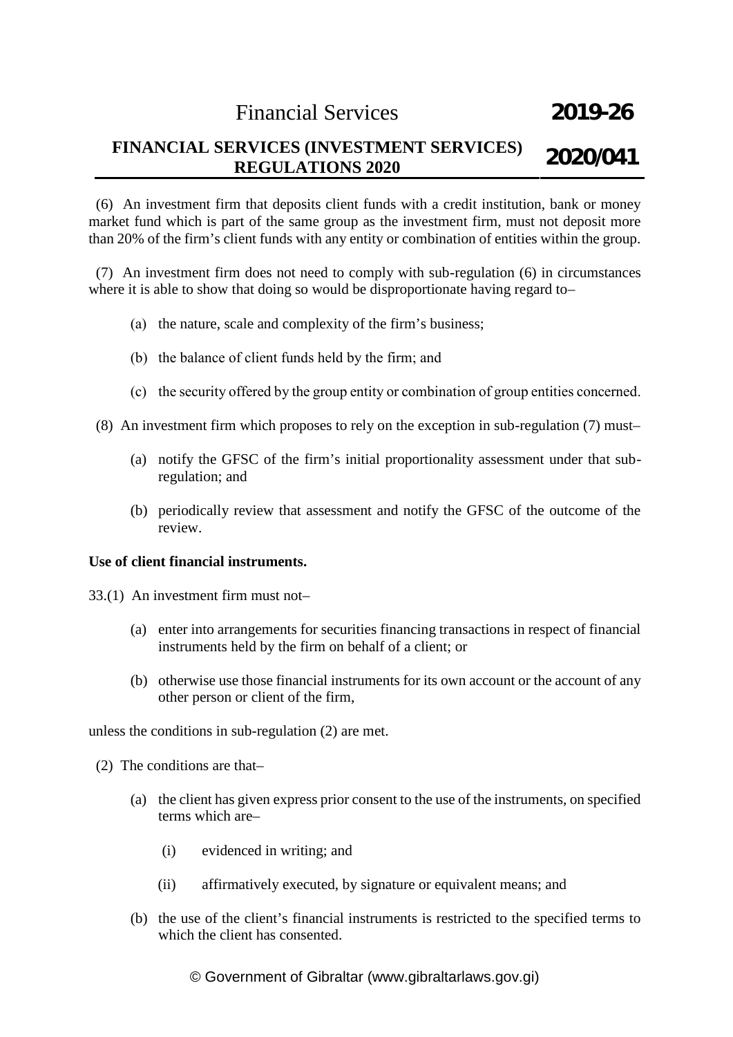### FINANCIAL SERVICES (INVESTMENT SERVICES) 2020/041 **REGULATIONS 2020**

(6) An investment firm that deposits client funds with a credit institution, bank or money market fund which is part of the same group as the investment firm, must not deposit more than 20% of the firm's client funds with any entity or combination of entities within the group.

(7) An investment firm does not need to comply with sub-regulation (6) in circumstances where it is able to show that doing so would be disproportionate having regard to-

- (a) the nature, scale and complexity of the firm's business;
- (b) the balance of client funds held by the firm; and
- (c) the security offered by the group entity or combination of group entities concerned.
- (8) An investment firm which proposes to rely on the exception in sub-regulation (7) must–
	- (a) notify the GFSC of the firm's initial proportionality assessment under that subregulation; and
	- (b) periodically review that assessment and notify the GFSC of the outcome of the review.

#### **Use of client financial instruments.**

33.(1) An investment firm must not–

- (a) enter into arrangements for securities financing transactions in respect of financial instruments held by the firm on behalf of a client; or
- (b) otherwise use those financial instruments for its own account or the account of any other person or client of the firm,

unless the conditions in sub-regulation (2) are met.

(2) The conditions are that–

- (a) the client has given express prior consent to the use of the instruments, on specified terms which are–
	- (i) evidenced in writing; and
	- (ii) affirmatively executed, by signature or equivalent means; and
- (b) the use of the client's financial instruments is restricted to the specified terms to which the client has consented.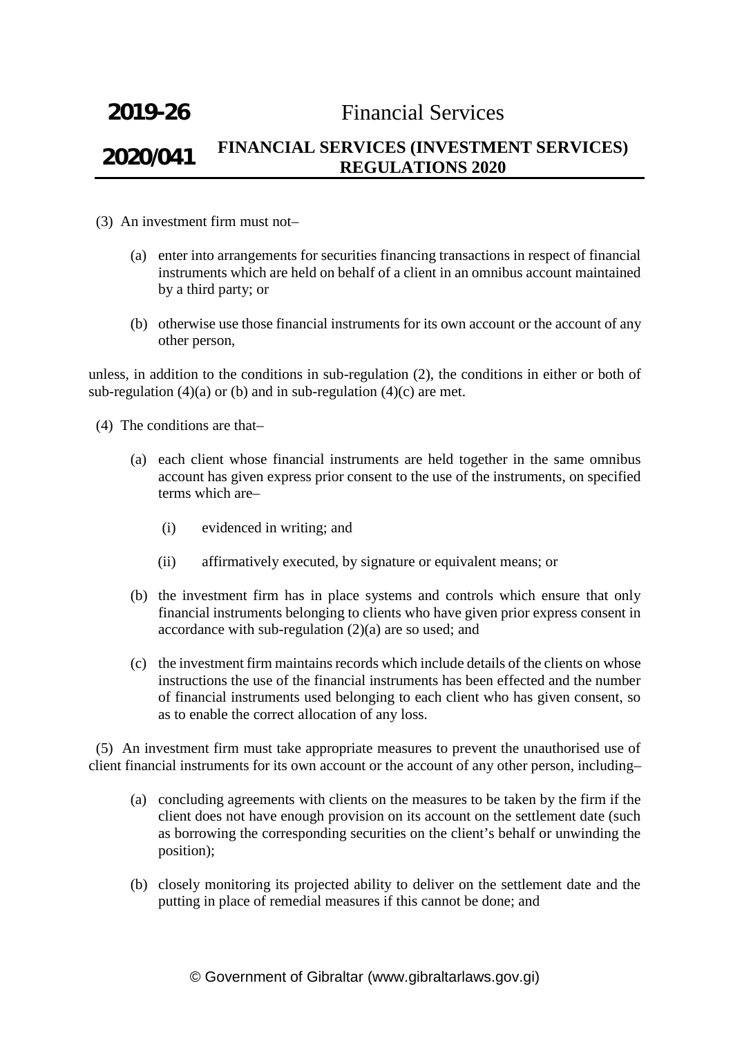### **2020/041 FINANCIAL SERVICES (INVESTMENT SERVICES) REGULATIONS 2020**

- (3) An investment firm must not–
	- (a) enter into arrangements for securities financing transactions in respect of financial instruments which are held on behalf of a client in an omnibus account maintained by a third party; or
	- (b) otherwise use those financial instruments for its own account or the account of any other person,

unless, in addition to the conditions in sub-regulation (2), the conditions in either or both of sub-regulation (4)(a) or (b) and in sub-regulation (4)(c) are met.

(4) The conditions are that–

- (a) each client whose financial instruments are held together in the same omnibus account has given express prior consent to the use of the instruments, on specified terms which are–
	- (i) evidenced in writing; and
	- (ii) affirmatively executed, by signature or equivalent means; or
- (b) the investment firm has in place systems and controls which ensure that only financial instruments belonging to clients who have given prior express consent in accordance with sub-regulation (2)(a) are so used; and
- (c) the investment firm maintains records which include details of the clients on whose instructions the use of the financial instruments has been effected and the number of financial instruments used belonging to each client who has given consent, so as to enable the correct allocation of any loss.

(5) An investment firm must take appropriate measures to prevent the unauthorised use of client financial instruments for its own account or the account of any other person, including–

- (a) concluding agreements with clients on the measures to be taken by the firm if the client does not have enough provision on its account on the settlement date (such as borrowing the corresponding securities on the client's behalf or unwinding the position);
- (b) closely monitoring its projected ability to deliver on the settlement date and the putting in place of remedial measures if this cannot be done; and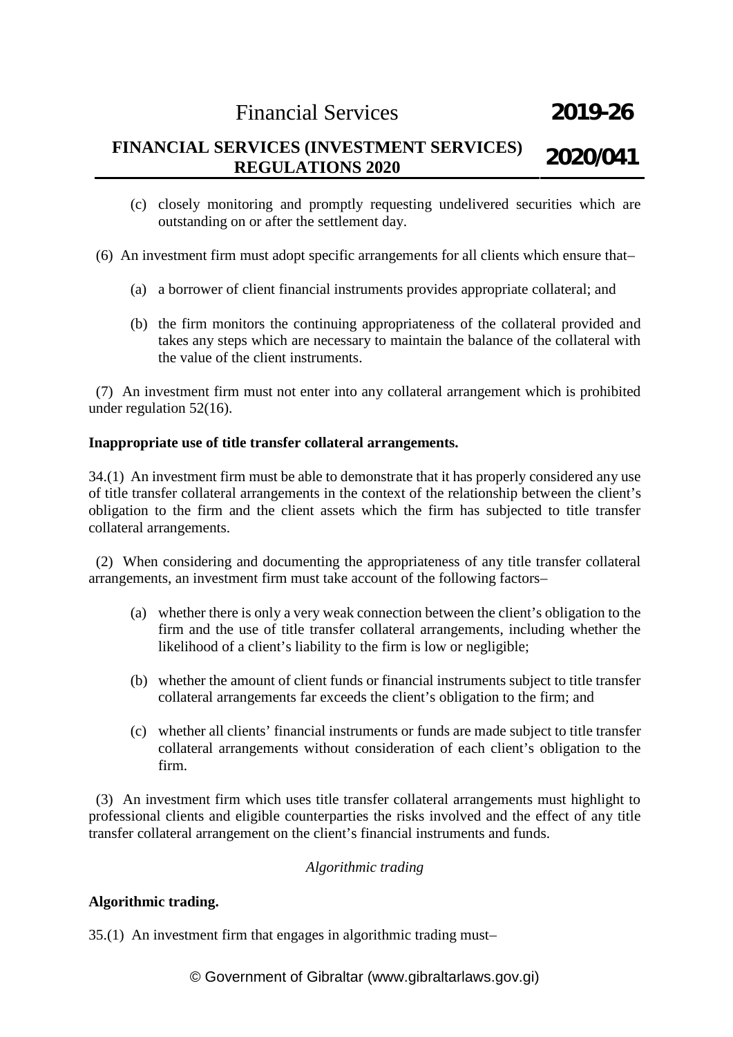## FINANCIAL SERVICES (INVESTMENT SERVICES) 2020/041 **REGULATIONS 2020**

- (c) closely monitoring and promptly requesting undelivered securities which are outstanding on or after the settlement day.
- (6) An investment firm must adopt specific arrangements for all clients which ensure that–
	- (a) a borrower of client financial instruments provides appropriate collateral; and
	- (b) the firm monitors the continuing appropriateness of the collateral provided and takes any steps which are necessary to maintain the balance of the collateral with the value of the client instruments.

(7) An investment firm must not enter into any collateral arrangement which is prohibited under regulation 52(16).

#### **Inappropriate use of title transfer collateral arrangements.**

34.(1) An investment firm must be able to demonstrate that it has properly considered any use of title transfer collateral arrangements in the context of the relationship between the client's obligation to the firm and the client assets which the firm has subjected to title transfer collateral arrangements.

(2) When considering and documenting the appropriateness of any title transfer collateral arrangements, an investment firm must take account of the following factors–

- (a) whether there is only a very weak connection between the client's obligation to the firm and the use of title transfer collateral arrangements, including whether the likelihood of a client's liability to the firm is low or negligible;
- (b) whether the amount of client funds or financial instruments subject to title transfer collateral arrangements far exceeds the client's obligation to the firm; and
- (c) whether all clients' financial instruments or funds are made subject to title transfer collateral arrangements without consideration of each client's obligation to the firm.

(3) An investment firm which uses title transfer collateral arrangements must highlight to professional clients and eligible counterparties the risks involved and the effect of any title transfer collateral arrangement on the client's financial instruments and funds.

#### *Algorithmic trading*

#### **Algorithmic trading.**

35.(1) An investment firm that engages in algorithmic trading must–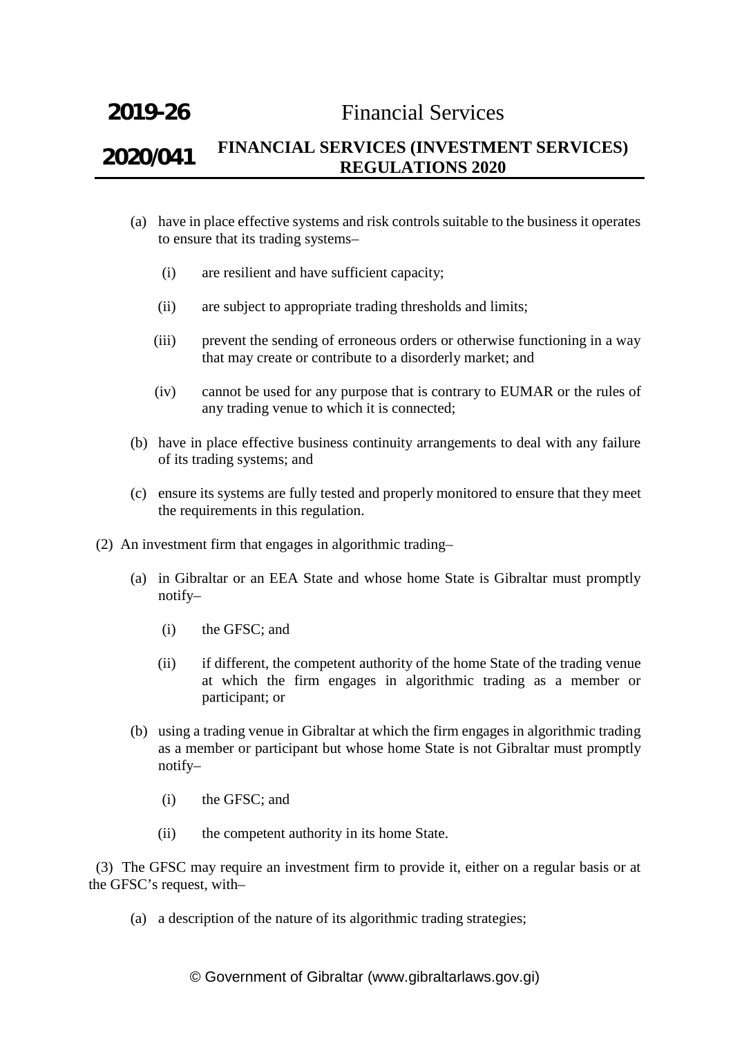## **2020/041 FINANCIAL SERVICES (INVESTMENT SERVICES) REGULATIONS 2020**

- (a) have in place effective systems and risk controls suitable to the business it operates to ensure that its trading systems–
	- (i) are resilient and have sufficient capacity;
	- (ii) are subject to appropriate trading thresholds and limits;
	- (iii) prevent the sending of erroneous orders or otherwise functioning in a way that may create or contribute to a disorderly market; and
	- (iv) cannot be used for any purpose that is contrary to EUMAR or the rules of any trading venue to which it is connected;
- (b) have in place effective business continuity arrangements to deal with any failure of its trading systems; and
- (c) ensure its systems are fully tested and properly monitored to ensure that they meet the requirements in this regulation.
- (2) An investment firm that engages in algorithmic trading–
	- (a) in Gibraltar or an EEA State and whose home State is Gibraltar must promptly notify–
		- (i) the GFSC; and
		- (ii) if different, the competent authority of the home State of the trading venue at which the firm engages in algorithmic trading as a member or participant; or
	- (b) using a trading venue in Gibraltar at which the firm engages in algorithmic trading as a member or participant but whose home State is not Gibraltar must promptly notify–
		- (i) the GFSC; and
		- (ii) the competent authority in its home State.

(3) The GFSC may require an investment firm to provide it, either on a regular basis or at the GFSC's request, with–

(a) a description of the nature of its algorithmic trading strategies;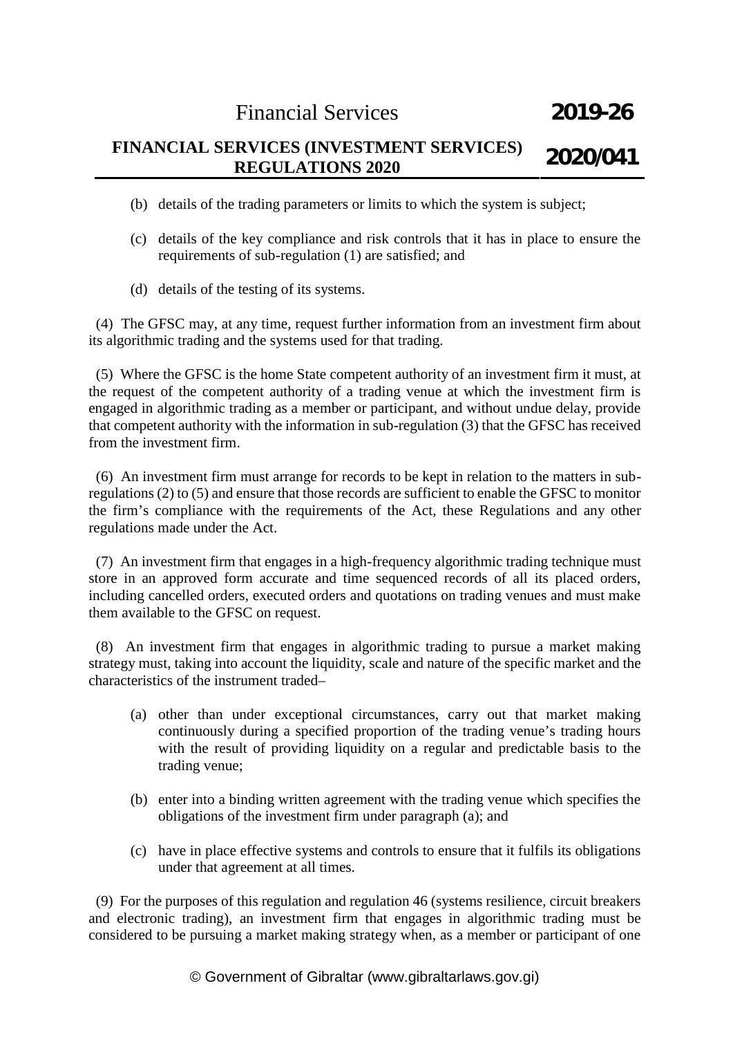## FINANCIAL SERVICES (INVESTMENT SERVICES) 2020/041 **REGULATIONS 2020**

- (b) details of the trading parameters or limits to which the system is subject;
- (c) details of the key compliance and risk controls that it has in place to ensure the requirements of sub-regulation (1) are satisfied; and
- (d) details of the testing of its systems.

(4) The GFSC may, at any time, request further information from an investment firm about its algorithmic trading and the systems used for that trading.

(5) Where the GFSC is the home State competent authority of an investment firm it must, at the request of the competent authority of a trading venue at which the investment firm is engaged in algorithmic trading as a member or participant, and without undue delay, provide that competent authority with the information in sub-regulation (3) that the GFSC has received from the investment firm.

(6) An investment firm must arrange for records to be kept in relation to the matters in subregulations (2) to (5) and ensure that those records are sufficient to enable the GFSC to monitor the firm's compliance with the requirements of the Act, these Regulations and any other regulations made under the Act.

(7) An investment firm that engages in a high-frequency algorithmic trading technique must store in an approved form accurate and time sequenced records of all its placed orders, including cancelled orders, executed orders and quotations on trading venues and must make them available to the GFSC on request.

(8) An investment firm that engages in algorithmic trading to pursue a market making strategy must, taking into account the liquidity, scale and nature of the specific market and the characteristics of the instrument traded–

- (a) other than under exceptional circumstances, carry out that market making continuously during a specified proportion of the trading venue's trading hours with the result of providing liquidity on a regular and predictable basis to the trading venue;
- (b) enter into a binding written agreement with the trading venue which specifies the obligations of the investment firm under paragraph (a); and
- (c) have in place effective systems and controls to ensure that it fulfils its obligations under that agreement at all times.

(9) For the purposes of this regulation and regulation 46 (systems resilience, circuit breakers and electronic trading), an investment firm that engages in algorithmic trading must be considered to be pursuing a market making strategy when, as a member or participant of one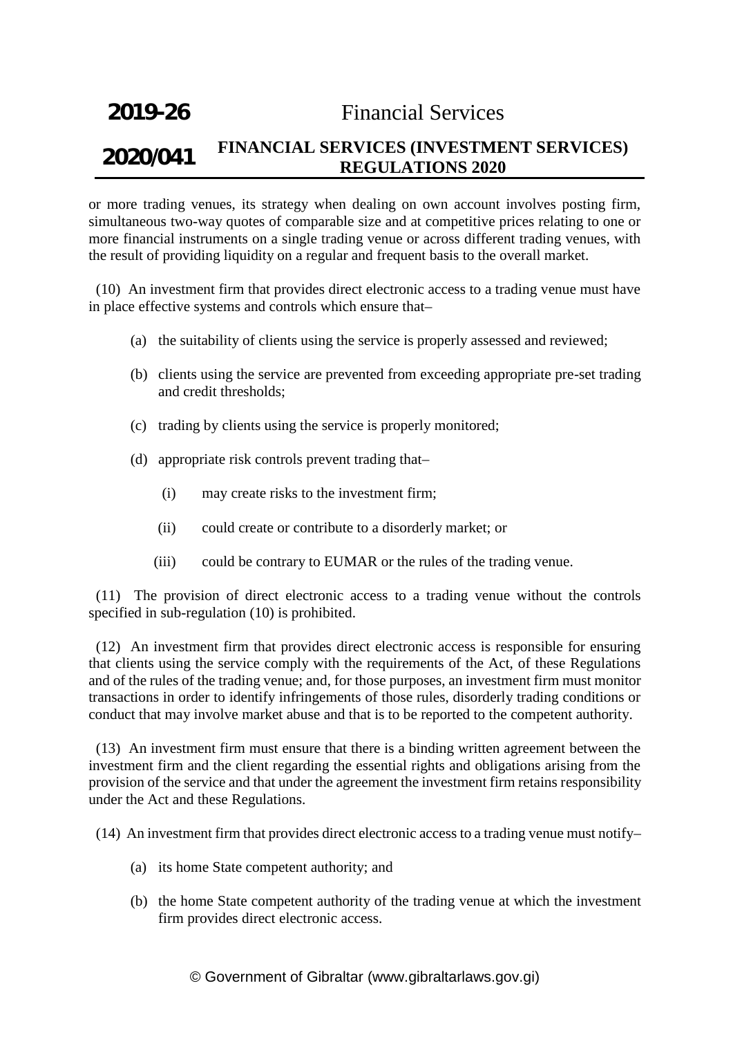### **2020/041 FINANCIAL SERVICES (INVESTMENT SERVICES) REGULATIONS 2020**

or more trading venues, its strategy when dealing on own account involves posting firm, simultaneous two-way quotes of comparable size and at competitive prices relating to one or more financial instruments on a single trading venue or across different trading venues, with the result of providing liquidity on a regular and frequent basis to the overall market.

(10) An investment firm that provides direct electronic access to a trading venue must have in place effective systems and controls which ensure that–

- (a) the suitability of clients using the service is properly assessed and reviewed;
- (b) clients using the service are prevented from exceeding appropriate pre-set trading and credit thresholds<sup>\*</sup>
- (c) trading by clients using the service is properly monitored;
- (d) appropriate risk controls prevent trading that–
	- (i) may create risks to the investment firm;
	- (ii) could create or contribute to a disorderly market; or
	- (iii) could be contrary to EUMAR or the rules of the trading venue.

(11) The provision of direct electronic access to a trading venue without the controls specified in sub-regulation (10) is prohibited.

(12) An investment firm that provides direct electronic access is responsible for ensuring that clients using the service comply with the requirements of the Act, of these Regulations and of the rules of the trading venue; and, for those purposes, an investment firm must monitor transactions in order to identify infringements of those rules, disorderly trading conditions or conduct that may involve market abuse and that is to be reported to the competent authority.

(13) An investment firm must ensure that there is a binding written agreement between the investment firm and the client regarding the essential rights and obligations arising from the provision of the service and that under the agreement the investment firm retains responsibility under the Act and these Regulations.

(14) An investment firm that provides direct electronic access to a trading venue must notify–

- (a) its home State competent authority; and
- (b) the home State competent authority of the trading venue at which the investment firm provides direct electronic access.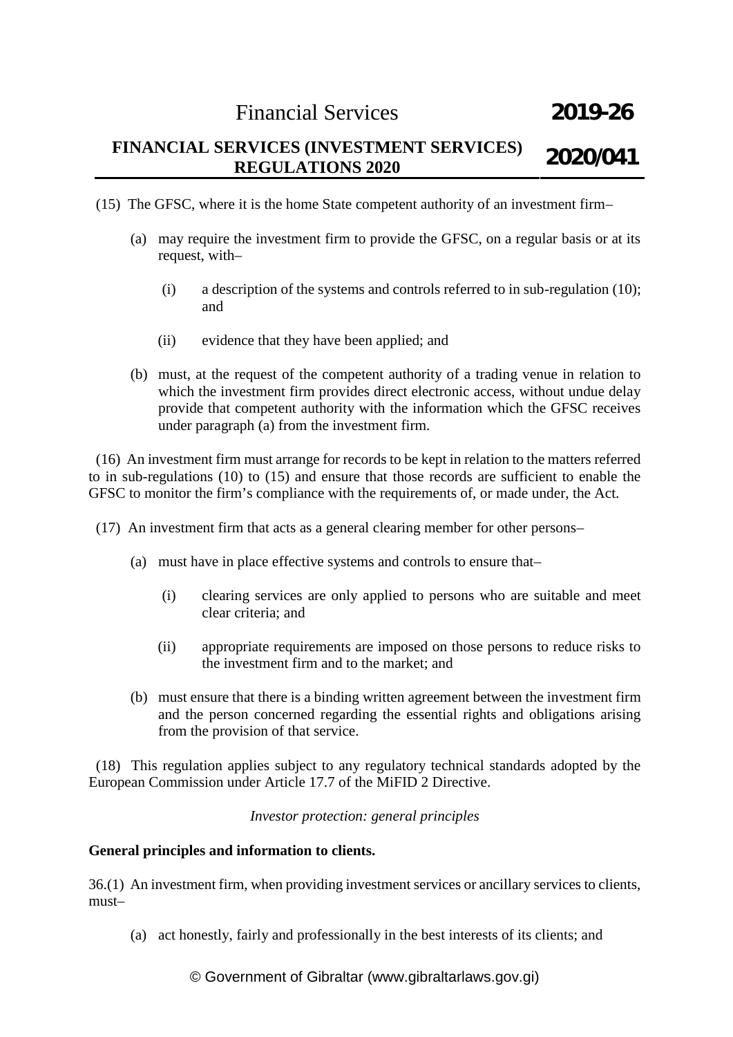## FINANCIAL SERVICES (INVESTMENT SERVICES) 2020/041 **REGULATIONS 2020**

- (15) The GFSC, where it is the home State competent authority of an investment firm–
	- (a) may require the investment firm to provide the GFSC, on a regular basis or at its request, with–
		- (i) a description of the systems and controls referred to in sub-regulation (10); and
		- (ii) evidence that they have been applied; and
	- (b) must, at the request of the competent authority of a trading venue in relation to which the investment firm provides direct electronic access, without undue delay provide that competent authority with the information which the GFSC receives under paragraph (a) from the investment firm.

(16) An investment firm must arrange for records to be kept in relation to the matters referred to in sub-regulations (10) to (15) and ensure that those records are sufficient to enable the GFSC to monitor the firm's compliance with the requirements of, or made under, the Act.

(17) An investment firm that acts as a general clearing member for other persons–

- (a) must have in place effective systems and controls to ensure that–
	- (i) clearing services are only applied to persons who are suitable and meet clear criteria; and
	- (ii) appropriate requirements are imposed on those persons to reduce risks to the investment firm and to the market; and
- (b) must ensure that there is a binding written agreement between the investment firm and the person concerned regarding the essential rights and obligations arising from the provision of that service.

(18) This regulation applies subject to any regulatory technical standards adopted by the European Commission under Article 17.7 of the MiFID 2 Directive.

#### *Investor protection: general principles*

#### **General principles and information to clients.**

36.(1) An investment firm, when providing investment services or ancillary services to clients, must–

(a) act honestly, fairly and professionally in the best interests of its clients; and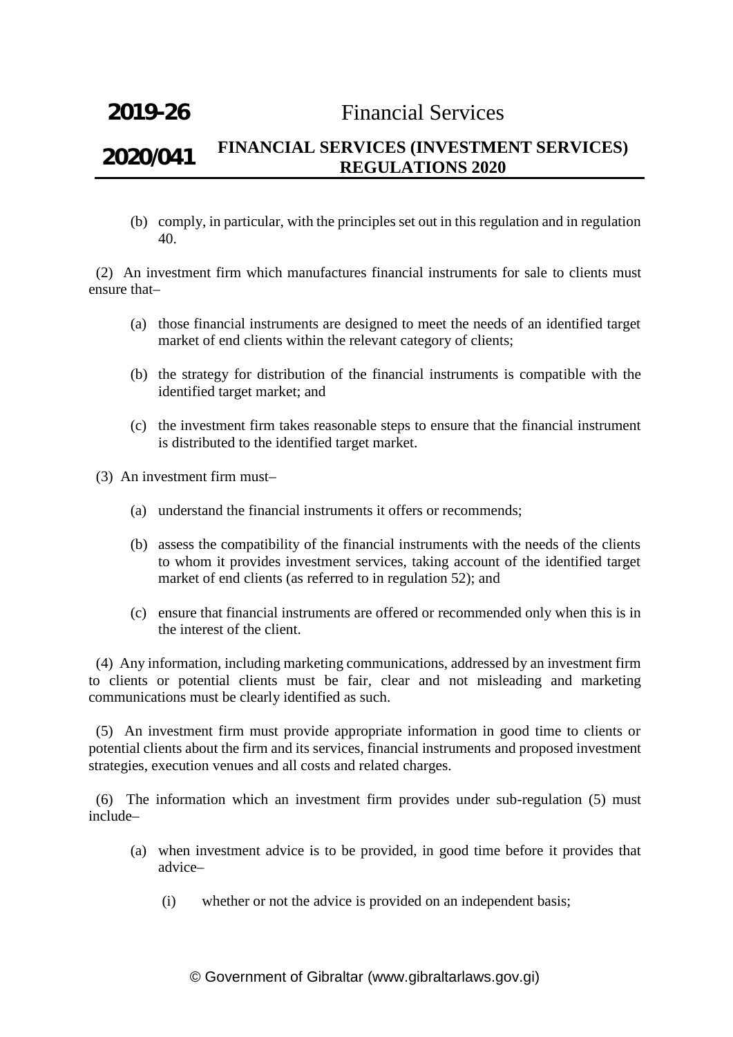## **2020/041 FINANCIAL SERVICES (INVESTMENT SERVICES) REGULATIONS 2020**

(b) comply, in particular, with the principles set out in this regulation and in regulation 40.

(2) An investment firm which manufactures financial instruments for sale to clients must ensure that–

- (a) those financial instruments are designed to meet the needs of an identified target market of end clients within the relevant category of clients;
- (b) the strategy for distribution of the financial instruments is compatible with the identified target market; and
- (c) the investment firm takes reasonable steps to ensure that the financial instrument is distributed to the identified target market.

(3) An investment firm must–

- (a) understand the financial instruments it offers or recommends;
- (b) assess the compatibility of the financial instruments with the needs of the clients to whom it provides investment services, taking account of the identified target market of end clients (as referred to in regulation 52); and
- (c) ensure that financial instruments are offered or recommended only when this is in the interest of the client.

(4) Any information, including marketing communications, addressed by an investment firm to clients or potential clients must be fair, clear and not misleading and marketing communications must be clearly identified as such.

(5) An investment firm must provide appropriate information in good time to clients or potential clients about the firm and its services, financial instruments and proposed investment strategies, execution venues and all costs and related charges.

(6) The information which an investment firm provides under sub-regulation (5) must include–

- (a) when investment advice is to be provided, in good time before it provides that advice–
	- (i) whether or not the advice is provided on an independent basis;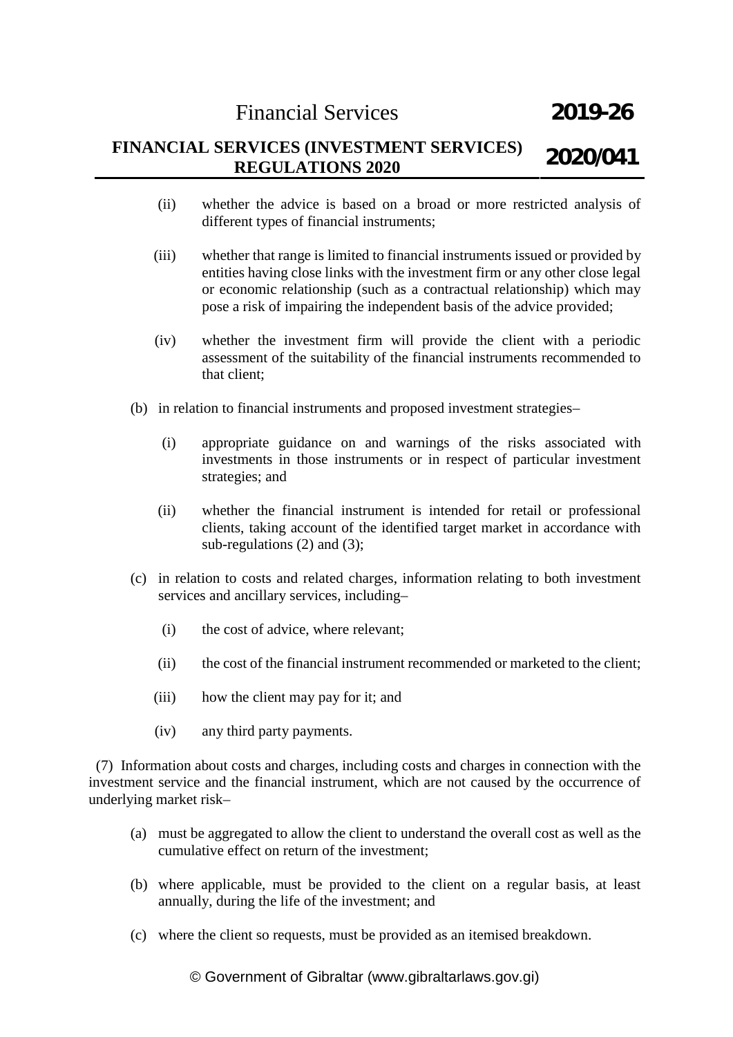### FINANCIAL SERVICES (INVESTMENT SERVICES) 2020/041 **REGULATIONS 2020**

- (ii) whether the advice is based on a broad or more restricted analysis of different types of financial instruments;
- (iii) whether that range is limited to financial instruments issued or provided by entities having close links with the investment firm or any other close legal or economic relationship (such as a contractual relationship) which may pose a risk of impairing the independent basis of the advice provided;
- (iv) whether the investment firm will provide the client with a periodic assessment of the suitability of the financial instruments recommended to that client;
- (b) in relation to financial instruments and proposed investment strategies–
	- (i) appropriate guidance on and warnings of the risks associated with investments in those instruments or in respect of particular investment strategies; and
	- (ii) whether the financial instrument is intended for retail or professional clients, taking account of the identified target market in accordance with sub-regulations (2) and (3);
- (c) in relation to costs and related charges, information relating to both investment services and ancillary services, including–
	- (i) the cost of advice, where relevant;
	- (ii) the cost of the financial instrument recommended or marketed to the client;
	- (iii) how the client may pay for it; and
	- (iv) any third party payments.

(7) Information about costs and charges, including costs and charges in connection with the investment service and the financial instrument, which are not caused by the occurrence of underlying market risk–

- (a) must be aggregated to allow the client to understand the overall cost as well as the cumulative effect on return of the investment;
- (b) where applicable, must be provided to the client on a regular basis, at least annually, during the life of the investment; and
- (c) where the client so requests, must be provided as an itemised breakdown.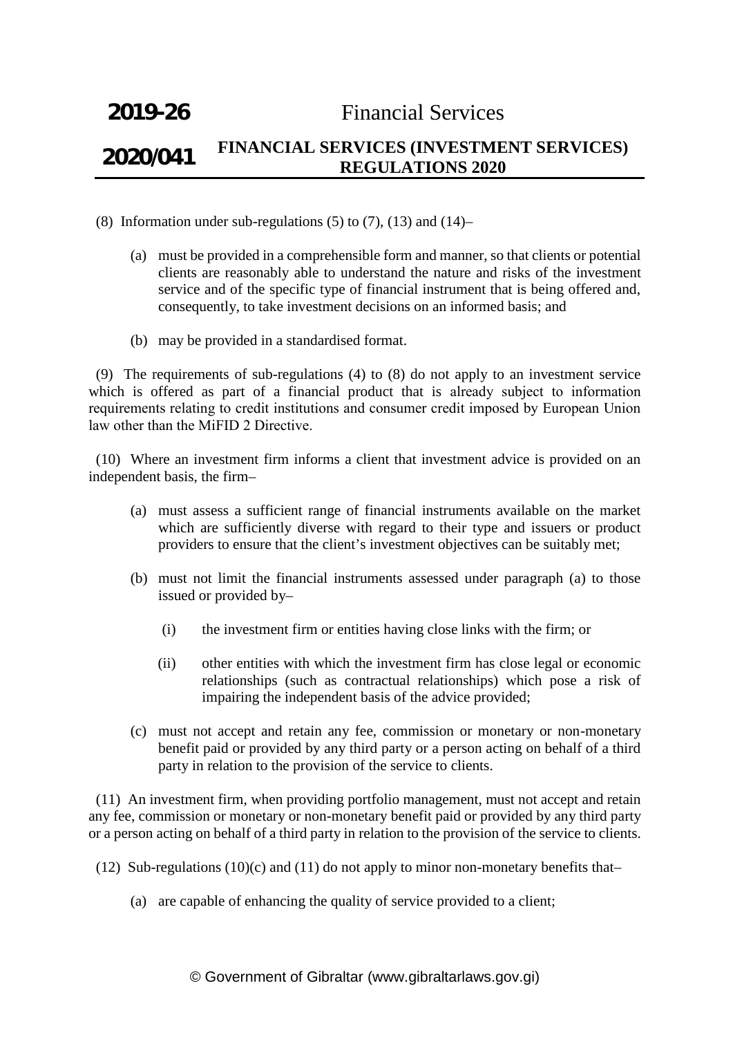## **2020/041 FINANCIAL SERVICES (INVESTMENT SERVICES) REGULATIONS 2020**

(8) Information under sub-regulations (5) to (7), (13) and (14)–

- (a) must be provided in a comprehensible form and manner, so that clients or potential clients are reasonably able to understand the nature and risks of the investment service and of the specific type of financial instrument that is being offered and, consequently, to take investment decisions on an informed basis; and
- (b) may be provided in a standardised format.

(9) The requirements of sub-regulations (4) to (8) do not apply to an investment service which is offered as part of a financial product that is already subject to information requirements relating to credit institutions and consumer credit imposed by European Union law other than the MiFID 2 Directive.

(10) Where an investment firm informs a client that investment advice is provided on an independent basis, the firm–

- (a) must assess a sufficient range of financial instruments available on the market which are sufficiently diverse with regard to their type and issuers or product providers to ensure that the client's investment objectives can be suitably met;
- (b) must not limit the financial instruments assessed under paragraph (a) to those issued or provided by–
	- (i) the investment firm or entities having close links with the firm; or
	- (ii) other entities with which the investment firm has close legal or economic relationships (such as contractual relationships) which pose a risk of impairing the independent basis of the advice provided;
- (c) must not accept and retain any fee, commission or monetary or non-monetary benefit paid or provided by any third party or a person acting on behalf of a third party in relation to the provision of the service to clients.

(11) An investment firm, when providing portfolio management, must not accept and retain any fee, commission or monetary or non-monetary benefit paid or provided by any third party or a person acting on behalf of a third party in relation to the provision of the service to clients.

(12) Sub-regulations  $(10)(c)$  and  $(11)$  do not apply to minor non-monetary benefits that-

(a) are capable of enhancing the quality of service provided to a client;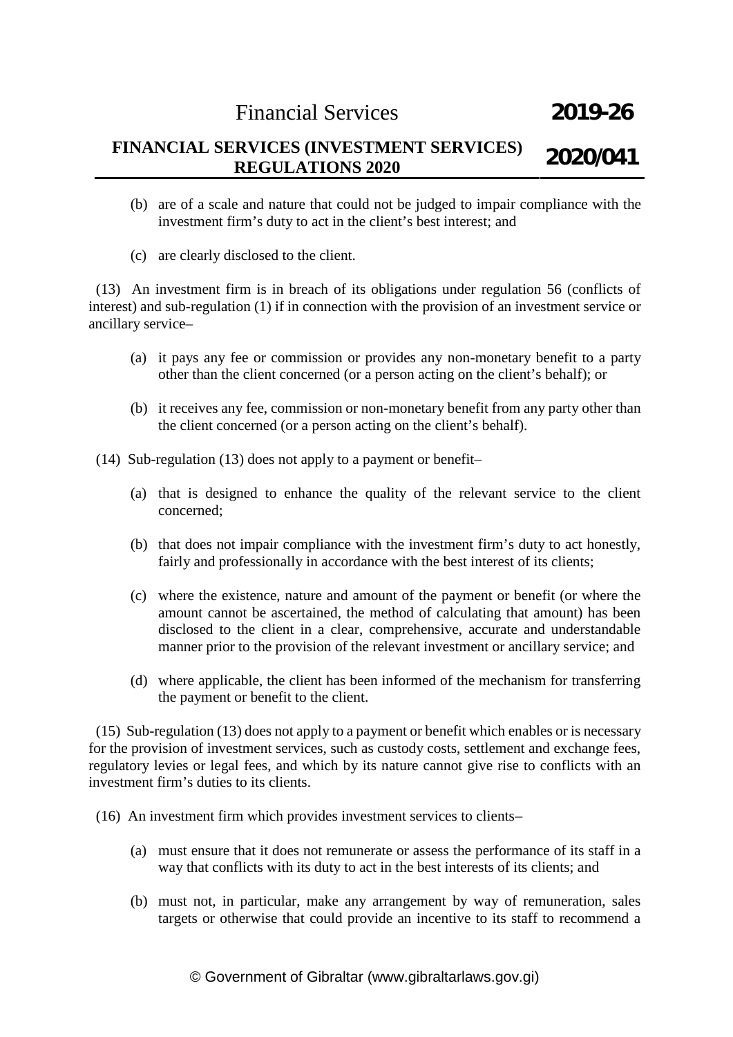## FINANCIAL SERVICES (INVESTMENT SERVICES) 2020/041 **REGULATIONS 2020**

- (b) are of a scale and nature that could not be judged to impair compliance with the investment firm's duty to act in the client's best interest; and
- (c) are clearly disclosed to the client.

(13) An investment firm is in breach of its obligations under regulation 56 (conflicts of interest) and sub-regulation (1) if in connection with the provision of an investment service or ancillary service–

- (a) it pays any fee or commission or provides any non-monetary benefit to a party other than the client concerned (or a person acting on the client's behalf); or
- (b) it receives any fee, commission or non-monetary benefit from any party other than the client concerned (or a person acting on the client's behalf).
- (14) Sub-regulation (13) does not apply to a payment or benefit–
	- (a) that is designed to enhance the quality of the relevant service to the client concerned;
	- (b) that does not impair compliance with the investment firm's duty to act honestly, fairly and professionally in accordance with the best interest of its clients;
	- (c) where the existence, nature and amount of the payment or benefit (or where the amount cannot be ascertained, the method of calculating that amount) has been disclosed to the client in a clear, comprehensive, accurate and understandable manner prior to the provision of the relevant investment or ancillary service; and
	- (d) where applicable, the client has been informed of the mechanism for transferring the payment or benefit to the client.

(15) Sub-regulation (13) does not apply to a payment or benefit which enables or is necessary for the provision of investment services, such as custody costs, settlement and exchange fees, regulatory levies or legal fees, and which by its nature cannot give rise to conflicts with an investment firm's duties to its clients.

(16) An investment firm which provides investment services to clients–

- (a) must ensure that it does not remunerate or assess the performance of its staff in a way that conflicts with its duty to act in the best interests of its clients; and
- (b) must not, in particular, make any arrangement by way of remuneration, sales targets or otherwise that could provide an incentive to its staff to recommend a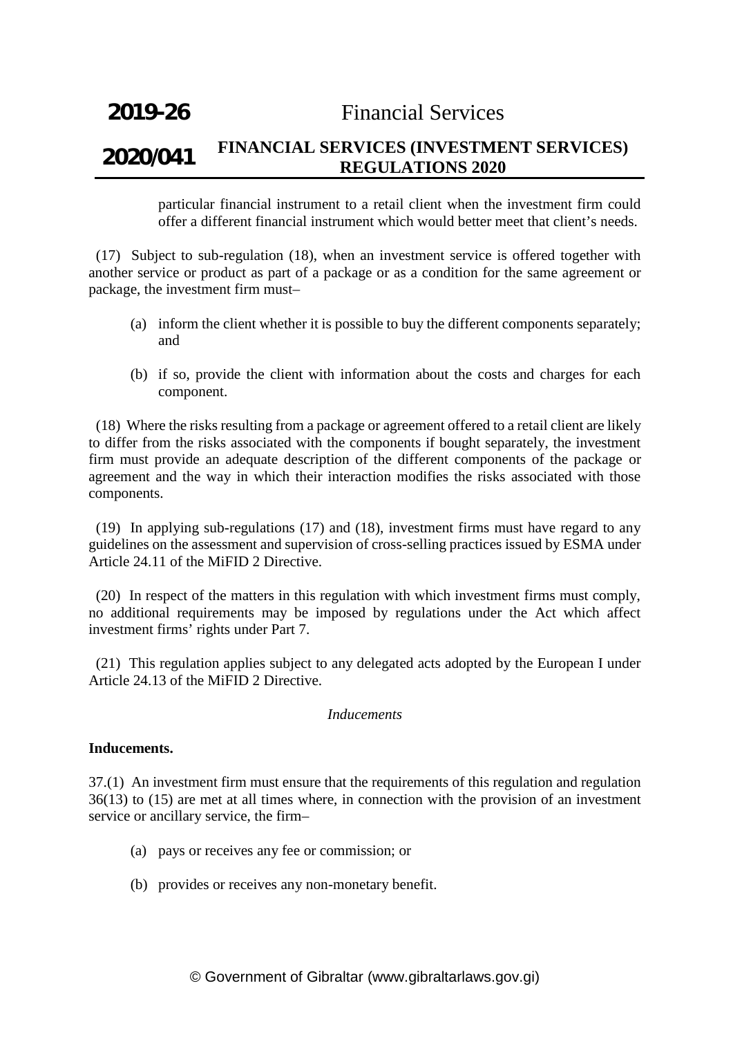### **2020/041 FINANCIAL SERVICES (INVESTMENT SERVICES) REGULATIONS 2020**

particular financial instrument to a retail client when the investment firm could offer a different financial instrument which would better meet that client's needs.

(17) Subject to sub-regulation (18), when an investment service is offered together with another service or product as part of a package or as a condition for the same agreement or package, the investment firm must–

- (a) inform the client whether it is possible to buy the different components separately; and
- (b) if so, provide the client with information about the costs and charges for each component.

(18) Where the risks resulting from a package or agreement offered to a retail client are likely to differ from the risks associated with the components if bought separately, the investment firm must provide an adequate description of the different components of the package or agreement and the way in which their interaction modifies the risks associated with those components.

(19) In applying sub-regulations (17) and (18), investment firms must have regard to any guidelines on the assessment and supervision of cross-selling practices issued by ESMA under Article 24.11 of the MiFID 2 Directive.

(20) In respect of the matters in this regulation with which investment firms must comply, no additional requirements may be imposed by regulations under the Act which affect investment firms' rights under Part 7.

(21) This regulation applies subject to any delegated acts adopted by the European I under Article 24.13 of the MiFID 2 Directive.

#### *Inducements*

#### **Inducements.**

37.(1) An investment firm must ensure that the requirements of this regulation and regulation 36(13) to (15) are met at all times where, in connection with the provision of an investment service or ancillary service, the firm–

- (a) pays or receives any fee or commission; or
- (b) provides or receives any non-monetary benefit.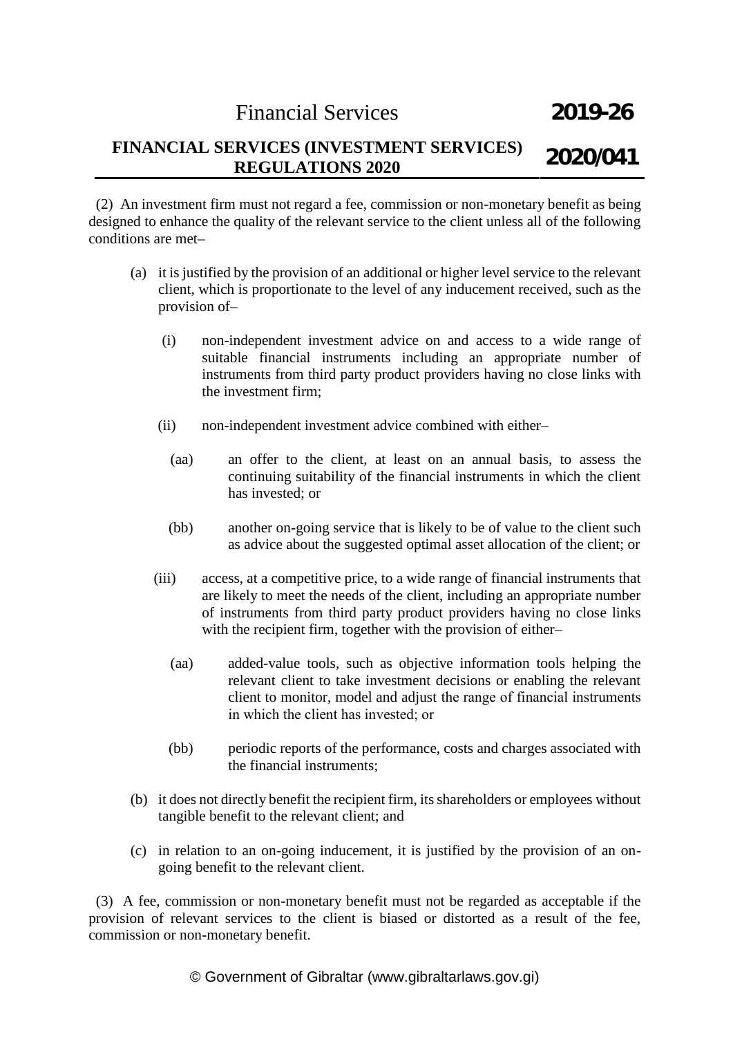## FINANCIAL SERVICES (INVESTMENT SERVICES) 2020/041 **REGULATIONS 2020**

(2) An investment firm must not regard a fee, commission or non-monetary benefit as being designed to enhance the quality of the relevant service to the client unless all of the following conditions are met–

- (a) it is justified by the provision of an additional or higher level service to the relevant client, which is proportionate to the level of any inducement received, such as the provision of–
	- (i) non-independent investment advice on and access to a wide range of suitable financial instruments including an appropriate number of instruments from third party product providers having no close links with the investment firm;
	- (ii) non-independent investment advice combined with either–
		- (aa) an offer to the client, at least on an annual basis, to assess the continuing suitability of the financial instruments in which the client has invested; or
		- (bb) another on-going service that is likely to be of value to the client such as advice about the suggested optimal asset allocation of the client; or
	- (iii) access, at a competitive price, to a wide range of financial instruments that are likely to meet the needs of the client, including an appropriate number of instruments from third party product providers having no close links with the recipient firm, together with the provision of either–
		- (aa) added-value tools, such as objective information tools helping the relevant client to take investment decisions or enabling the relevant client to monitor, model and adjust the range of financial instruments in which the client has invested; or
		- (bb) periodic reports of the performance, costs and charges associated with the financial instruments;
- (b) it does not directly benefit the recipient firm, its shareholders or employees without tangible benefit to the relevant client; and
- (c) in relation to an on-going inducement, it is justified by the provision of an on going benefit to the relevant client.

(3) A fee, commission or non-monetary benefit must not be regarded as acceptable if the provision of relevant services to the client is biased or distorted as a result of the fee, commission or non-monetary benefit.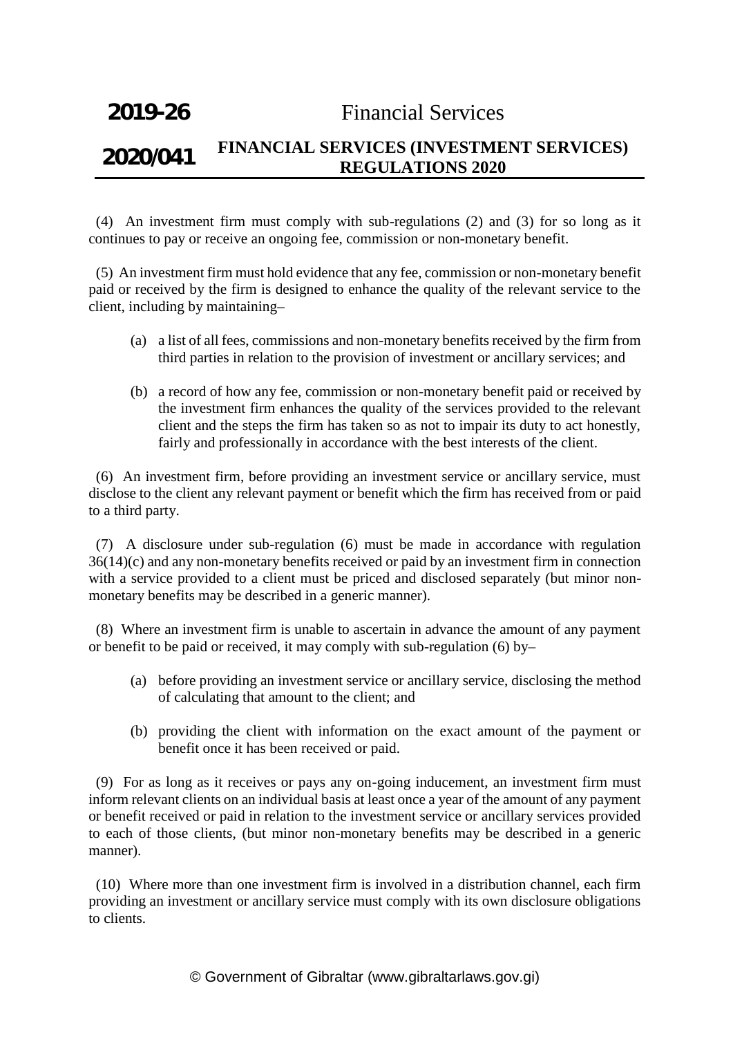## **2020/041 FINANCIAL SERVICES (INVESTMENT SERVICES) REGULATIONS 2020**

(4) An investment firm must comply with sub-regulations (2) and (3) for so long as it continues to pay or receive an ongoing fee, commission or non-monetary benefit.

(5) An investment firm must hold evidence that any fee, commission or non-monetary benefit paid or received by the firm is designed to enhance the quality of the relevant service to the client, including by maintaining–

- (a) a list of all fees, commissions and non-monetary benefits received by the firm from third parties in relation to the provision of investment or ancillary services; and
- (b) a record of how any fee, commission or non-monetary benefit paid or received by the investment firm enhances the quality of the services provided to the relevant client and the steps the firm has taken so as not to impair its duty to act honestly, fairly and professionally in accordance with the best interests of the client.

(6) An investment firm, before providing an investment service or ancillary service, must disclose to the client any relevant payment or benefit which the firm has received from or paid to a third party.

(7) A disclosure under sub-regulation (6) must be made in accordance with regulation 36(14)(c) and any non-monetary benefits received or paid by an investment firm in connection with a service provided to a client must be priced and disclosed separately (but minor nonmonetary benefits may be described in a generic manner).

(8) Where an investment firm is unable to ascertain in advance the amount of any payment or benefit to be paid or received, it may comply with sub-regulation (6) by–

- (a) before providing an investment service or ancillary service, disclosing the method of calculating that amount to the client; and
- (b) providing the client with information on the exact amount of the payment or benefit once it has been received or paid.

(9) For as long as it receives or pays any on-going inducement, an investment firm must inform relevant clients on an individual basis at least once a year of the amount of any payment or benefit received or paid in relation to the investment service or ancillary services provided to each of those clients, (but minor non-monetary benefits may be described in a generic manner).

(10) Where more than one investment firm is involved in a distribution channel, each firm providing an investment or ancillary service must comply with its own disclosure obligations to clients.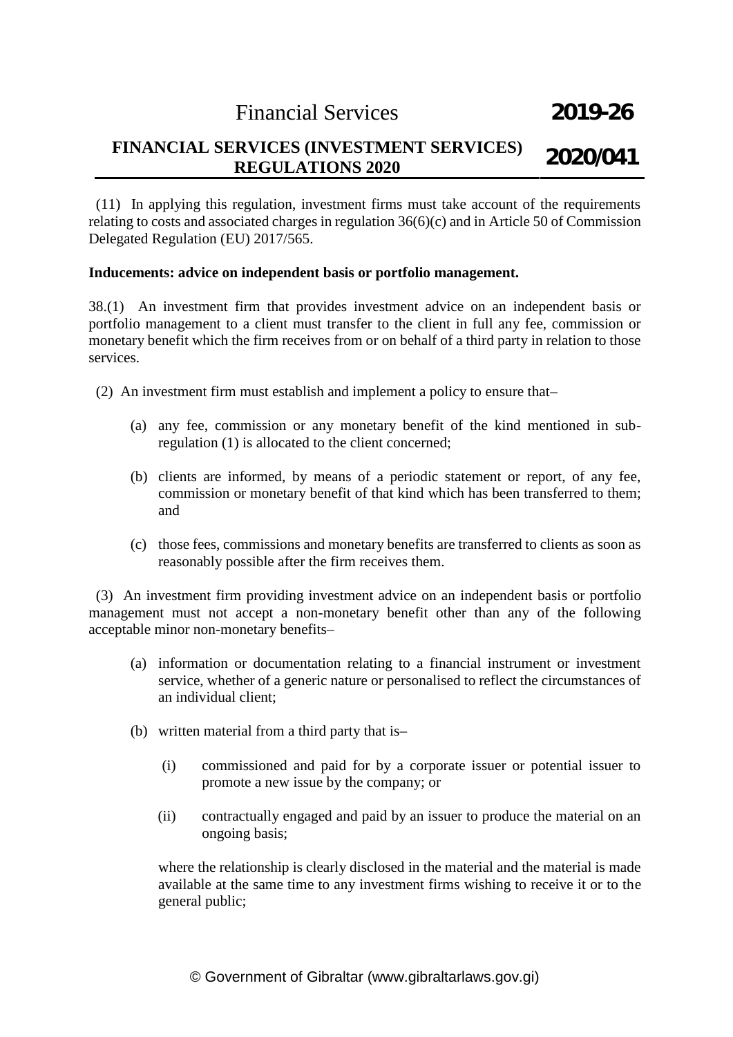## FINANCIAL SERVICES (INVESTMENT SERVICES) 2020/041 **REGULATIONS 2020**

(11) In applying this regulation, investment firms must take account of the requirements relating to costs and associated charges in regulation 36(6)(c) and in Article 50 of Commission Delegated Regulation (EU) 2017/565.

#### **Inducements: advice on independent basis or portfolio management.**

38.(1) An investment firm that provides investment advice on an independent basis or portfolio management to a client must transfer to the client in full any fee, commission or monetary benefit which the firm receives from or on behalf of a third party in relation to those services.

(2) An investment firm must establish and implement a policy to ensure that–

- (a) any fee, commission or any monetary benefit of the kind mentioned in subregulation (1) is allocated to the client concerned;
- (b) clients are informed, by means of a periodic statement or report, of any fee, commission or monetary benefit of that kind which has been transferred to them; and
- (c) those fees, commissions and monetary benefits are transferred to clients as soon as reasonably possible after the firm receives them.

(3) An investment firm providing investment advice on an independent basis or portfolio management must not accept a non-monetary benefit other than any of the following acceptable minor non-monetary benefits–

- (a) information or documentation relating to a financial instrument or investment service, whether of a generic nature or personalised to reflect the circumstances of an individual client;
- (b) written material from a third party that is–
	- (i) commissioned and paid for by a corporate issuer or potential issuer to promote a new issue by the company; or
	- (ii) contractually engaged and paid by an issuer to produce the material on an ongoing basis;

where the relationship is clearly disclosed in the material and the material is made available at the same time to any investment firms wishing to receive it or to the general public;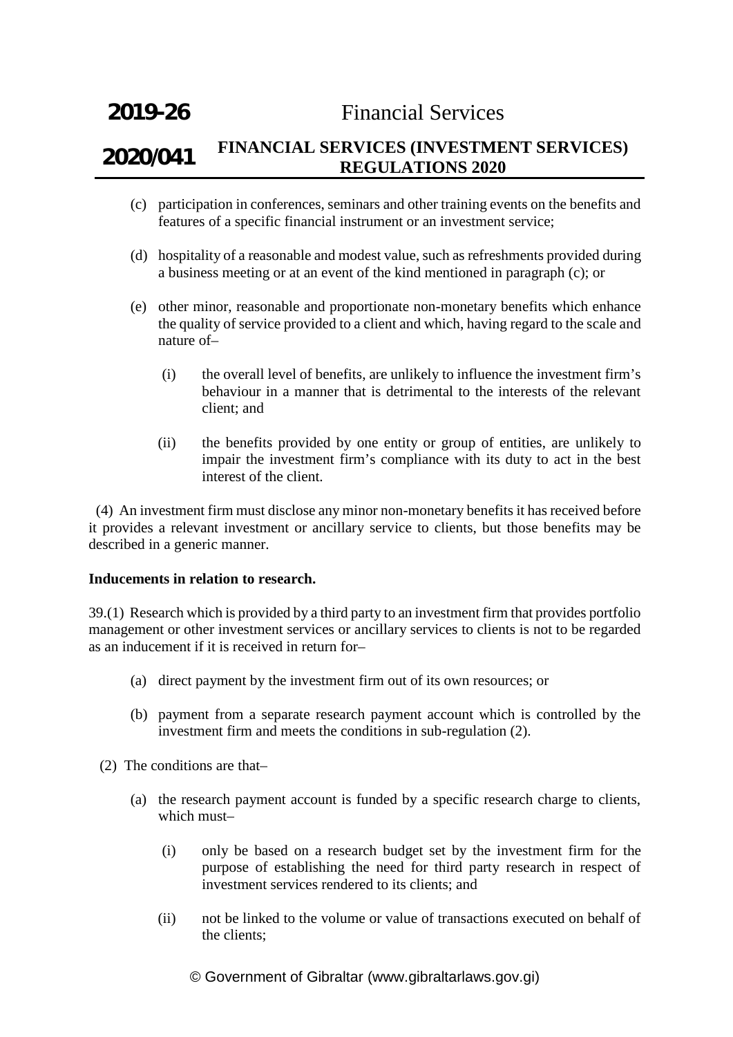## **2020/041 FINANCIAL SERVICES (INVESTMENT SERVICES) REGULATIONS 2020**

- (c) participation in conferences, seminars and other training events on the benefits and features of a specific financial instrument or an investment service;
- (d) hospitality of a reasonable and modest value, such as refreshments provided during a business meeting or at an event of the kind mentioned in paragraph (c); or
- (e) other minor, reasonable and proportionate non-monetary benefits which enhance the quality of service provided to a client and which, having regard to the scale and nature of–
	- (i) the overall level of benefits, are unlikely to influence the investment firm's behaviour in a manner that is detrimental to the interests of the relevant client; and
	- (ii) the benefits provided by one entity or group of entities, are unlikely to impair the investment firm's compliance with its duty to act in the best interest of the client.

(4) An investment firm must disclose any minor non-monetary benefits it has received before it provides a relevant investment or ancillary service to clients, but those benefits may be described in a generic manner.

#### **Inducements in relation to research.**

39.(1) Research which is provided by a third party to an investment firm that provides portfolio management or other investment services or ancillary services to clients is not to be regarded as an inducement if it is received in return for–

- (a) direct payment by the investment firm out of its own resources; or
- (b) payment from a separate research payment account which is controlled by the investment firm and meets the conditions in sub-regulation (2).

(2) The conditions are that–

- (a) the research payment account is funded by a specific research charge to clients, which must–
	- (i) only be based on a research budget set by the investment firm for the purpose of establishing the need for third party research in respect of investment services rendered to its clients; and
	- (ii) not be linked to the volume or value of transactions executed on behalf of the clients;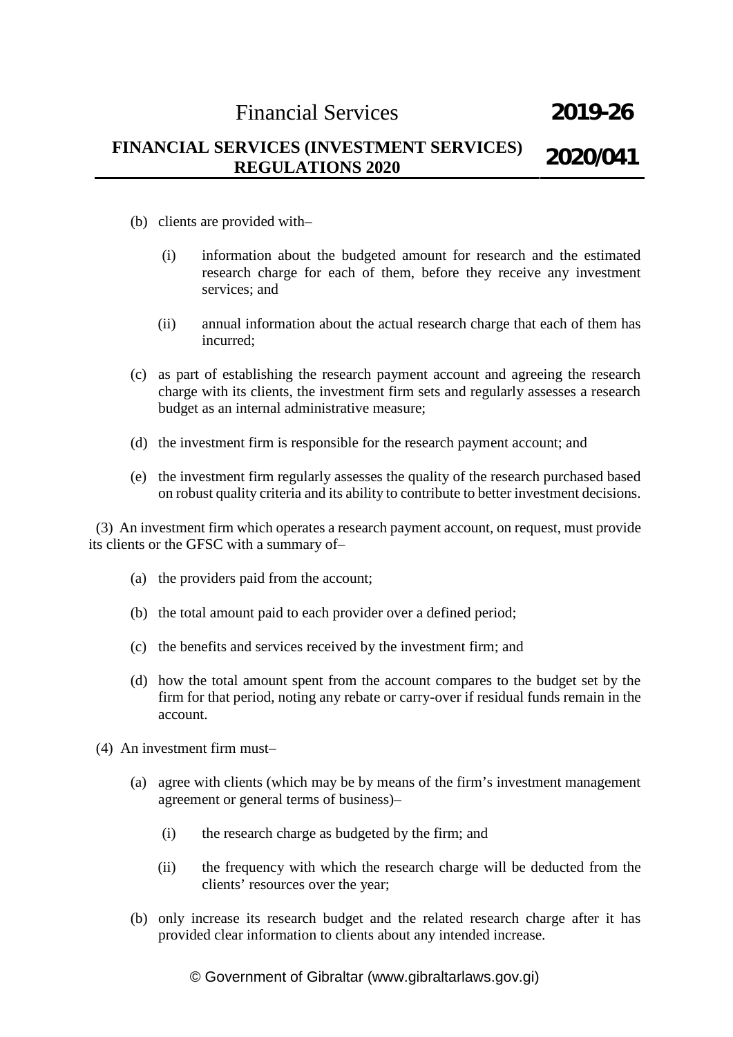### FINANCIAL SERVICES (INVESTMENT SERVICES) 2020/041 **REGULATIONS 2020**

- (b) clients are provided with–
	- (i) information about the budgeted amount for research and the estimated research charge for each of them, before they receive any investment services; and
	- (ii) annual information about the actual research charge that each of them has incurred;
- (c) as part of establishing the research payment account and agreeing the research charge with its clients, the investment firm sets and regularly assesses a research budget as an internal administrative measure;
- (d) the investment firm is responsible for the research payment account; and
- (e) the investment firm regularly assesses the quality of the research purchased based on robust quality criteria and its ability to contribute to better investment decisions.

(3) An investment firm which operates a research payment account, on request, must provide its clients or the GFSC with a summary of–

- (a) the providers paid from the account;
- (b) the total amount paid to each provider over a defined period;
- (c) the benefits and services received by the investment firm; and
- (d) how the total amount spent from the account compares to the budget set by the firm for that period, noting any rebate or carry-over if residual funds remain in the account.
- (4) An investment firm must–
	- (a) agree with clients (which may be by means of the firm's investment management agreement or general terms of business)–
		- (i) the research charge as budgeted by the firm; and
		- (ii) the frequency with which the research charge will be deducted from the clients' resources over the year;
	- (b) only increase its research budget and the related research charge after it has provided clear information to clients about any intended increase.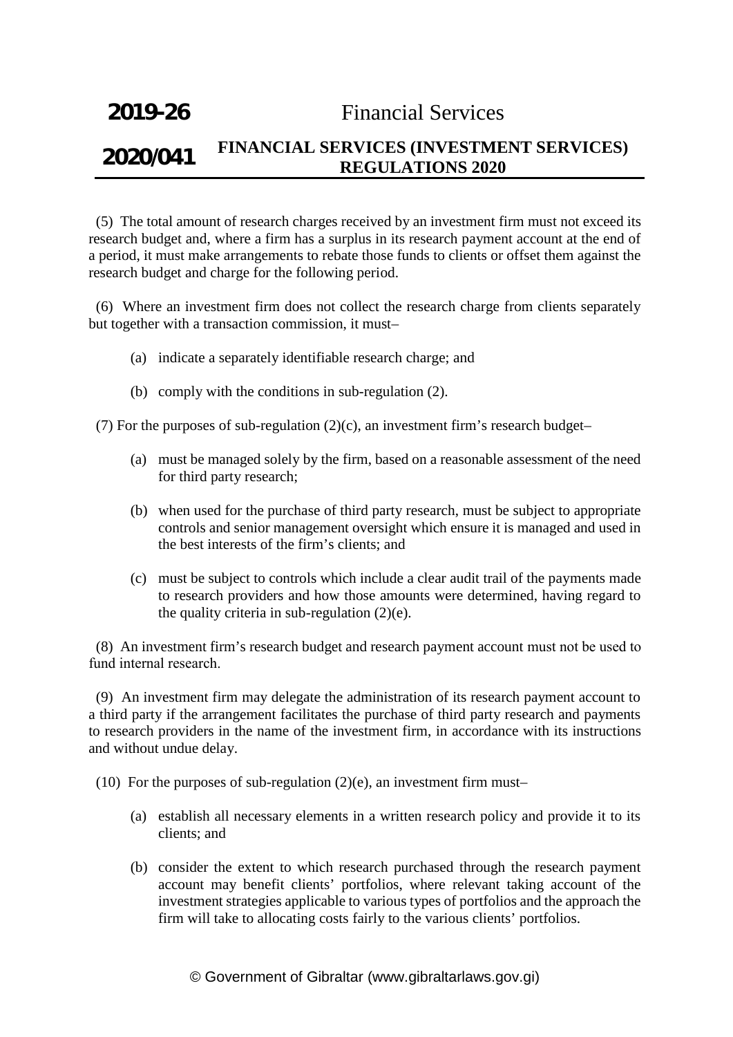## **2020/041 FINANCIAL SERVICES (INVESTMENT SERVICES) REGULATIONS 2020**

(5) The total amount of research charges received by an investment firm must not exceed its research budget and, where a firm has a surplus in its research payment account at the end of a period, it must make arrangements to rebate those funds to clients or offset them against the research budget and charge for the following period.

(6) Where an investment firm does not collect the research charge from clients separately but together with a transaction commission, it must–

- (a) indicate a separately identifiable research charge; and
- (b) comply with the conditions in sub-regulation (2).

(7) For the purposes of sub-regulation  $(2)(c)$ , an investment firm's research budget-

- (a) must be managed solely by the firm, based on a reasonable assessment of the need for third party research;
- (b) when used for the purchase of third party research, must be subject to appropriate controls and senior management oversight which ensure it is managed and used in the best interests of the firm's clients; and
- (c) must be subject to controls which include a clear audit trail of the payments made to research providers and how those amounts were determined, having regard to the quality criteria in sub-regulation (2)(e).

(8) An investment firm's research budget and research payment account must not be used to fund internal research.

(9) An investment firm may delegate the administration of its research payment account to a third party if the arrangement facilitates the purchase of third party research and payments to research providers in the name of the investment firm, in accordance with its instructions and without undue delay.

(10) For the purposes of sub-regulation  $(2)(e)$ , an investment firm must-

- (a) establish all necessary elements in a written research policy and provide it to its clients; and
- (b) consider the extent to which research purchased through the research payment account may benefit clients' portfolios, where relevant taking account of the investment strategies applicable to various types of portfolios and the approach the firm will take to allocating costs fairly to the various clients' portfolios.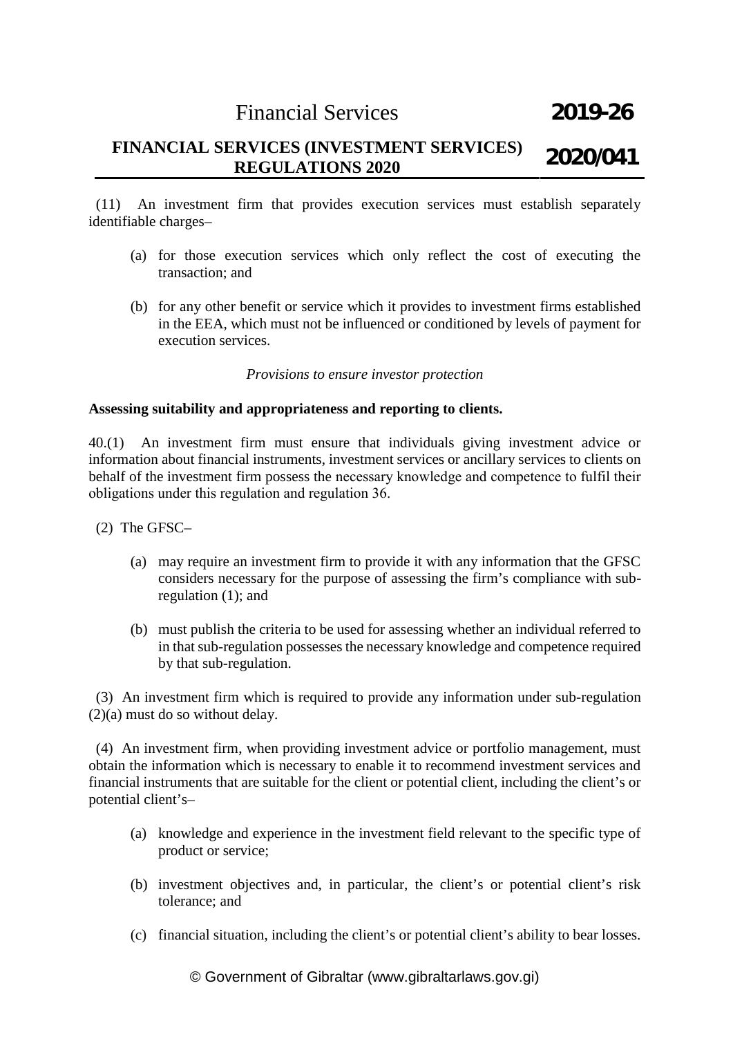### FINANCIAL SERVICES (INVESTMENT SERVICES) 2020/041 **REGULATIONS 2020**

(11) An investment firm that provides execution services must establish separately identifiable charges–

- (a) for those execution services which only reflect the cost of executing the transaction; and
- (b) for any other benefit or service which it provides to investment firms established in the EEA, which must not be influenced or conditioned by levels of payment for execution services.

*Provisions to ensure investor protection*

#### **Assessing suitability and appropriateness and reporting to clients.**

40.(1) An investment firm must ensure that individuals giving investment advice or information about financial instruments, investment services or ancillary services to clients on behalf of the investment firm possess the necessary knowledge and competence to fulfil their obligations under this regulation and regulation 36.

- (2) The GFSC–
	- (a) may require an investment firm to provide it with any information that the GFSC considers necessary for the purpose of assessing the firm's compliance with subregulation (1); and
	- (b) must publish the criteria to be used for assessing whether an individual referred to in that sub-regulation possesses the necessary knowledge and competence required by that sub-regulation.

(3) An investment firm which is required to provide any information under sub-regulation (2)(a) must do so without delay.

(4) An investment firm, when providing investment advice or portfolio management, must obtain the information which is necessary to enable it to recommend investment services and financial instruments that are suitable for the client or potential client, including the client's or potential client's–

- (a) knowledge and experience in the investment field relevant to the specific type of product or service;
- (b) investment objectives and, in particular, the client's or potential client's risk tolerance; and
- (c) financial situation, including the client's or potential client's ability to bear losses.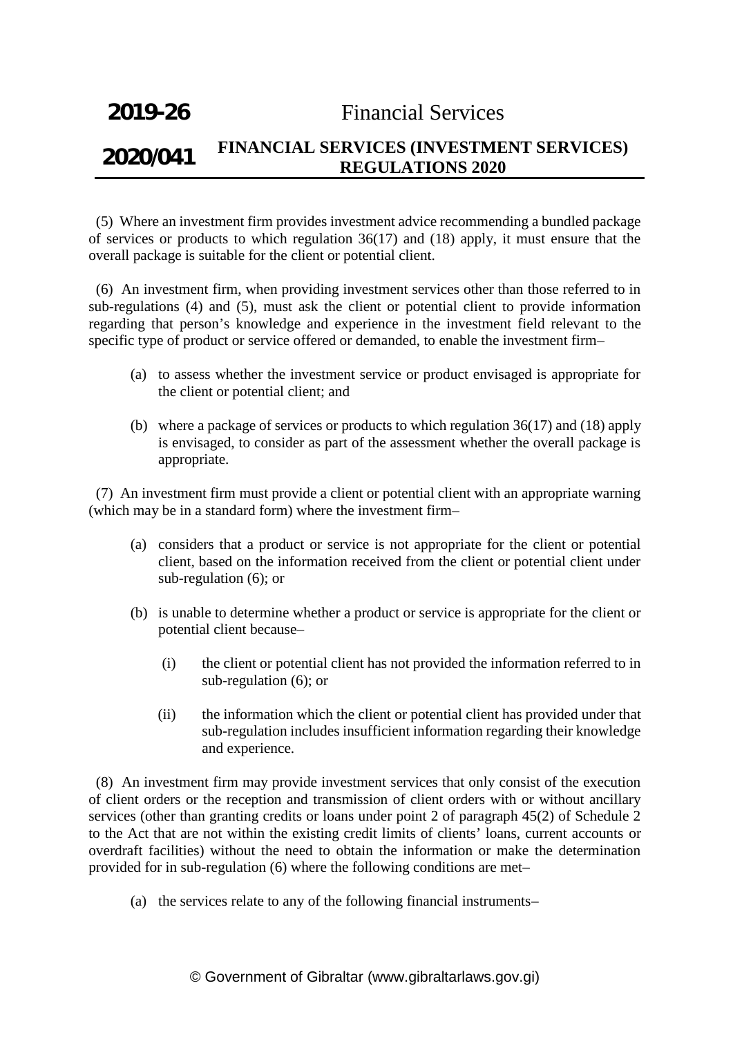## **2020/041 FINANCIAL SERVICES (INVESTMENT SERVICES) REGULATIONS 2020**

(5) Where an investment firm provides investment advice recommending a bundled package of services or products to which regulation 36(17) and (18) apply, it must ensure that the overall package is suitable for the client or potential client.

(6) An investment firm, when providing investment services other than those referred to in sub-regulations (4) and (5), must ask the client or potential client to provide information regarding that person's knowledge and experience in the investment field relevant to the specific type of product or service offered or demanded, to enable the investment firm–

- (a) to assess whether the investment service or product envisaged is appropriate for the client or potential client; and
- (b) where a package of services or products to which regulation 36(17) and (18) apply is envisaged, to consider as part of the assessment whether the overall package is appropriate.

(7) An investment firm must provide a client or potential client with an appropriate warning (which may be in a standard form) where the investment firm–

- (a) considers that a product or service is not appropriate for the client or potential client, based on the information received from the client or potential client under sub-regulation (6); or
- (b) is unable to determine whether a product or service is appropriate for the client or potential client because–
	- (i) the client or potential client has not provided the information referred to in sub-regulation (6); or
	- (ii) the information which the client or potential client has provided under that sub-regulation includes insufficient information regarding their knowledge and experience.

(8) An investment firm may provide investment services that only consist of the execution of client orders or the reception and transmission of client orders with or without ancillary services (other than granting credits or loans under point 2 of paragraph 45(2) of Schedule 2 to the Act that are not within the existing credit limits of clients' loans, current accounts or overdraft facilities) without the need to obtain the information or make the determination provided for in sub-regulation (6) where the following conditions are met–

(a) the services relate to any of the following financial instruments–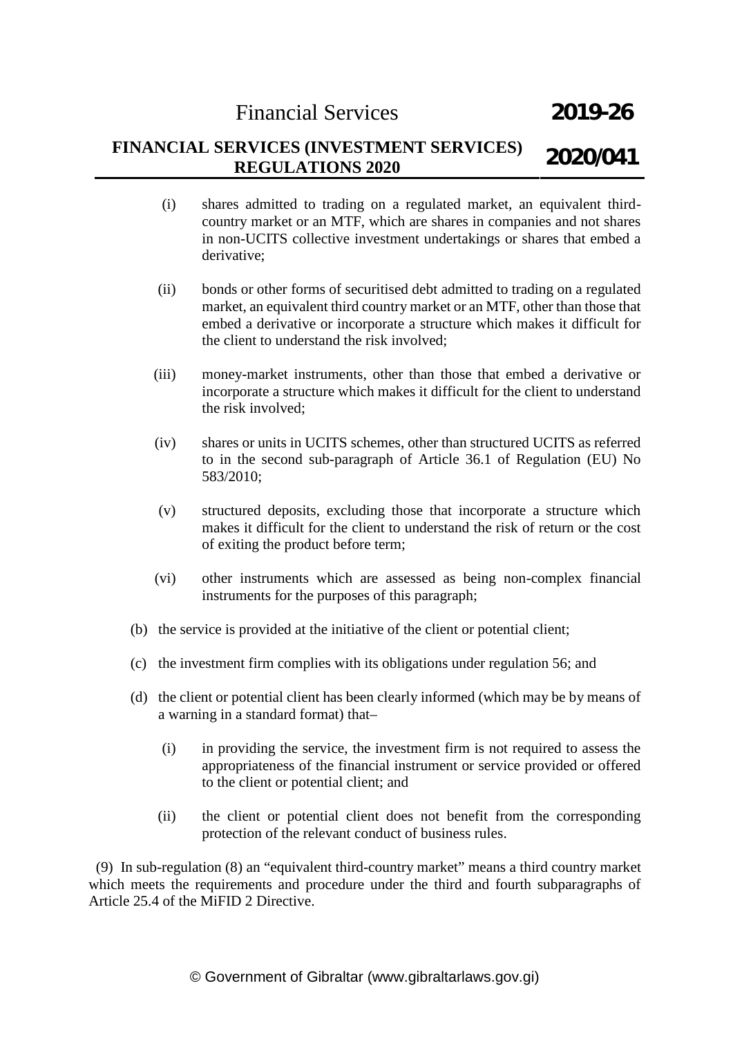## FINANCIAL SERVICES (INVESTMENT SERVICES) 2020/041 **REGULATIONS 2020**

- (i) shares admitted to trading on a regulated market, an equivalent third country market or an MTF, which are shares in companies and not shares in non-UCITS collective investment undertakings or shares that embed a derivative;
- (ii) bonds or other forms of securitised debt admitted to trading on a regulated market, an equivalent third country market or an MTF, other than those that embed a derivative or incorporate a structure which makes it difficult for the client to understand the risk involved;
- (iii) money-market instruments, other than those that embed a derivative or incorporate a structure which makes it difficult for the client to understand the risk involved;
- (iv) shares or units in UCITS schemes, other than structured UCITS as referred to in the second sub-paragraph of Article 36.1 of Regulation (EU) No 583/2010;
- (v) structured deposits, excluding those that incorporate a structure which makes it difficult for the client to understand the risk of return or the cost of exiting the product before term;
- (vi) other instruments which are assessed as being non-complex financial instruments for the purposes of this paragraph;
- (b) the service is provided at the initiative of the client or potential client;
- (c) the investment firm complies with its obligations under regulation 56; and
- (d) the client or potential client has been clearly informed (which may be by means of a warning in a standard format) that–
	- (i) in providing the service, the investment firm is not required to assess the appropriateness of the financial instrument or service provided or offered to the client or potential client; and
	- (ii) the client or potential client does not benefit from the corresponding protection of the relevant conduct of business rules.

(9) In sub-regulation (8) an "equivalent third-country market" means a third country market which meets the requirements and procedure under the third and fourth subparagraphs of Article 25.4 of the MiFID 2 Directive.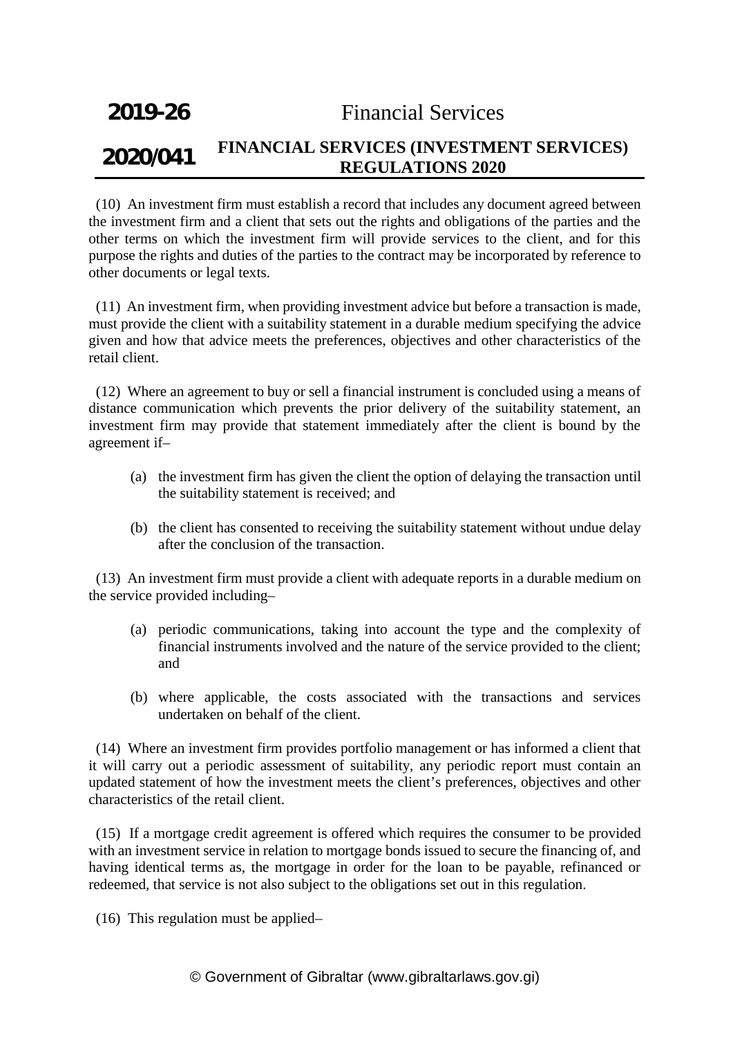## **2020/041 FINANCIAL SERVICES (INVESTMENT SERVICES) REGULATIONS 2020**

(10) An investment firm must establish a record that includes any document agreed between the investment firm and a client that sets out the rights and obligations of the parties and the other terms on which the investment firm will provide services to the client, and for this purpose the rights and duties of the parties to the contract may be incorporated by reference to other documents or legal texts.

(11) An investment firm, when providing investment advice but before a transaction is made, must provide the client with a suitability statement in a durable medium specifying the advice given and how that advice meets the preferences, objectives and other characteristics of the retail client.

(12) Where an agreement to buy or sell a financial instrument is concluded using a means of distance communication which prevents the prior delivery of the suitability statement, an investment firm may provide that statement immediately after the client is bound by the agreement if–

- (a) the investment firm has given the client the option of delaying the transaction until the suitability statement is received; and
- (b) the client has consented to receiving the suitability statement without undue delay after the conclusion of the transaction.

(13) An investment firm must provide a client with adequate reports in a durable medium on the service provided including–

- (a) periodic communications, taking into account the type and the complexity of financial instruments involved and the nature of the service provided to the client; and
- (b) where applicable, the costs associated with the transactions and services undertaken on behalf of the client.

(14) Where an investment firm provides portfolio management or has informed a client that it will carry out a periodic assessment of suitability, any periodic report must contain an updated statement of how the investment meets the client's preferences, objectives and other characteristics of the retail client.

(15) If a mortgage credit agreement is offered which requires the consumer to be provided with an investment service in relation to mortgage bonds issued to secure the financing of, and having identical terms as, the mortgage in order for the loan to be payable, refinanced or redeemed, that service is not also subject to the obligations set out in this regulation.

(16) This regulation must be applied–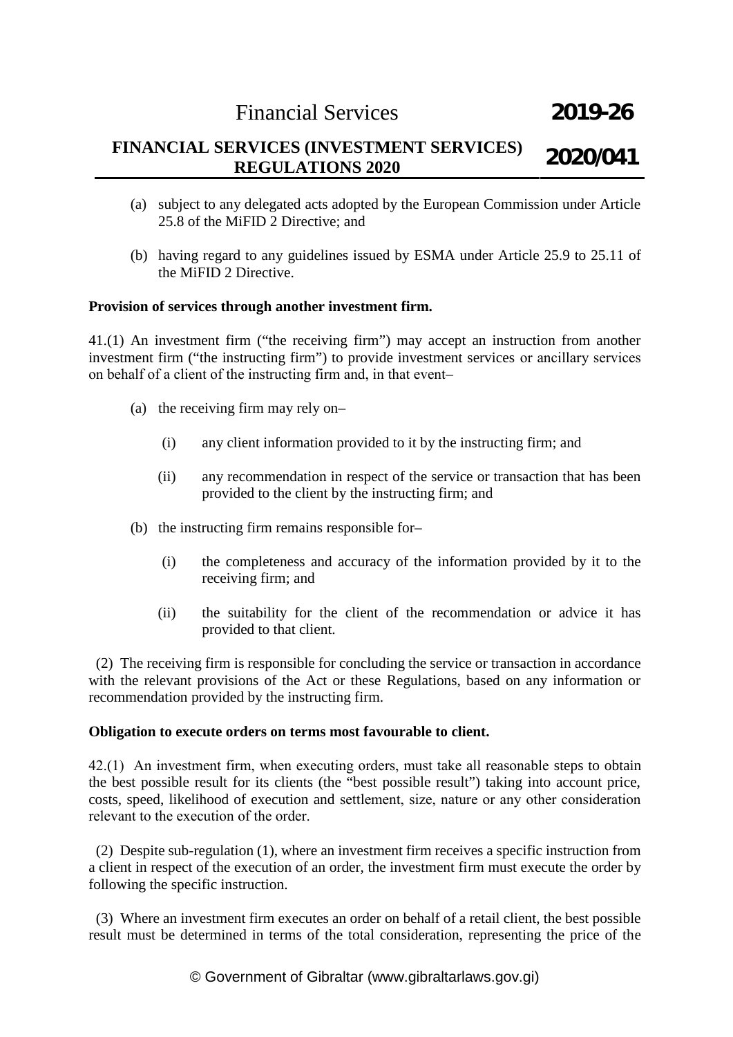## FINANCIAL SERVICES (INVESTMENT SERVICES) 2020/041 **REGULATIONS 2020**

- (a) subject to any delegated acts adopted by the European Commission under Article 25.8 of the MiFID 2 Directive; and
- (b) having regard to any guidelines issued by ESMA under Article 25.9 to 25.11 of the MiFID 2 Directive.

#### **Provision of services through another investment firm.**

41.(1) An investment firm ("the receiving firm") may accept an instruction from another investment firm ("the instructing firm") to provide investment services or ancillary services on behalf of a client of the instructing firm and, in that event–

- (a) the receiving firm may rely on–
	- (i) any client information provided to it by the instructing firm; and
	- (ii) any recommendation in respect of the service or transaction that has been provided to the client by the instructing firm; and
- (b) the instructing firm remains responsible for–
	- (i) the completeness and accuracy of the information provided by it to the receiving firm; and
	- (ii) the suitability for the client of the recommendation or advice it has provided to that client.

(2) The receiving firm is responsible for concluding the service or transaction in accordance with the relevant provisions of the Act or these Regulations, based on any information or recommendation provided by the instructing firm.

#### **Obligation to execute orders on terms most favourable to client.**

42.(1) An investment firm, when executing orders, must take all reasonable steps to obtain the best possible result for its clients (the "best possible result") taking into account price, costs, speed, likelihood of execution and settlement, size, nature or any other consideration relevant to the execution of the order.

(2) Despite sub-regulation (1), where an investment firm receives a specific instruction from a client in respect of the execution of an order, the investment firm must execute the order by following the specific instruction.

(3) Where an investment firm executes an order on behalf of a retail client, the best possible result must be determined in terms of the total consideration, representing the price of the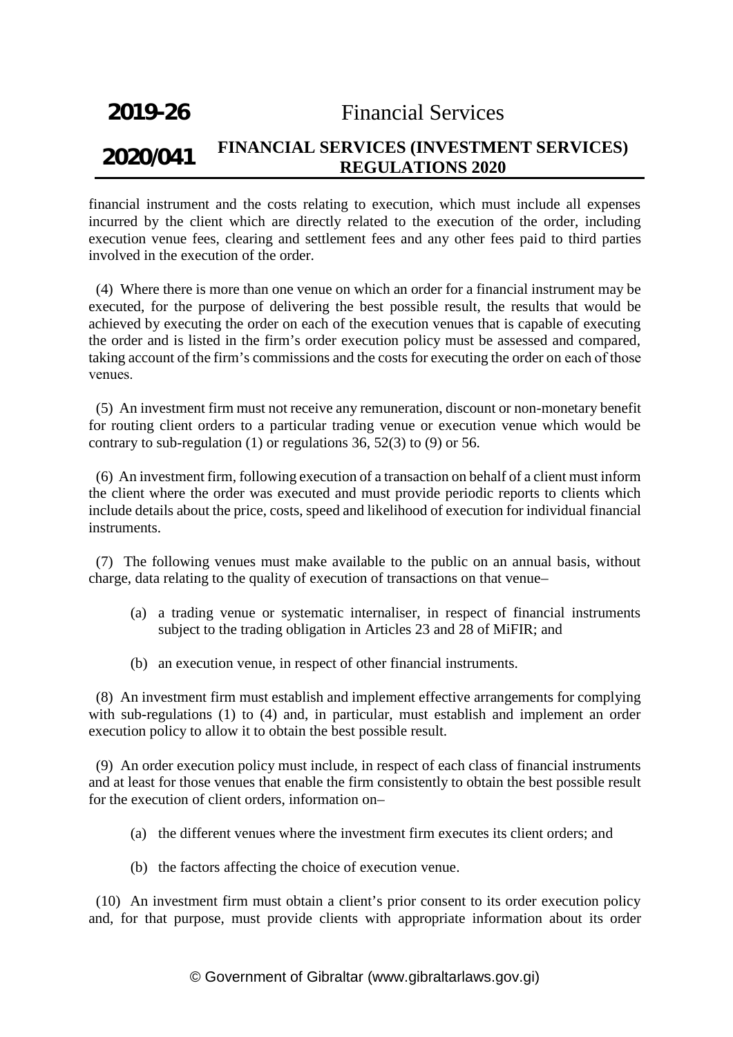### **2020/041 FINANCIAL SERVICES (INVESTMENT SERVICES) REGULATIONS 2020**

financial instrument and the costs relating to execution, which must include all expenses incurred by the client which are directly related to the execution of the order, including execution venue fees, clearing and settlement fees and any other fees paid to third parties involved in the execution of the order.

(4) Where there is more than one venue on which an order for a financial instrument may be executed, for the purpose of delivering the best possible result, the results that would be achieved by executing the order on each of the execution venues that is capable of executing the order and is listed in the firm's order execution policy must be assessed and compared, taking account of the firm's commissions and the costs for executing the order on each of those venues.

(5) An investment firm must not receive any remuneration, discount or non-monetary benefit for routing client orders to a particular trading venue or execution venue which would be contrary to sub-regulation (1) or regulations 36, 52(3) to (9) or 56.

(6) An investment firm, following execution of a transaction on behalf of a client must inform the client where the order was executed and must provide periodic reports to clients which include details about the price, costs, speed and likelihood of execution for individual financial instruments.

(7) The following venues must make available to the public on an annual basis, without charge, data relating to the quality of execution of transactions on that venue–

- (a) a trading venue or systematic internaliser, in respect of financial instruments subject to the trading obligation in Articles 23 and 28 of MiFIR; and
- (b) an execution venue, in respect of other financial instruments.

(8) An investment firm must establish and implement effective arrangements for complying with sub-regulations (1) to (4) and, in particular, must establish and implement an order execution policy to allow it to obtain the best possible result.

(9) An order execution policy must include, in respect of each class of financial instruments and at least for those venues that enable the firm consistently to obtain the best possible result for the execution of client orders, information on–

- (a) the different venues where the investment firm executes its client orders; and
- (b) the factors affecting the choice of execution venue.

(10) An investment firm must obtain a client's prior consent to its order execution policy and, for that purpose, must provide clients with appropriate information about its order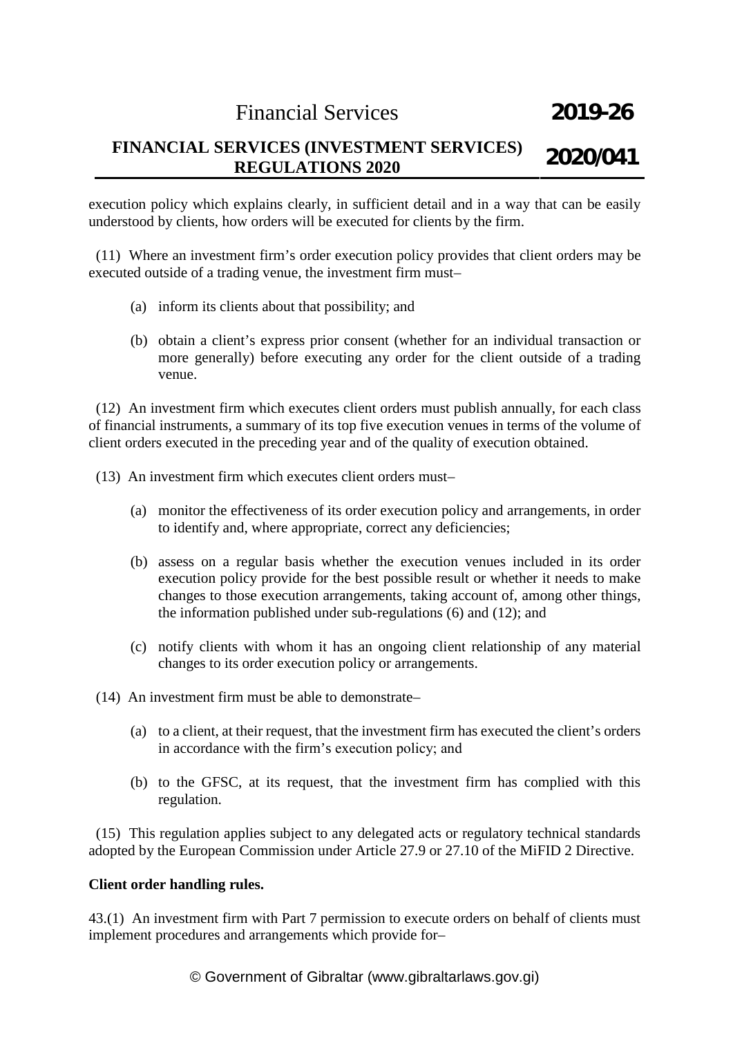## FINANCIAL SERVICES (INVESTMENT SERVICES) 2020/041 **REGULATIONS 2020**

execution policy which explains clearly, in sufficient detail and in a way that can be easily understood by clients, how orders will be executed for clients by the firm.

(11) Where an investment firm's order execution policy provides that client orders may be executed outside of a trading venue, the investment firm must–

- (a) inform its clients about that possibility; and
- (b) obtain a client's express prior consent (whether for an individual transaction or more generally) before executing any order for the client outside of a trading venue.

(12) An investment firm which executes client orders must publish annually, for each class of financial instruments, a summary of its top five execution venues in terms of the volume of client orders executed in the preceding year and of the quality of execution obtained.

(13) An investment firm which executes client orders must–

- (a) monitor the effectiveness of its order execution policy and arrangements, in order to identify and, where appropriate, correct any deficiencies;
- (b) assess on a regular basis whether the execution venues included in its order execution policy provide for the best possible result or whether it needs to make changes to those execution arrangements, taking account of, among other things, the information published under sub-regulations (6) and (12); and
- (c) notify clients with whom it has an ongoing client relationship of any material changes to its order execution policy or arrangements.

(14) An investment firm must be able to demonstrate–

- (a) to a client, at their request, that the investment firm has executed the client's orders in accordance with the firm's execution policy; and
- (b) to the GFSC, at its request, that the investment firm has complied with this regulation.

(15) This regulation applies subject to any delegated acts or regulatory technical standards adopted by the European Commission under Article 27.9 or 27.10 of the MiFID 2 Directive.

#### **Client order handling rules.**

43.(1) An investment firm with Part 7 permission to execute orders on behalf of clients must implement procedures and arrangements which provide for–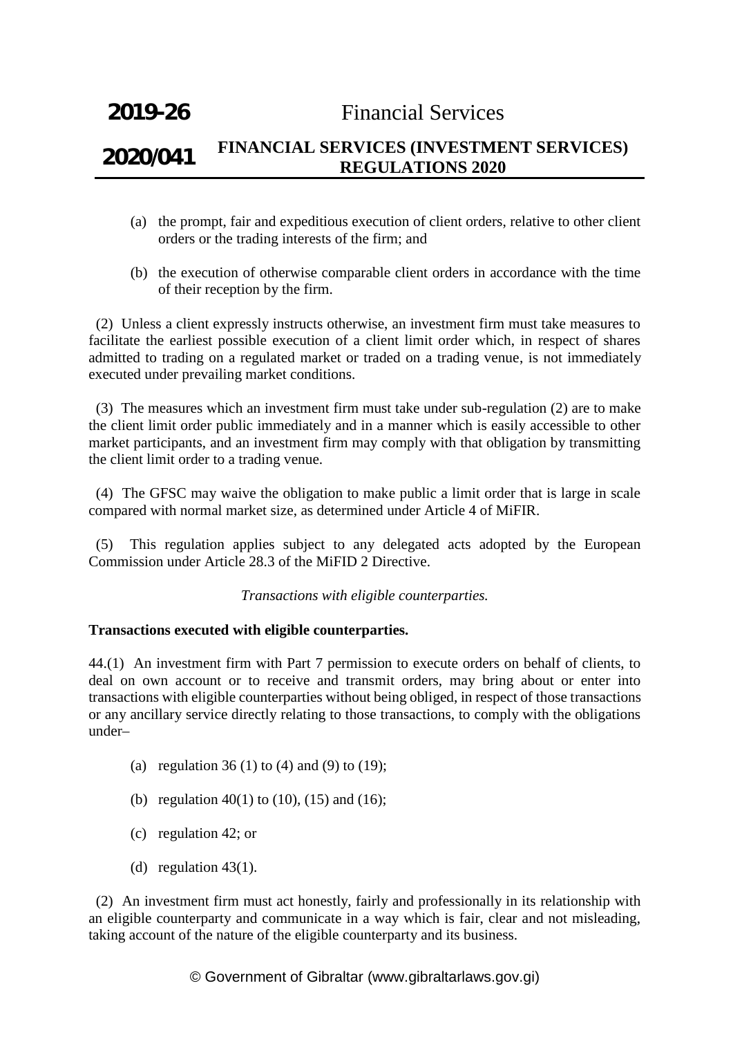## **2020/041 FINANCIAL SERVICES (INVESTMENT SERVICES) REGULATIONS 2020**

- (a) the prompt, fair and expeditious execution of client orders, relative to other client orders or the trading interests of the firm; and
- (b) the execution of otherwise comparable client orders in accordance with the time of their reception by the firm.

(2) Unless a client expressly instructs otherwise, an investment firm must take measures to facilitate the earliest possible execution of a client limit order which, in respect of shares admitted to trading on a regulated market or traded on a trading venue, is not immediately executed under prevailing market conditions.

(3) The measures which an investment firm must take under sub-regulation (2) are to make the client limit order public immediately and in a manner which is easily accessible to other market participants, and an investment firm may comply with that obligation by transmitting the client limit order to a trading venue.

(4) The GFSC may waive the obligation to make public a limit order that is large in scale compared with normal market size, as determined under Article 4 of MiFIR.

(5) This regulation applies subject to any delegated acts adopted by the European Commission under Article 28.3 of the MiFID 2 Directive.

*Transactions with eligible counterparties.*

#### **Transactions executed with eligible counterparties.**

44.(1) An investment firm with Part 7 permission to execute orders on behalf of clients, to deal on own account or to receive and transmit orders, may bring about or enter into transactions with eligible counterparties without being obliged, in respect of those transactions or any ancillary service directly relating to those transactions, to comply with the obligations under–

- (a) regulation  $36 (1)$  to  $(4)$  and  $(9)$  to  $(19)$ ;
- (b) regulation  $40(1)$  to  $(10)$ ,  $(15)$  and  $(16)$ ;
- (c) regulation 42; or
- (d) regulation 43(1).

(2) An investment firm must act honestly, fairly and professionally in its relationship with an eligible counterparty and communicate in a way which is fair, clear and not misleading, taking account of the nature of the eligible counterparty and its business.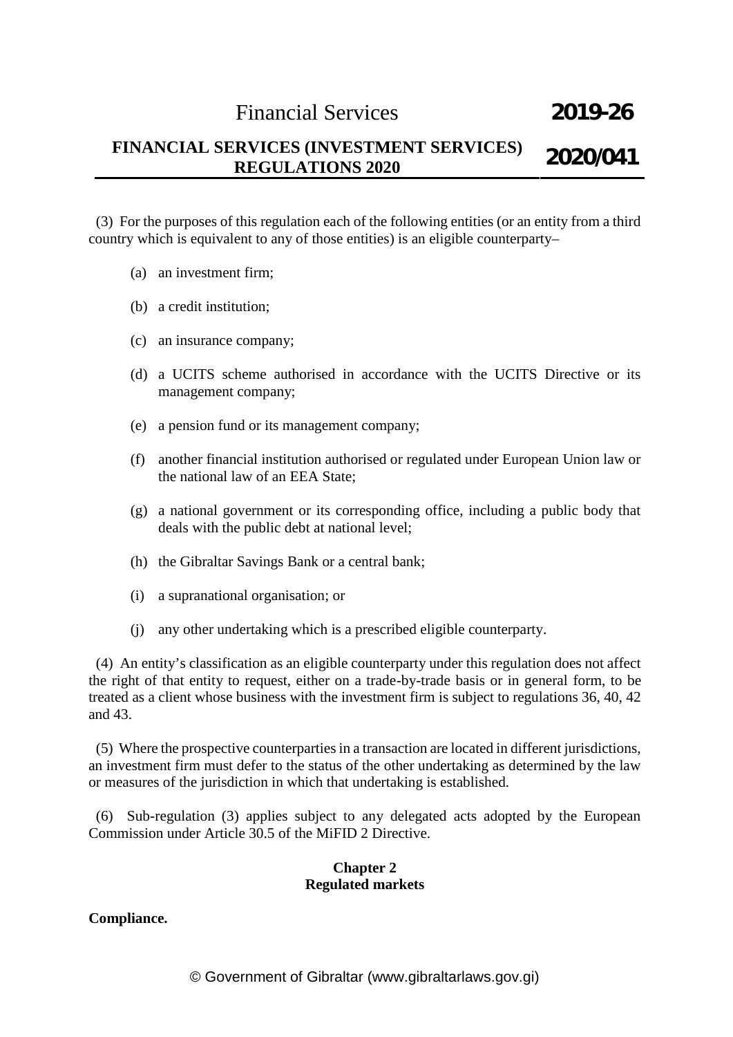## FINANCIAL SERVICES (INVESTMENT SERVICES) 2020/041 **REGULATIONS 2020**

(3) For the purposes of this regulation each of the following entities (or an entity from a third country which is equivalent to any of those entities) is an eligible counterparty–

- (a) an investment firm;
- (b) a credit institution;
- (c) an insurance company;
- (d) a UCITS scheme authorised in accordance with the UCITS Directive or its management company;
- (e) a pension fund or its management company;
- (f) another financial institution authorised or regulated under European Union law or the national law of an EEA State;
- (g) a national government or its corresponding office, including a public body that deals with the public debt at national level;
- (h) the Gibraltar Savings Bank or a central bank;
- (i) a supranational organisation; or
- (j) any other undertaking which is a prescribed eligible counterparty.

(4) An entity's classification as an eligible counterparty under this regulation does not affect the right of that entity to request, either on a trade-by-trade basis or in general form, to be treated as a client whose business with the investment firm is subject to regulations 36, 40, 42 and 43.

(5) Where the prospective counterparties in a transaction are located in different jurisdictions, an investment firm must defer to the status of the other undertaking as determined by the law or measures of the jurisdiction in which that undertaking is established.

(6) Sub-regulation (3) applies subject to any delegated acts adopted by the European Commission under Article 30.5 of the MiFID 2 Directive.

#### **Chapter 2 Regulated markets**

**Compliance.**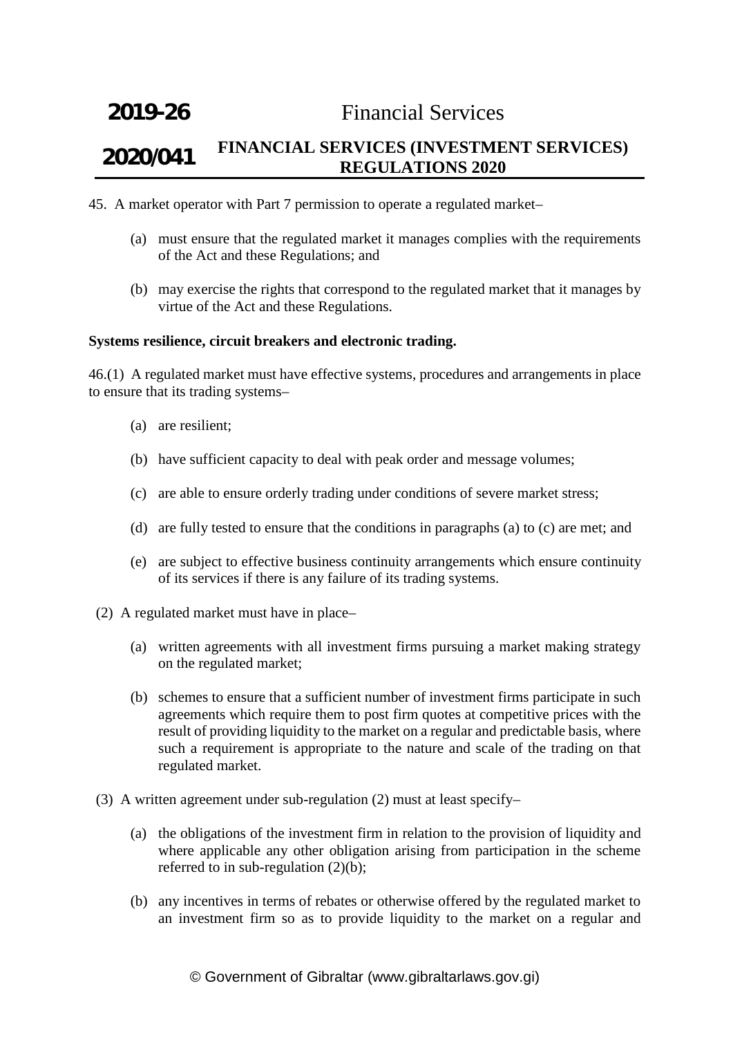### **2020/041 FINANCIAL SERVICES (INVESTMENT SERVICES) REGULATIONS 2020**

45. A market operator with Part 7 permission to operate a regulated market–

- (a) must ensure that the regulated market it manages complies with the requirements of the Act and these Regulations; and
- (b) may exercise the rights that correspond to the regulated market that it manages by virtue of the Act and these Regulations.

#### **Systems resilience, circuit breakers and electronic trading.**

46.(1) A regulated market must have effective systems, procedures and arrangements in place to ensure that its trading systems–

- (a) are resilient;
- (b) have sufficient capacity to deal with peak order and message volumes;
- (c) are able to ensure orderly trading under conditions of severe market stress;
- (d) are fully tested to ensure that the conditions in paragraphs (a) to (c) are met; and
- (e) are subject to effective business continuity arrangements which ensure continuity of its services if there is any failure of its trading systems.
- (2) A regulated market must have in place–
	- (a) written agreements with all investment firms pursuing a market making strategy on the regulated market;
	- (b) schemes to ensure that a sufficient number of investment firms participate in such agreements which require them to post firm quotes at competitive prices with the result of providing liquidity to the market on a regular and predictable basis, where such a requirement is appropriate to the nature and scale of the trading on that regulated market.
- (3) A written agreement under sub-regulation (2) must at least specify–
	- (a) the obligations of the investment firm in relation to the provision of liquidity and where applicable any other obligation arising from participation in the scheme referred to in sub-regulation (2)(b);
	- (b) any incentives in terms of rebates or otherwise offered by the regulated market to an investment firm so as to provide liquidity to the market on a regular and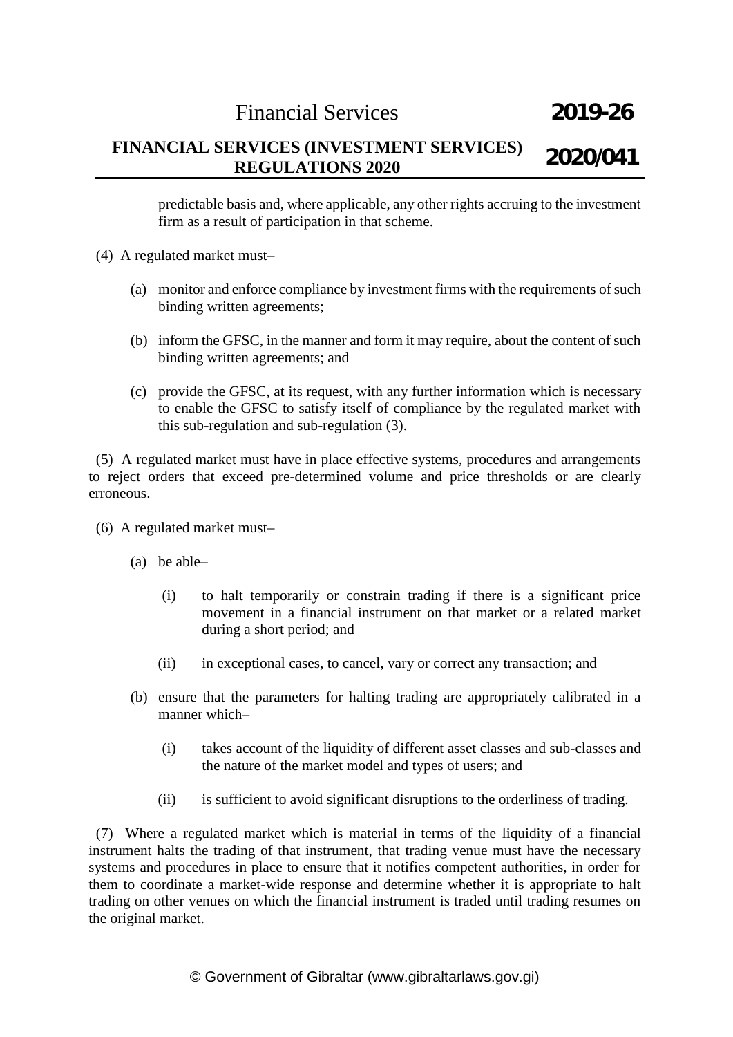## FINANCIAL SERVICES (INVESTMENT SERVICES) 2020/041 **REGULATIONS 2020**

predictable basis and, where applicable, any other rights accruing to the investment firm as a result of participation in that scheme.

- (4) A regulated market must–
	- (a) monitor and enforce compliance by investment firms with the requirements of such binding written agreements;
	- (b) inform the GFSC, in the manner and form it may require, about the content of such binding written agreements; and
	- (c) provide the GFSC, at its request, with any further information which is necessary to enable the GFSC to satisfy itself of compliance by the regulated market with this sub-regulation and sub-regulation (3).

(5) A regulated market must have in place effective systems, procedures and arrangements to reject orders that exceed pre-determined volume and price thresholds or are clearly erroneous.

- (6) A regulated market must–
	- (a) be able–
		- (i) to halt temporarily or constrain trading if there is a significant price movement in a financial instrument on that market or a related market during a short period; and
		- (ii) in exceptional cases, to cancel, vary or correct any transaction; and
	- (b) ensure that the parameters for halting trading are appropriately calibrated in a manner which–
		- (i) takes account of the liquidity of different asset classes and sub-classes and the nature of the market model and types of users; and
		- (ii) is sufficient to avoid significant disruptions to the orderliness of trading.

(7) Where a regulated market which is material in terms of the liquidity of a financial instrument halts the trading of that instrument, that trading venue must have the necessary systems and procedures in place to ensure that it notifies competent authorities, in order for them to coordinate a market-wide response and determine whether it is appropriate to halt trading on other venues on which the financial instrument is traded until trading resumes on the original market.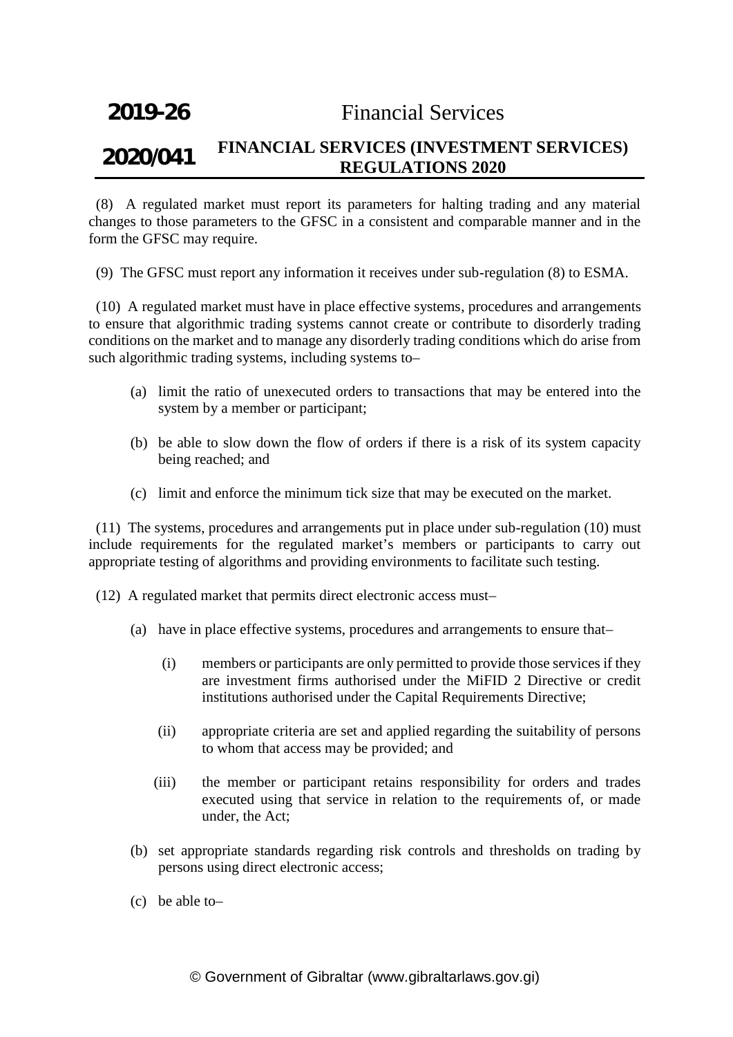## **2020/041 FINANCIAL SERVICES (INVESTMENT SERVICES) REGULATIONS 2020**

(8) A regulated market must report its parameters for halting trading and any material changes to those parameters to the GFSC in a consistent and comparable manner and in the form the GFSC may require.

(9) The GFSC must report any information it receives under sub-regulation (8) to ESMA.

(10) A regulated market must have in place effective systems, procedures and arrangements to ensure that algorithmic trading systems cannot create or contribute to disorderly trading conditions on the market and to manage any disorderly trading conditions which do arise from such algorithmic trading systems, including systems to–

- (a) limit the ratio of unexecuted orders to transactions that may be entered into the system by a member or participant;
- (b) be able to slow down the flow of orders if there is a risk of its system capacity being reached; and
- (c) limit and enforce the minimum tick size that may be executed on the market.

(11) The systems, procedures and arrangements put in place under sub-regulation (10) must include requirements for the regulated market's members or participants to carry out appropriate testing of algorithms and providing environments to facilitate such testing.

- (12) A regulated market that permits direct electronic access must–
	- (a) have in place effective systems, procedures and arrangements to ensure that–
		- (i) members or participants are only permitted to provide those services if they are investment firms authorised under the MiFID 2 Directive or credit institutions authorised under the Capital Requirements Directive;
		- (ii) appropriate criteria are set and applied regarding the suitability of persons to whom that access may be provided; and
		- (iii) the member or participant retains responsibility for orders and trades executed using that service in relation to the requirements of, or made under, the Act;
	- (b) set appropriate standards regarding risk controls and thresholds on trading by persons using direct electronic access;
	- (c) be able to–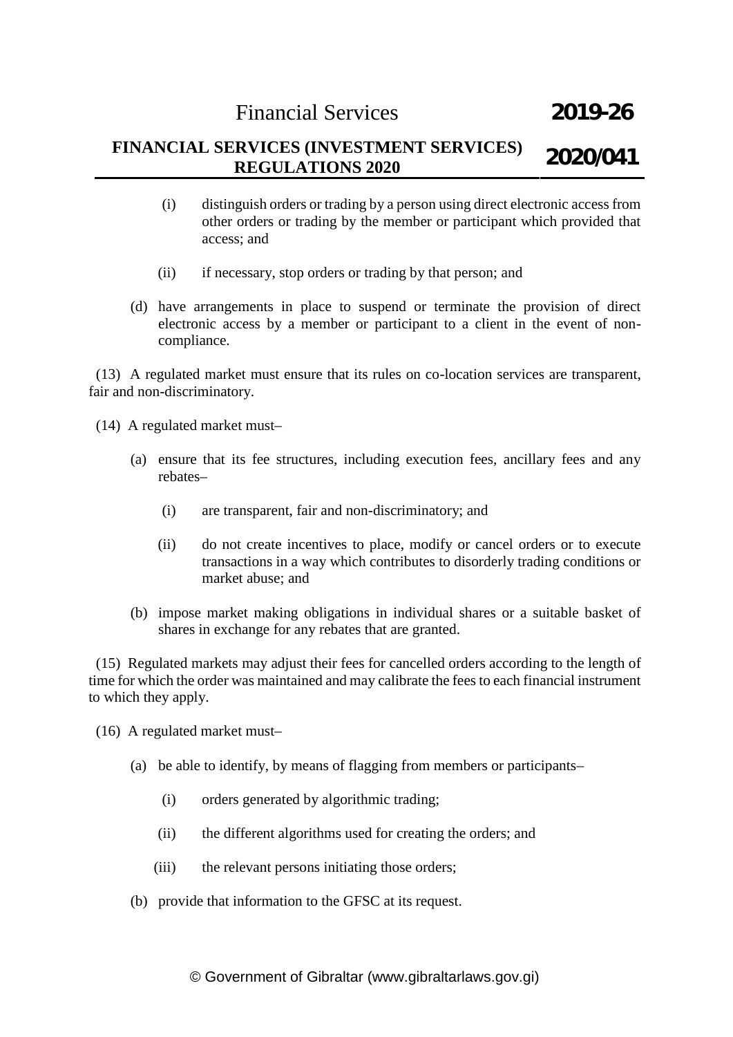## FINANCIAL SERVICES (INVESTMENT SERVICES) 2020/041 **REGULATIONS 2020**

- (i) distinguish orders or trading by a person using direct electronic access from other orders or trading by the member or participant which provided that access; and
- (ii) if necessary, stop orders or trading by that person; and
- (d) have arrangements in place to suspend or terminate the provision of direct electronic access by a member or participant to a client in the event of non compliance.

(13) A regulated market must ensure that its rules on co-location services are transparent, fair and non-discriminatory.

(14) A regulated market must–

- (a) ensure that its fee structures, including execution fees, ancillary fees and any rebates–
	- (i) are transparent, fair and non-discriminatory; and
	- (ii) do not create incentives to place, modify or cancel orders or to execute transactions in a way which contributes to disorderly trading conditions or market abuse; and
- (b) impose market making obligations in individual shares or a suitable basket of shares in exchange for any rebates that are granted.

(15) Regulated markets may adjust their fees for cancelled orders according to the length of time for which the order was maintained and may calibrate the fees to each financial instrument to which they apply.

(16) A regulated market must–

- (a) be able to identify, by means of flagging from members or participants–
	- (i) orders generated by algorithmic trading;
	- (ii) the different algorithms used for creating the orders; and
	- (iii) the relevant persons initiating those orders;
- (b) provide that information to the GFSC at its request.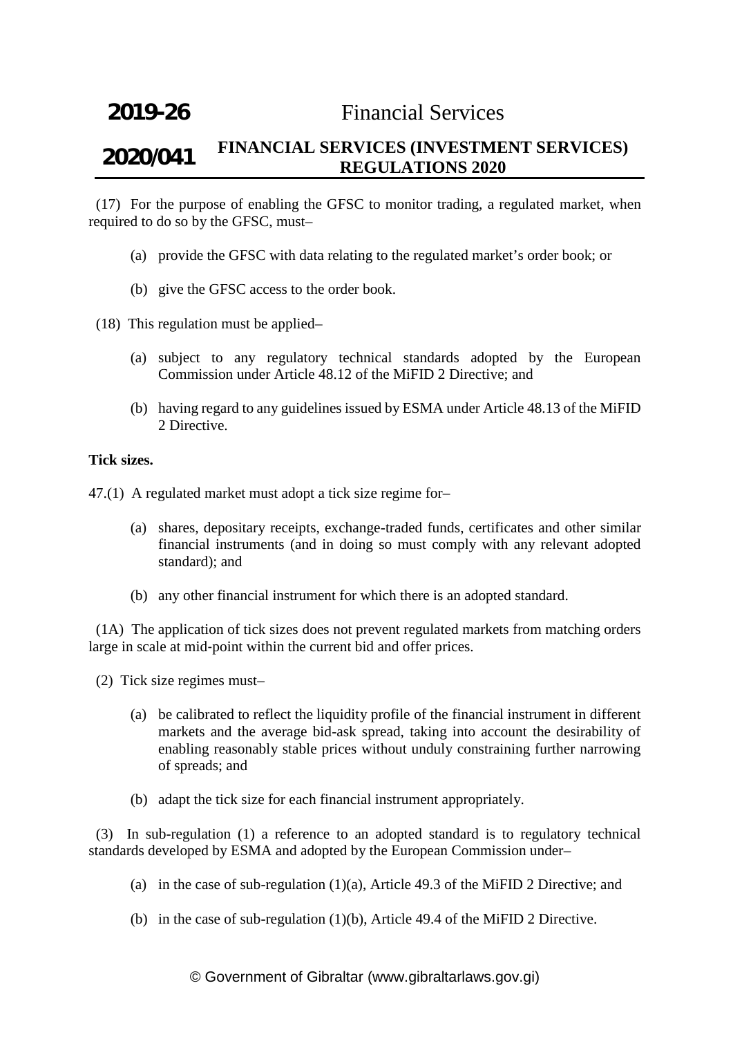#### **2020/041 FINANCIAL SERVICES (INVESTMENT SERVICES) REGULATIONS 2020**

(17) For the purpose of enabling the GFSC to monitor trading, a regulated market, when required to do so by the GFSC, must–

- (a) provide the GFSC with data relating to the regulated market's order book; or
- (b) give the GFSC access to the order book.
- (18) This regulation must be applied–
	- (a) subject to any regulatory technical standards adopted by the European Commission under Article 48.12 of the MiFID 2 Directive; and
	- (b) having regard to any guidelines issued by ESMA under Article 48.13 of the MiFID 2 Directive.

#### **Tick sizes.**

47.(1) A regulated market must adopt a tick size regime for–

- (a) shares, depositary receipts, exchange-traded funds, certificates and other similar financial instruments (and in doing so must comply with any relevant adopted standard); and
- (b) any other financial instrument for which there is an adopted standard.

(1A) The application of tick sizes does not prevent regulated markets from matching orders large in scale at mid‐point within the current bid and offer prices.

- (2) Tick size regimes must–
	- (a) be calibrated to reflect the liquidity profile of the financial instrument in different markets and the average bid-ask spread, taking into account the desirability of enabling reasonably stable prices without unduly constraining further narrowing of spreads; and
	- (b) adapt the tick size for each financial instrument appropriately.

(3) In sub-regulation (1) a reference to an adopted standard is to regulatory technical standards developed by ESMA and adopted by the European Commission under–

- (a) in the case of sub-regulation  $(1)(a)$ . Article 49.3 of the MiFID 2 Directive; and
- (b) in the case of sub-regulation (1)(b), Article 49.4 of the MiFID 2 Directive.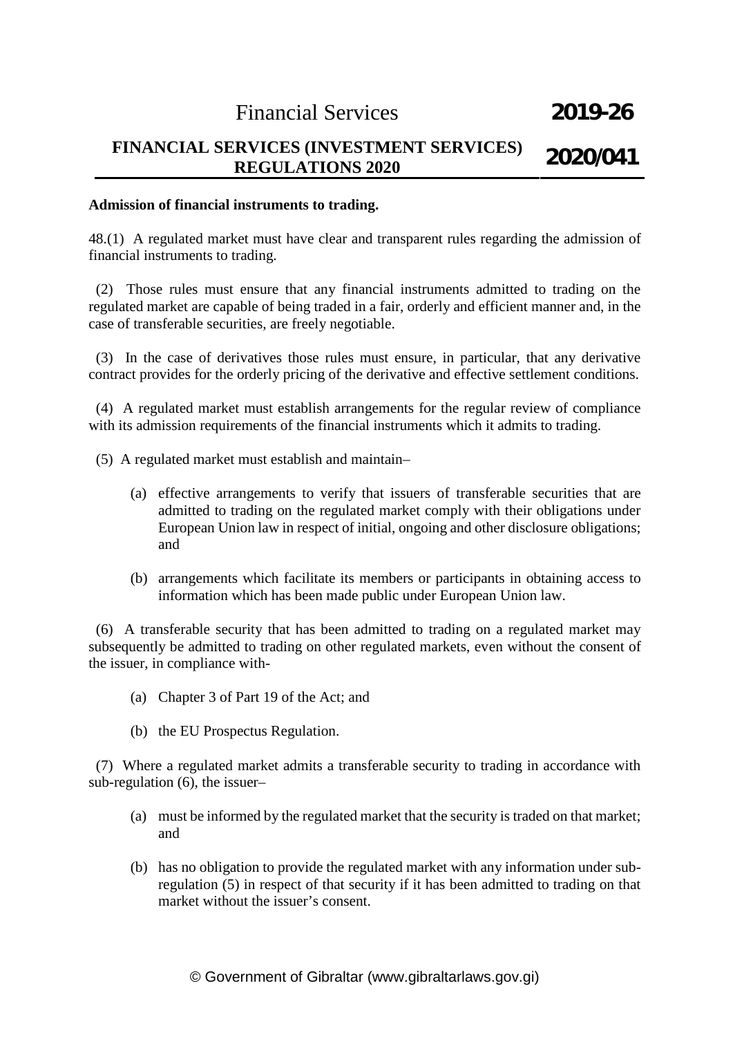## FINANCIAL SERVICES (INVESTMENT SERVICES) 2020/041 **REGULATIONS 2020**

### **Admission of financial instruments to trading.**

48.(1) A regulated market must have clear and transparent rules regarding the admission of financial instruments to trading.

(2) Those rules must ensure that any financial instruments admitted to trading on the regulated market are capable of being traded in a fair, orderly and efficient manner and, in the case of transferable securities, are freely negotiable.

(3) In the case of derivatives those rules must ensure, in particular, that any derivative contract provides for the orderly pricing of the derivative and effective settlement conditions.

(4) A regulated market must establish arrangements for the regular review of compliance with its admission requirements of the financial instruments which it admits to trading.

- (5) A regulated market must establish and maintain–
	- (a) effective arrangements to verify that issuers of transferable securities that are admitted to trading on the regulated market comply with their obligations under European Union law in respect of initial, ongoing and other disclosure obligations; and
	- (b) arrangements which facilitate its members or participants in obtaining access to information which has been made public under European Union law.

(6) A transferable security that has been admitted to trading on a regulated market may subsequently be admitted to trading on other regulated markets, even without the consent of the issuer, in compliance with-

- (a) Chapter 3 of Part 19 of the Act; and
- (b) the EU Prospectus Regulation.

(7) Where a regulated market admits a transferable security to trading in accordance with sub-regulation (6), the issuer–

- (a) must be informed by the regulated market that the security is traded on that market; and
- (b) has no obligation to provide the regulated market with any information under subregulation (5) in respect of that security if it has been admitted to trading on that market without the issuer's consent.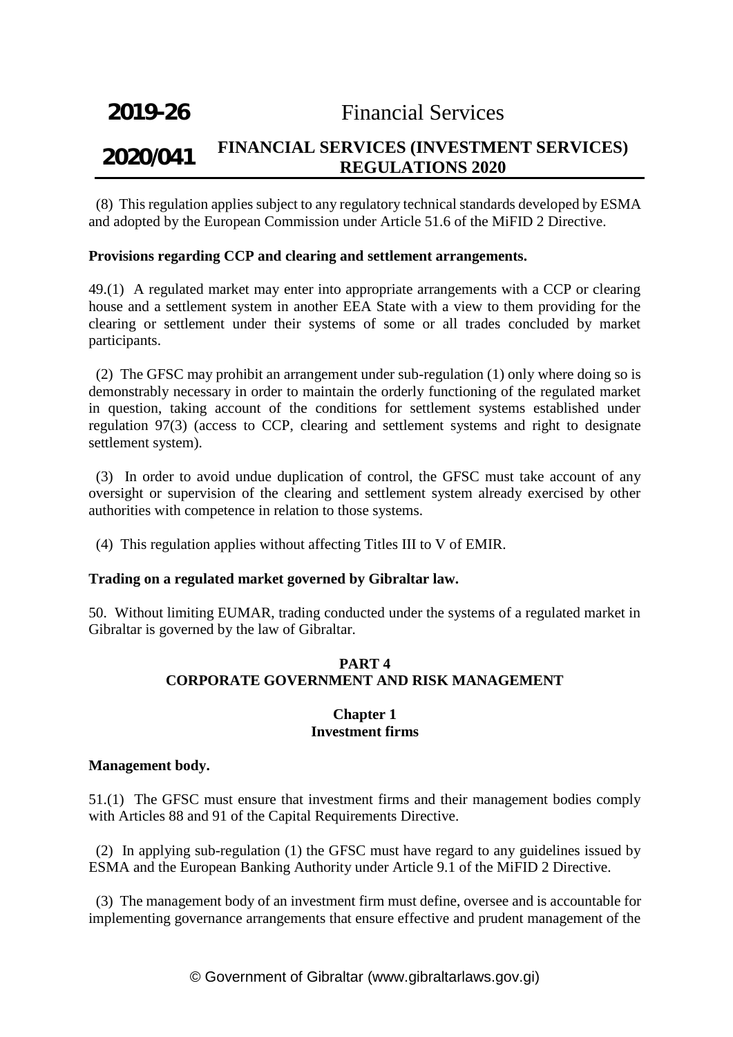# **2020/041 FINANCIAL SERVICES (INVESTMENT SERVICES) REGULATIONS 2020**

(8) This regulation applies subject to any regulatory technical standards developed by ESMA and adopted by the European Commission under Article 51.6 of the MiFID 2 Directive.

### **Provisions regarding CCP and clearing and settlement arrangements.**

49.(1) A regulated market may enter into appropriate arrangements with a CCP or clearing house and a settlement system in another EEA State with a view to them providing for the clearing or settlement under their systems of some or all trades concluded by market participants.

(2) The GFSC may prohibit an arrangement under sub-regulation (1) only where doing so is demonstrably necessary in order to maintain the orderly functioning of the regulated market in question, taking account of the conditions for settlement systems established under regulation 97(3) (access to CCP, clearing and settlement systems and right to designate settlement system).

(3) In order to avoid undue duplication of control, the GFSC must take account of any oversight or supervision of the clearing and settlement system already exercised by other authorities with competence in relation to those systems.

(4) This regulation applies without affecting Titles III to V of EMIR.

### **Trading on a regulated market governed by Gibraltar law.**

50. Without limiting EUMAR, trading conducted under the systems of a regulated market in Gibraltar is governed by the law of Gibraltar.

### **PART 4 CORPORATE GOVERNMENT AND RISK MANAGEMENT**

### **Chapter 1 Investment firms**

### **Management body.**

51.(1) The GFSC must ensure that investment firms and their management bodies comply with Articles 88 and 91 of the Capital Requirements Directive.

(2) In applying sub-regulation (1) the GFSC must have regard to any guidelines issued by ESMA and the European Banking Authority under Article 9.1 of the MiFID 2 Directive.

(3) The management body of an investment firm must define, oversee and is accountable for implementing governance arrangements that ensure effective and prudent management of the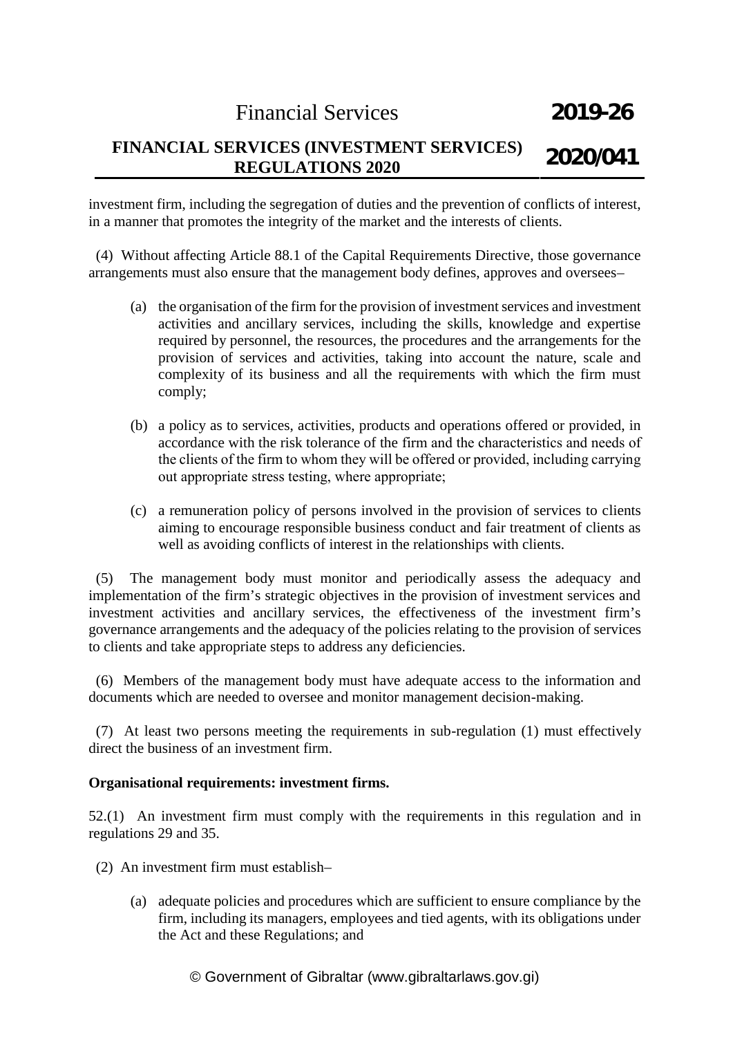## FINANCIAL SERVICES (INVESTMENT SERVICES) 2020/041 **REGULATIONS 2020**

investment firm, including the segregation of duties and the prevention of conflicts of interest, in a manner that promotes the integrity of the market and the interests of clients.

(4) Without affecting Article 88.1 of the Capital Requirements Directive, those governance arrangements must also ensure that the management body defines, approves and oversees–

- (a) the organisation of the firm for the provision of investment services and investment activities and ancillary services, including the skills, knowledge and expertise required by personnel, the resources, the procedures and the arrangements for the provision of services and activities, taking into account the nature, scale and complexity of its business and all the requirements with which the firm must comply;
- (b) a policy as to services, activities, products and operations offered or provided, in accordance with the risk tolerance of the firm and the characteristics and needs of the clients of the firm to whom they will be offered or provided, including carrying out appropriate stress testing, where appropriate;
- (c) a remuneration policy of persons involved in the provision of services to clients aiming to encourage responsible business conduct and fair treatment of clients as well as avoiding conflicts of interest in the relationships with clients.

(5) The management body must monitor and periodically assess the adequacy and implementation of the firm's strategic objectives in the provision of investment services and investment activities and ancillary services, the effectiveness of the investment firm's governance arrangements and the adequacy of the policies relating to the provision of services to clients and take appropriate steps to address any deficiencies.

(6) Members of the management body must have adequate access to the information and documents which are needed to oversee and monitor management decision-making.

(7) At least two persons meeting the requirements in sub-regulation (1) must effectively direct the business of an investment firm.

### **Organisational requirements: investment firms.**

52.(1) An investment firm must comply with the requirements in this regulation and in regulations 29 and 35.

- (2) An investment firm must establish–
	- (a) adequate policies and procedures which are sufficient to ensure compliance by the firm, including its managers, employees and tied agents, with its obligations under the Act and these Regulations; and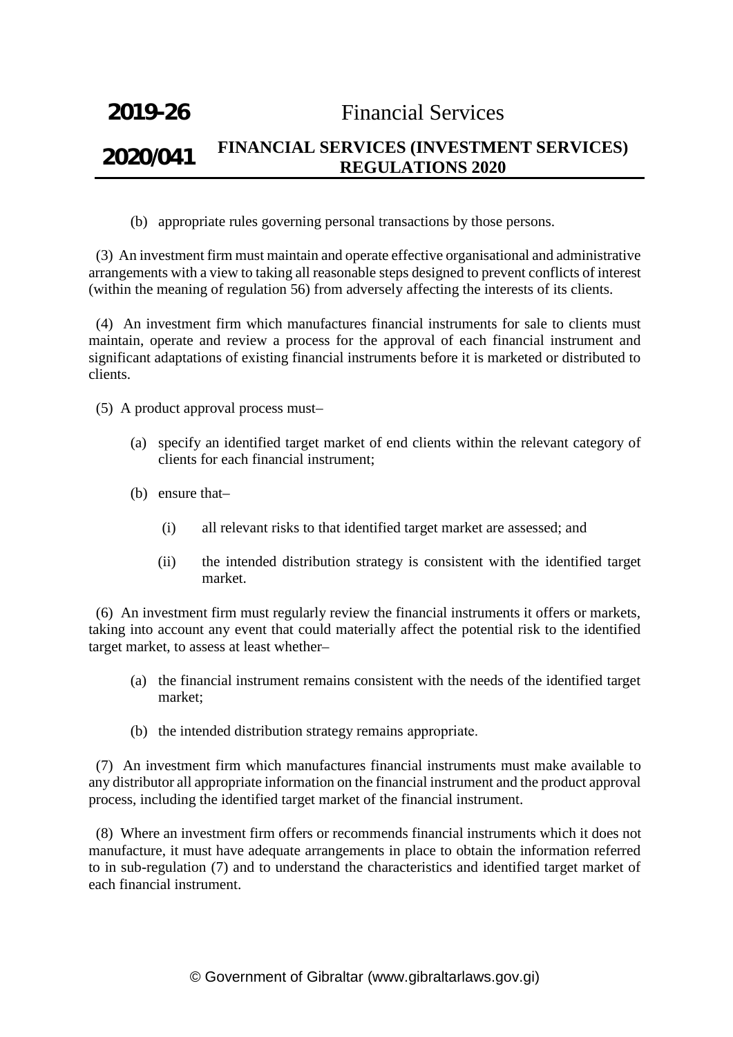# **2020/041 FINANCIAL SERVICES (INVESTMENT SERVICES) REGULATIONS 2020**

(b) appropriate rules governing personal transactions by those persons.

(3) An investment firm must maintain and operate effective organisational and administrative arrangements with a view to taking all reasonable steps designed to prevent conflicts of interest (within the meaning of regulation 56) from adversely affecting the interests of its clients.

(4) An investment firm which manufactures financial instruments for sale to clients must maintain, operate and review a process for the approval of each financial instrument and significant adaptations of existing financial instruments before it is marketed or distributed to clients.

(5) A product approval process must–

- (a) specify an identified target market of end clients within the relevant category of clients for each financial instrument;
- (b) ensure that–
	- (i) all relevant risks to that identified target market are assessed; and
	- (ii) the intended distribution strategy is consistent with the identified target market.

(6) An investment firm must regularly review the financial instruments it offers or markets, taking into account any event that could materially affect the potential risk to the identified target market, to assess at least whether–

- (a) the financial instrument remains consistent with the needs of the identified target market;
- (b) the intended distribution strategy remains appropriate.

(7) An investment firm which manufactures financial instruments must make available to any distributor all appropriate information on the financial instrument and the product approval process, including the identified target market of the financial instrument.

(8) Where an investment firm offers or recommends financial instruments which it does not manufacture, it must have adequate arrangements in place to obtain the information referred to in sub-regulation (7) and to understand the characteristics and identified target market of each financial instrument.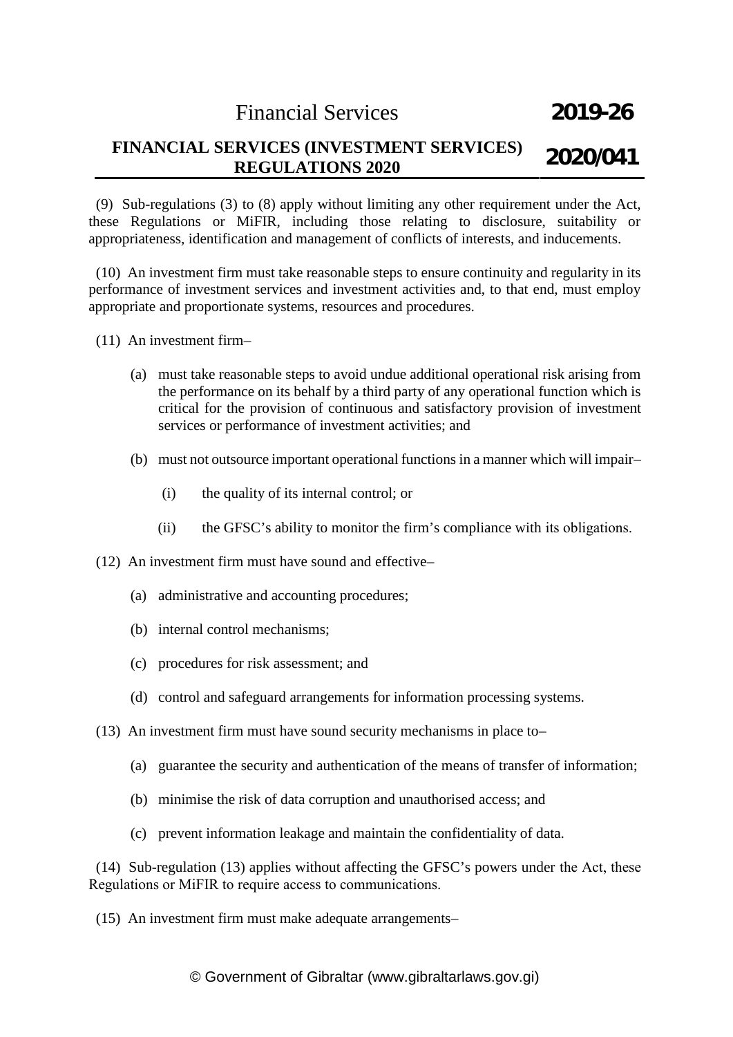# FINANCIAL SERVICES (INVESTMENT SERVICES) 2020/041 **REGULATIONS 2020**

(9) Sub-regulations (3) to (8) apply without limiting any other requirement under the Act, these Regulations or MiFIR, including those relating to disclosure, suitability or appropriateness, identification and management of conflicts of interests, and inducements.

(10) An investment firm must take reasonable steps to ensure continuity and regularity in its performance of investment services and investment activities and, to that end, must employ appropriate and proportionate systems, resources and procedures.

(11) An investment firm–

- (a) must take reasonable steps to avoid undue additional operational risk arising from the performance on its behalf by a third party of any operational function which is critical for the provision of continuous and satisfactory provision of investment services or performance of investment activities; and
- (b) must not outsource important operational functions in a manner which will impair–
	- (i) the quality of its internal control; or
	- (ii) the GFSC's ability to monitor the firm's compliance with its obligations.
- (12) An investment firm must have sound and effective–
	- (a) administrative and accounting procedures;
	- (b) internal control mechanisms;
	- (c) procedures for risk assessment; and
	- (d) control and safeguard arrangements for information processing systems.
- (13) An investment firm must have sound security mechanisms in place to–
	- (a) guarantee the security and authentication of the means of transfer of information;
	- (b) minimise the risk of data corruption and unauthorised access; and
	- (c) prevent information leakage and maintain the confidentiality of data.

(14) Sub-regulation (13) applies without affecting the GFSC's powers under the Act, these Regulations or MiFIR to require access to communications.

(15) An investment firm must make adequate arrangements–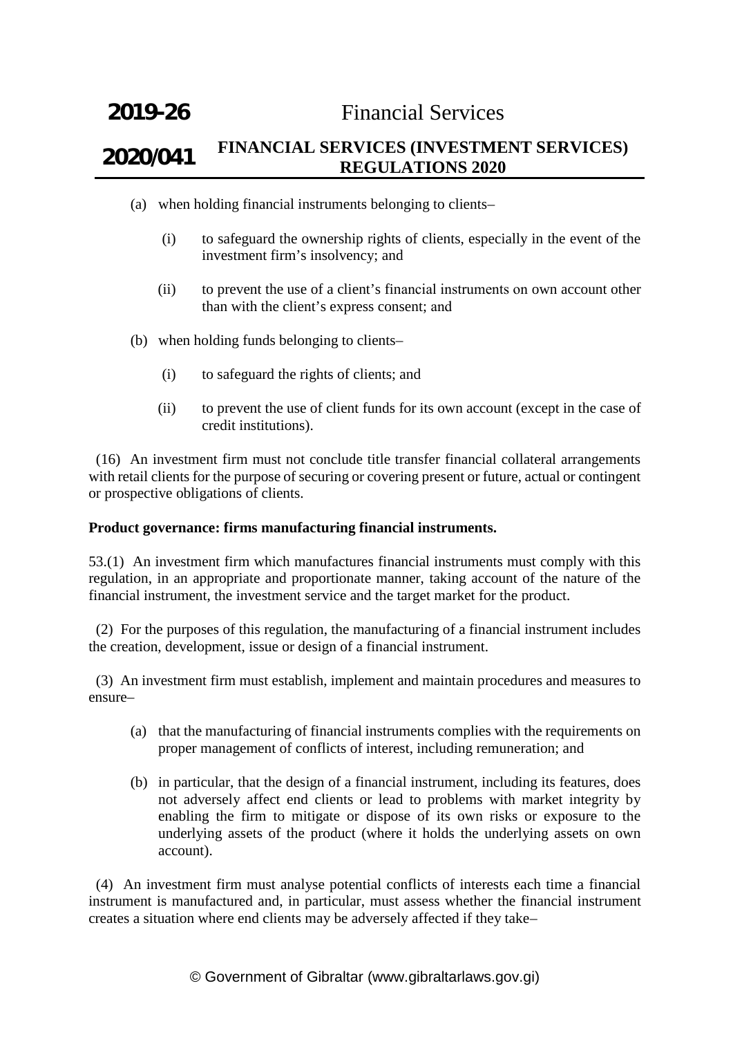### **2020/041 FINANCIAL SERVICES (INVESTMENT SERVICES) REGULATIONS 2020**

- (a) when holding financial instruments belonging to clients–
	- (i) to safeguard the ownership rights of clients, especially in the event of the investment firm's insolvency; and
	- (ii) to prevent the use of a client's financial instruments on own account other than with the client's express consent; and
- (b) when holding funds belonging to clients–
	- (i) to safeguard the rights of clients; and
	- (ii) to prevent the use of client funds for its own account (except in the case of credit institutions).

(16) An investment firm must not conclude title transfer financial collateral arrangements with retail clients for the purpose of securing or covering present or future, actual or contingent or prospective obligations of clients.

### **Product governance: firms manufacturing financial instruments.**

53.(1) An investment firm which manufactures financial instruments must comply with this regulation, in an appropriate and proportionate manner, taking account of the nature of the financial instrument, the investment service and the target market for the product.

(2) For the purposes of this regulation, the manufacturing of a financial instrument includes the creation, development, issue or design of a financial instrument.

(3) An investment firm must establish, implement and maintain procedures and measures to ensure–

- (a) that the manufacturing of financial instruments complies with the requirements on proper management of conflicts of interest, including remuneration; and
- (b) in particular, that the design of a financial instrument, including its features, does not adversely affect end clients or lead to problems with market integrity by enabling the firm to mitigate or dispose of its own risks or exposure to the underlying assets of the product (where it holds the underlying assets on own account).

(4) An investment firm must analyse potential conflicts of interests each time a financial instrument is manufactured and, in particular, must assess whether the financial instrument creates a situation where end clients may be adversely affected if they take–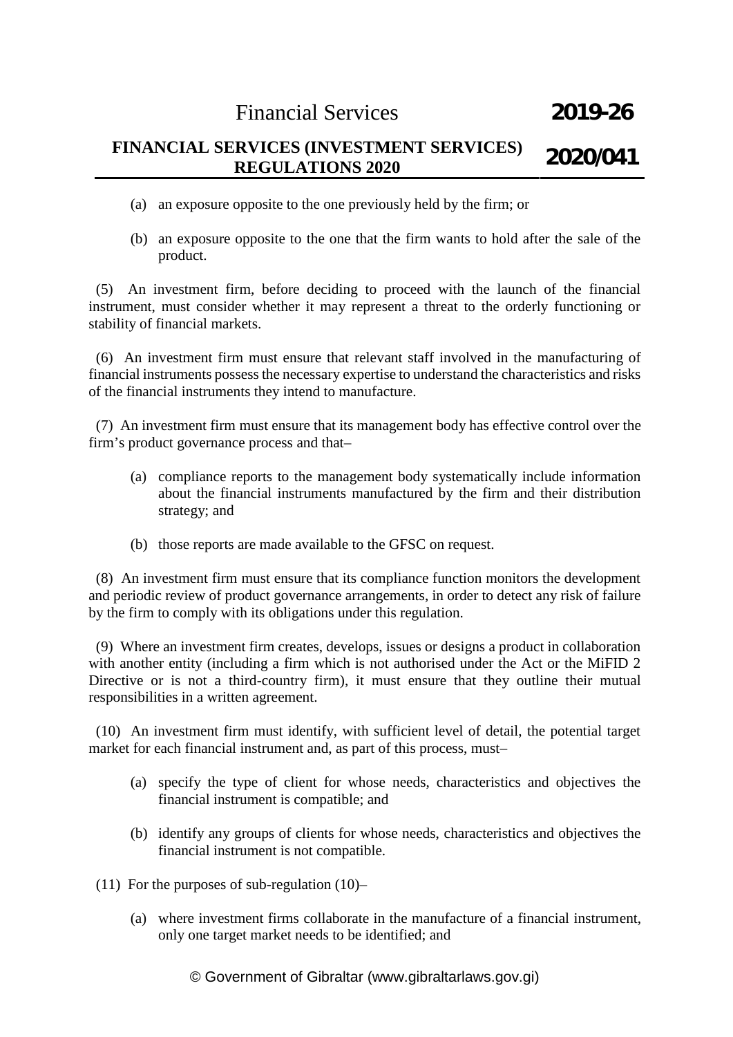# FINANCIAL SERVICES (INVESTMENT SERVICES) 2020/041 **REGULATIONS 2020**

- (a) an exposure opposite to the one previously held by the firm; or
- (b) an exposure opposite to the one that the firm wants to hold after the sale of the product.

(5) An investment firm, before deciding to proceed with the launch of the financial instrument, must consider whether it may represent a threat to the orderly functioning or stability of financial markets.

(6) An investment firm must ensure that relevant staff involved in the manufacturing of financial instruments possess the necessary expertise to understand the characteristics and risks of the financial instruments they intend to manufacture.

(7) An investment firm must ensure that its management body has effective control over the firm's product governance process and that–

- (a) compliance reports to the management body systematically include information about the financial instruments manufactured by the firm and their distribution strategy; and
- (b) those reports are made available to the GFSC on request.

(8) An investment firm must ensure that its compliance function monitors the development and periodic review of product governance arrangements, in order to detect any risk of failure by the firm to comply with its obligations under this regulation.

(9) Where an investment firm creates, develops, issues or designs a product in collaboration with another entity (including a firm which is not authorised under the Act or the MiFID 2 Directive or is not a third-country firm), it must ensure that they outline their mutual responsibilities in a written agreement.

(10) An investment firm must identify, with sufficient level of detail, the potential target market for each financial instrument and, as part of this process, must–

- (a) specify the type of client for whose needs, characteristics and objectives the financial instrument is compatible; and
- (b) identify any groups of clients for whose needs, characteristics and objectives the financial instrument is not compatible.
- (11) For the purposes of sub-regulation (10)–
	- (a) where investment firms collaborate in the manufacture of a financial instrument, only one target market needs to be identified; and

© Government of Gibraltar (www.gibraltarlaws.gov.gi)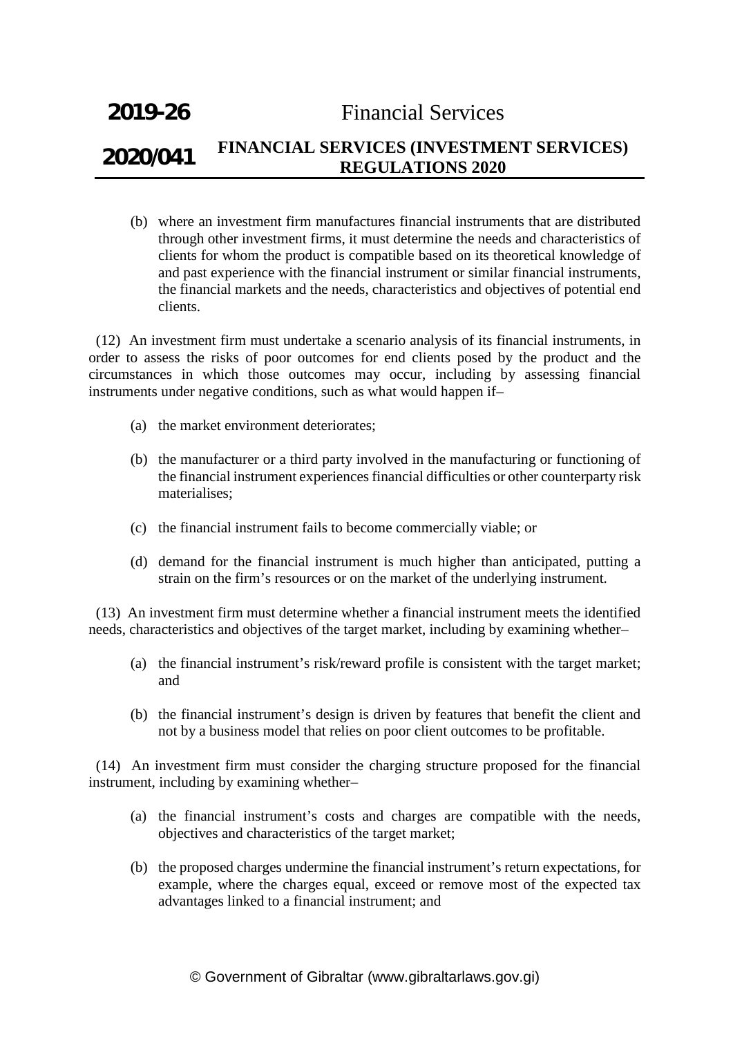# **2020/041 FINANCIAL SERVICES (INVESTMENT SERVICES) REGULATIONS 2020**

(b) where an investment firm manufactures financial instruments that are distributed through other investment firms, it must determine the needs and characteristics of clients for whom the product is compatible based on its theoretical knowledge of and past experience with the financial instrument or similar financial instruments, the financial markets and the needs, characteristics and objectives of potential end clients.

(12) An investment firm must undertake a scenario analysis of its financial instruments, in order to assess the risks of poor outcomes for end clients posed by the product and the circumstances in which those outcomes may occur, including by assessing financial instruments under negative conditions, such as what would happen if–

- (a) the market environment deteriorates;
- (b) the manufacturer or a third party involved in the manufacturing or functioning of the financial instrument experiences financial difficulties or other counterparty risk materialises;
- (c) the financial instrument fails to become commercially viable; or
- (d) demand for the financial instrument is much higher than anticipated, putting a strain on the firm's resources or on the market of the underlying instrument.

(13) An investment firm must determine whether a financial instrument meets the identified needs, characteristics and objectives of the target market, including by examining whether–

- (a) the financial instrument's risk/reward profile is consistent with the target market; and
- (b) the financial instrument's design is driven by features that benefit the client and not by a business model that relies on poor client outcomes to be profitable.

(14) An investment firm must consider the charging structure proposed for the financial instrument, including by examining whether–

- (a) the financial instrument's costs and charges are compatible with the needs, objectives and characteristics of the target market;
- (b) the proposed charges undermine the financial instrument's return expectations, for example, where the charges equal, exceed or remove most of the expected tax advantages linked to a financial instrument; and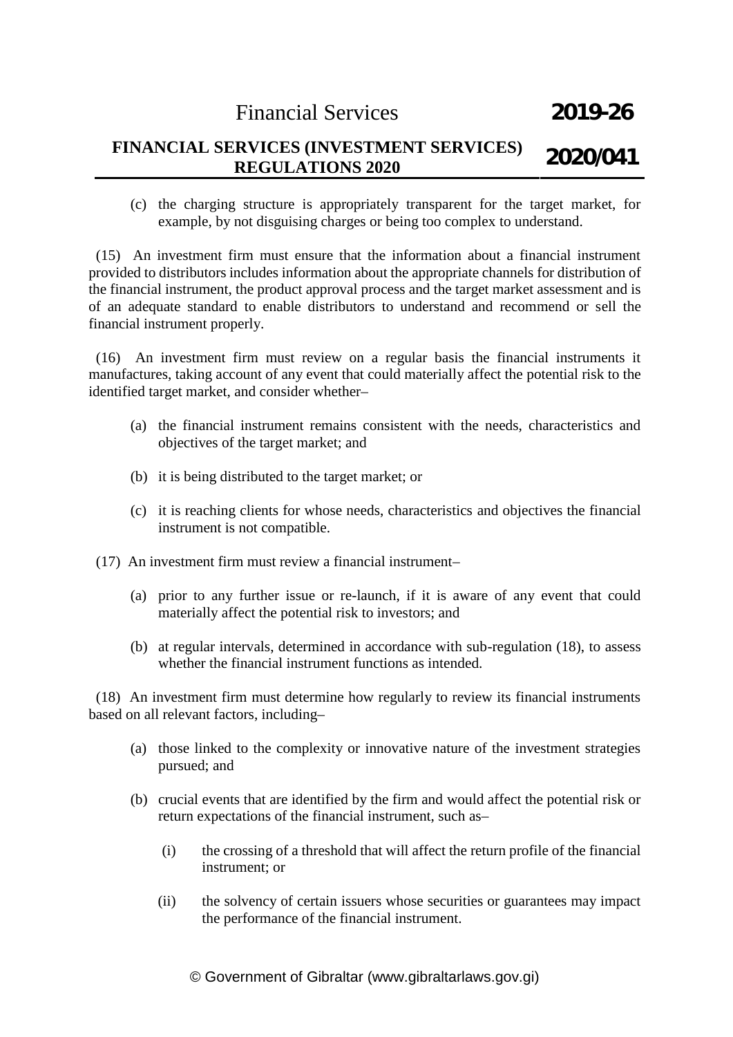# FINANCIAL SERVICES (INVESTMENT SERVICES) 2020/041 **REGULATIONS 2020**

(c) the charging structure is appropriately transparent for the target market, for example, by not disguising charges or being too complex to understand.

(15) An investment firm must ensure that the information about a financial instrument provided to distributors includes information about the appropriate channels for distribution of the financial instrument, the product approval process and the target market assessment and is of an adequate standard to enable distributors to understand and recommend or sell the financial instrument properly.

(16) An investment firm must review on a regular basis the financial instruments it manufactures, taking account of any event that could materially affect the potential risk to the identified target market, and consider whether–

- (a) the financial instrument remains consistent with the needs, characteristics and objectives of the target market; and
- (b) it is being distributed to the target market; or
- (c) it is reaching clients for whose needs, characteristics and objectives the financial instrument is not compatible.
- (17) An investment firm must review a financial instrument–
	- (a) prior to any further issue or re-launch, if it is aware of any event that could materially affect the potential risk to investors; and
	- (b) at regular intervals, determined in accordance with sub-regulation (18), to assess whether the financial instrument functions as intended.

(18) An investment firm must determine how regularly to review its financial instruments based on all relevant factors, including–

- (a) those linked to the complexity or innovative nature of the investment strategies pursued; and
- (b) crucial events that are identified by the firm and would affect the potential risk or return expectations of the financial instrument, such as–
	- (i) the crossing of a threshold that will affect the return profile of the financial instrument; or
	- (ii) the solvency of certain issuers whose securities or guarantees may impact the performance of the financial instrument.

© Government of Gibraltar (www.gibraltarlaws.gov.gi)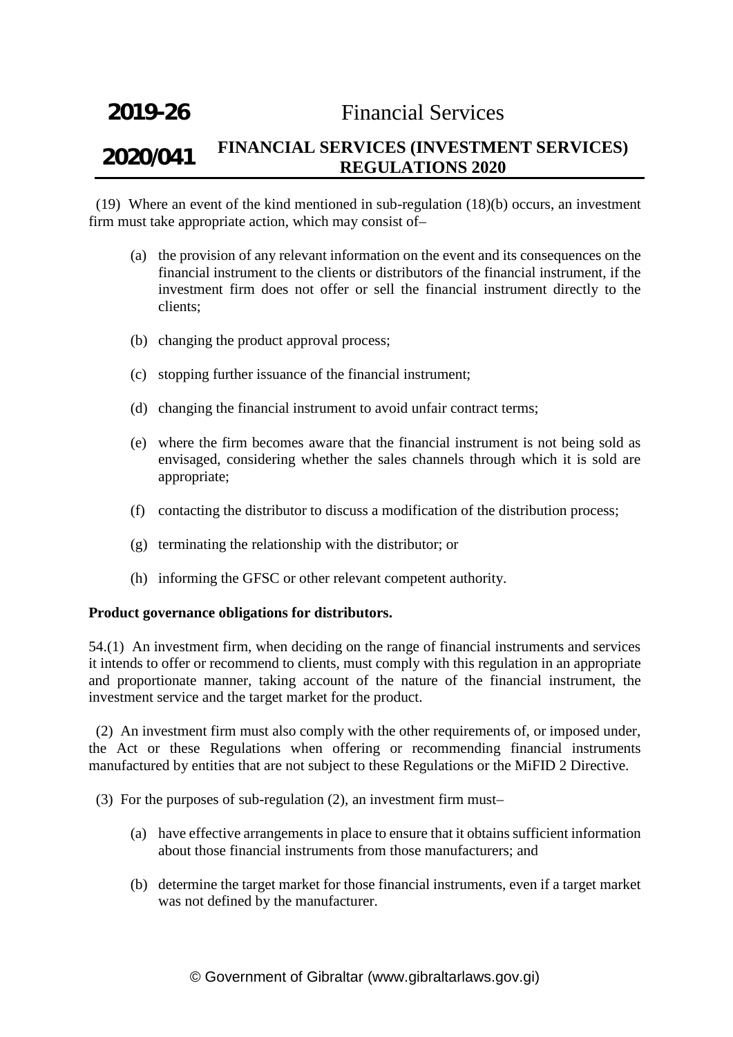## **2020/041 FINANCIAL SERVICES (INVESTMENT SERVICES) REGULATIONS 2020**

(19) Where an event of the kind mentioned in sub-regulation (18)(b) occurs, an investment firm must take appropriate action, which may consist of–

- (a) the provision of any relevant information on the event and its consequences on the financial instrument to the clients or distributors of the financial instrument, if the investment firm does not offer or sell the financial instrument directly to the clients;
- (b) changing the product approval process;
- (c) stopping further issuance of the financial instrument;
- (d) changing the financial instrument to avoid unfair contract terms;
- (e) where the firm becomes aware that the financial instrument is not being sold as envisaged, considering whether the sales channels through which it is sold are appropriate;
- (f) contacting the distributor to discuss a modification of the distribution process;
- (g) terminating the relationship with the distributor; or
- (h) informing the GFSC or other relevant competent authority.

### **Product governance obligations for distributors.**

54.(1) An investment firm, when deciding on the range of financial instruments and services it intends to offer or recommend to clients, must comply with this regulation in an appropriate and proportionate manner, taking account of the nature of the financial instrument, the investment service and the target market for the product.

(2) An investment firm must also comply with the other requirements of, or imposed under, the Act or these Regulations when offering or recommending financial instruments manufactured by entities that are not subject to these Regulations or the MiFID 2 Directive.

- (3) For the purposes of sub-regulation (2), an investment firm must–
	- (a) have effective arrangements in place to ensure that it obtains sufficient information about those financial instruments from those manufacturers; and
	- (b) determine the target market for those financial instruments, even if a target market was not defined by the manufacturer.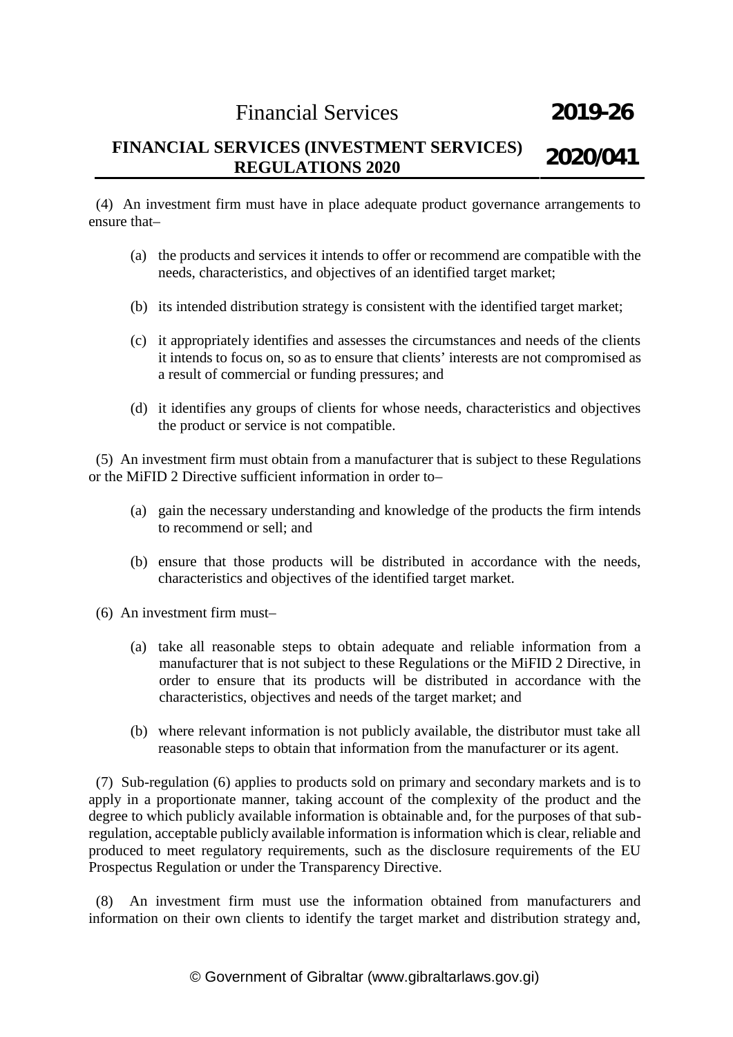# FINANCIAL SERVICES (INVESTMENT SERVICES) 2020/041 **REGULATIONS 2020**

(4) An investment firm must have in place adequate product governance arrangements to ensure that–

- (a) the products and services it intends to offer or recommend are compatible with the needs, characteristics, and objectives of an identified target market;
- (b) its intended distribution strategy is consistent with the identified target market;
- (c) it appropriately identifies and assesses the circumstances and needs of the clients it intends to focus on, so as to ensure that clients' interests are not compromised as a result of commercial or funding pressures; and
- (d) it identifies any groups of clients for whose needs, characteristics and objectives the product or service is not compatible.

(5) An investment firm must obtain from a manufacturer that is subject to these Regulations or the MiFID 2 Directive sufficient information in order to–

- (a) gain the necessary understanding and knowledge of the products the firm intends to recommend or sell; and
- (b) ensure that those products will be distributed in accordance with the needs, characteristics and objectives of the identified target market.
- (6) An investment firm must–
	- (a) take all reasonable steps to obtain adequate and reliable information from a manufacturer that is not subject to these Regulations or the MiFID 2 Directive, in order to ensure that its products will be distributed in accordance with the characteristics, objectives and needs of the target market; and
	- (b) where relevant information is not publicly available, the distributor must take all reasonable steps to obtain that information from the manufacturer or its agent.

(7) Sub-regulation (6) applies to products sold on primary and secondary markets and is to apply in a proportionate manner, taking account of the complexity of the product and the degree to which publicly available information is obtainable and, for the purposes of that subregulation, acceptable publicly available information is information which is clear, reliable and produced to meet regulatory requirements, such as the disclosure requirements of the EU Prospectus Regulation or under the Transparency Directive.

(8) An investment firm must use the information obtained from manufacturers and information on their own clients to identify the target market and distribution strategy and,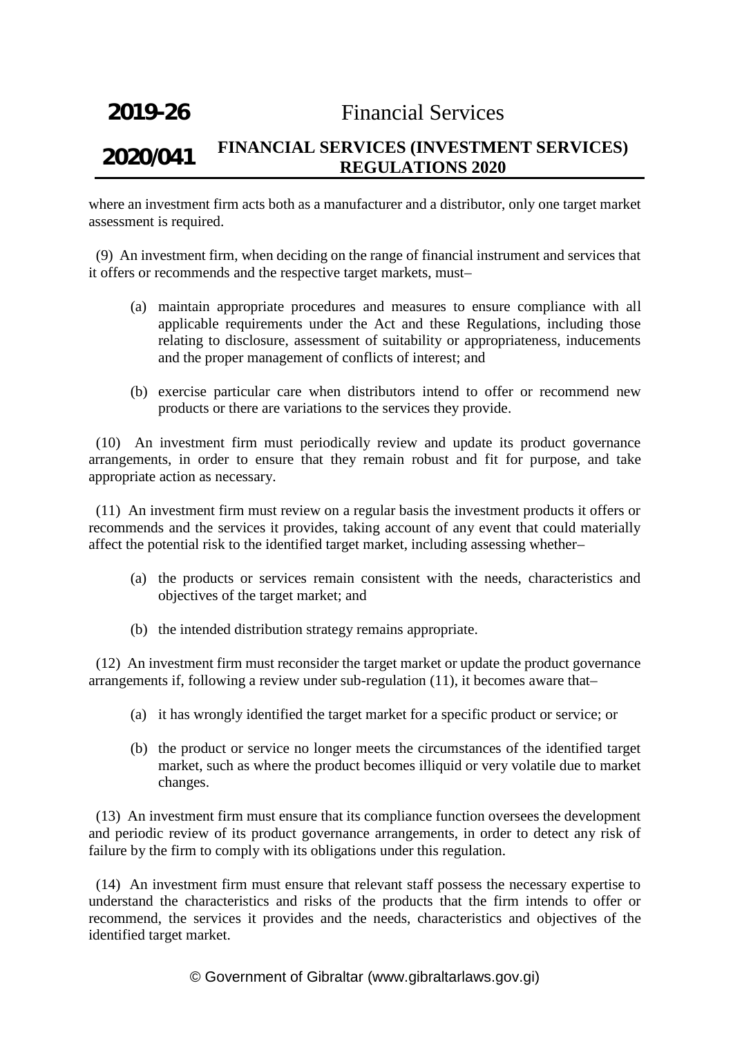## **2020/041 FINANCIAL SERVICES (INVESTMENT SERVICES) REGULATIONS 2020**

where an investment firm acts both as a manufacturer and a distributor, only one target market assessment is required.

(9) An investment firm, when deciding on the range of financial instrument and services that it offers or recommends and the respective target markets, must–

- (a) maintain appropriate procedures and measures to ensure compliance with all applicable requirements under the Act and these Regulations, including those relating to disclosure, assessment of suitability or appropriateness, inducements and the proper management of conflicts of interest; and
- (b) exercise particular care when distributors intend to offer or recommend new products or there are variations to the services they provide.

(10) An investment firm must periodically review and update its product governance arrangements, in order to ensure that they remain robust and fit for purpose, and take appropriate action as necessary.

(11) An investment firm must review on a regular basis the investment products it offers or recommends and the services it provides, taking account of any event that could materially affect the potential risk to the identified target market, including assessing whether–

- (a) the products or services remain consistent with the needs, characteristics and objectives of the target market; and
- (b) the intended distribution strategy remains appropriate.

(12) An investment firm must reconsider the target market or update the product governance arrangements if, following a review under sub-regulation (11), it becomes aware that–

- (a) it has wrongly identified the target market for a specific product or service; or
- (b) the product or service no longer meets the circumstances of the identified target market, such as where the product becomes illiquid or very volatile due to market changes.

(13) An investment firm must ensure that its compliance function oversees the development and periodic review of its product governance arrangements, in order to detect any risk of failure by the firm to comply with its obligations under this regulation.

(14) An investment firm must ensure that relevant staff possess the necessary expertise to understand the characteristics and risks of the products that the firm intends to offer or recommend, the services it provides and the needs, characteristics and objectives of the identified target market.

© Government of Gibraltar (www.gibraltarlaws.gov.gi)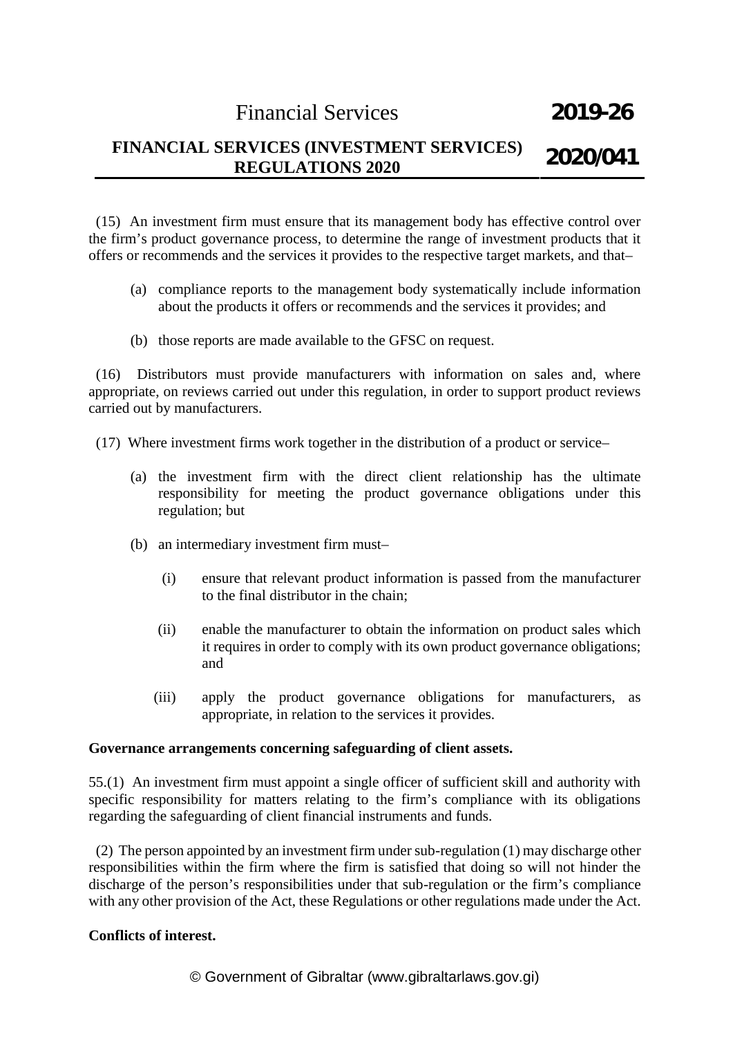## FINANCIAL SERVICES (INVESTMENT SERVICES) 2020/041 **REGULATIONS 2020**

(15) An investment firm must ensure that its management body has effective control over the firm's product governance process, to determine the range of investment products that it offers or recommends and the services it provides to the respective target markets, and that–

- (a) compliance reports to the management body systematically include information about the products it offers or recommends and the services it provides; and
- (b) those reports are made available to the GFSC on request.

(16) Distributors must provide manufacturers with information on sales and, where appropriate, on reviews carried out under this regulation, in order to support product reviews carried out by manufacturers.

(17) Where investment firms work together in the distribution of a product or service–

- (a) the investment firm with the direct client relationship has the ultimate responsibility for meeting the product governance obligations under this regulation; but
- (b) an intermediary investment firm must–
	- (i) ensure that relevant product information is passed from the manufacturer to the final distributor in the chain;
	- (ii) enable the manufacturer to obtain the information on product sales which it requires in order to comply with its own product governance obligations; and
	- (iii) apply the product governance obligations for manufacturers, as appropriate, in relation to the services it provides.

### **Governance arrangements concerning safeguarding of client assets.**

55.(1) An investment firm must appoint a single officer of sufficient skill and authority with specific responsibility for matters relating to the firm's compliance with its obligations regarding the safeguarding of client financial instruments and funds.

(2) The person appointed by an investment firm under sub-regulation (1) may discharge other responsibilities within the firm where the firm is satisfied that doing so will not hinder the discharge of the person's responsibilities under that sub-regulation or the firm's compliance with any other provision of the Act, these Regulations or other regulations made under the Act.

### **Conflicts of interest.**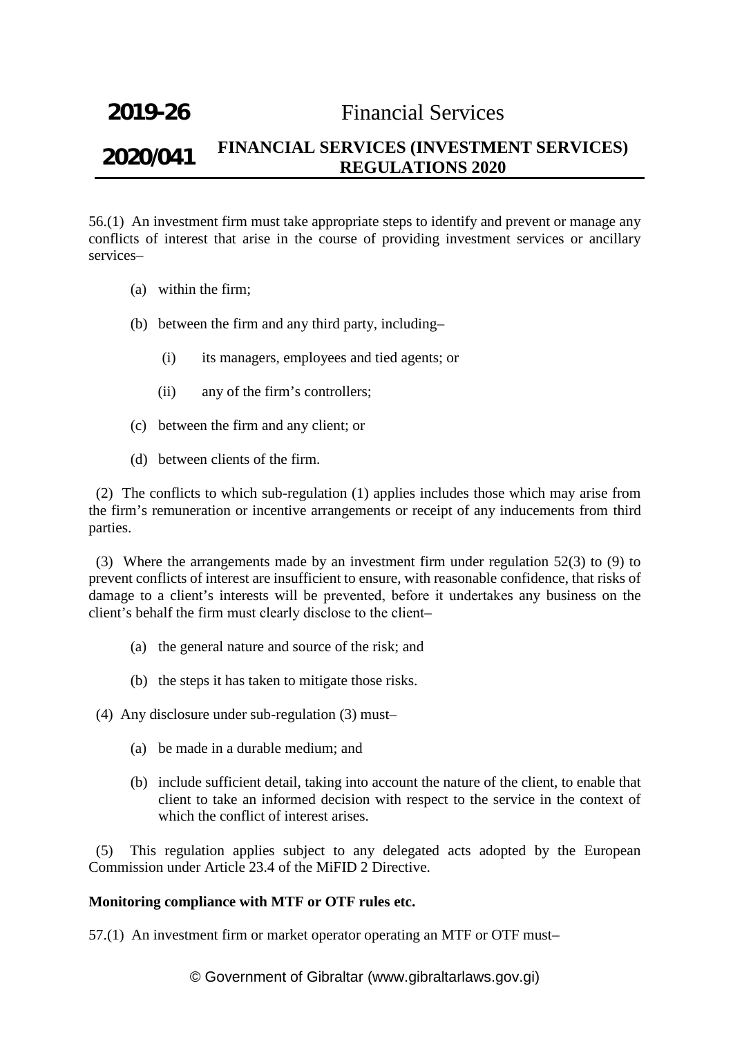# **2020/041 FINANCIAL SERVICES (INVESTMENT SERVICES) REGULATIONS 2020**

56.(1) An investment firm must take appropriate steps to identify and prevent or manage any conflicts of interest that arise in the course of providing investment services or ancillary services–

- (a) within the firm;
- (b) between the firm and any third party, including–
	- (i) its managers, employees and tied agents; or
	- (ii) any of the firm's controllers;
- (c) between the firm and any client; or
- (d) between clients of the firm.

(2) The conflicts to which sub-regulation (1) applies includes those which may arise from the firm's remuneration or incentive arrangements or receipt of any inducements from third parties.

(3) Where the arrangements made by an investment firm under regulation 52(3) to (9) to prevent conflicts of interest are insufficient to ensure, with reasonable confidence, that risks of damage to a client's interests will be prevented, before it undertakes any business on the client's behalf the firm must clearly disclose to the client–

- (a) the general nature and source of the risk; and
- (b) the steps it has taken to mitigate those risks.
- (4) Any disclosure under sub-regulation (3) must–
	- (a) be made in a durable medium; and
	- (b) include sufficient detail, taking into account the nature of the client, to enable that client to take an informed decision with respect to the service in the context of which the conflict of interest arises.

(5) This regulation applies subject to any delegated acts adopted by the European Commission under Article 23.4 of the MiFID 2 Directive.

### **Monitoring compliance with MTF or OTF rules etc.**

57.(1) An investment firm or market operator operating an MTF or OTF must–

© Government of Gibraltar (www.gibraltarlaws.gov.gi)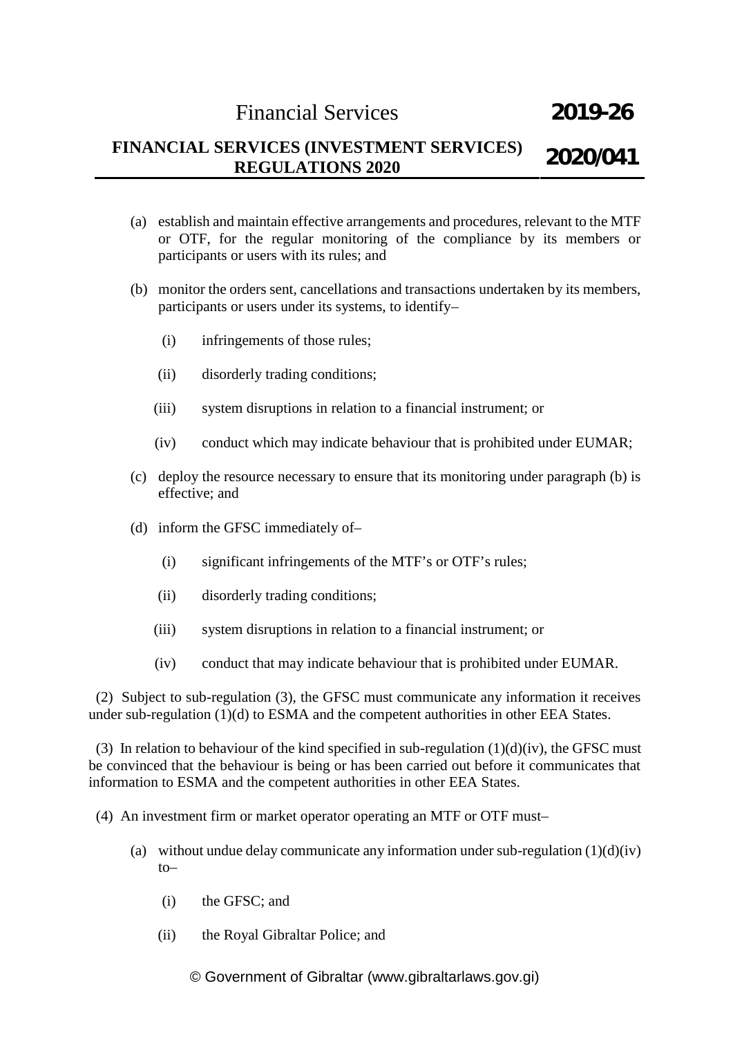# FINANCIAL SERVICES (INVESTMENT SERVICES) 2020/041 **REGULATIONS 2020**

- (a) establish and maintain effective arrangements and procedures, relevant to the MTF or OTF, for the regular monitoring of the compliance by its members or participants or users with its rules; and
- (b) monitor the orders sent, cancellations and transactions undertaken by its members, participants or users under its systems, to identify–
	- (i) infringements of those rules;
	- (ii) disorderly trading conditions;
	- (iii) system disruptions in relation to a financial instrument; or
	- (iv) conduct which may indicate behaviour that is prohibited under EUMAR;
- (c) deploy the resource necessary to ensure that its monitoring under paragraph (b) is effective; and
- (d) inform the GFSC immediately of–
	- (i) significant infringements of the MTF's or OTF's rules;
	- (ii) disorderly trading conditions;
	- (iii) system disruptions in relation to a financial instrument; or
	- (iv) conduct that may indicate behaviour that is prohibited under EUMAR.

(2) Subject to sub-regulation (3), the GFSC must communicate any information it receives under sub-regulation (1)(d) to ESMA and the competent authorities in other EEA States.

(3) In relation to behaviour of the kind specified in sub-regulation  $(1)(d)(iv)$ , the GFSC must be convinced that the behaviour is being or has been carried out before it communicates that information to ESMA and the competent authorities in other EEA States.

- (4) An investment firm or market operator operating an MTF or OTF must–
	- (a) without undue delay communicate any information under sub-regulation  $(1)(d)(iv)$ to–
		- (i) the GFSC; and
		- (ii) the Royal Gibraltar Police; and

© Government of Gibraltar (www.gibraltarlaws.gov.gi)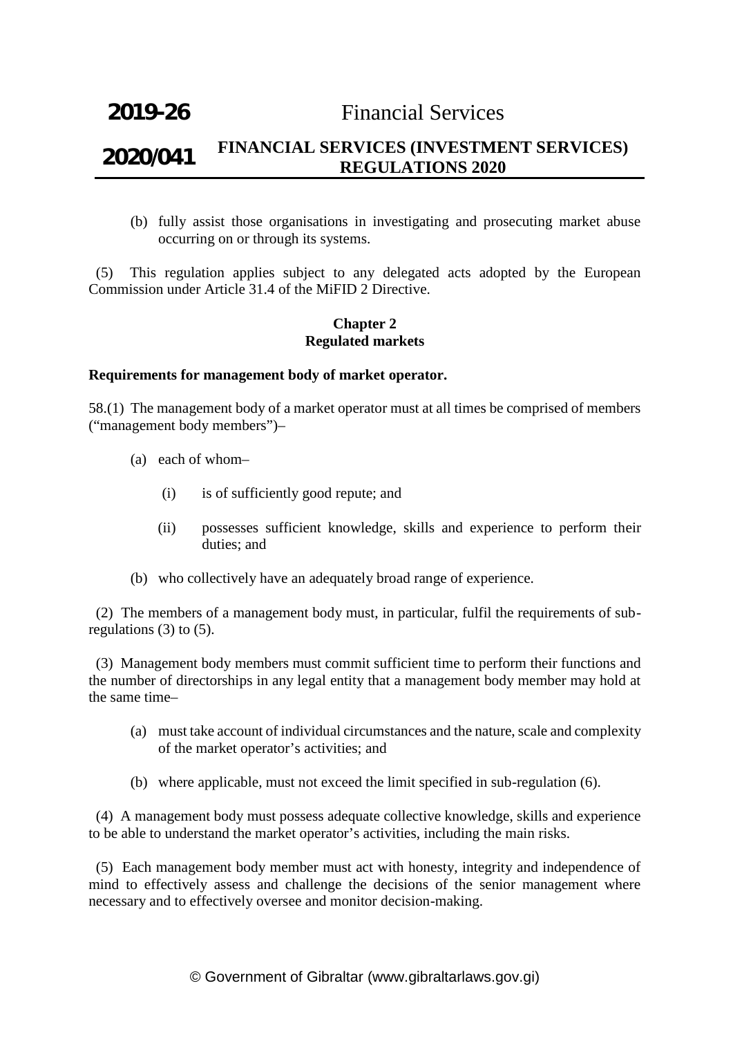# **2020/041 FINANCIAL SERVICES (INVESTMENT SERVICES) REGULATIONS 2020**

(b) fully assist those organisations in investigating and prosecuting market abuse occurring on or through its systems.

(5) This regulation applies subject to any delegated acts adopted by the European Commission under Article 31.4 of the MiFID 2 Directive.

### **Chapter 2 Regulated markets**

### **Requirements for management body of market operator.**

58.(1) The management body of a market operator must at all times be comprised of members ("management body members")–

- (a) each of whom–
	- (i) is of sufficiently good repute; and
	- (ii) possesses sufficient knowledge, skills and experience to perform their duties; and
- (b) who collectively have an adequately broad range of experience.

(2) The members of a management body must, in particular, fulfil the requirements of subregulations (3) to (5).

(3) Management body members must commit sufficient time to perform their functions and the number of directorships in any legal entity that a management body member may hold at the same time–

- (a) must take account of individual circumstances and the nature, scale and complexity of the market operator's activities; and
- (b) where applicable, must not exceed the limit specified in sub-regulation (6).

(4) A management body must possess adequate collective knowledge, skills and experience to be able to understand the market operator's activities, including the main risks.

(5) Each management body member must act with honesty, integrity and independence of mind to effectively assess and challenge the decisions of the senior management where necessary and to effectively oversee and monitor decision-making.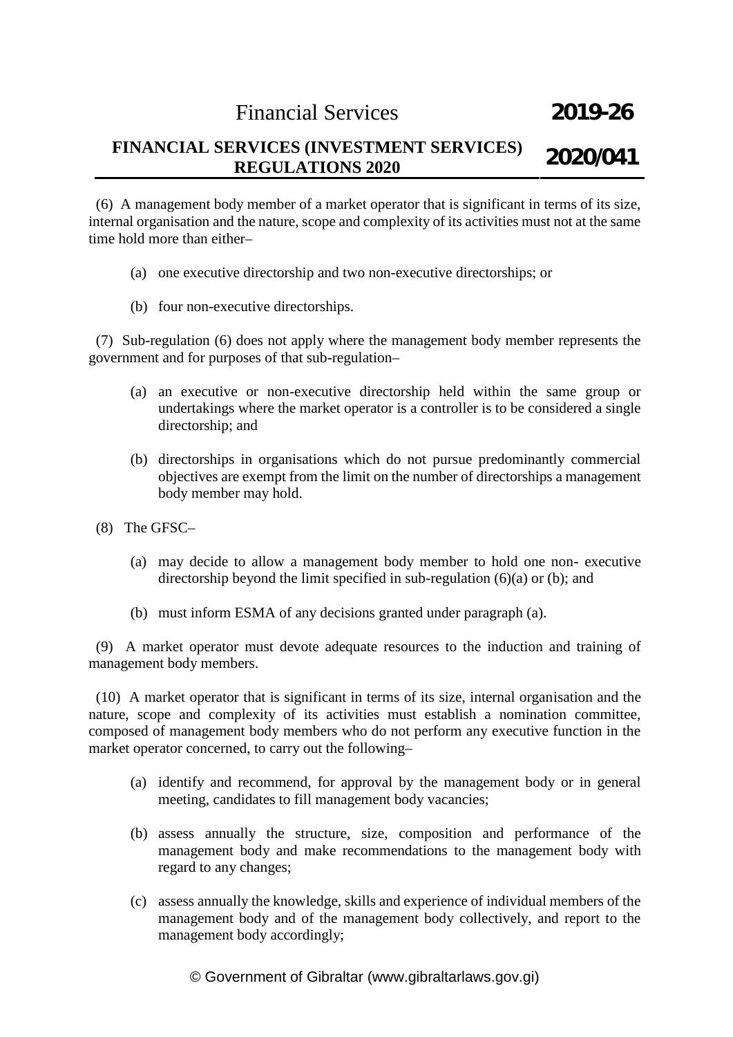# FINANCIAL SERVICES (INVESTMENT SERVICES) 2020/041 **REGULATIONS 2020**

(6) A management body member of a market operator that is significant in terms of its size, internal organisation and the nature, scope and complexity of its activities must not at the same time hold more than either–

- (a) one executive directorship and two non-executive directorships; or
- (b) four non-executive directorships.

(7) Sub-regulation (6) does not apply where the management body member represents the government and for purposes of that sub-regulation–

- (a) an executive or non-executive directorship held within the same group or undertakings where the market operator is a controller is to be considered a single directorship; and
- (b) directorships in organisations which do not pursue predominantly commercial objectives are exempt from the limit on the number of directorships a management body member may hold.
- (8) The GFSC–
	- (a) may decide to allow a management body member to hold one non- executive directorship beyond the limit specified in sub-regulation (6)(a) or (b); and
	- (b) must inform ESMA of any decisions granted under paragraph (a).

(9) A market operator must devote adequate resources to the induction and training of management body members.

(10) A market operator that is significant in terms of its size, internal organisation and the nature, scope and complexity of its activities must establish a nomination committee, composed of management body members who do not perform any executive function in the market operator concerned, to carry out the following–

- (a) identify and recommend, for approval by the management body or in general meeting, candidates to fill management body vacancies;
- (b) assess annually the structure, size, composition and performance of the management body and make recommendations to the management body with regard to any changes;
- (c) assess annually the knowledge, skills and experience of individual members of the management body and of the management body collectively, and report to the management body accordingly;

© Government of Gibraltar (www.gibraltarlaws.gov.gi)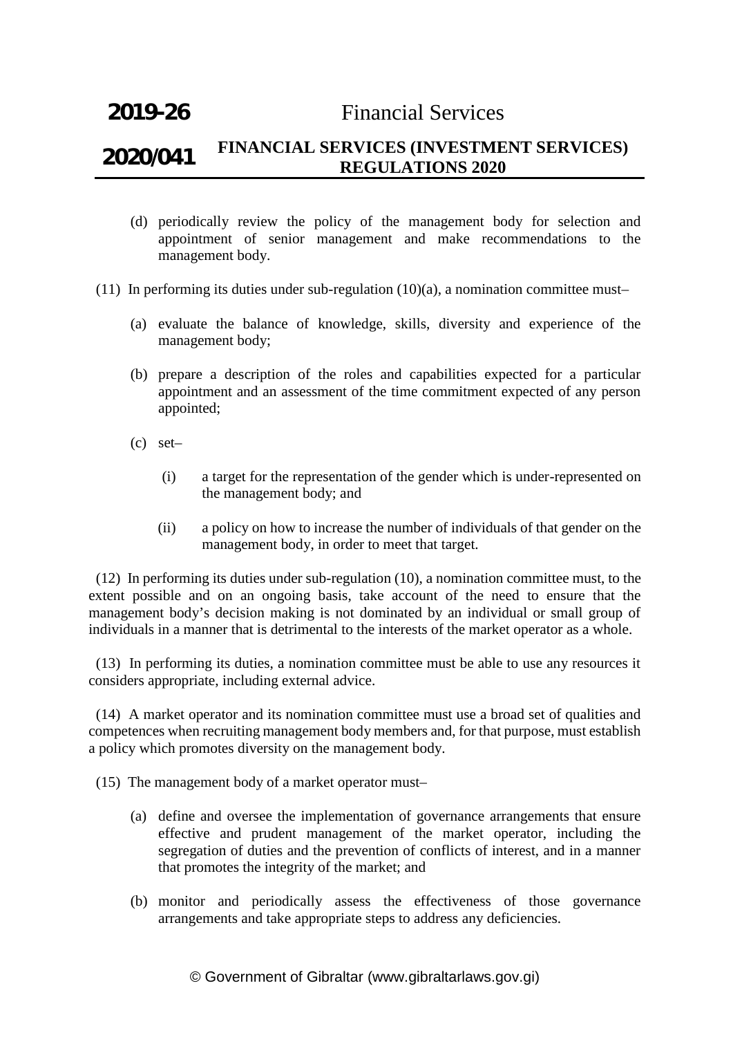## **2020/041 FINANCIAL SERVICES (INVESTMENT SERVICES) REGULATIONS 2020**

(d) periodically review the policy of the management body for selection and appointment of senior management and make recommendations to the management body.

(11) In performing its duties under sub-regulation  $(10)(a)$ , a nomination committee must–

- (a) evaluate the balance of knowledge, skills, diversity and experience of the management body;
- (b) prepare a description of the roles and capabilities expected for a particular appointment and an assessment of the time commitment expected of any person appointed;
- (c) set–
	- (i) a target for the representation of the gender which is under-represented on the management body; and
	- (ii) a policy on how to increase the number of individuals of that gender on the management body, in order to meet that target.

(12) In performing its duties under sub-regulation (10), a nomination committee must, to the extent possible and on an ongoing basis, take account of the need to ensure that the management body's decision making is not dominated by an individual or small group of individuals in a manner that is detrimental to the interests of the market operator as a whole.

(13) In performing its duties, a nomination committee must be able to use any resources it considers appropriate, including external advice.

(14) A market operator and its nomination committee must use a broad set of qualities and competences when recruiting management body members and, for that purpose, must establish a policy which promotes diversity on the management body.

(15) The management body of a market operator must–

- (a) define and oversee the implementation of governance arrangements that ensure effective and prudent management of the market operator, including the segregation of duties and the prevention of conflicts of interest, and in a manner that promotes the integrity of the market; and
- (b) monitor and periodically assess the effectiveness of those governance arrangements and take appropriate steps to address any deficiencies.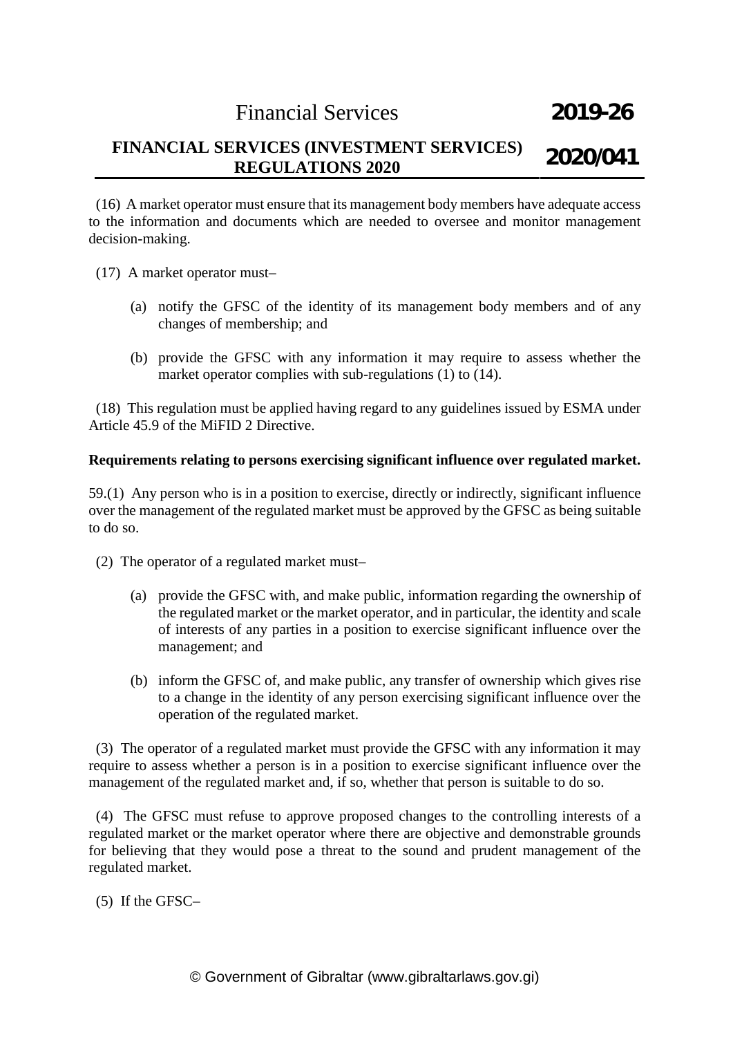# FINANCIAL SERVICES (INVESTMENT SERVICES) 2020/041 **REGULATIONS 2020**

(16) A market operator must ensure that its management body members have adequate access to the information and documents which are needed to oversee and monitor management decision-making.

(17) A market operator must–

- (a) notify the GFSC of the identity of its management body members and of any changes of membership; and
- (b) provide the GFSC with any information it may require to assess whether the market operator complies with sub-regulations (1) to (14).

(18) This regulation must be applied having regard to any guidelines issued by ESMA under Article 45.9 of the MiFID 2 Directive.

### **Requirements relating to persons exercising significant influence over regulated market.**

59.(1) Any person who is in a position to exercise, directly or indirectly, significant influence over the management of the regulated market must be approved by the GFSC as being suitable to do so.

(2) The operator of a regulated market must–

- (a) provide the GFSC with, and make public, information regarding the ownership of the regulated market or the market operator, and in particular, the identity and scale of interests of any parties in a position to exercise significant influence over the management; and
- (b) inform the GFSC of, and make public, any transfer of ownership which gives rise to a change in the identity of any person exercising significant influence over the operation of the regulated market.

(3) The operator of a regulated market must provide the GFSC with any information it may require to assess whether a person is in a position to exercise significant influence over the management of the regulated market and, if so, whether that person is suitable to do so.

(4) The GFSC must refuse to approve proposed changes to the controlling interests of a regulated market or the market operator where there are objective and demonstrable grounds for believing that they would pose a threat to the sound and prudent management of the regulated market.

(5) If the GFSC–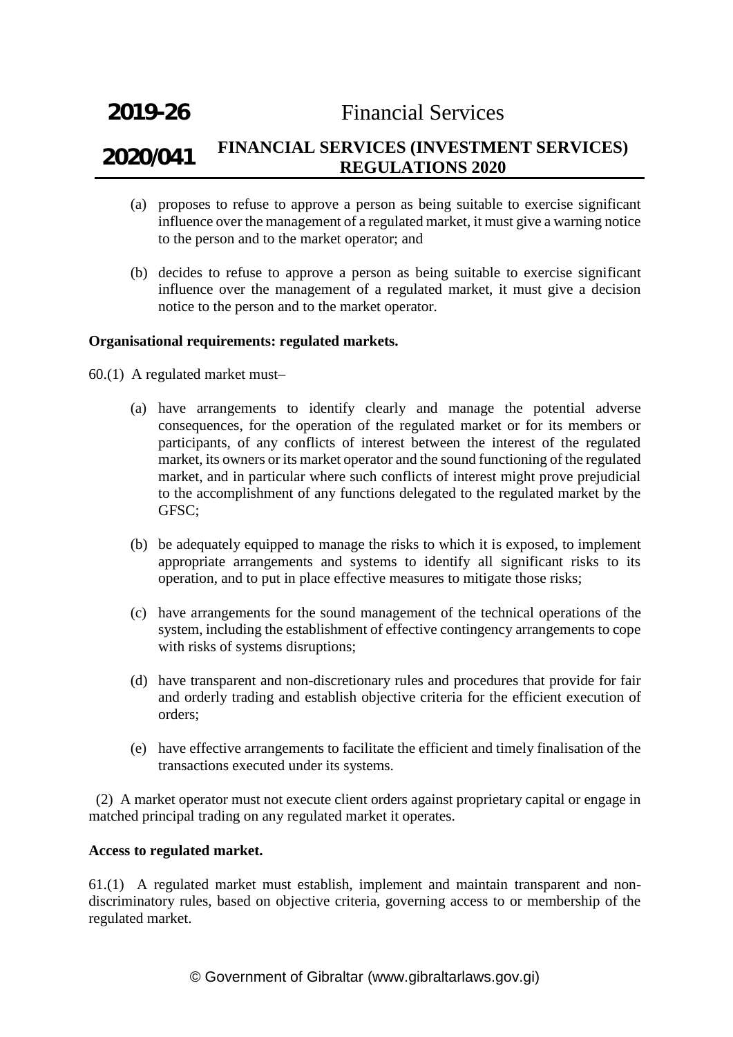## **2020/041 FINANCIAL SERVICES (INVESTMENT SERVICES) REGULATIONS 2020**

- (a) proposes to refuse to approve a person as being suitable to exercise significant influence over the management of a regulated market, it must give a warning notice to the person and to the market operator; and
- (b) decides to refuse to approve a person as being suitable to exercise significant influence over the management of a regulated market, it must give a decision notice to the person and to the market operator.

### **Organisational requirements: regulated markets.**

60.(1) A regulated market must–

- (a) have arrangements to identify clearly and manage the potential adverse consequences, for the operation of the regulated market or for its members or participants, of any conflicts of interest between the interest of the regulated market, its owners or its market operator and the sound functioning of the regulated market, and in particular where such conflicts of interest might prove prejudicial to the accomplishment of any functions delegated to the regulated market by the GFSC;
- (b) be adequately equipped to manage the risks to which it is exposed, to implement appropriate arrangements and systems to identify all significant risks to its operation, and to put in place effective measures to mitigate those risks;
- (c) have arrangements for the sound management of the technical operations of the system, including the establishment of effective contingency arrangements to cope with risks of systems disruptions:
- (d) have transparent and non-discretionary rules and procedures that provide for fair and orderly trading and establish objective criteria for the efficient execution of orders;
- (e) have effective arrangements to facilitate the efficient and timely finalisation of the transactions executed under its systems.

(2) A market operator must not execute client orders against proprietary capital or engage in matched principal trading on any regulated market it operates.

### **Access to regulated market.**

61.(1) A regulated market must establish, implement and maintain transparent and non discriminatory rules, based on objective criteria, governing access to or membership of the regulated market.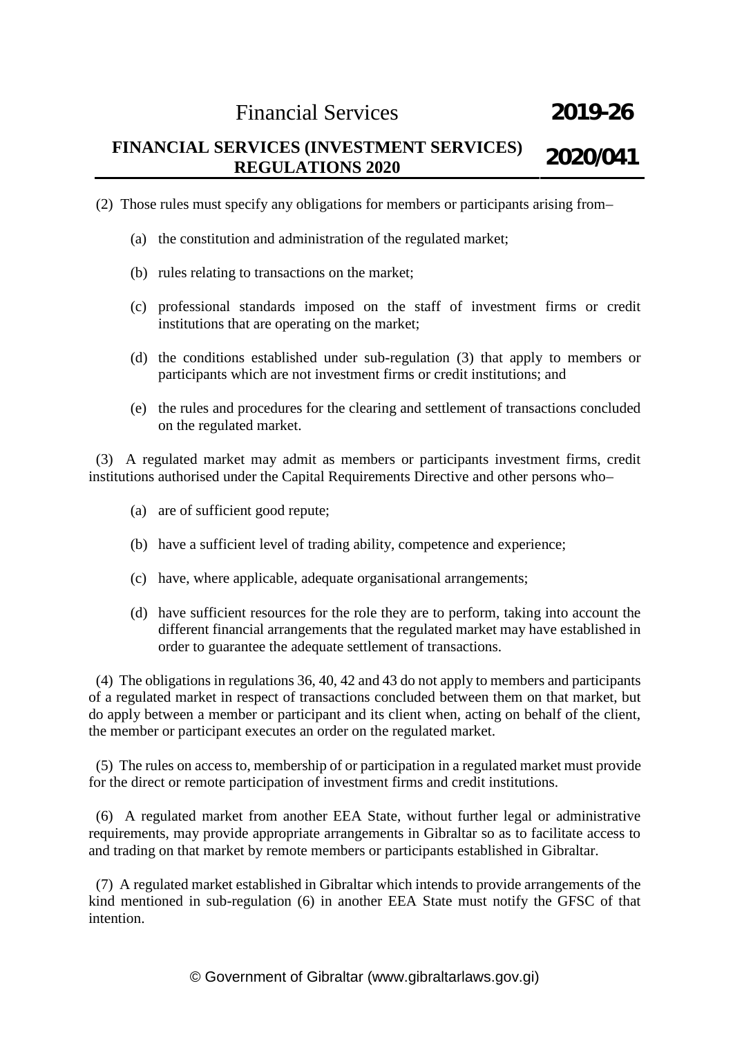# FINANCIAL SERVICES (INVESTMENT SERVICES) 2020/041 **REGULATIONS 2020**

- (2) Those rules must specify any obligations for members or participants arising from–
	- (a) the constitution and administration of the regulated market;
	- (b) rules relating to transactions on the market;
	- (c) professional standards imposed on the staff of investment firms or credit institutions that are operating on the market;
	- (d) the conditions established under sub-regulation (3) that apply to members or participants which are not investment firms or credit institutions; and
	- (e) the rules and procedures for the clearing and settlement of transactions concluded on the regulated market.

(3) A regulated market may admit as members or participants investment firms, credit institutions authorised under the Capital Requirements Directive and other persons who–

- (a) are of sufficient good repute;
- (b) have a sufficient level of trading ability, competence and experience;
- (c) have, where applicable, adequate organisational arrangements;
- (d) have sufficient resources for the role they are to perform, taking into account the different financial arrangements that the regulated market may have established in order to guarantee the adequate settlement of transactions.

(4) The obligations in regulations 36, 40, 42 and 43 do not apply to members and participants of a regulated market in respect of transactions concluded between them on that market, but do apply between a member or participant and its client when, acting on behalf of the client, the member or participant executes an order on the regulated market.

(5) The rules on access to, membership of or participation in a regulated market must provide for the direct or remote participation of investment firms and credit institutions.

(6) A regulated market from another EEA State, without further legal or administrative requirements, may provide appropriate arrangements in Gibraltar so as to facilitate access to and trading on that market by remote members or participants established in Gibraltar.

(7) A regulated market established in Gibraltar which intends to provide arrangements of the kind mentioned in sub-regulation (6) in another EEA State must notify the GFSC of that intention.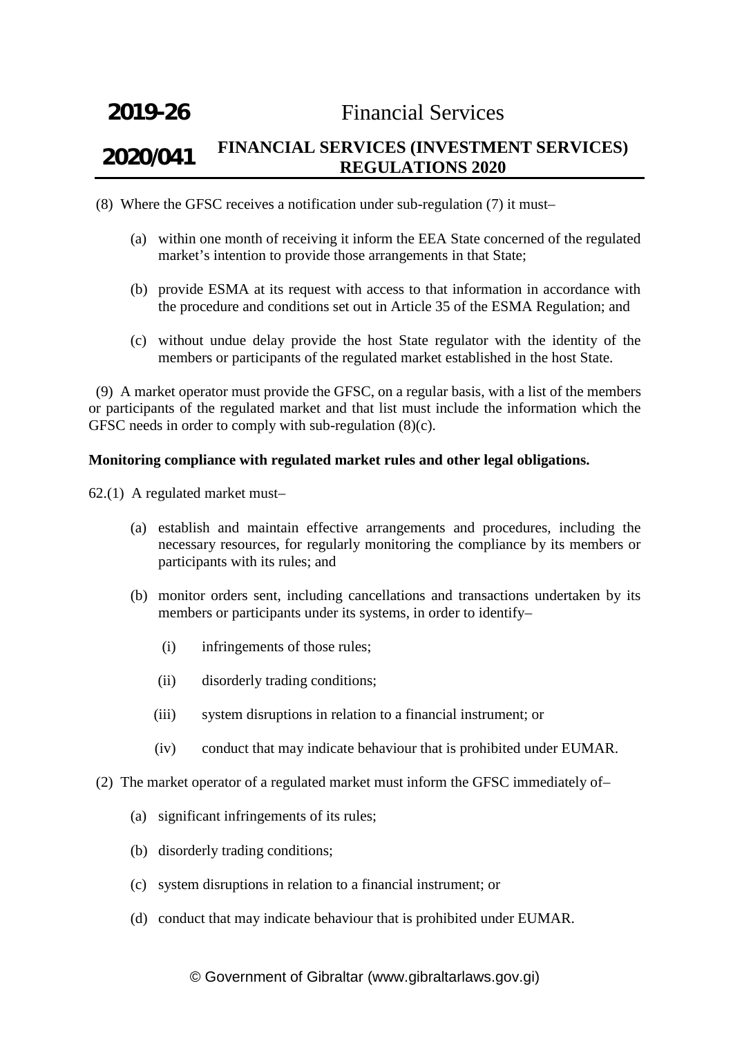### **2020/041 FINANCIAL SERVICES (INVESTMENT SERVICES) REGULATIONS 2020**

(8) Where the GFSC receives a notification under sub-regulation (7) it must–

- (a) within one month of receiving it inform the EEA State concerned of the regulated market's intention to provide those arrangements in that State;
- (b) provide ESMA at its request with access to that information in accordance with the procedure and conditions set out in Article 35 of the ESMA Regulation; and
- (c) without undue delay provide the host State regulator with the identity of the members or participants of the regulated market established in the host State.

(9) A market operator must provide the GFSC, on a regular basis, with a list of the members or participants of the regulated market and that list must include the information which the GFSC needs in order to comply with sub-regulation (8)(c).

### **Monitoring compliance with regulated market rules and other legal obligations.**

62.(1) A regulated market must–

- (a) establish and maintain effective arrangements and procedures, including the necessary resources, for regularly monitoring the compliance by its members or participants with its rules; and
- (b) monitor orders sent, including cancellations and transactions undertaken by its members or participants under its systems, in order to identify–
	- (i) infringements of those rules;
	- (ii) disorderly trading conditions;
	- (iii) system disruptions in relation to a financial instrument; or
	- (iv) conduct that may indicate behaviour that is prohibited under EUMAR.
- (2) The market operator of a regulated market must inform the GFSC immediately of–
	- (a) significant infringements of its rules;
	- (b) disorderly trading conditions;
	- (c) system disruptions in relation to a financial instrument; or
	- (d) conduct that may indicate behaviour that is prohibited under EUMAR.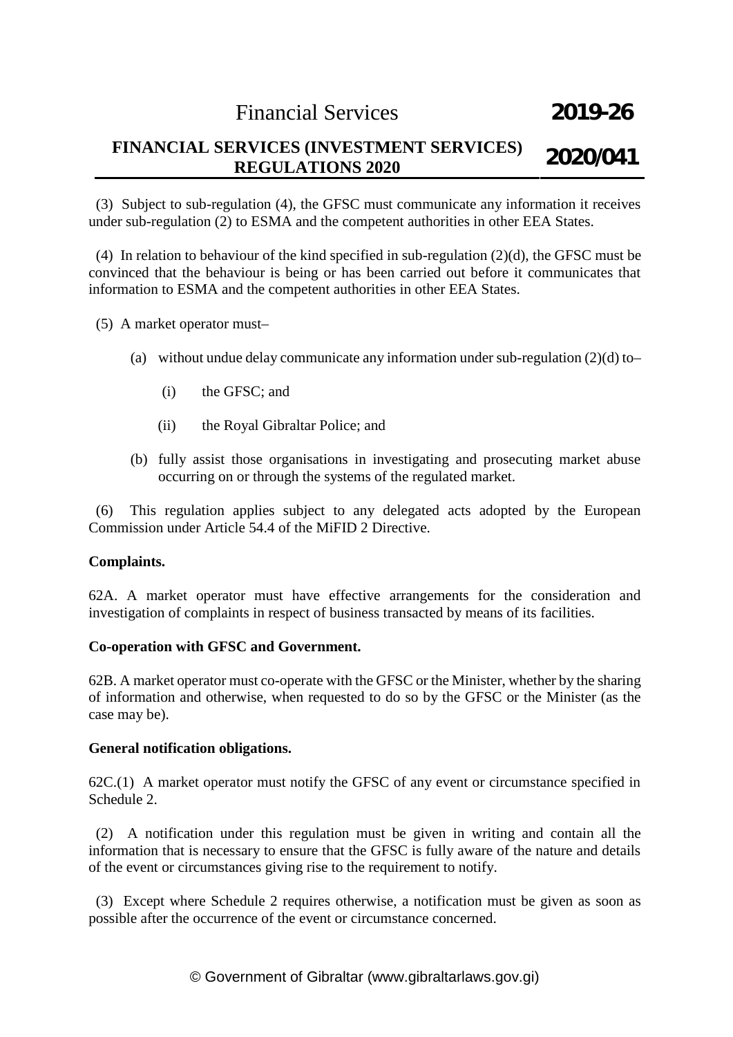# FINANCIAL SERVICES (INVESTMENT SERVICES) 2020/041 **REGULATIONS 2020**

(3) Subject to sub-regulation (4), the GFSC must communicate any information it receives under sub-regulation (2) to ESMA and the competent authorities in other EEA States.

(4) In relation to behaviour of the kind specified in sub-regulation (2)(d), the GFSC must be convinced that the behaviour is being or has been carried out before it communicates that information to ESMA and the competent authorities in other EEA States.

(5) A market operator must–

- (a) without undue delay communicate any information under sub-regulation  $(2)(d)$  to–
	- (i) the GFSC; and
	- (ii) the Royal Gibraltar Police; and
- (b) fully assist those organisations in investigating and prosecuting market abuse occurring on or through the systems of the regulated market.

(6) This regulation applies subject to any delegated acts adopted by the European Commission under Article 54.4 of the MiFID 2 Directive.

### **Complaints.**

62A. A market operator must have effective arrangements for the consideration and investigation of complaints in respect of business transacted by means of its facilities.

### **Co-operation with GFSC and Government.**

62B. A market operator must co-operate with the GFSC or the Minister, whether by the sharing of information and otherwise, when requested to do so by the GFSC or the Minister (as the case may be).

### **General notification obligations.**

62C.(1) A market operator must notify the GFSC of any event or circumstance specified in Schedule 2.

(2) A notification under this regulation must be given in writing and contain all the information that is necessary to ensure that the GFSC is fully aware of the nature and details of the event or circumstances giving rise to the requirement to notify.

(3) Except where Schedule 2 requires otherwise, a notification must be given as soon as possible after the occurrence of the event or circumstance concerned.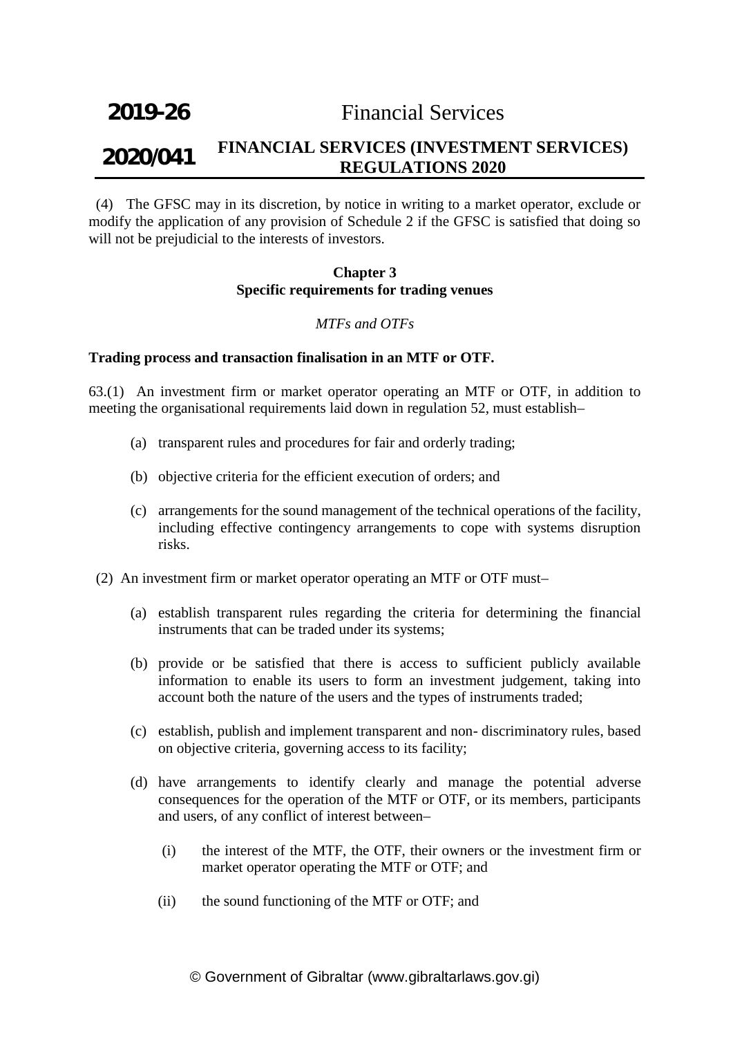## **2020/041 FINANCIAL SERVICES (INVESTMENT SERVICES) REGULATIONS 2020**

(4) The GFSC may in its discretion, by notice in writing to a market operator, exclude or modify the application of any provision of Schedule 2 if the GFSC is satisfied that doing so will not be prejudicial to the interests of investors.

### **Chapter 3 Specific requirements for trading venues**

### *MTFs and OTFs*

### **Trading process and transaction finalisation in an MTF or OTF.**

63.(1) An investment firm or market operator operating an MTF or OTF, in addition to meeting the organisational requirements laid down in regulation 52, must establish–

- (a) transparent rules and procedures for fair and orderly trading;
- (b) objective criteria for the efficient execution of orders; and
- (c) arrangements for the sound management of the technical operations of the facility, including effective contingency arrangements to cope with systems disruption risks.
- (2) An investment firm or market operator operating an MTF or OTF must–
	- (a) establish transparent rules regarding the criteria for determining the financial instruments that can be traded under its systems;
	- (b) provide or be satisfied that there is access to sufficient publicly available information to enable its users to form an investment judgement, taking into account both the nature of the users and the types of instruments traded;
	- (c) establish, publish and implement transparent and non- discriminatory rules, based on objective criteria, governing access to its facility;
	- (d) have arrangements to identify clearly and manage the potential adverse consequences for the operation of the MTF or OTF, or its members, participants and users, of any conflict of interest between–
		- (i) the interest of the MTF, the OTF, their owners or the investment firm or market operator operating the MTF or OTF; and
		- (ii) the sound functioning of the MTF or OTF; and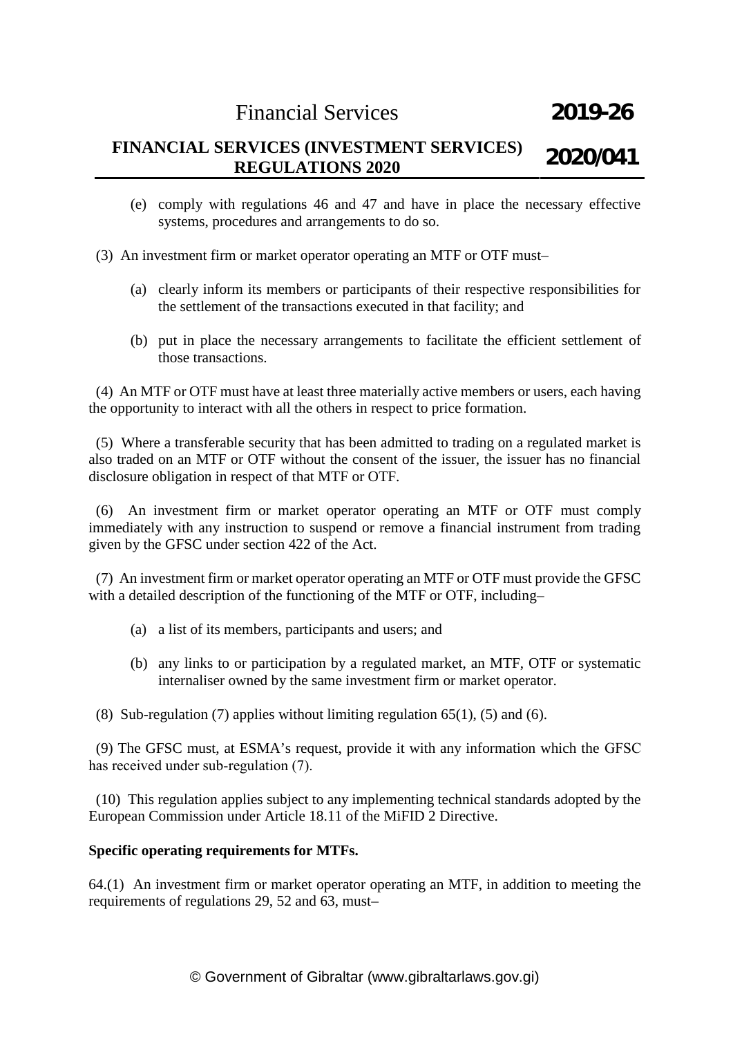# FINANCIAL SERVICES (INVESTMENT SERVICES) 2020/041 **REGULATIONS 2020**

(e) comply with regulations 46 and 47 and have in place the necessary effective systems, procedures and arrangements to do so.

(3) An investment firm or market operator operating an MTF or OTF must–

- (a) clearly inform its members or participants of their respective responsibilities for the settlement of the transactions executed in that facility; and
- (b) put in place the necessary arrangements to facilitate the efficient settlement of those transactions.

(4) An MTF or OTF must have at least three materially active members or users, each having the opportunity to interact with all the others in respect to price formation.

(5) Where a transferable security that has been admitted to trading on a regulated market is also traded on an MTF or OTF without the consent of the issuer, the issuer has no financial disclosure obligation in respect of that MTF or OTF.

(6) An investment firm or market operator operating an MTF or OTF must comply immediately with any instruction to suspend or remove a financial instrument from trading given by the GFSC under section 422 of the Act.

(7) An investment firm or market operator operating an MTF or OTF must provide the GFSC with a detailed description of the functioning of the MTF or OTF, including–

- (a) a list of its members, participants and users; and
- (b) any links to or participation by a regulated market, an MTF, OTF or systematic internaliser owned by the same investment firm or market operator.

(8) Sub-regulation (7) applies without limiting regulation 65(1), (5) and (6).

(9) The GFSC must, at ESMA's request, provide it with any information which the GFSC has received under sub-regulation (7).

(10) This regulation applies subject to any implementing technical standards adopted by the European Commission under Article 18.11 of the MiFID 2 Directive.

### **Specific operating requirements for MTFs.**

64.(1) An investment firm or market operator operating an MTF, in addition to meeting the requirements of regulations 29, 52 and 63, must–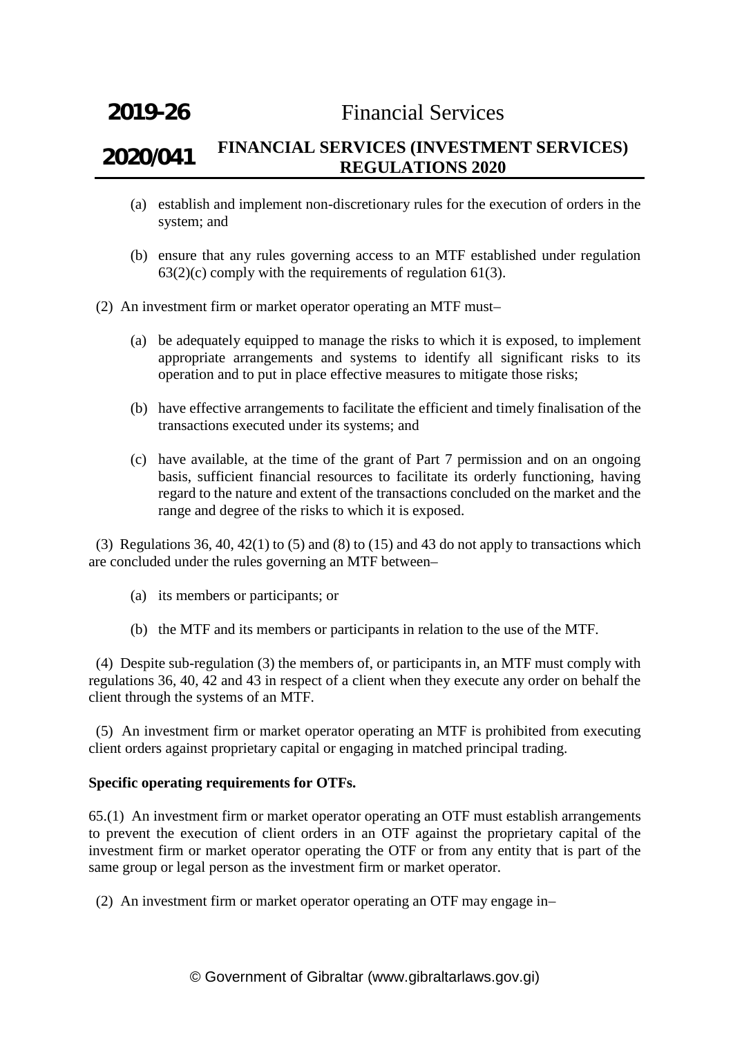# **2020/041 FINANCIAL SERVICES (INVESTMENT SERVICES) REGULATIONS 2020**

- (a) establish and implement non-discretionary rules for the execution of orders in the system; and
- (b) ensure that any rules governing access to an MTF established under regulation  $63(2)(c)$  comply with the requirements of regulation 61(3).
- (2) An investment firm or market operator operating an MTF must–
	- (a) be adequately equipped to manage the risks to which it is exposed, to implement appropriate arrangements and systems to identify all significant risks to its operation and to put in place effective measures to mitigate those risks;
	- (b) have effective arrangements to facilitate the efficient and timely finalisation of the transactions executed under its systems; and
	- (c) have available, at the time of the grant of Part 7 permission and on an ongoing basis, sufficient financial resources to facilitate its orderly functioning, having regard to the nature and extent of the transactions concluded on the market and the range and degree of the risks to which it is exposed.

(3) Regulations 36, 40, 42(1) to (5) and (8) to (15) and 43 do not apply to transactions which are concluded under the rules governing an MTF between–

- (a) its members or participants; or
- (b) the MTF and its members or participants in relation to the use of the MTF.

(4) Despite sub-regulation (3) the members of, or participants in, an MTF must comply with regulations 36, 40, 42 and 43 in respect of a client when they execute any order on behalf the client through the systems of an MTF.

(5) An investment firm or market operator operating an MTF is prohibited from executing client orders against proprietary capital or engaging in matched principal trading.

### **Specific operating requirements for OTFs.**

65.(1) An investment firm or market operator operating an OTF must establish arrangements to prevent the execution of client orders in an OTF against the proprietary capital of the investment firm or market operator operating the OTF or from any entity that is part of the same group or legal person as the investment firm or market operator.

(2) An investment firm or market operator operating an OTF may engage in–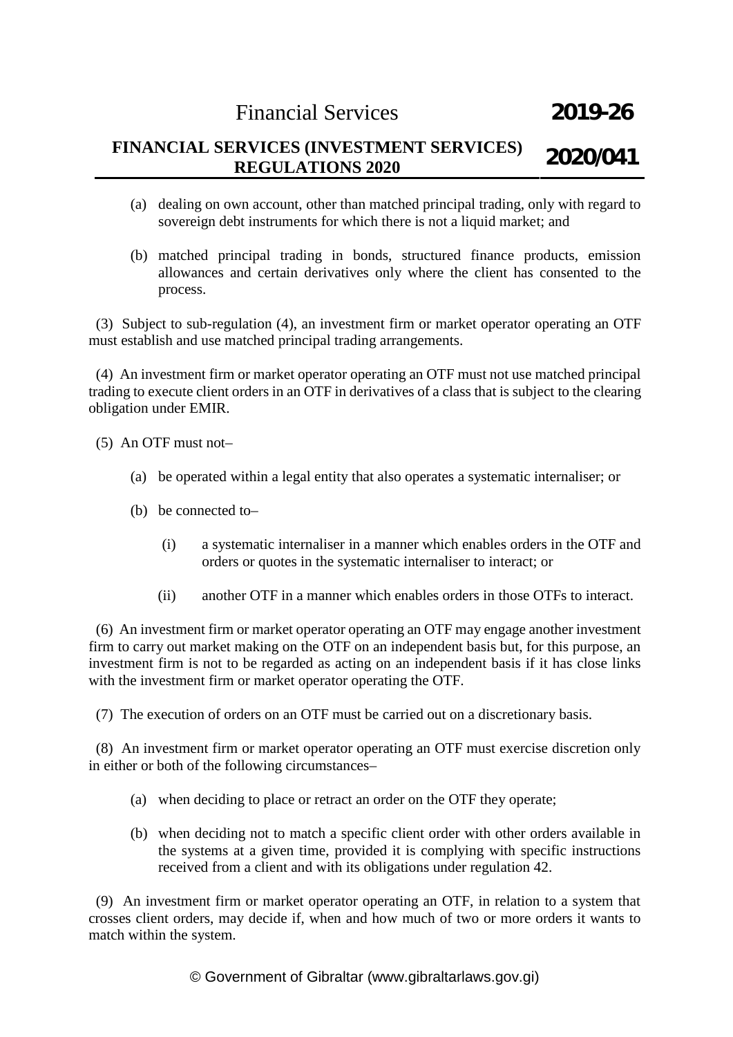# FINANCIAL SERVICES (INVESTMENT SERVICES) 2020/041 **REGULATIONS 2020**

- (a) dealing on own account, other than matched principal trading, only with regard to sovereign debt instruments for which there is not a liquid market; and
- (b) matched principal trading in bonds, structured finance products, emission allowances and certain derivatives only where the client has consented to the process.

(3) Subject to sub-regulation (4), an investment firm or market operator operating an OTF must establish and use matched principal trading arrangements.

(4) An investment firm or market operator operating an OTF must not use matched principal trading to execute client orders in an OTF in derivatives of a class that is subject to the clearing obligation under EMIR.

(5) An OTF must not–

- (a) be operated within a legal entity that also operates a systematic internaliser; or
- (b) be connected to–
	- (i) a systematic internaliser in a manner which enables orders in the OTF and orders or quotes in the systematic internaliser to interact; or
	- (ii) another OTF in a manner which enables orders in those OTFs to interact.

(6) An investment firm or market operator operating an OTF may engage another investment firm to carry out market making on the OTF on an independent basis but, for this purpose, an investment firm is not to be regarded as acting on an independent basis if it has close links with the investment firm or market operator operating the OTF.

(7) The execution of orders on an OTF must be carried out on a discretionary basis.

(8) An investment firm or market operator operating an OTF must exercise discretion only in either or both of the following circumstances–

- (a) when deciding to place or retract an order on the OTF they operate;
- (b) when deciding not to match a specific client order with other orders available in the systems at a given time, provided it is complying with specific instructions received from a client and with its obligations under regulation 42.

(9) An investment firm or market operator operating an OTF, in relation to a system that crosses client orders, may decide if, when and how much of two or more orders it wants to match within the system.

© Government of Gibraltar (www.gibraltarlaws.gov.gi)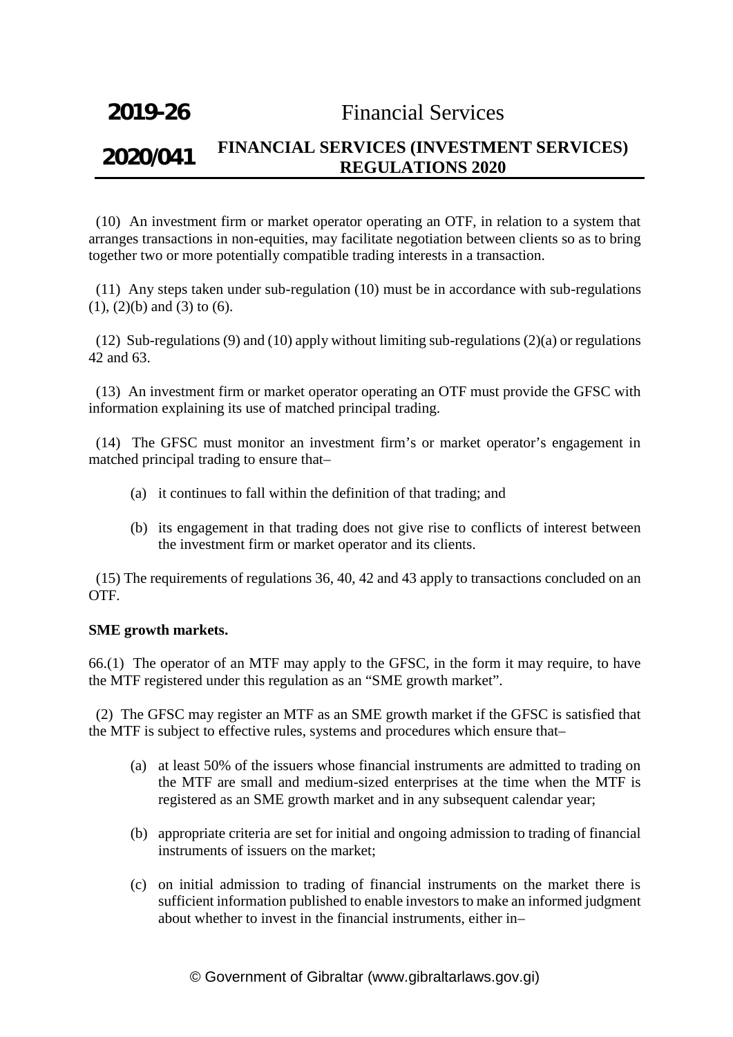# **2020/041 FINANCIAL SERVICES (INVESTMENT SERVICES) REGULATIONS 2020**

(10) An investment firm or market operator operating an OTF, in relation to a system that arranges transactions in non-equities, may facilitate negotiation between clients so as to bring together two or more potentially compatible trading interests in a transaction.

(11) Any steps taken under sub-regulation (10) must be in accordance with sub-regulations (1), (2)(b) and (3) to (6).

(12) Sub-regulations (9) and (10) apply without limiting sub-regulations (2)(a) or regulations 42 and 63.

(13) An investment firm or market operator operating an OTF must provide the GFSC with information explaining its use of matched principal trading.

(14) The GFSC must monitor an investment firm's or market operator's engagement in matched principal trading to ensure that–

- (a) it continues to fall within the definition of that trading; and
- (b) its engagement in that trading does not give rise to conflicts of interest between the investment firm or market operator and its clients.

(15) The requirements of regulations 36, 40, 42 and 43 apply to transactions concluded on an OTF.

### **SME growth markets.**

66.(1) The operator of an MTF may apply to the GFSC, in the form it may require, to have the MTF registered under this regulation as an "SME growth market".

(2) The GFSC may register an MTF as an SME growth market if the GFSC is satisfied that the MTF is subject to effective rules, systems and procedures which ensure that–

- (a) at least 50% of the issuers whose financial instruments are admitted to trading on the MTF are small and medium-sized enterprises at the time when the MTF is registered as an SME growth market and in any subsequent calendar year;
- (b) appropriate criteria are set for initial and ongoing admission to trading of financial instruments of issuers on the market;
- (c) on initial admission to trading of financial instruments on the market there is sufficient information published to enable investors to make an informed judgment about whether to invest in the financial instruments, either in–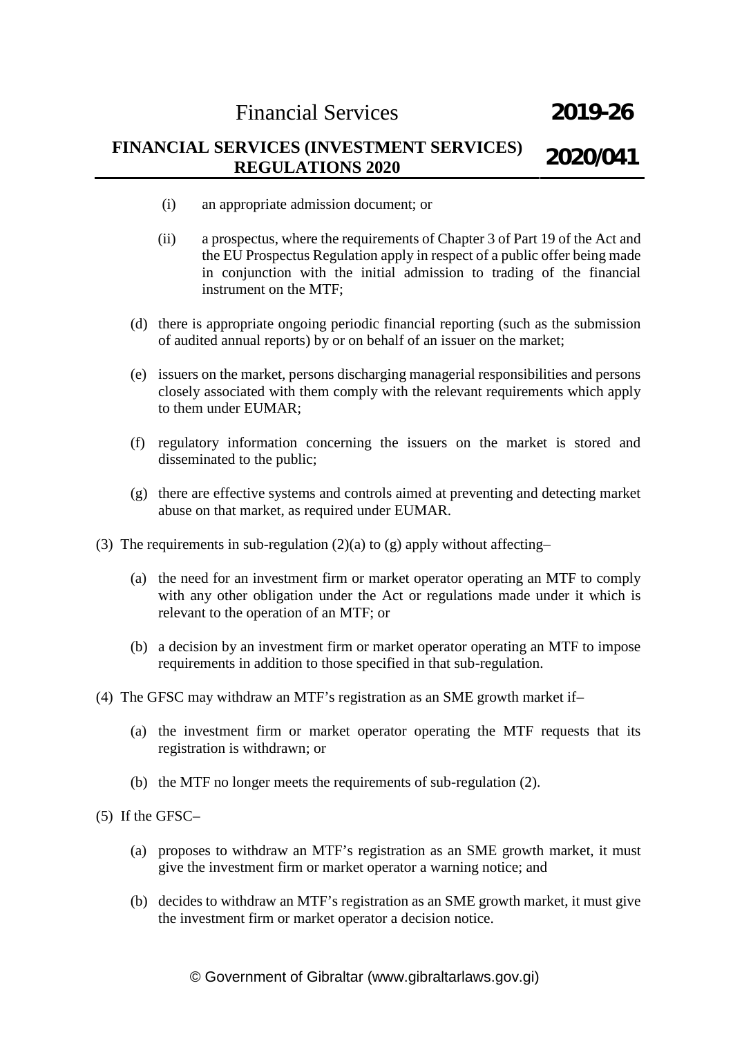## FINANCIAL SERVICES (INVESTMENT SERVICES) 2020/041 **REGULATIONS 2020**

- (i) an appropriate admission document; or
- (ii) a prospectus, where the requirements of Chapter 3 of Part 19 of the Act and the EU Prospectus Regulation apply in respect of a public offer being made in conjunction with the initial admission to trading of the financial instrument on the MTF;
- (d) there is appropriate ongoing periodic financial reporting (such as the submission of audited annual reports) by or on behalf of an issuer on the market;
- (e) issuers on the market, persons discharging managerial responsibilities and persons closely associated with them comply with the relevant requirements which apply to them under EUMAR;
- (f) regulatory information concerning the issuers on the market is stored and disseminated to the public;
- (g) there are effective systems and controls aimed at preventing and detecting market abuse on that market, as required under EUMAR.
- (3) The requirements in sub-regulation  $(2)(a)$  to  $(g)$  apply without affecting–
	- (a) the need for an investment firm or market operator operating an MTF to comply with any other obligation under the Act or regulations made under it which is relevant to the operation of an MTF; or
	- (b) a decision by an investment firm or market operator operating an MTF to impose requirements in addition to those specified in that sub-regulation.
- (4) The GFSC may withdraw an MTF's registration as an SME growth market if–
	- (a) the investment firm or market operator operating the MTF requests that its registration is withdrawn; or
	- (b) the MTF no longer meets the requirements of sub-regulation (2).
- (5) If the GFSC–
	- (a) proposes to withdraw an MTF's registration as an SME growth market, it must give the investment firm or market operator a warning notice; and
	- (b) decides to withdraw an MTF's registration as an SME growth market, it must give the investment firm or market operator a decision notice.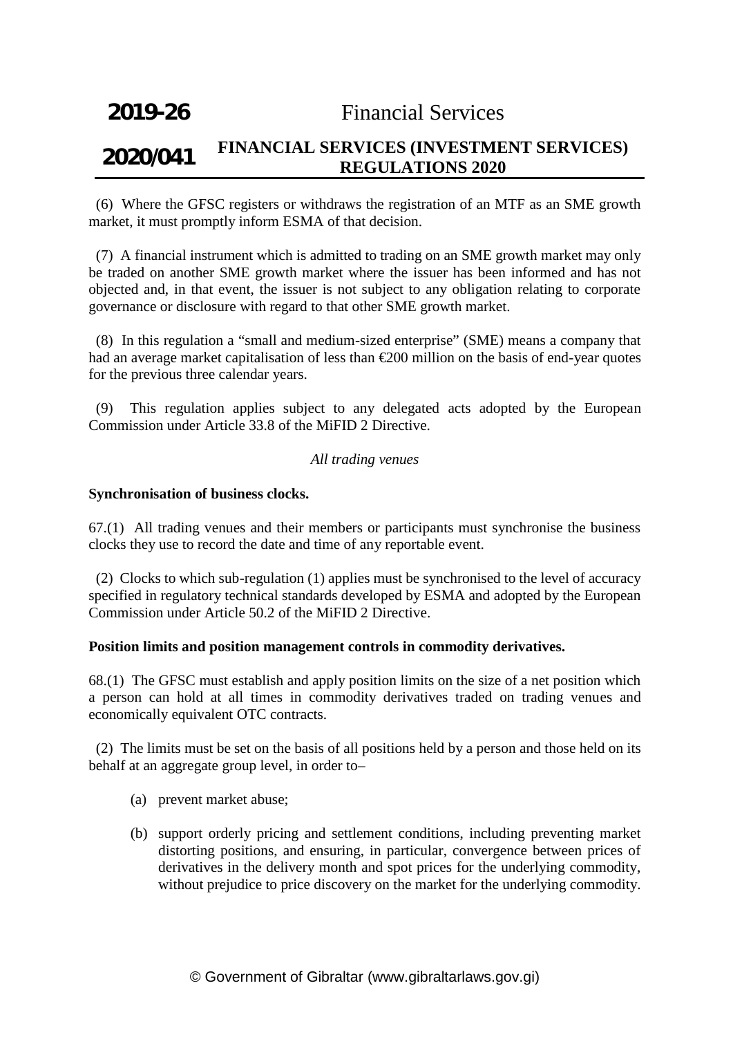### **2020/041 FINANCIAL SERVICES (INVESTMENT SERVICES) REGULATIONS 2020**

(6) Where the GFSC registers or withdraws the registration of an MTF as an SME growth market, it must promptly inform ESMA of that decision.

(7) A financial instrument which is admitted to trading on an SME growth market may only be traded on another SME growth market where the issuer has been informed and has not objected and, in that event, the issuer is not subject to any obligation relating to corporate governance or disclosure with regard to that other SME growth market.

(8) In this regulation a "small and medium-sized enterprise" (SME) means a company that had an average market capitalisation of less than  $\epsilon$ 200 million on the basis of end-year quotes for the previous three calendar years.

(9) This regulation applies subject to any delegated acts adopted by the European Commission under Article 33.8 of the MiFID 2 Directive.

#### *All trading venues*

#### **Synchronisation of business clocks.**

67.(1) All trading venues and their members or participants must synchronise the business clocks they use to record the date and time of any reportable event.

(2) Clocks to which sub-regulation (1) applies must be synchronised to the level of accuracy specified in regulatory technical standards developed by ESMA and adopted by the European Commission under Article 50.2 of the MiFID 2 Directive.

### **Position limits and position management controls in commodity derivatives.**

68.(1) The GFSC must establish and apply position limits on the size of a net position which a person can hold at all times in commodity derivatives traded on trading venues and economically equivalent OTC contracts.

(2) The limits must be set on the basis of all positions held by a person and those held on its behalf at an aggregate group level, in order to–

- (a) prevent market abuse;
- (b) support orderly pricing and settlement conditions, including preventing market distorting positions, and ensuring, in particular, convergence between prices of derivatives in the delivery month and spot prices for the underlying commodity, without prejudice to price discovery on the market for the underlying commodity.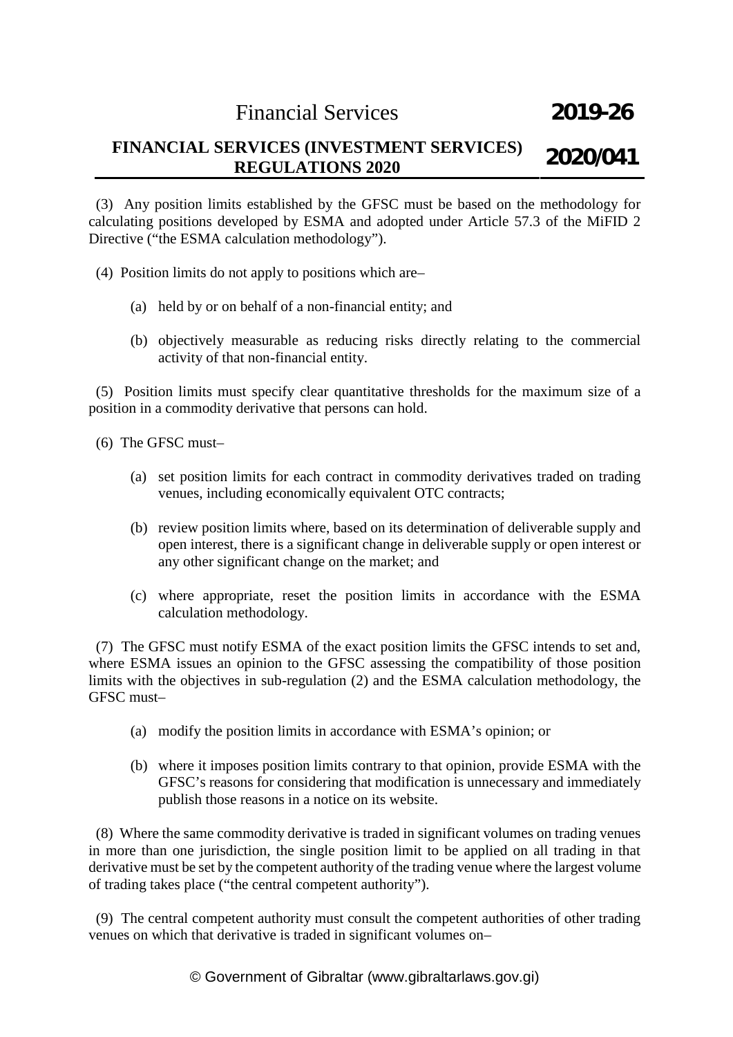# FINANCIAL SERVICES (INVESTMENT SERVICES) 2020/041 **REGULATIONS 2020**

(3) Any position limits established by the GFSC must be based on the methodology for calculating positions developed by ESMA and adopted under Article 57.3 of the MiFID 2 Directive ("the ESMA calculation methodology").

- (4) Position limits do not apply to positions which are–
	- (a) held by or on behalf of a non-financial entity; and
	- (b) objectively measurable as reducing risks directly relating to the commercial activity of that non-financial entity.

(5) Position limits must specify clear quantitative thresholds for the maximum size of a position in a commodity derivative that persons can hold.

(6) The GFSC must–

- (a) set position limits for each contract in commodity derivatives traded on trading venues, including economically equivalent OTC contracts;
- (b) review position limits where, based on its determination of deliverable supply and open interest, there is a significant change in deliverable supply or open interest or any other significant change on the market; and
- (c) where appropriate, reset the position limits in accordance with the ESMA calculation methodology.

(7) The GFSC must notify ESMA of the exact position limits the GFSC intends to set and, where ESMA issues an opinion to the GFSC assessing the compatibility of those position limits with the objectives in sub-regulation (2) and the ESMA calculation methodology, the GFSC must–

- (a) modify the position limits in accordance with ESMA's opinion; or
- (b) where it imposes position limits contrary to that opinion, provide ESMA with the GFSC's reasons for considering that modification is unnecessary and immediately publish those reasons in a notice on its website.

(8) Where the same commodity derivative is traded in significant volumes on trading venues in more than one jurisdiction, the single position limit to be applied on all trading in that derivative must be set by the competent authority of the trading venue where the largest volume of trading takes place ("the central competent authority").

(9) The central competent authority must consult the competent authorities of other trading venues on which that derivative is traded in significant volumes on–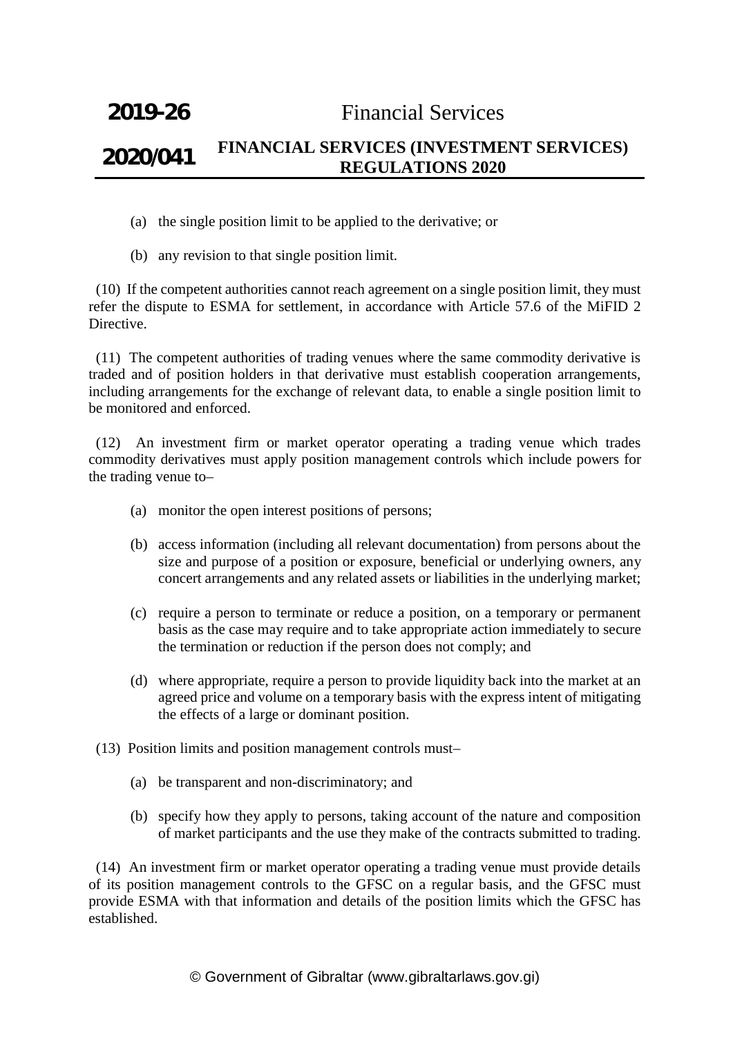# **2020/041 FINANCIAL SERVICES (INVESTMENT SERVICES) REGULATIONS 2020**

- (a) the single position limit to be applied to the derivative; or
- (b) any revision to that single position limit.

(10) If the competent authorities cannot reach agreement on a single position limit, they must refer the dispute to ESMA for settlement, in accordance with Article 57.6 of the MiFID 2 Directive.

(11) The competent authorities of trading venues where the same commodity derivative is traded and of position holders in that derivative must establish cooperation arrangements, including arrangements for the exchange of relevant data, to enable a single position limit to be monitored and enforced.

(12) An investment firm or market operator operating a trading venue which trades commodity derivatives must apply position management controls which include powers for the trading venue to–

- (a) monitor the open interest positions of persons;
- (b) access information (including all relevant documentation) from persons about the size and purpose of a position or exposure, beneficial or underlying owners, any concert arrangements and any related assets or liabilities in the underlying market;
- (c) require a person to terminate or reduce a position, on a temporary or permanent basis as the case may require and to take appropriate action immediately to secure the termination or reduction if the person does not comply; and
- (d) where appropriate, require a person to provide liquidity back into the market at an agreed price and volume on a temporary basis with the express intent of mitigating the effects of a large or dominant position.
- (13) Position limits and position management controls must–
	- (a) be transparent and non-discriminatory; and
	- (b) specify how they apply to persons, taking account of the nature and composition of market participants and the use they make of the contracts submitted to trading.

(14) An investment firm or market operator operating a trading venue must provide details of its position management controls to the GFSC on a regular basis, and the GFSC must provide ESMA with that information and details of the position limits which the GFSC has established.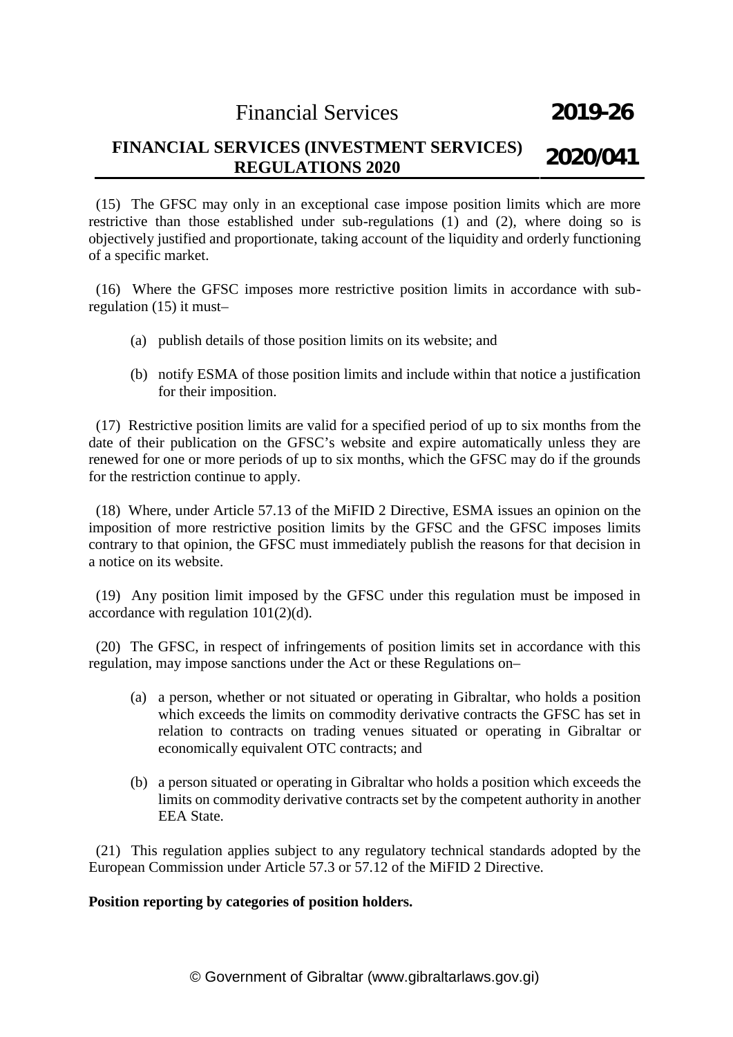# FINANCIAL SERVICES (INVESTMENT SERVICES) 2020/041 **REGULATIONS 2020**

(15) The GFSC may only in an exceptional case impose position limits which are more restrictive than those established under sub-regulations (1) and (2), where doing so is objectively justified and proportionate, taking account of the liquidity and orderly functioning of a specific market.

(16) Where the GFSC imposes more restrictive position limits in accordance with subregulation (15) it must–

- (a) publish details of those position limits on its website; and
- (b) notify ESMA of those position limits and include within that notice a justification for their imposition.

(17) Restrictive position limits are valid for a specified period of up to six months from the date of their publication on the GFSC's website and expire automatically unless they are renewed for one or more periods of up to six months, which the GFSC may do if the grounds for the restriction continue to apply.

(18) Where, under Article 57.13 of the MiFID 2 Directive, ESMA issues an opinion on the imposition of more restrictive position limits by the GFSC and the GFSC imposes limits contrary to that opinion, the GFSC must immediately publish the reasons for that decision in a notice on its website.

(19) Any position limit imposed by the GFSC under this regulation must be imposed in accordance with regulation 101(2)(d).

(20) The GFSC, in respect of infringements of position limits set in accordance with this regulation, may impose sanctions under the Act or these Regulations on–

- (a) a person, whether or not situated or operating in Gibraltar, who holds a position which exceeds the limits on commodity derivative contracts the GFSC has set in relation to contracts on trading venues situated or operating in Gibraltar or economically equivalent OTC contracts; and
- (b) a person situated or operating in Gibraltar who holds a position which exceeds the limits on commodity derivative contracts set by the competent authority in another EEA State.

(21) This regulation applies subject to any regulatory technical standards adopted by the European Commission under Article 57.3 or 57.12 of the MiFID 2 Directive.

### **Position reporting by categories of position holders.**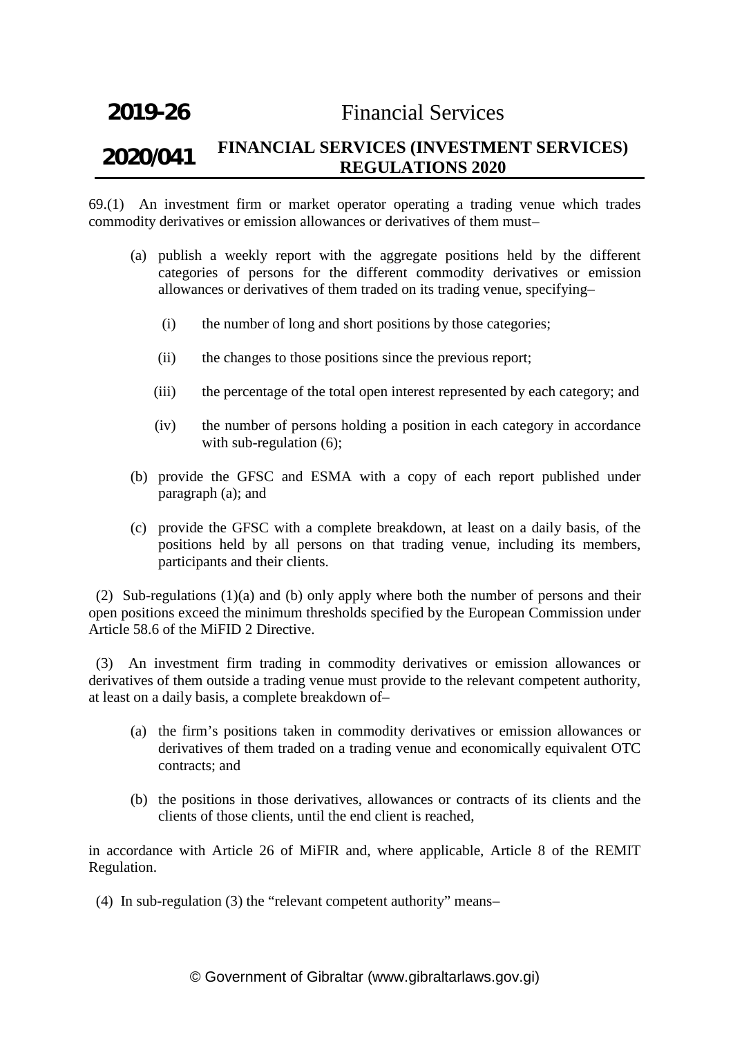### **2020/041 FINANCIAL SERVICES (INVESTMENT SERVICES) REGULATIONS 2020**

69.(1) An investment firm or market operator operating a trading venue which trades commodity derivatives or emission allowances or derivatives of them must–

- (a) publish a weekly report with the aggregate positions held by the different categories of persons for the different commodity derivatives or emission allowances or derivatives of them traded on its trading venue, specifying–
	- (i) the number of long and short positions by those categories;
	- (ii) the changes to those positions since the previous report;
	- (iii) the percentage of the total open interest represented by each category; and
	- (iv) the number of persons holding a position in each category in accordance with sub-regulation  $(6)$ ;
- (b) provide the GFSC and ESMA with a copy of each report published under paragraph (a); and
- (c) provide the GFSC with a complete breakdown, at least on a daily basis, of the positions held by all persons on that trading venue, including its members, participants and their clients.

(2) Sub-regulations (1)(a) and (b) only apply where both the number of persons and their open positions exceed the minimum thresholds specified by the European Commission under Article 58.6 of the MiFID 2 Directive.

(3) An investment firm trading in commodity derivatives or emission allowances or derivatives of them outside a trading venue must provide to the relevant competent authority, at least on a daily basis, a complete breakdown of–

- (a) the firm's positions taken in commodity derivatives or emission allowances or derivatives of them traded on a trading venue and economically equivalent OTC contracts; and
- (b) the positions in those derivatives, allowances or contracts of its clients and the clients of those clients, until the end client is reached,

in accordance with Article 26 of MiFIR and, where applicable, Article 8 of the REMIT Regulation.

(4) In sub-regulation (3) the "relevant competent authority" means–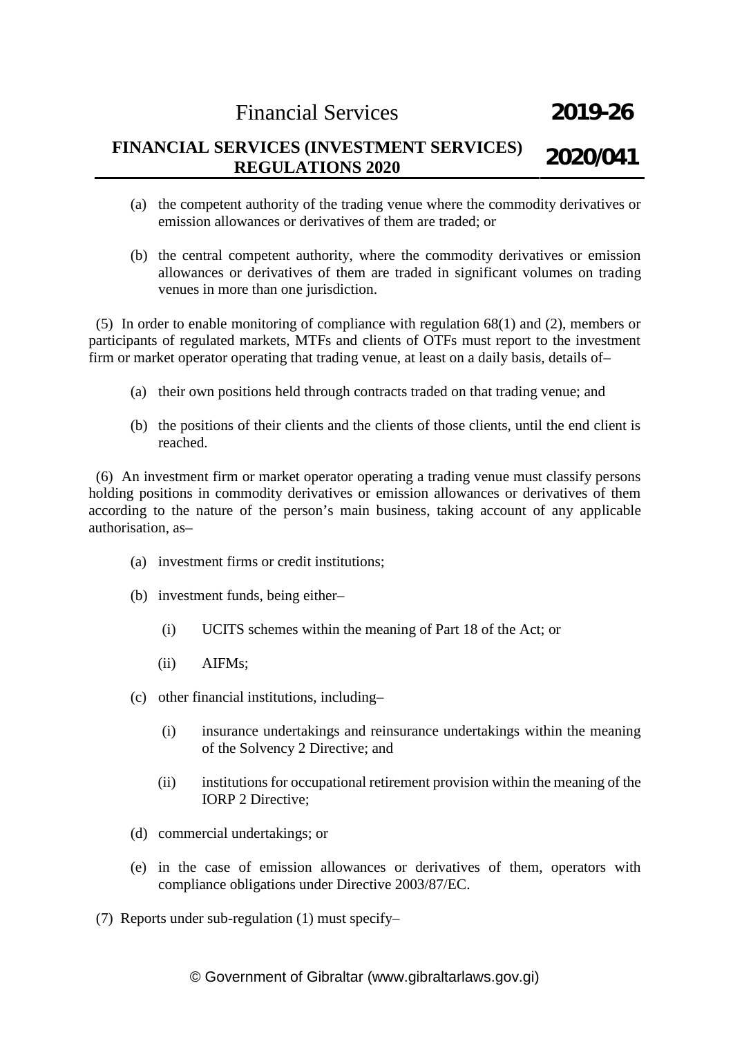# FINANCIAL SERVICES (INVESTMENT SERVICES) 2020/041 **REGULATIONS 2020**

- (a) the competent authority of the trading venue where the commodity derivatives or emission allowances or derivatives of them are traded; or
- (b) the central competent authority, where the commodity derivatives or emission allowances or derivatives of them are traded in significant volumes on trading venues in more than one jurisdiction.

(5) In order to enable monitoring of compliance with regulation 68(1) and (2), members or participants of regulated markets, MTFs and clients of OTFs must report to the investment firm or market operator operating that trading venue, at least on a daily basis, details of–

- (a) their own positions held through contracts traded on that trading venue; and
- (b) the positions of their clients and the clients of those clients, until the end client is reached.

(6) An investment firm or market operator operating a trading venue must classify persons holding positions in commodity derivatives or emission allowances or derivatives of them according to the nature of the person's main business, taking account of any applicable authorisation, as–

- (a) investment firms or credit institutions;
- (b) investment funds, being either–
	- (i) UCITS schemes within the meaning of Part 18 of the Act; or
	- (ii) AIFMs;
- (c) other financial institutions, including–
	- (i) insurance undertakings and reinsurance undertakings within the meaning of the Solvency 2 Directive; and
	- (ii) institutions for occupational retirement provision within the meaning of the IORP 2 Directive;
- (d) commercial undertakings; or
- (e) in the case of emission allowances or derivatives of them, operators with compliance obligations under Directive 2003/87/EC.
- (7) Reports under sub-regulation (1) must specify–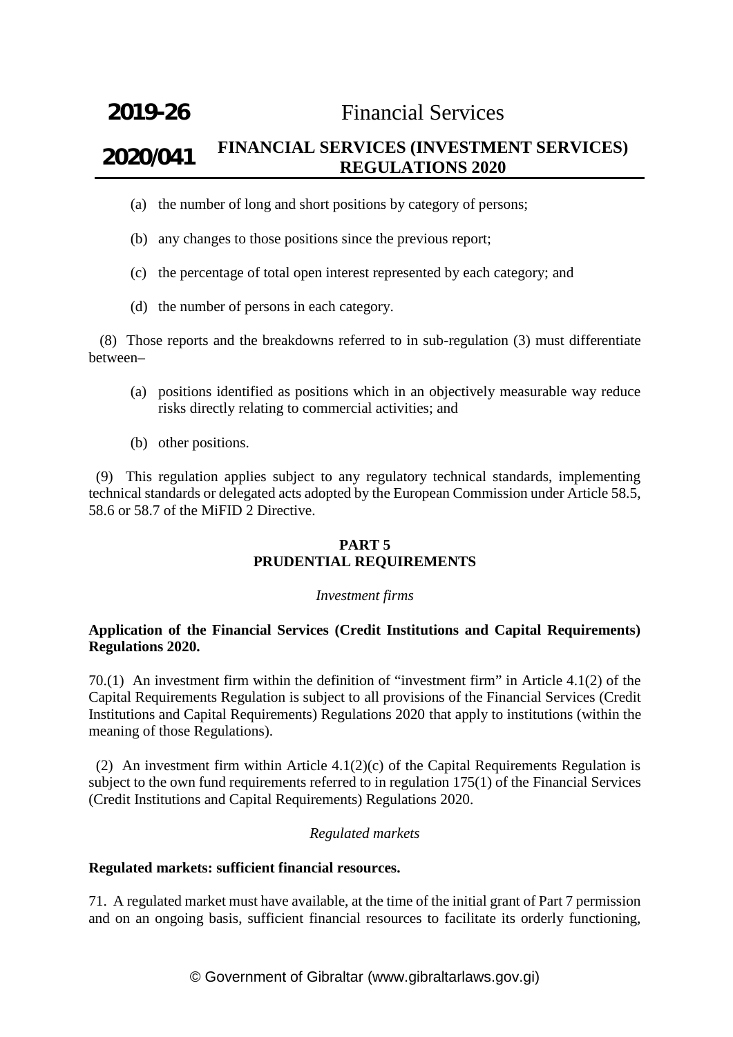# **2020/041 FINANCIAL SERVICES (INVESTMENT SERVICES) REGULATIONS 2020**

- (a) the number of long and short positions by category of persons;
- (b) any changes to those positions since the previous report;
- (c) the percentage of total open interest represented by each category; and
- (d) the number of persons in each category.

(8) Those reports and the breakdowns referred to in sub-regulation (3) must differentiate between–

- (a) positions identified as positions which in an objectively measurable way reduce risks directly relating to commercial activities; and
- (b) other positions.

(9) This regulation applies subject to any regulatory technical standards, implementing technical standards or delegated acts adopted by the European Commission under Article 58.5, 58.6 or 58.7 of the MiFID 2 Directive.

### **PART 5 PRUDENTIAL REQUIREMENTS**

*Investment firms*

### **Application of the Financial Services (Credit Institutions and Capital Requirements) Regulations 2020.**

70.(1) An investment firm within the definition of "investment firm" in Article 4.1(2) of the Capital Requirements Regulation is subject to all provisions of the Financial Services (Credit Institutions and Capital Requirements) Regulations 2020 that apply to institutions (within the meaning of those Regulations).

(2) An investment firm within Article 4.1(2)(c) of the Capital Requirements Regulation is subject to the own fund requirements referred to in regulation 175(1) of the Financial Services (Credit Institutions and Capital Requirements) Regulations 2020.

### *Regulated markets*

### **Regulated markets: sufficient financial resources.**

71. A regulated market must have available, at the time of the initial grant of Part 7 permission and on an ongoing basis, sufficient financial resources to facilitate its orderly functioning,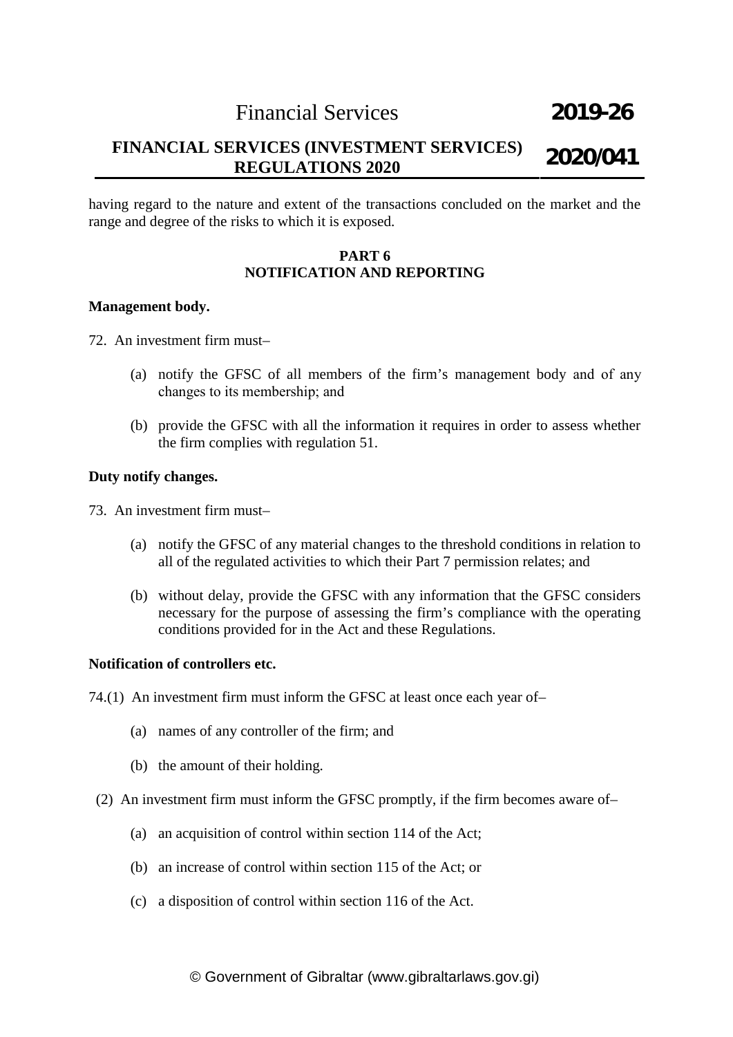## FINANCIAL SERVICES (INVESTMENT SERVICES) 2020/041 **REGULATIONS 2020**

having regard to the nature and extent of the transactions concluded on the market and the range and degree of the risks to which it is exposed.

### **PART 6 NOTIFICATION AND REPORTING**

### **Management body.**

72. An investment firm must–

- (a) notify the GFSC of all members of the firm's management body and of any changes to its membership; and
- (b) provide the GFSC with all the information it requires in order to assess whether the firm complies with regulation 51.

#### **Duty notify changes.**

73. An investment firm must–

- (a) notify the GFSC of any material changes to the threshold conditions in relation to all of the regulated activities to which their Part 7 permission relates; and
- (b) without delay, provide the GFSC with any information that the GFSC considers necessary for the purpose of assessing the firm's compliance with the operating conditions provided for in the Act and these Regulations.

### **Notification of controllers etc.**

74.(1) An investment firm must inform the GFSC at least once each year of–

- (a) names of any controller of the firm; and
- (b) the amount of their holding.
- (2) An investment firm must inform the GFSC promptly, if the firm becomes aware of–
	- (a) an acquisition of control within section 114 of the Act;
	- (b) an increase of control within section 115 of the Act; or
	- (c) a disposition of control within section 116 of the Act.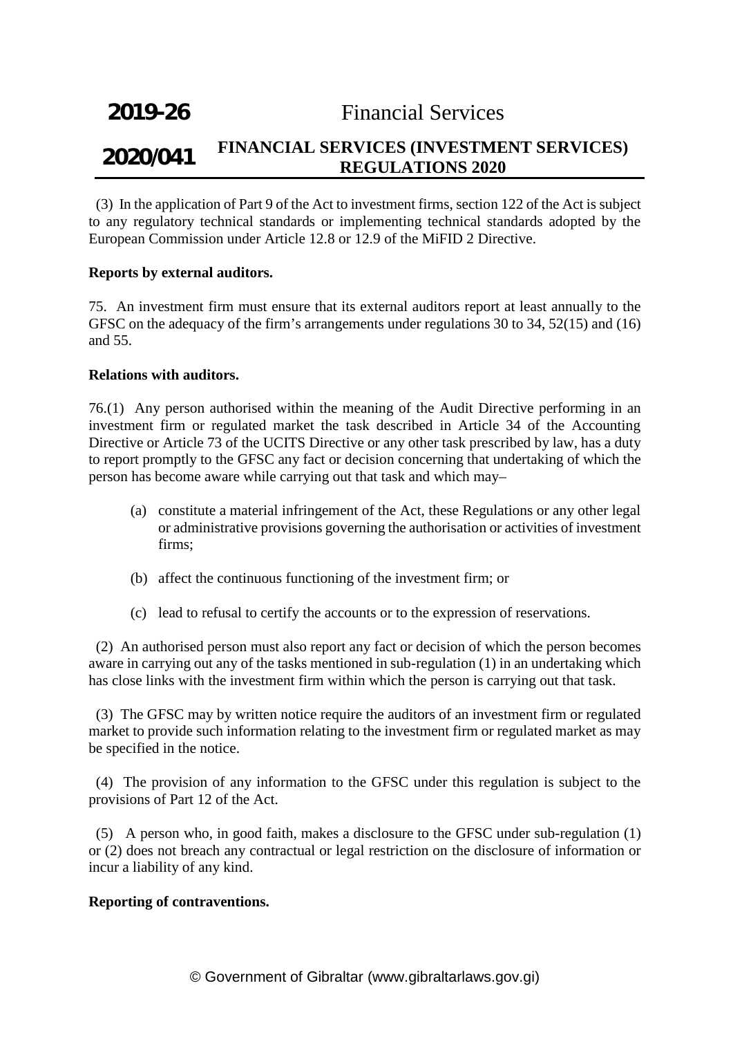## **2020/041 FINANCIAL SERVICES (INVESTMENT SERVICES) REGULATIONS 2020**

(3) In the application of Part 9 of the Act to investment firms, section 122 of the Act is subject to any regulatory technical standards or implementing technical standards adopted by the European Commission under Article 12.8 or 12.9 of the MiFID 2 Directive.

### **Reports by external auditors.**

75. An investment firm must ensure that its external auditors report at least annually to the GFSC on the adequacy of the firm's arrangements under regulations 30 to 34, 52(15) and (16) and 55.

### **Relations with auditors.**

76.(1) Any person authorised within the meaning of the Audit Directive performing in an investment firm or regulated market the task described in Article 34 of the Accounting Directive or Article 73 of the UCITS Directive or any other task prescribed by law, has a duty to report promptly to the GFSC any fact or decision concerning that undertaking of which the person has become aware while carrying out that task and which may–

- (a) constitute a material infringement of the Act, these Regulations or any other legal or administrative provisions governing the authorisation or activities of investment firms;
- (b) affect the continuous functioning of the investment firm; or
- (c) lead to refusal to certify the accounts or to the expression of reservations.

(2) An authorised person must also report any fact or decision of which the person becomes aware in carrying out any of the tasks mentioned in sub-regulation (1) in an undertaking which has close links with the investment firm within which the person is carrying out that task.

(3) The GFSC may by written notice require the auditors of an investment firm or regulated market to provide such information relating to the investment firm or regulated market as may be specified in the notice.

(4) The provision of any information to the GFSC under this regulation is subject to the provisions of Part 12 of the Act.

(5) A person who, in good faith, makes a disclosure to the GFSC under sub-regulation (1) or (2) does not breach any contractual or legal restriction on the disclosure of information or incur a liability of any kind.

### **Reporting of contraventions.**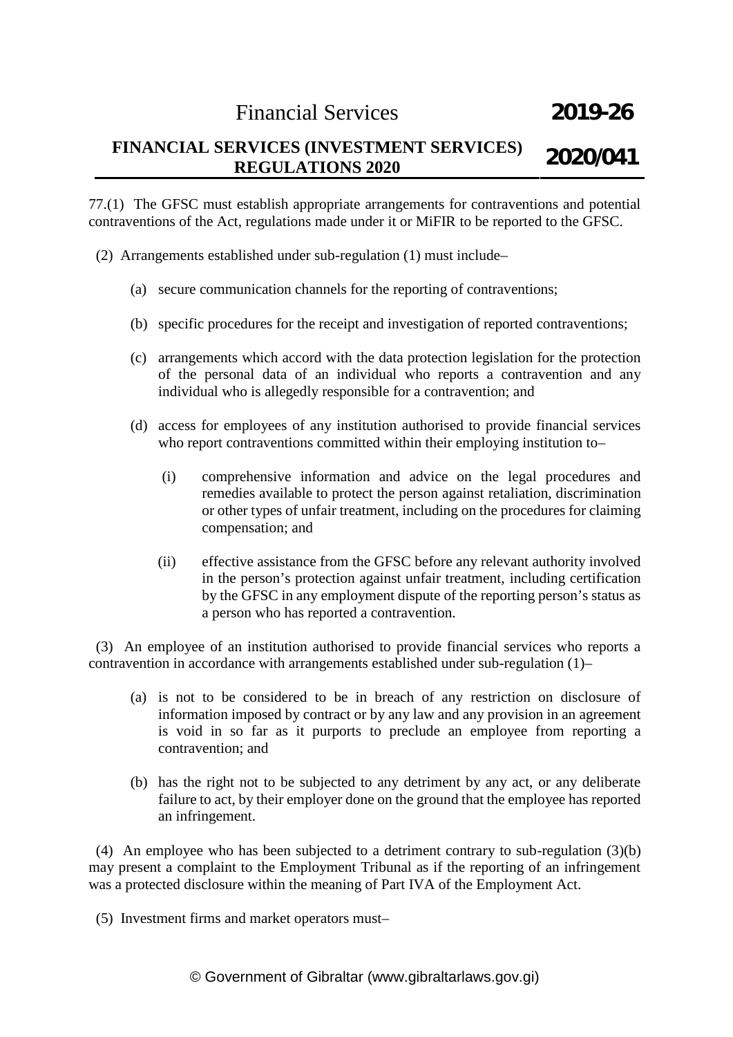## FINANCIAL SERVICES (INVESTMENT SERVICES) 2020/041 **REGULATIONS 2020**

77.(1) The GFSC must establish appropriate arrangements for contraventions and potential contraventions of the Act, regulations made under it or MiFIR to be reported to the GFSC.

- (2) Arrangements established under sub-regulation (1) must include–
	- (a) secure communication channels for the reporting of contraventions;
	- (b) specific procedures for the receipt and investigation of reported contraventions;
	- (c) arrangements which accord with the data protection legislation for the protection of the personal data of an individual who reports a contravention and any individual who is allegedly responsible for a contravention; and
	- (d) access for employees of any institution authorised to provide financial services who report contraventions committed within their employing institution to–
		- (i) comprehensive information and advice on the legal procedures and remedies available to protect the person against retaliation, discrimination or other types of unfair treatment, including on the procedures for claiming compensation; and
		- (ii) effective assistance from the GFSC before any relevant authority involved in the person's protection against unfair treatment, including certification by the GFSC in any employment dispute of the reporting person's status as a person who has reported a contravention.

(3) An employee of an institution authorised to provide financial services who reports a contravention in accordance with arrangements established under sub-regulation (1)–

- (a) is not to be considered to be in breach of any restriction on disclosure of information imposed by contract or by any law and any provision in an agreement is void in so far as it purports to preclude an employee from reporting a contravention; and
- (b) has the right not to be subjected to any detriment by any act, or any deliberate failure to act, by their employer done on the ground that the employee has reported an infringement.

(4) An employee who has been subjected to a detriment contrary to sub-regulation (3)(b) may present a complaint to the Employment Tribunal as if the reporting of an infringement was a protected disclosure within the meaning of Part IVA of the Employment Act.

(5) Investment firms and market operators must–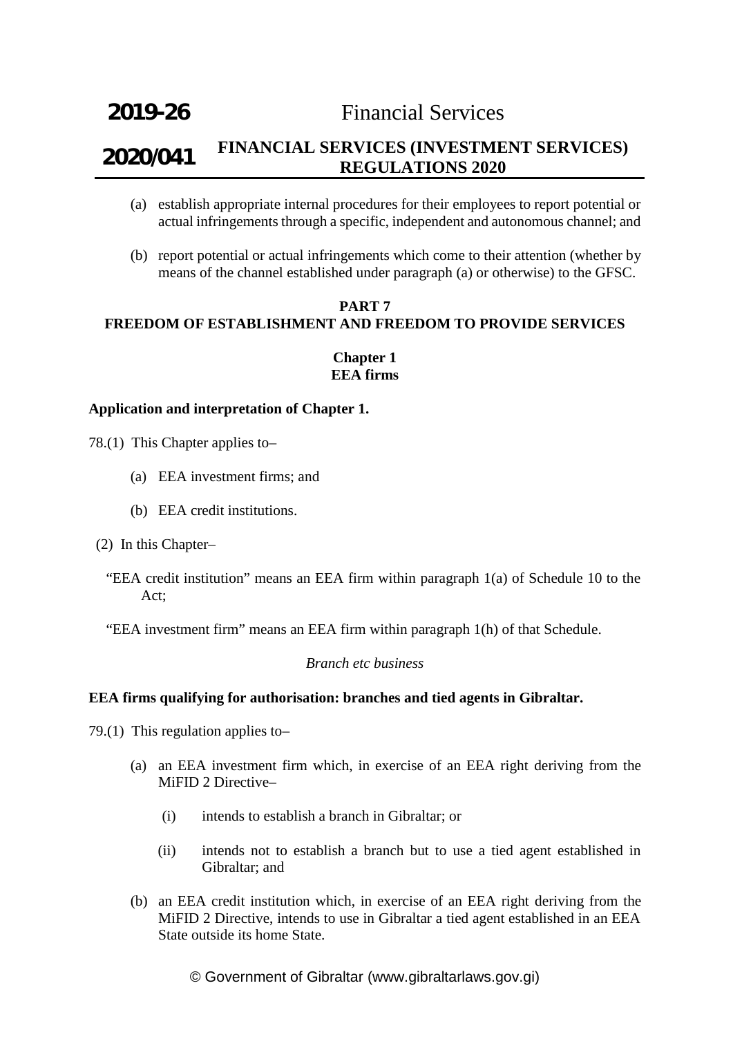## **2020/041 FINANCIAL SERVICES (INVESTMENT SERVICES) REGULATIONS 2020**

- (a) establish appropriate internal procedures for their employees to report potential or actual infringements through a specific, independent and autonomous channel; and
- (b) report potential or actual infringements which come to their attention (whether by means of the channel established under paragraph (a) or otherwise) to the GFSC.

### **PART 7 FREEDOM OF ESTABLISHMENT AND FREEDOM TO PROVIDE SERVICES**

### **Chapter 1 EEA firms**

### **Application and interpretation of Chapter 1.**

78.(1) This Chapter applies to–

- (a) EEA investment firms; and
- (b) EEA credit institutions.
- (2) In this Chapter–
	- "EEA credit institution" means an EEA firm within paragraph 1(a) of Schedule 10 to the Act;

"EEA investment firm" means an EEA firm within paragraph 1(h) of that Schedule.

### *Branch etc business*

### **EEA firms qualifying for authorisation: branches and tied agents in Gibraltar.**

79.(1) This regulation applies to–

- (a) an EEA investment firm which, in exercise of an EEA right deriving from the MiFID 2 Directive-
	- (i) intends to establish a branch in Gibraltar; or
	- (ii) intends not to establish a branch but to use a tied agent established in Gibraltar; and
- (b) an EEA credit institution which, in exercise of an EEA right deriving from the MiFID 2 Directive, intends to use in Gibraltar a tied agent established in an EEA State outside its home State.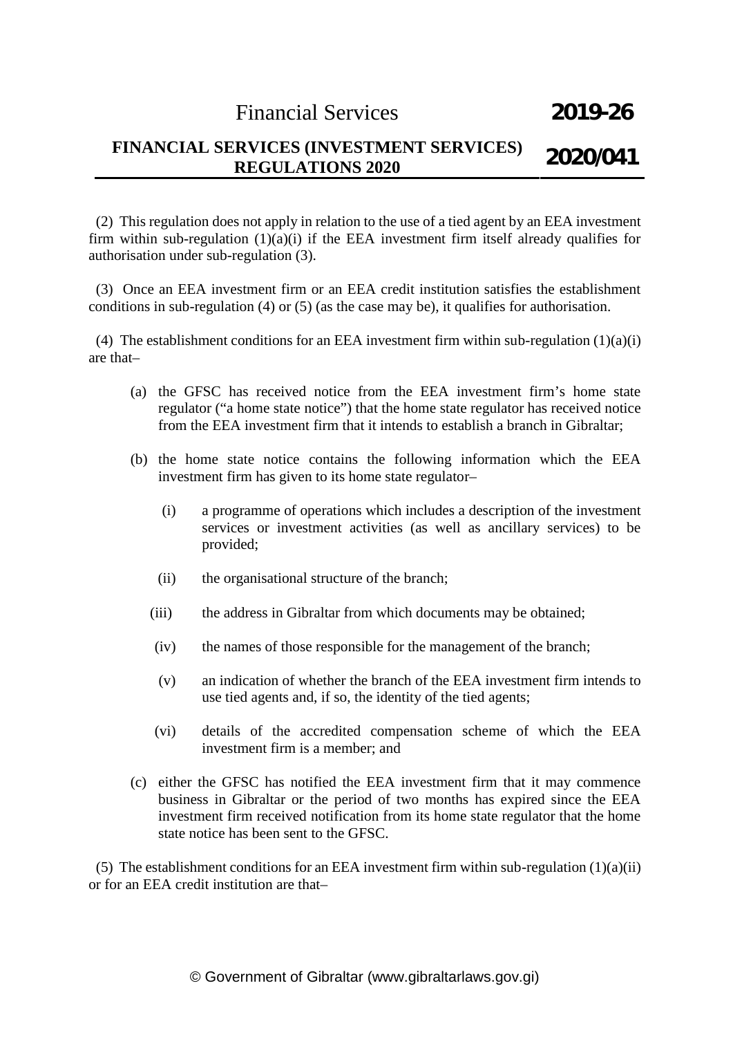## FINANCIAL SERVICES (INVESTMENT SERVICES) 2020/041 **REGULATIONS 2020**

(2) This regulation does not apply in relation to the use of a tied agent by an EEA investment firm within sub-regulation  $(1)(a)(i)$  if the EEA investment firm itself already qualifies for authorisation under sub-regulation (3).

(3) Once an EEA investment firm or an EEA credit institution satisfies the establishment conditions in sub-regulation (4) or (5) (as the case may be), it qualifies for authorisation.

(4) The establishment conditions for an EEA investment firm within sub-regulation  $(1)(a)(i)$ are that–

- (a) the GFSC has received notice from the EEA investment firm's home state regulator ("a home state notice") that the home state regulator has received notice from the EEA investment firm that it intends to establish a branch in Gibraltar;
- (b) the home state notice contains the following information which the EEA investment firm has given to its home state regulator–
	- (i) a programme of operations which includes a description of the investment services or investment activities (as well as ancillary services) to be provided;
	- (ii) the organisational structure of the branch;
	- (iii) the address in Gibraltar from which documents may be obtained;
	- (iv) the names of those responsible for the management of the branch;
	- (v) an indication of whether the branch of the EEA investment firm intends to use tied agents and, if so, the identity of the tied agents;
	- (vi) details of the accredited compensation scheme of which the EEA investment firm is a member; and
- (c) either the GFSC has notified the EEA investment firm that it may commence business in Gibraltar or the period of two months has expired since the EEA investment firm received notification from its home state regulator that the home state notice has been sent to the GFSC.

(5) The establishment conditions for an EEA investment firm within sub-regulation  $(1)(a)(ii)$ or for an EEA credit institution are that–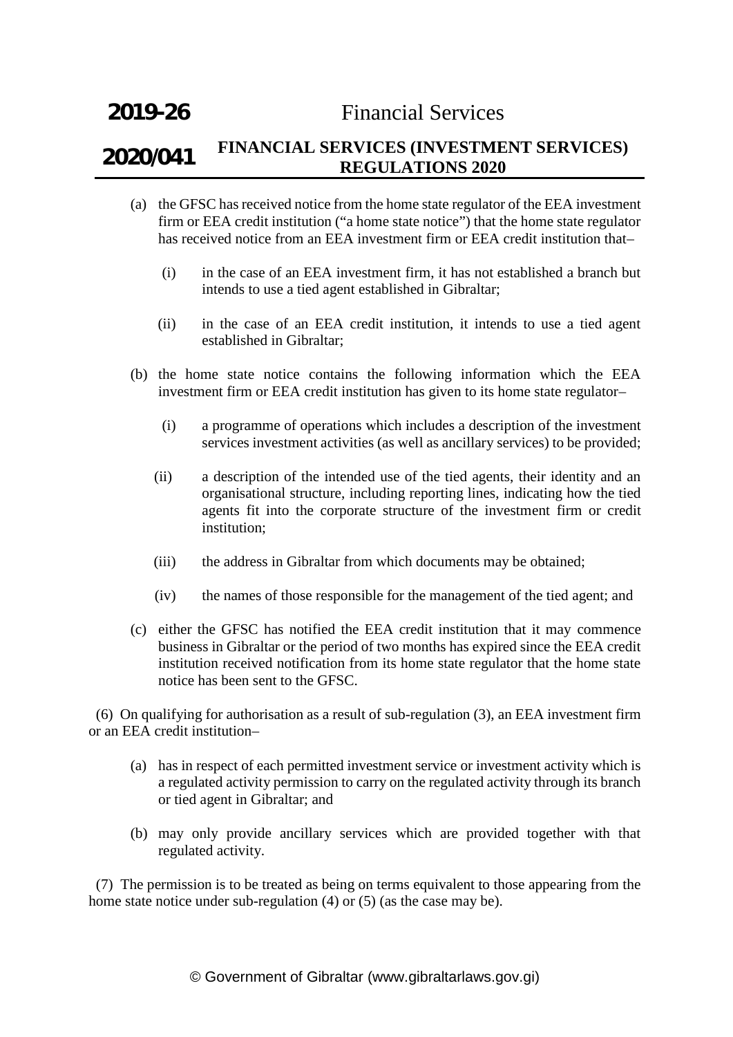## **2020/041 FINANCIAL SERVICES (INVESTMENT SERVICES) REGULATIONS 2020**

- (a) the GFSC has received notice from the home state regulator of the EEA investment firm or EEA credit institution ("a home state notice") that the home state regulator has received notice from an EEA investment firm or EEA credit institution that–
	- (i) in the case of an EEA investment firm, it has not established a branch but intends to use a tied agent established in Gibraltar;
	- (ii) in the case of an EEA credit institution, it intends to use a tied agent established in Gibraltar;
- (b) the home state notice contains the following information which the EEA investment firm or EEA credit institution has given to its home state regulator–
	- (i) a programme of operations which includes a description of the investment services investment activities (as well as ancillary services) to be provided;
	- (ii) a description of the intended use of the tied agents, their identity and an organisational structure, including reporting lines, indicating how the tied agents fit into the corporate structure of the investment firm or credit institution;
	- (iii) the address in Gibraltar from which documents may be obtained:
	- (iv) the names of those responsible for the management of the tied agent; and
- (c) either the GFSC has notified the EEA credit institution that it may commence business in Gibraltar or the period of two months has expired since the EEA credit institution received notification from its home state regulator that the home state notice has been sent to the GFSC.

(6) On qualifying for authorisation as a result of sub-regulation (3), an EEA investment firm or an EEA credit institution–

- (a) has in respect of each permitted investment service or investment activity which is a regulated activity permission to carry on the regulated activity through its branch or tied agent in Gibraltar; and
- (b) may only provide ancillary services which are provided together with that regulated activity.

(7) The permission is to be treated as being on terms equivalent to those appearing from the home state notice under sub-regulation (4) or (5) (as the case may be).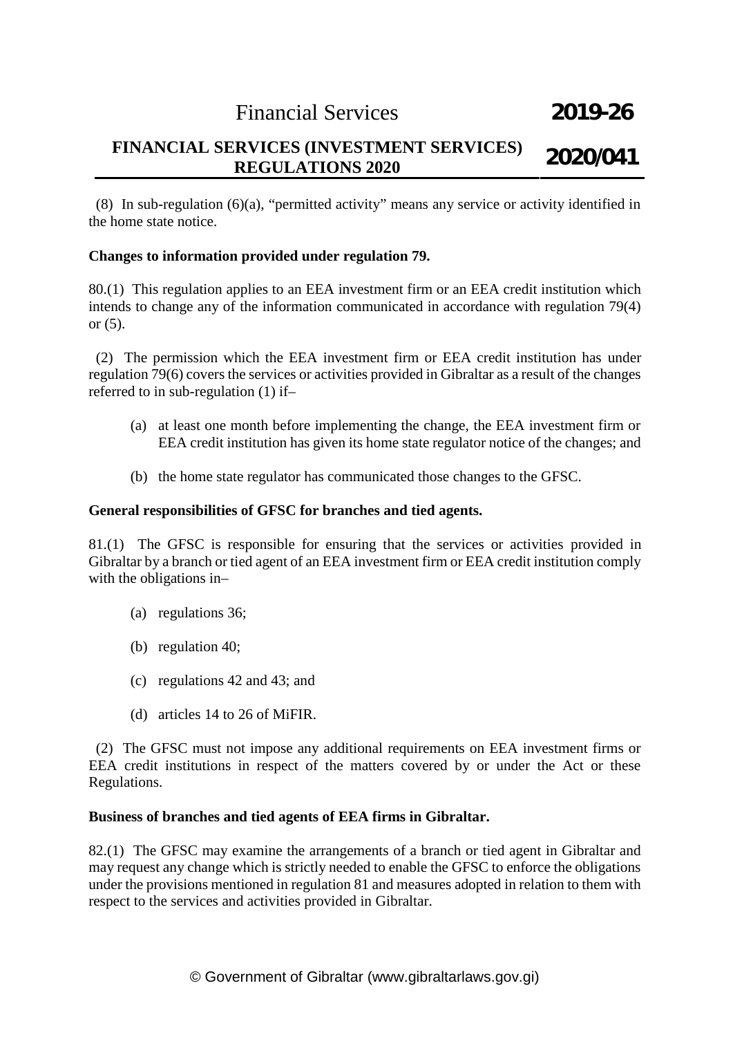## FINANCIAL SERVICES (INVESTMENT SERVICES) 2020/041 **REGULATIONS 2020**

(8) In sub-regulation (6)(a), "permitted activity" means any service or activity identified in the home state notice.

### **Changes to information provided under regulation 79.**

80.(1) This regulation applies to an EEA investment firm or an EEA credit institution which intends to change any of the information communicated in accordance with regulation 79(4) or (5).

(2) The permission which the EEA investment firm or EEA credit institution has under regulation 79(6) covers the services or activities provided in Gibraltar as a result of the changes referred to in sub-regulation (1) if–

- (a) at least one month before implementing the change, the EEA investment firm or EEA credit institution has given its home state regulator notice of the changes; and
- (b) the home state regulator has communicated those changes to the GFSC.

### **General responsibilities of GFSC for branches and tied agents.**

81.(1) The GFSC is responsible for ensuring that the services or activities provided in Gibraltar by a branch or tied agent of an EEA investment firm or EEA credit institution comply with the obligations in–

- (a) regulations 36;
- (b) regulation 40;
- (c) regulations 42 and 43; and
- (d) articles 14 to 26 of MiFIR.

(2) The GFSC must not impose any additional requirements on EEA investment firms or EEA credit institutions in respect of the matters covered by or under the Act or these Regulations.

### **Business of branches and tied agents of EEA firms in Gibraltar.**

82.(1) The GFSC may examine the arrangements of a branch or tied agent in Gibraltar and may request any change which is strictly needed to enable the GFSC to enforce the obligations under the provisions mentioned in regulation 81 and measures adopted in relation to them with respect to the services and activities provided in Gibraltar.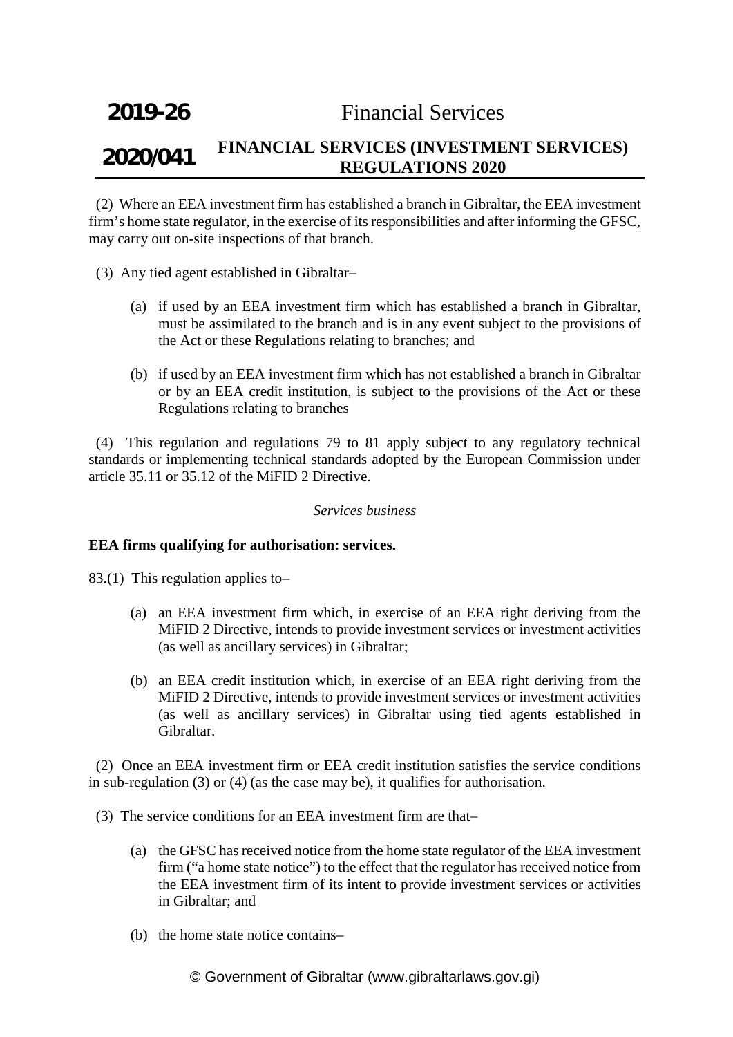## **2020/041 FINANCIAL SERVICES (INVESTMENT SERVICES) REGULATIONS 2020**

(2) Where an EEA investment firm has established a branch in Gibraltar, the EEA investment firm's home state regulator, in the exercise of its responsibilities and after informing the GFSC, may carry out on-site inspections of that branch.

- (3) Any tied agent established in Gibraltar–
	- (a) if used by an EEA investment firm which has established a branch in Gibraltar, must be assimilated to the branch and is in any event subject to the provisions of the Act or these Regulations relating to branches; and
	- (b) if used by an EEA investment firm which has not established a branch in Gibraltar or by an EEA credit institution, is subject to the provisions of the Act or these Regulations relating to branches

(4) This regulation and regulations 79 to 81 apply subject to any regulatory technical standards or implementing technical standards adopted by the European Commission under article 35.11 or 35.12 of the MiFID 2 Directive.

### *Services business*

### **EEA firms qualifying for authorisation: services.**

83.(1) This regulation applies to–

- (a) an EEA investment firm which, in exercise of an EEA right deriving from the MiFID 2 Directive, intends to provide investment services or investment activities (as well as ancillary services) in Gibraltar;
- (b) an EEA credit institution which, in exercise of an EEA right deriving from the MiFID 2 Directive, intends to provide investment services or investment activities (as well as ancillary services) in Gibraltar using tied agents established in Gibraltar.

(2) Once an EEA investment firm or EEA credit institution satisfies the service conditions in sub-regulation (3) or (4) (as the case may be), it qualifies for authorisation.

- (3) The service conditions for an EEA investment firm are that–
	- (a) the GFSC has received notice from the home state regulator of the EEA investment firm ("a home state notice") to the effect that the regulator has received notice from the EEA investment firm of its intent to provide investment services or activities in Gibraltar; and
	- (b) the home state notice contains–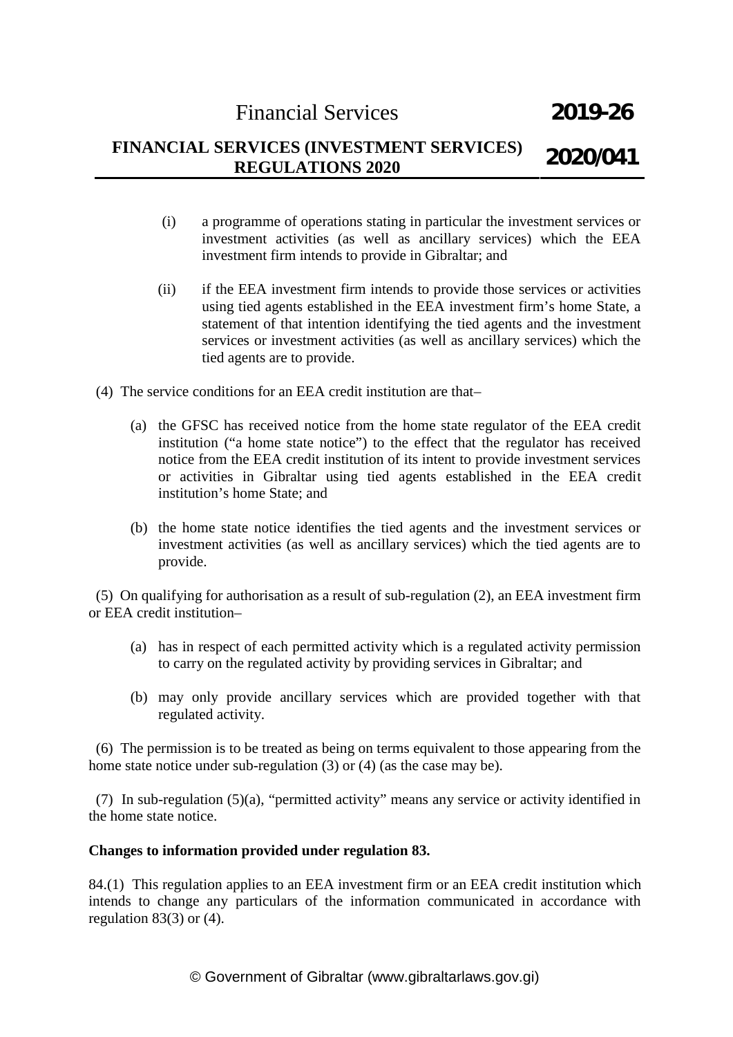## FINANCIAL SERVICES (INVESTMENT SERVICES) 2020/041 **REGULATIONS 2020**

- (i) a programme of operations stating in particular the investment services or investment activities (as well as ancillary services) which the EEA investment firm intends to provide in Gibraltar; and
- (ii) if the EEA investment firm intends to provide those services or activities using tied agents established in the EEA investment firm's home State, a statement of that intention identifying the tied agents and the investment services or investment activities (as well as ancillary services) which the tied agents are to provide.
- (4) The service conditions for an EEA credit institution are that–
	- (a) the GFSC has received notice from the home state regulator of the EEA credit institution ("a home state notice") to the effect that the regulator has received notice from the EEA credit institution of its intent to provide investment services or activities in Gibraltar using tied agents established in the EEA credit institution's home State; and
	- (b) the home state notice identifies the tied agents and the investment services or investment activities (as well as ancillary services) which the tied agents are to provide.

(5) On qualifying for authorisation as a result of sub-regulation (2), an EEA investment firm or EEA credit institution–

- (a) has in respect of each permitted activity which is a regulated activity permission to carry on the regulated activity by providing services in Gibraltar; and
- (b) may only provide ancillary services which are provided together with that regulated activity.

(6) The permission is to be treated as being on terms equivalent to those appearing from the home state notice under sub-regulation (3) or (4) (as the case may be).

(7) In sub-regulation (5)(a), "permitted activity" means any service or activity identified in the home state notice.

### **Changes to information provided under regulation 83.**

84.(1) This regulation applies to an EEA investment firm or an EEA credit institution which intends to change any particulars of the information communicated in accordance with regulation  $83(3)$  or  $(4)$ .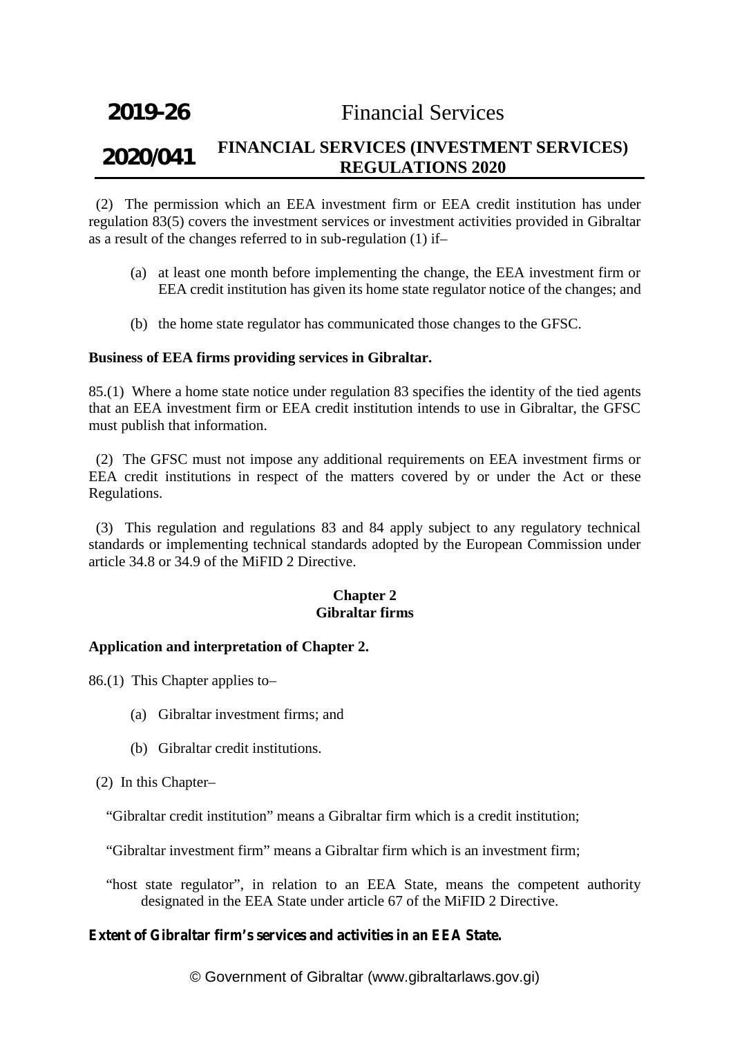### **2020/041 FINANCIAL SERVICES (INVESTMENT SERVICES) REGULATIONS 2020**

(2) The permission which an EEA investment firm or EEA credit institution has under regulation 83(5) covers the investment services or investment activities provided in Gibraltar as a result of the changes referred to in sub-regulation (1) if–

- (a) at least one month before implementing the change, the EEA investment firm or EEA credit institution has given its home state regulator notice of the changes; and
- (b) the home state regulator has communicated those changes to the GFSC.

### **Business of EEA firms providing services in Gibraltar.**

85.(1) Where a home state notice under regulation 83 specifies the identity of the tied agents that an EEA investment firm or EEA credit institution intends to use in Gibraltar, the GFSC must publish that information.

(2) The GFSC must not impose any additional requirements on EEA investment firms or EEA credit institutions in respect of the matters covered by or under the Act or these Regulations.

(3) This regulation and regulations 83 and 84 apply subject to any regulatory technical standards or implementing technical standards adopted by the European Commission under article 34.8 or 34.9 of the MiFID 2 Directive.

### **Chapter 2 Gibraltar firms**

### **Application and interpretation of Chapter 2.**

86.(1) This Chapter applies to–

- (a) Gibraltar investment firms; and
- (b) Gibraltar credit institutions.

(2) In this Chapter–

"Gibraltar credit institution" means a Gibraltar firm which is a credit institution;

"Gibraltar investment firm" means a Gibraltar firm which is an investment firm;

"host state regulator", in relation to an EEA State, means the competent authority designated in the EEA State under article 67 of the MiFID 2 Directive.

### **Extent of Gibraltar firm's services and activities in an EEA State.**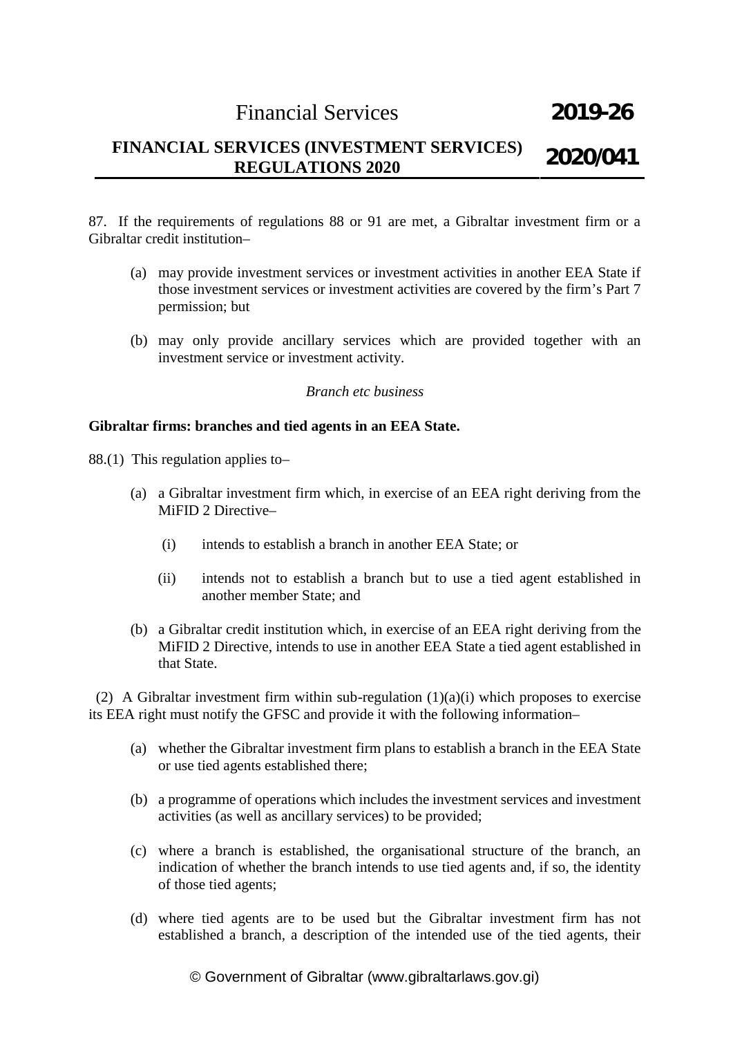# **FINANCIAL SERVICES (INVESTMENT SERVICES) REGULATIONS 2020 2020/041**

87. If the requirements of regulations 88 or 91 are met, a Gibraltar investment firm or a Gibraltar credit institution–

- (a) may provide investment services or investment activities in another EEA State if those investment services or investment activities are covered by the firm's Part 7 permission; but
- (b) may only provide ancillary services which are provided together with an investment service or investment activity.

#### *Branch etc business*

### **Gibraltar firms: branches and tied agents in an EEA State.**

88.(1) This regulation applies to–

- (a) a Gibraltar investment firm which, in exercise of an EEA right deriving from the MiFID 2 Directive–
	- (i) intends to establish a branch in another EEA State; or
	- (ii) intends not to establish a branch but to use a tied agent established in another member State; and
- (b) a Gibraltar credit institution which, in exercise of an EEA right deriving from the MiFID 2 Directive, intends to use in another EEA State a tied agent established in that State.

(2) A Gibraltar investment firm within sub-regulation  $(1)(a)(i)$  which proposes to exercise its EEA right must notify the GFSC and provide it with the following information–

- (a) whether the Gibraltar investment firm plans to establish a branch in the EEA State or use tied agents established there;
- (b) a programme of operations which includes the investment services and investment activities (as well as ancillary services) to be provided;
- (c) where a branch is established, the organisational structure of the branch, an indication of whether the branch intends to use tied agents and, if so, the identity of those tied agents;
- (d) where tied agents are to be used but the Gibraltar investment firm has not established a branch, a description of the intended use of the tied agents, their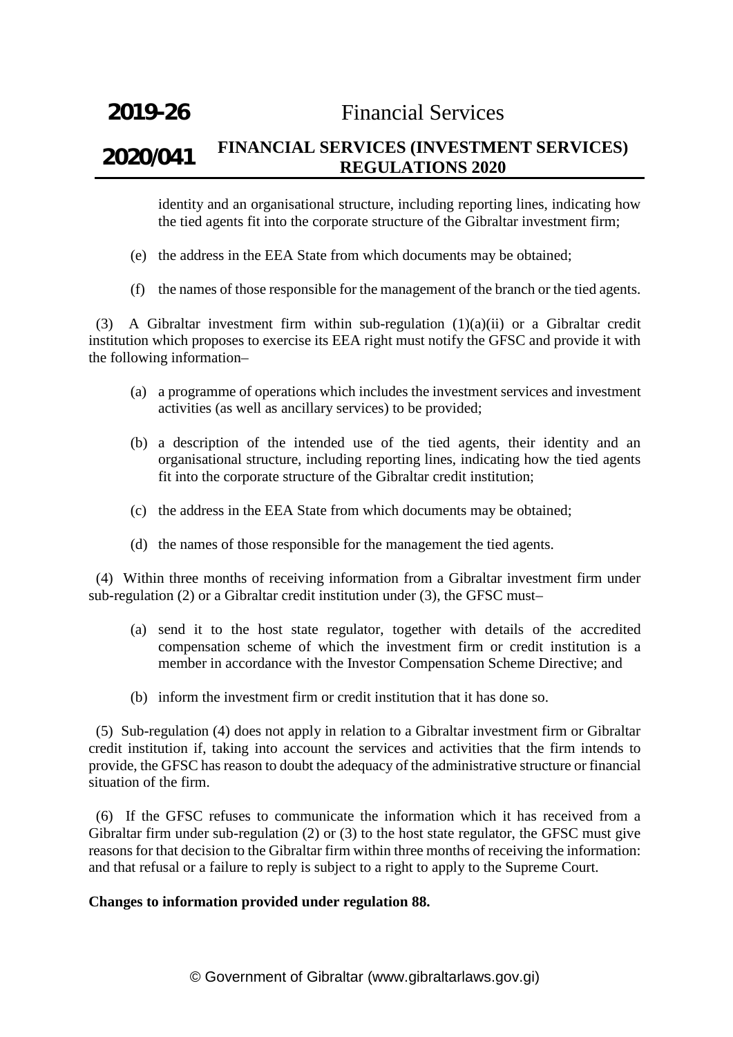## **2020/041 FINANCIAL SERVICES (INVESTMENT SERVICES) REGULATIONS 2020**

identity and an organisational structure, including reporting lines, indicating how the tied agents fit into the corporate structure of the Gibraltar investment firm;

- (e) the address in the EEA State from which documents may be obtained;
- (f) the names of those responsible for the management of the branch or the tied agents.

(3) A Gibraltar investment firm within sub-regulation  $(1)(a)(ii)$  or a Gibraltar credit institution which proposes to exercise its EEA right must notify the GFSC and provide it with the following information–

- (a) a programme of operations which includes the investment services and investment activities (as well as ancillary services) to be provided;
- (b) a description of the intended use of the tied agents, their identity and an organisational structure, including reporting lines, indicating how the tied agents fit into the corporate structure of the Gibraltar credit institution;
- (c) the address in the EEA State from which documents may be obtained;
- (d) the names of those responsible for the management the tied agents.

(4) Within three months of receiving information from a Gibraltar investment firm under sub-regulation (2) or a Gibraltar credit institution under (3), the GFSC must–

- (a) send it to the host state regulator, together with details of the accredited compensation scheme of which the investment firm or credit institution is a member in accordance with the Investor Compensation Scheme Directive; and
- (b) inform the investment firm or credit institution that it has done so.

(5) Sub-regulation (4) does not apply in relation to a Gibraltar investment firm or Gibraltar credit institution if, taking into account the services and activities that the firm intends to provide, the GFSC has reason to doubt the adequacy of the administrative structure or financial situation of the firm.

(6) If the GFSC refuses to communicate the information which it has received from a Gibraltar firm under sub-regulation (2) or (3) to the host state regulator, the GFSC must give reasons for that decision to the Gibraltar firm within three months of receiving the information: and that refusal or a failure to reply is subject to a right to apply to the Supreme Court.

### **Changes to information provided under regulation 88.**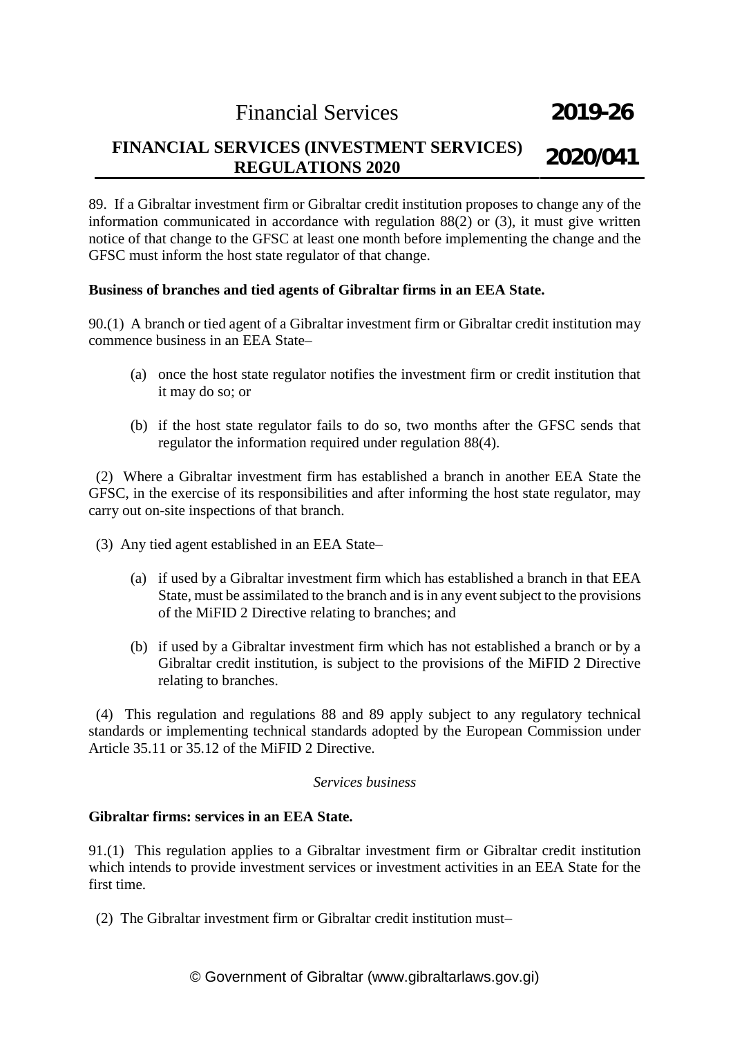## FINANCIAL SERVICES (INVESTMENT SERVICES) 2020/041 **REGULATIONS 2020**

89. If a Gibraltar investment firm or Gibraltar credit institution proposes to change any of the information communicated in accordance with regulation 88(2) or (3), it must give written notice of that change to the GFSC at least one month before implementing the change and the GFSC must inform the host state regulator of that change.

### **Business of branches and tied agents of Gibraltar firms in an EEA State.**

90.(1) A branch or tied agent of a Gibraltar investment firm or Gibraltar credit institution may commence business in an EEA State–

- (a) once the host state regulator notifies the investment firm or credit institution that it may do so; or
- (b) if the host state regulator fails to do so, two months after the GFSC sends that regulator the information required under regulation 88(4).

(2) Where a Gibraltar investment firm has established a branch in another EEA State the GFSC, in the exercise of its responsibilities and after informing the host state regulator, may carry out on-site inspections of that branch.

- (3) Any tied agent established in an EEA State–
	- (a) if used by a Gibraltar investment firm which has established a branch in that EEA State, must be assimilated to the branch and is in any event subject to the provisions of the MiFID 2 Directive relating to branches; and
	- (b) if used by a Gibraltar investment firm which has not established a branch or by a Gibraltar credit institution, is subject to the provisions of the MiFID 2 Directive relating to branches.

(4) This regulation and regulations 88 and 89 apply subject to any regulatory technical standards or implementing technical standards adopted by the European Commission under Article 35.11 or 35.12 of the MiFID 2 Directive.

### *Services business*

### **Gibraltar firms: services in an EEA State.**

91.(1) This regulation applies to a Gibraltar investment firm or Gibraltar credit institution which intends to provide investment services or investment activities in an EEA State for the first time.

(2) The Gibraltar investment firm or Gibraltar credit institution must–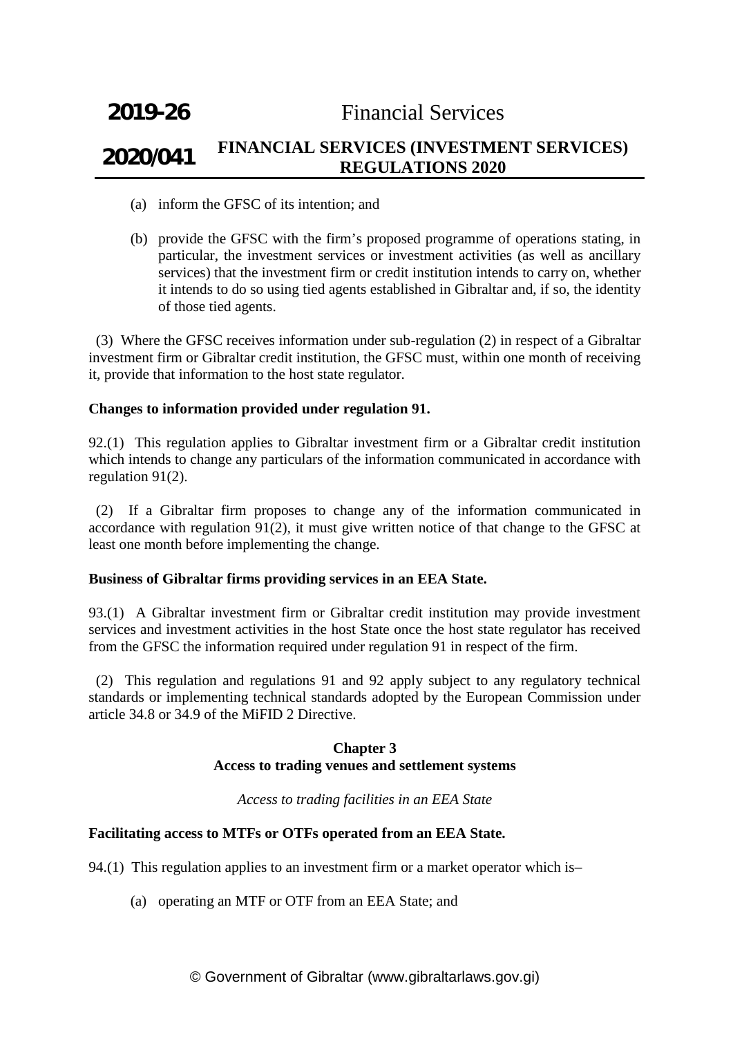### **2020/041 FINANCIAL SERVICES (INVESTMENT SERVICES) REGULATIONS 2020**

- (a) inform the GFSC of its intention; and
- (b) provide the GFSC with the firm's proposed programme of operations stating, in particular, the investment services or investment activities (as well as ancillary services) that the investment firm or credit institution intends to carry on, whether it intends to do so using tied agents established in Gibraltar and, if so, the identity of those tied agents.

(3) Where the GFSC receives information under sub-regulation (2) in respect of a Gibraltar investment firm or Gibraltar credit institution, the GFSC must, within one month of receiving it, provide that information to the host state regulator.

### **Changes to information provided under regulation 91.**

92.(1) This regulation applies to Gibraltar investment firm or a Gibraltar credit institution which intends to change any particulars of the information communicated in accordance with regulation 91(2).

(2) If a Gibraltar firm proposes to change any of the information communicated in accordance with regulation 91(2), it must give written notice of that change to the GFSC at least one month before implementing the change.

### **Business of Gibraltar firms providing services in an EEA State.**

93.(1) A Gibraltar investment firm or Gibraltar credit institution may provide investment services and investment activities in the host State once the host state regulator has received from the GFSC the information required under regulation 91 in respect of the firm.

(2) This regulation and regulations 91 and 92 apply subject to any regulatory technical standards or implementing technical standards adopted by the European Commission under article 34.8 or 34.9 of the MiFID 2 Directive.

### **Chapter 3 Access to trading venues and settlement systems**

*Access to trading facilities in an EEA State*

### **Facilitating access to MTFs or OTFs operated from an EEA State.**

94.(1) This regulation applies to an investment firm or a market operator which is–

(a) operating an MTF or OTF from an EEA State; and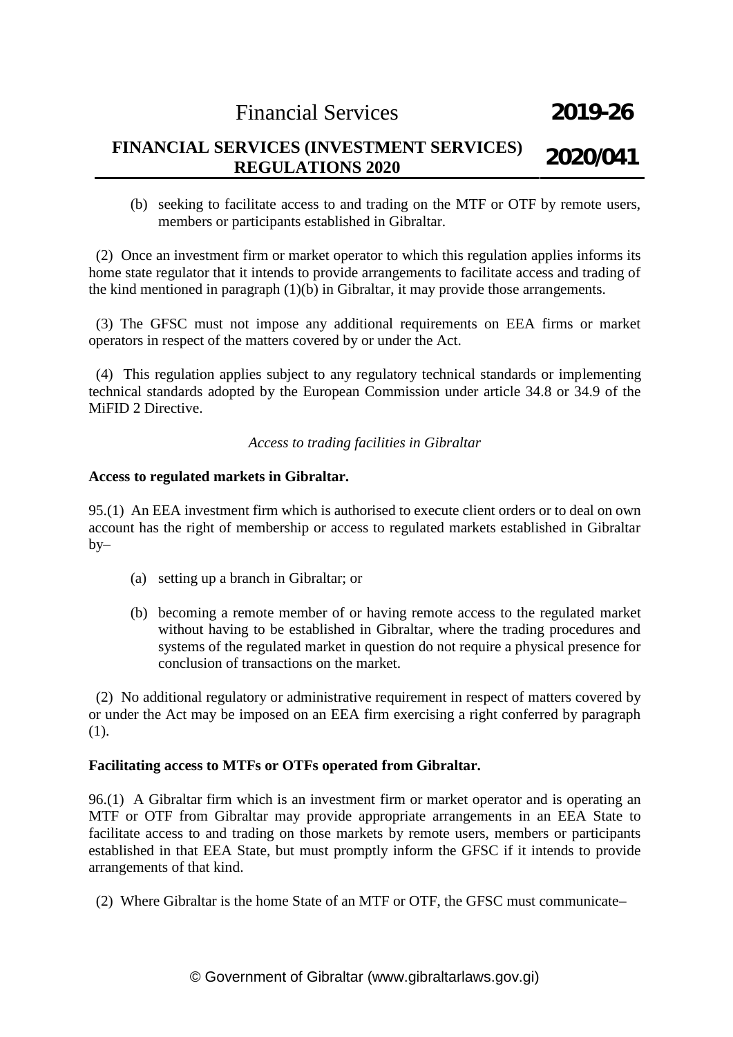## FINANCIAL SERVICES (INVESTMENT SERVICES) 2020/041 **REGULATIONS 2020**

(b) seeking to facilitate access to and trading on the MTF or OTF by remote users, members or participants established in Gibraltar.

(2) Once an investment firm or market operator to which this regulation applies informs its home state regulator that it intends to provide arrangements to facilitate access and trading of the kind mentioned in paragraph (1)(b) in Gibraltar, it may provide those arrangements.

(3) The GFSC must not impose any additional requirements on EEA firms or market operators in respect of the matters covered by or under the Act.

(4) This regulation applies subject to any regulatory technical standards or implementing technical standards adopted by the European Commission under article 34.8 or 34.9 of the MiFID 2 Directive.

### *Access to trading facilities in Gibraltar*

### **Access to regulated markets in Gibraltar.**

95.(1) An EEA investment firm which is authorised to execute client orders or to deal on own account has the right of membership or access to regulated markets established in Gibraltar  $by-$ 

- (a) setting up a branch in Gibraltar; or
- (b) becoming a remote member of or having remote access to the regulated market without having to be established in Gibraltar, where the trading procedures and systems of the regulated market in question do not require a physical presence for conclusion of transactions on the market.

(2) No additional regulatory or administrative requirement in respect of matters covered by or under the Act may be imposed on an EEA firm exercising a right conferred by paragraph (1).

### **Facilitating access to MTFs or OTFs operated from Gibraltar.**

96.(1) A Gibraltar firm which is an investment firm or market operator and is operating an MTF or OTF from Gibraltar may provide appropriate arrangements in an EEA State to facilitate access to and trading on those markets by remote users, members or participants established in that EEA State, but must promptly inform the GFSC if it intends to provide arrangements of that kind.

(2) Where Gibraltar is the home State of an MTF or OTF, the GFSC must communicate–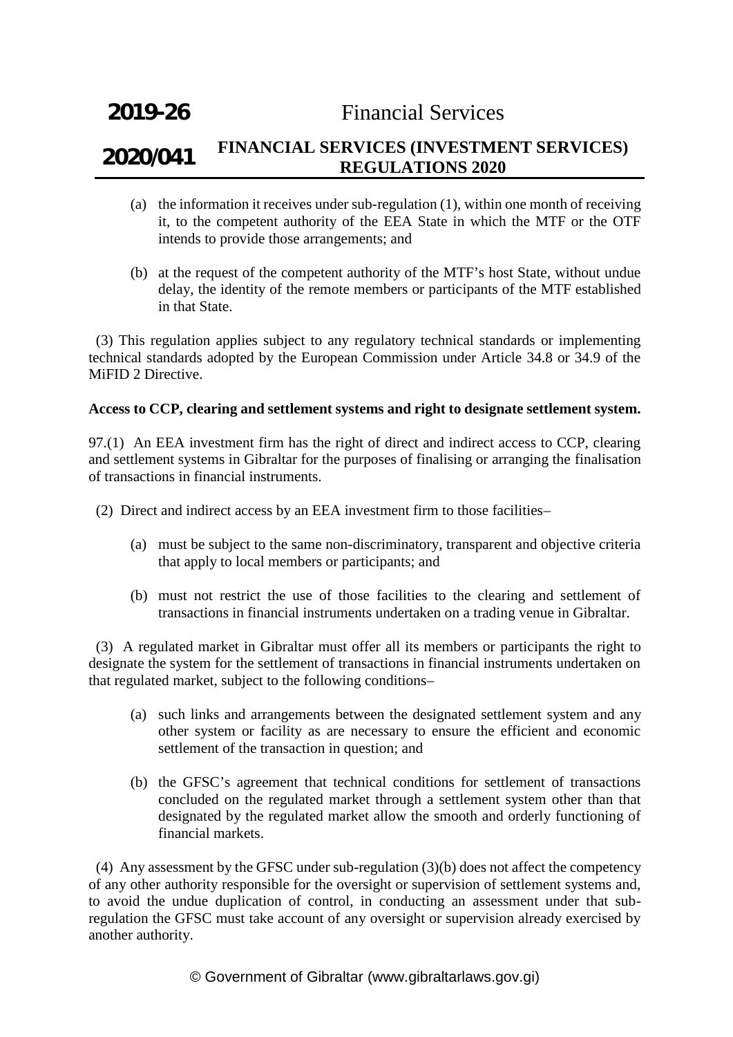## **2020/041 FINANCIAL SERVICES (INVESTMENT SERVICES) REGULATIONS 2020**

- (a) the information it receives under sub-regulation (1), within one month of receiving it, to the competent authority of the EEA State in which the MTF or the OTF intends to provide those arrangements; and
- (b) at the request of the competent authority of the MTF's host State, without undue delay, the identity of the remote members or participants of the MTF established in that State.

(3) This regulation applies subject to any regulatory technical standards or implementing technical standards adopted by the European Commission under Article 34.8 or 34.9 of the MiFID 2 Directive.

### **Access to CCP, clearing and settlement systems and right to designate settlement system.**

97.(1) An EEA investment firm has the right of direct and indirect access to CCP, clearing and settlement systems in Gibraltar for the purposes of finalising or arranging the finalisation of transactions in financial instruments.

- (2) Direct and indirect access by an EEA investment firm to those facilities–
	- (a) must be subject to the same non-discriminatory, transparent and objective criteria that apply to local members or participants; and
	- (b) must not restrict the use of those facilities to the clearing and settlement of transactions in financial instruments undertaken on a trading venue in Gibraltar.

(3) A regulated market in Gibraltar must offer all its members or participants the right to designate the system for the settlement of transactions in financial instruments undertaken on that regulated market, subject to the following conditions–

- (a) such links and arrangements between the designated settlement system and any other system or facility as are necessary to ensure the efficient and economic settlement of the transaction in question; and
- (b) the GFSC's agreement that technical conditions for settlement of transactions concluded on the regulated market through a settlement system other than that designated by the regulated market allow the smooth and orderly functioning of financial markets.

(4) Any assessment by the GFSC under sub-regulation (3)(b) does not affect the competency of any other authority responsible for the oversight or supervision of settlement systems and, to avoid the undue duplication of control, in conducting an assessment under that subregulation the GFSC must take account of any oversight or supervision already exercised by another authority.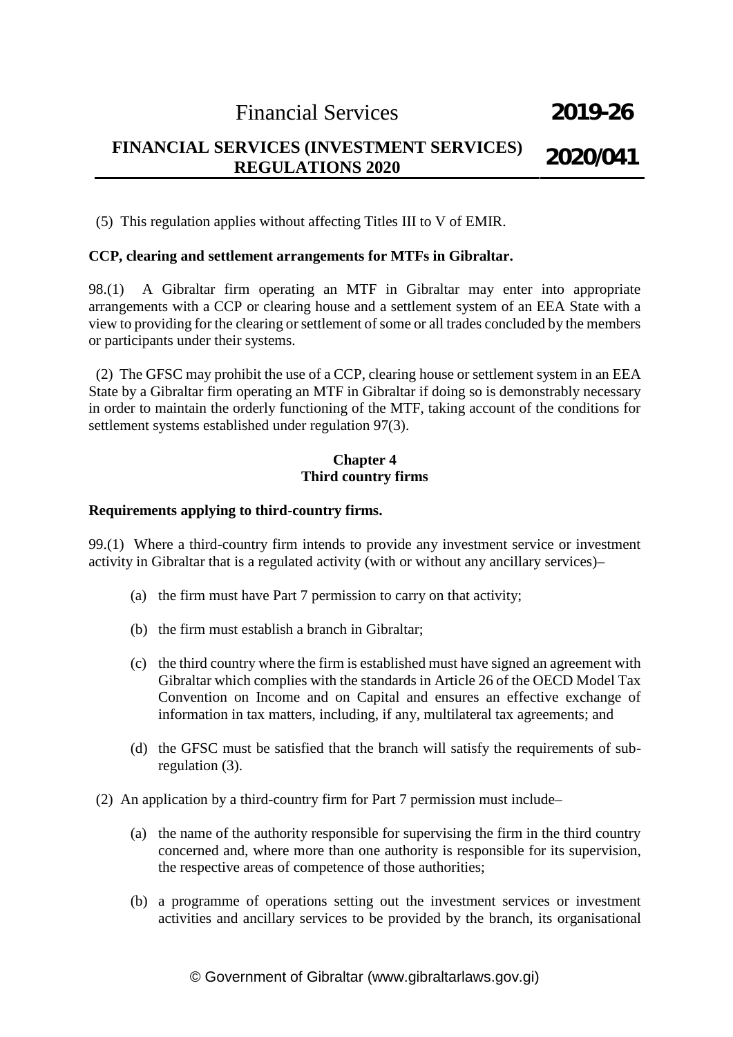## FINANCIAL SERVICES (INVESTMENT SERVICES) 2020/041 **REGULATIONS 2020**

(5) This regulation applies without affecting Titles III to V of EMIR.

### **CCP, clearing and settlement arrangements for MTFs in Gibraltar.**

98.(1) A Gibraltar firm operating an MTF in Gibraltar may enter into appropriate arrangements with a CCP or clearing house and a settlement system of an EEA State with a view to providing for the clearing or settlement of some or all trades concluded by the members or participants under their systems.

(2) The GFSC may prohibit the use of a CCP, clearing house or settlement system in an EEA State by a Gibraltar firm operating an MTF in Gibraltar if doing so is demonstrably necessary in order to maintain the orderly functioning of the MTF, taking account of the conditions for settlement systems established under regulation 97(3).

### **Chapter 4 Third country firms**

### **Requirements applying to third-country firms.**

99.(1) Where a third-country firm intends to provide any investment service or investment activity in Gibraltar that is a regulated activity (with or without any ancillary services)–

- (a) the firm must have Part 7 permission to carry on that activity;
- (b) the firm must establish a branch in Gibraltar;
- (c) the third country where the firm is established must have signed an agreement with Gibraltar which complies with the standards in Article 26 of the OECD Model Tax Convention on Income and on Capital and ensures an effective exchange of information in tax matters, including, if any, multilateral tax agreements; and
- (d) the GFSC must be satisfied that the branch will satisfy the requirements of subregulation (3).
- (2) An application by a third-country firm for Part 7 permission must include–
	- (a) the name of the authority responsible for supervising the firm in the third country concerned and, where more than one authority is responsible for its supervision, the respective areas of competence of those authorities;
	- (b) a programme of operations setting out the investment services or investment activities and ancillary services to be provided by the branch, its organisational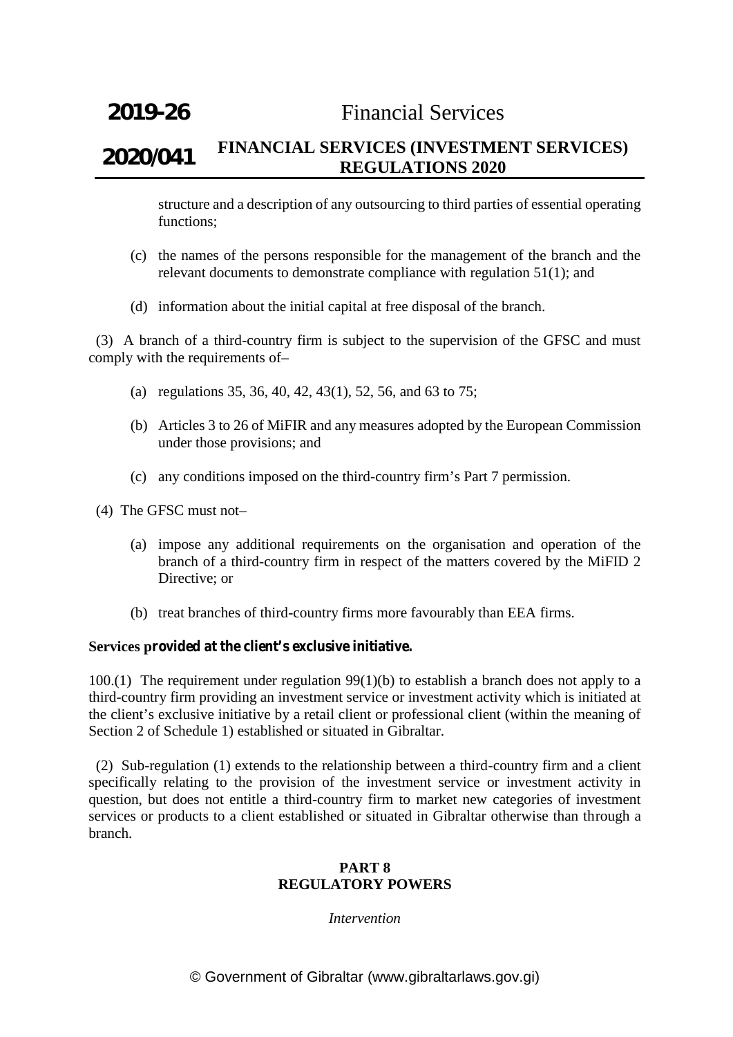### **2020/041 FINANCIAL SERVICES (INVESTMENT SERVICES) REGULATIONS 2020**

structure and a description of any outsourcing to third parties of essential operating functions;

- (c) the names of the persons responsible for the management of the branch and the relevant documents to demonstrate compliance with regulation 51(1); and
- (d) information about the initial capital at free disposal of the branch.

(3) A branch of a third-country firm is subject to the supervision of the GFSC and must comply with the requirements of–

- (a) regulations 35, 36, 40, 42, 43(1), 52, 56, and 63 to 75;
- (b) Articles 3 to 26 of MiFIR and any measures adopted by the European Commission under those provisions; and
- (c) any conditions imposed on the third-country firm's Part 7 permission.
- (4) The GFSC must not–
	- (a) impose any additional requirements on the organisation and operation of the branch of a third-country firm in respect of the matters covered by the MiFID 2 Directive; or
	- (b) treat branches of third-country firms more favourably than EEA firms.

### **Services provided at the client's exclusive initiative.**

100.(1) The requirement under regulation 99(1)(b) to establish a branch does not apply to a third-country firm providing an investment service or investment activity which is initiated at the client's exclusive initiative by a retail client or professional client (within the meaning of Section 2 of Schedule 1) established or situated in Gibraltar.

(2) Sub-regulation (1) extends to the relationship between a third-country firm and a client specifically relating to the provision of the investment service or investment activity in question, but does not entitle a third-country firm to market new categories of investment services or products to a client established or situated in Gibraltar otherwise than through a branch.

### **PART 8 REGULATORY POWERS**

*Intervention*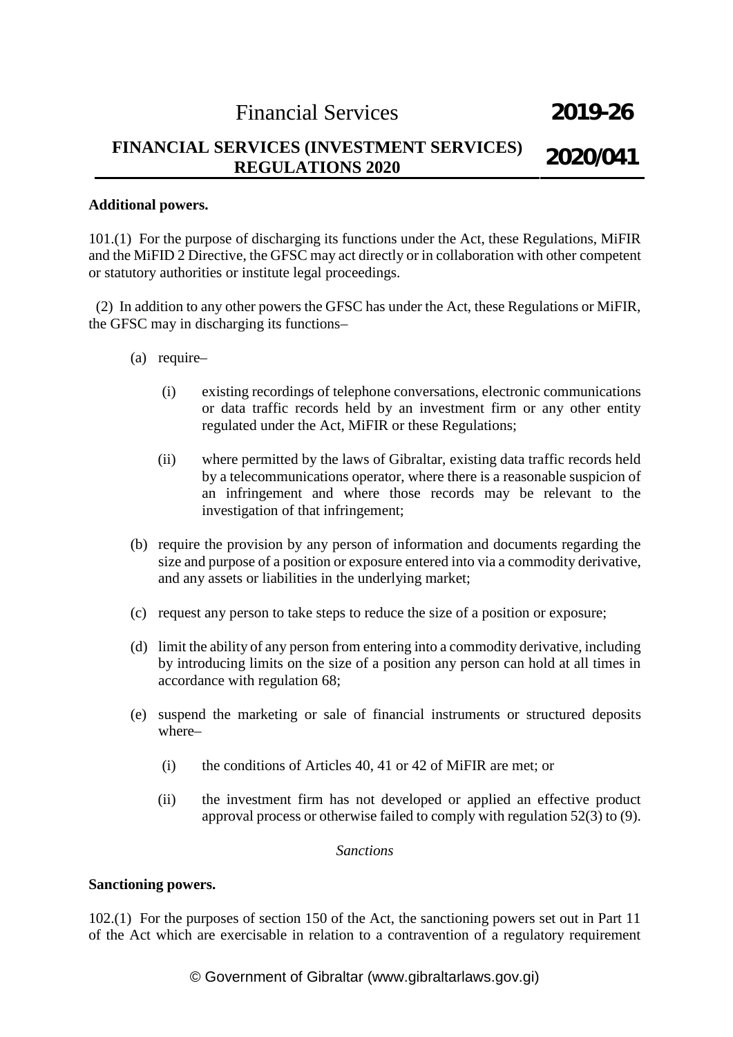### FINANCIAL SERVICES (INVESTMENT SERVICES) 2020/041 **REGULATIONS 2020**

### **Additional powers.**

101.(1) For the purpose of discharging its functions under the Act, these Regulations, MiFIR and the MiFID 2 Directive, the GFSC may act directly or in collaboration with other competent or statutory authorities or institute legal proceedings.

(2) In addition to any other powers the GFSC has under the Act, these Regulations or MiFIR, the GFSC may in discharging its functions–

- (a) require–
	- (i) existing recordings of telephone conversations, electronic communications or data traffic records held by an investment firm or any other entity regulated under the Act, MiFIR or these Regulations;
	- (ii) where permitted by the laws of Gibraltar, existing data traffic records held by a telecommunications operator, where there is a reasonable suspicion of an infringement and where those records may be relevant to the investigation of that infringement;
- (b) require the provision by any person of information and documents regarding the size and purpose of a position or exposure entered into via a commodity derivative, and any assets or liabilities in the underlying market;
- (c) request any person to take steps to reduce the size of a position or exposure;
- (d) limit the ability of any person from entering into a commodity derivative, including by introducing limits on the size of a position any person can hold at all times in accordance with regulation 68;
- (e) suspend the marketing or sale of financial instruments or structured deposits where–
	- (i) the conditions of Articles 40, 41 or 42 of MiFIR are met; or
	- (ii) the investment firm has not developed or applied an effective product approval process or otherwise failed to comply with regulation 52(3) to (9).

#### *Sanctions*

### **Sanctioning powers.**

102.(1) For the purposes of section 150 of the Act, the sanctioning powers set out in Part 11 of the Act which are exercisable in relation to a contravention of a regulatory requirement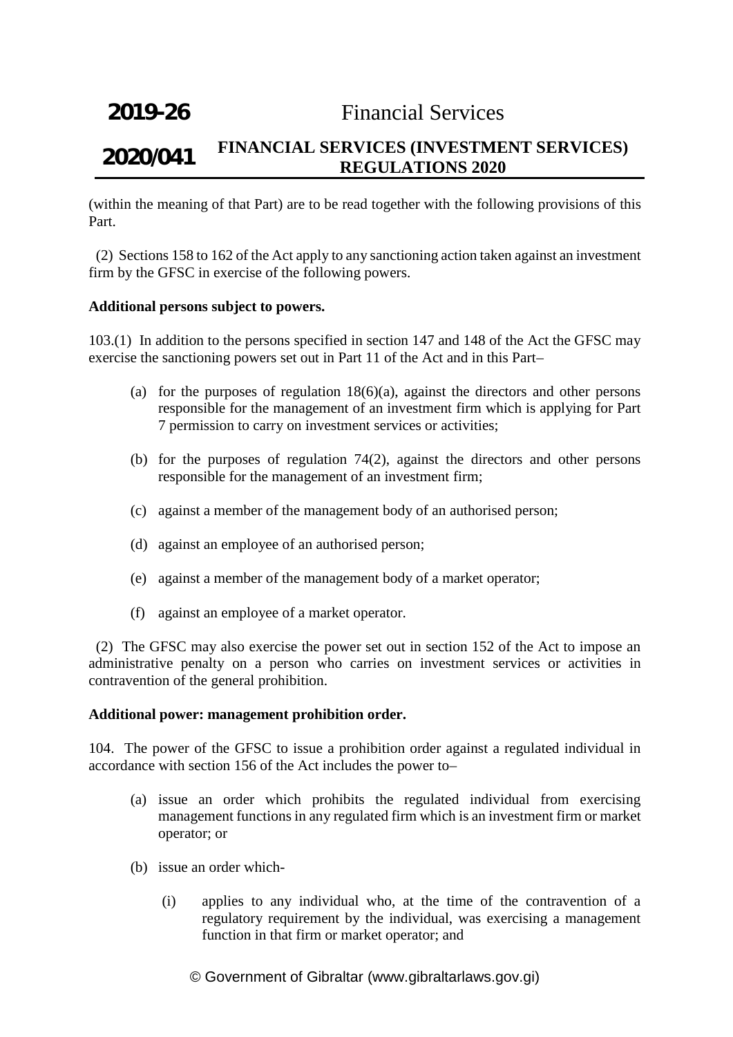## **2020/041 FINANCIAL SERVICES (INVESTMENT SERVICES) REGULATIONS 2020**

(within the meaning of that Part) are to be read together with the following provisions of this Part.

(2) Sections 158 to 162 of the Act apply to any sanctioning action taken against an investment firm by the GFSC in exercise of the following powers.

### **Additional persons subject to powers.**

103.(1) In addition to the persons specified in section 147 and 148 of the Act the GFSC may exercise the sanctioning powers set out in Part 11 of the Act and in this Part–

- (a) for the purposes of regulation  $18(6)(a)$ , against the directors and other persons responsible for the management of an investment firm which is applying for Part 7 permission to carry on investment services or activities;
- (b) for the purposes of regulation 74(2), against the directors and other persons responsible for the management of an investment firm;
- (c) against a member of the management body of an authorised person;
- (d) against an employee of an authorised person;
- (e) against a member of the management body of a market operator;
- (f) against an employee of a market operator.

(2) The GFSC may also exercise the power set out in section 152 of the Act to impose an administrative penalty on a person who carries on investment services or activities in contravention of the general prohibition.

#### **Additional power: management prohibition order.**

104. The power of the GFSC to issue a prohibition order against a regulated individual in accordance with section 156 of the Act includes the power to–

- (a) issue an order which prohibits the regulated individual from exercising management functions in any regulated firm which is an investment firm or market operator; or
- (b) issue an order which-
	- (i) applies to any individual who, at the time of the contravention of a regulatory requirement by the individual, was exercising a management function in that firm or market operator; and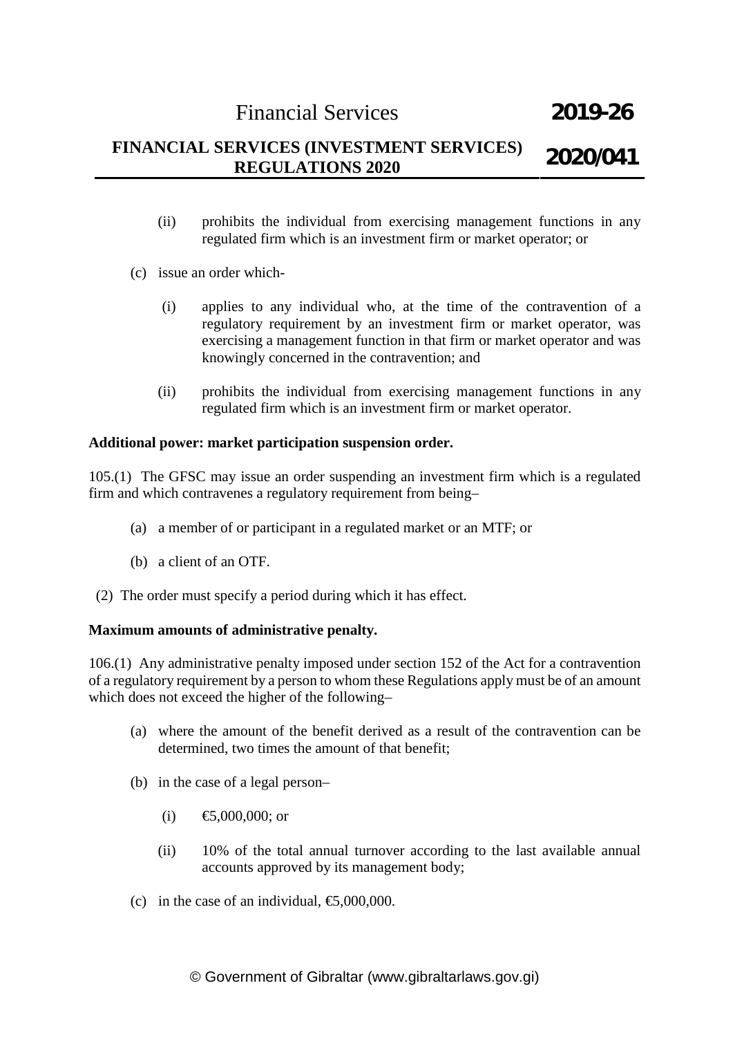## FINANCIAL SERVICES (INVESTMENT SERVICES) 2020/041 **REGULATIONS 2020**

- (ii) prohibits the individual from exercising management functions in any regulated firm which is an investment firm or market operator; or
- (c) issue an order which-
	- (i) applies to any individual who, at the time of the contravention of a regulatory requirement by an investment firm or market operator, was exercising a management function in that firm or market operator and was knowingly concerned in the contravention; and
	- (ii) prohibits the individual from exercising management functions in any regulated firm which is an investment firm or market operator.

### **Additional power: market participation suspension order.**

105.(1) The GFSC may issue an order suspending an investment firm which is a regulated firm and which contravenes a regulatory requirement from being–

- (a) a member of or participant in a regulated market or an MTF; or
- (b) a client of an OTF.
- (2) The order must specify a period during which it has effect.

### **Maximum amounts of administrative penalty.**

106.(1) Any administrative penalty imposed under section 152 of the Act for a contravention of a regulatory requirement by a person to whom these Regulations apply must be of an amount which does not exceed the higher of the following–

- (a) where the amount of the benefit derived as a result of the contravention can be determined, two times the amount of that benefit;
- (b) in the case of a legal person–
	- (i)  $\qquad \qquad \textbf{\textsterling}.000.000$ ; or
	- (ii) 10% of the total annual turnover according to the last available annual accounts approved by its management body;
- (c) in the case of an individual,  $\epsilon$ 5,000,000.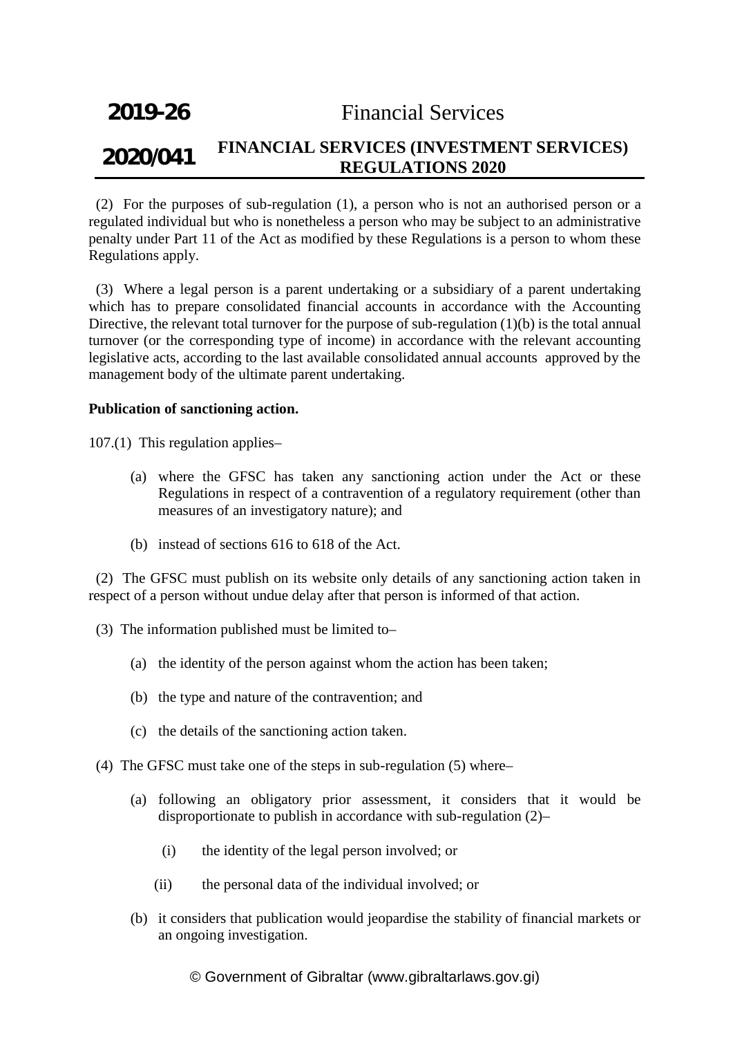## **2020/041 FINANCIAL SERVICES (INVESTMENT SERVICES) REGULATIONS 2020**

(2) For the purposes of sub-regulation (1), a person who is not an authorised person or a regulated individual but who is nonetheless a person who may be subject to an administrative penalty under Part 11 of the Act as modified by these Regulations is a person to whom these Regulations apply.

(3) Where a legal person is a parent undertaking or a subsidiary of a parent undertaking which has to prepare consolidated financial accounts in accordance with the Accounting Directive, the relevant total turnover for the purpose of sub-regulation (1)(b) is the total annual turnover (or the corresponding type of income) in accordance with the relevant accounting legislative acts, according to the last available consolidated annual accounts approved by the management body of the ultimate parent undertaking.

### **Publication of sanctioning action.**

107.(1) This regulation applies–

- (a) where the GFSC has taken any sanctioning action under the Act or these Regulations in respect of a contravention of a regulatory requirement (other than measures of an investigatory nature); and
- (b) instead of sections 616 to 618 of the Act.

(2) The GFSC must publish on its website only details of any sanctioning action taken in respect of a person without undue delay after that person is informed of that action.

- (3) The information published must be limited to–
	- (a) the identity of the person against whom the action has been taken;
	- (b) the type and nature of the contravention; and
	- (c) the details of the sanctioning action taken.
- (4) The GFSC must take one of the steps in sub-regulation (5) where–
	- (a) following an obligatory prior assessment, it considers that it would be disproportionate to publish in accordance with sub-regulation (2)–
		- (i) the identity of the legal person involved; or
		- (ii) the personal data of the individual involved; or
	- (b) it considers that publication would jeopardise the stability of financial markets or an ongoing investigation.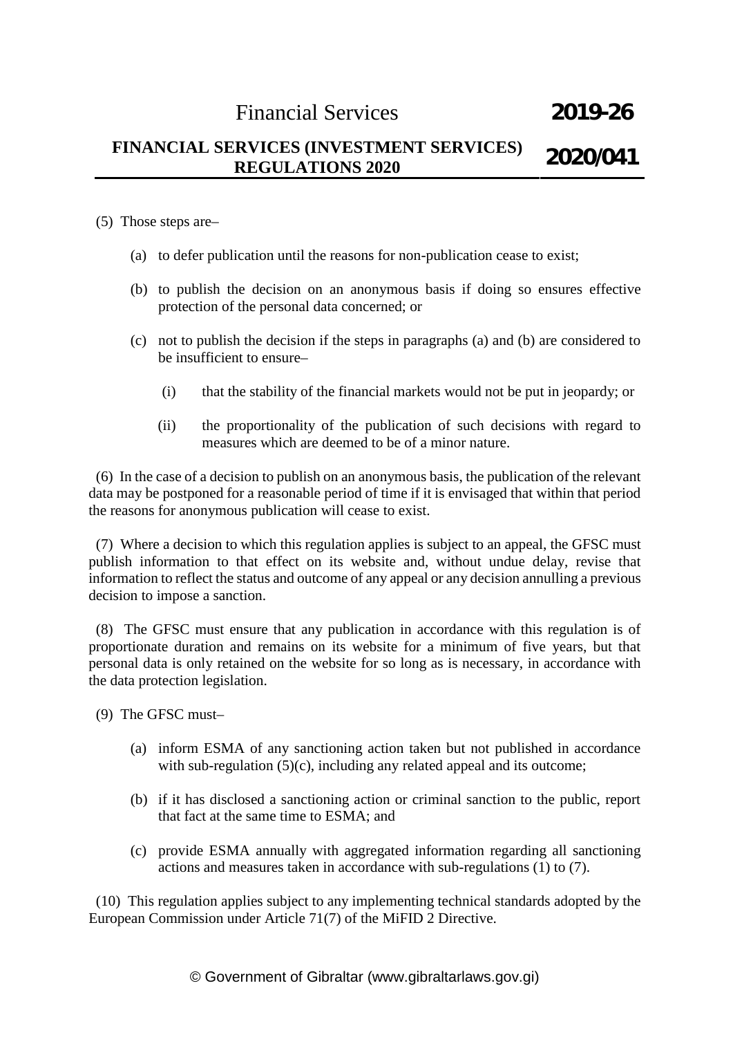### FINANCIAL SERVICES (INVESTMENT SERVICES) 2020/041 **REGULATIONS 2020**

(5) Those steps are–

- (a) to defer publication until the reasons for non-publication cease to exist;
- (b) to publish the decision on an anonymous basis if doing so ensures effective protection of the personal data concerned; or
- (c) not to publish the decision if the steps in paragraphs (a) and (b) are considered to be insufficient to ensure–
	- (i) that the stability of the financial markets would not be put in jeopardy; or
	- (ii) the proportionality of the publication of such decisions with regard to measures which are deemed to be of a minor nature.

(6) In the case of a decision to publish on an anonymous basis, the publication of the relevant data may be postponed for a reasonable period of time if it is envisaged that within that period the reasons for anonymous publication will cease to exist.

(7) Where a decision to which this regulation applies is subject to an appeal, the GFSC must publish information to that effect on its website and, without undue delay, revise that information to reflect the status and outcome of any appeal or any decision annulling a previous decision to impose a sanction.

(8) The GFSC must ensure that any publication in accordance with this regulation is of proportionate duration and remains on its website for a minimum of five years, but that personal data is only retained on the website for so long as is necessary, in accordance with the data protection legislation.

(9) The GFSC must–

- (a) inform ESMA of any sanctioning action taken but not published in accordance with sub-regulation (5)(c), including any related appeal and its outcome;
- (b) if it has disclosed a sanctioning action or criminal sanction to the public, report that fact at the same time to ESMA; and
- (c) provide ESMA annually with aggregated information regarding all sanctioning actions and measures taken in accordance with sub-regulations (1) to (7).

(10) This regulation applies subject to any implementing technical standards adopted by the European Commission under Article 71(7) of the MiFID 2 Directive.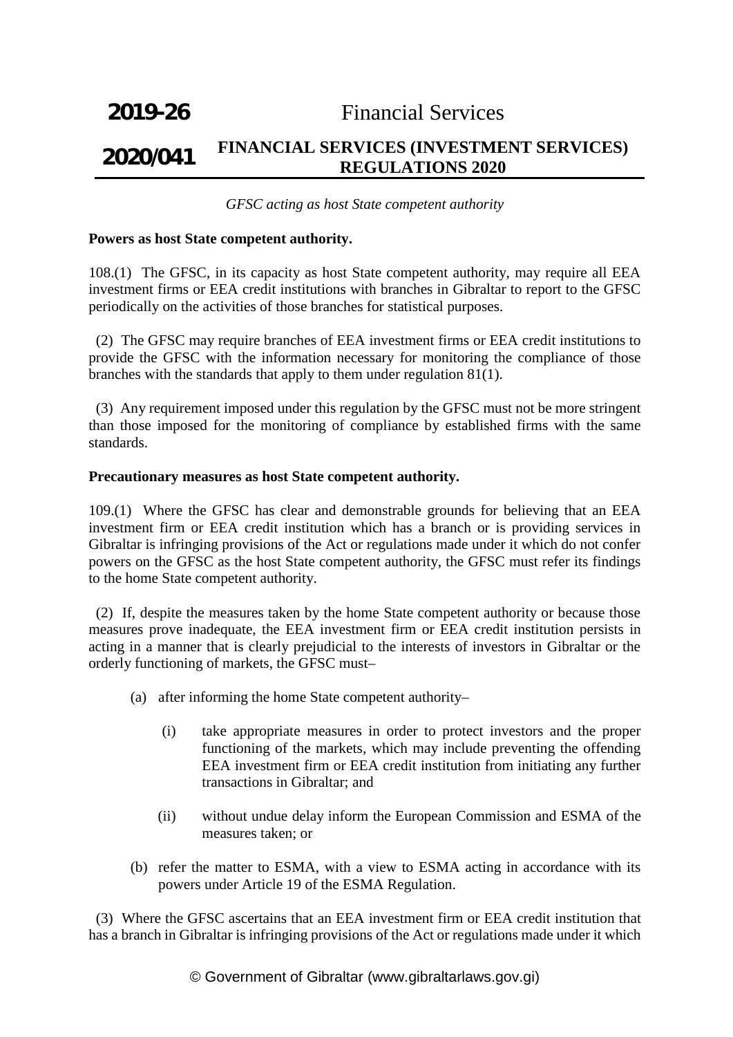## **2020/041 FINANCIAL SERVICES (INVESTMENT SERVICES) REGULATIONS 2020**

*GFSC acting as host State competent authority*

### **Powers as host State competent authority.**

108.(1) The GFSC, in its capacity as host State competent authority, may require all EEA investment firms or EEA credit institutions with branches in Gibraltar to report to the GFSC periodically on the activities of those branches for statistical purposes.

(2) The GFSC may require branches of EEA investment firms or EEA credit institutions to provide the GFSC with the information necessary for monitoring the compliance of those branches with the standards that apply to them under regulation 81(1).

(3) Any requirement imposed under this regulation by the GFSC must not be more stringent than those imposed for the monitoring of compliance by established firms with the same standards.

#### **Precautionary measures as host State competent authority.**

109.(1) Where the GFSC has clear and demonstrable grounds for believing that an EEA investment firm or EEA credit institution which has a branch or is providing services in Gibraltar is infringing provisions of the Act or regulations made under it which do not confer powers on the GFSC as the host State competent authority, the GFSC must refer its findings to the home State competent authority.

(2) If, despite the measures taken by the home State competent authority or because those measures prove inadequate, the EEA investment firm or EEA credit institution persists in acting in a manner that is clearly prejudicial to the interests of investors in Gibraltar or the orderly functioning of markets, the GFSC must–

- (a) after informing the home State competent authority–
	- (i) take appropriate measures in order to protect investors and the proper functioning of the markets, which may include preventing the offending EEA investment firm or EEA credit institution from initiating any further transactions in Gibraltar; and
	- (ii) without undue delay inform the European Commission and ESMA of the measures taken; or
- (b) refer the matter to ESMA, with a view to ESMA acting in accordance with its powers under Article 19 of the ESMA Regulation.

(3) Where the GFSC ascertains that an EEA investment firm or EEA credit institution that has a branch in Gibraltar is infringing provisions of the Act or regulations made under it which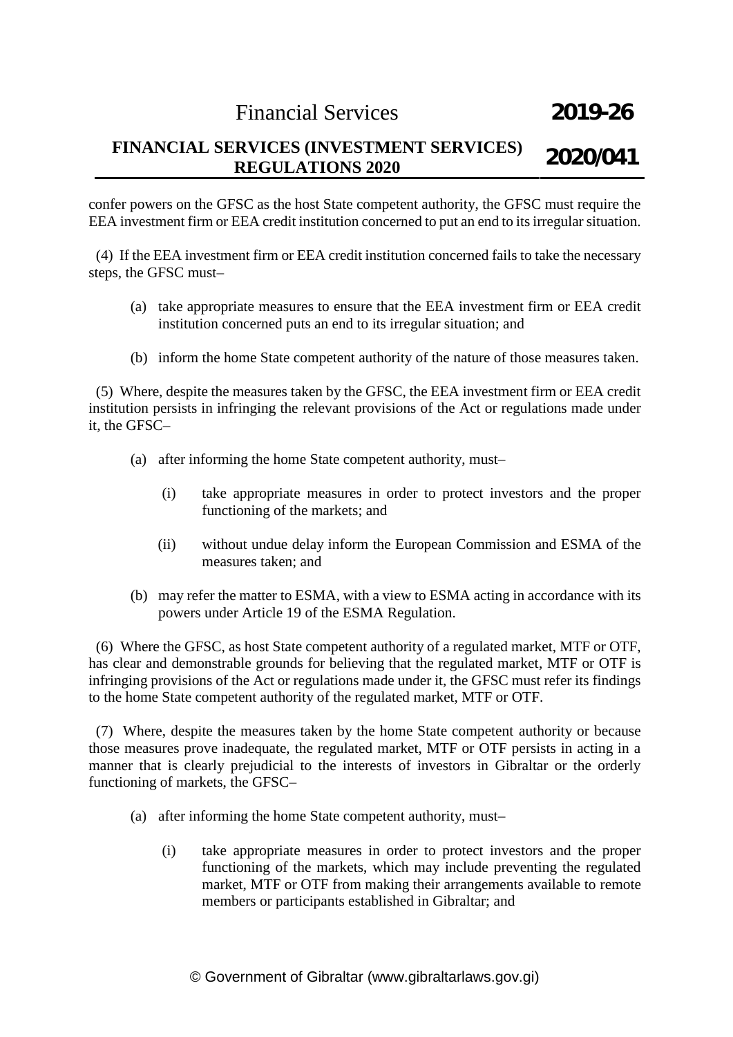## FINANCIAL SERVICES (INVESTMENT SERVICES) 2020/041 **REGULATIONS 2020**

confer powers on the GFSC as the host State competent authority, the GFSC must require the EEA investment firm or EEA credit institution concerned to put an end to its irregular situation.

(4) If the EEA investment firm or EEA credit institution concerned fails to take the necessary steps, the GFSC must–

- (a) take appropriate measures to ensure that the EEA investment firm or EEA credit institution concerned puts an end to its irregular situation; and
- (b) inform the home State competent authority of the nature of those measures taken.

(5) Where, despite the measures taken by the GFSC, the EEA investment firm or EEA credit institution persists in infringing the relevant provisions of the Act or regulations made under it, the GFSC–

- (a) after informing the home State competent authority, must–
	- (i) take appropriate measures in order to protect investors and the proper functioning of the markets; and
	- (ii) without undue delay inform the European Commission and ESMA of the measures taken; and
- (b) may refer the matter to ESMA, with a view to ESMA acting in accordance with its powers under Article 19 of the ESMA Regulation.

(6) Where the GFSC, as host State competent authority of a regulated market, MTF or OTF, has clear and demonstrable grounds for believing that the regulated market, MTF or OTF is infringing provisions of the Act or regulations made under it, the GFSC must refer its findings to the home State competent authority of the regulated market, MTF or OTF.

(7) Where, despite the measures taken by the home State competent authority or because those measures prove inadequate, the regulated market, MTF or OTF persists in acting in a manner that is clearly prejudicial to the interests of investors in Gibraltar or the orderly functioning of markets, the GFSC–

- (a) after informing the home State competent authority, must–
	- (i) take appropriate measures in order to protect investors and the proper functioning of the markets, which may include preventing the regulated market, MTF or OTF from making their arrangements available to remote members or participants established in Gibraltar; and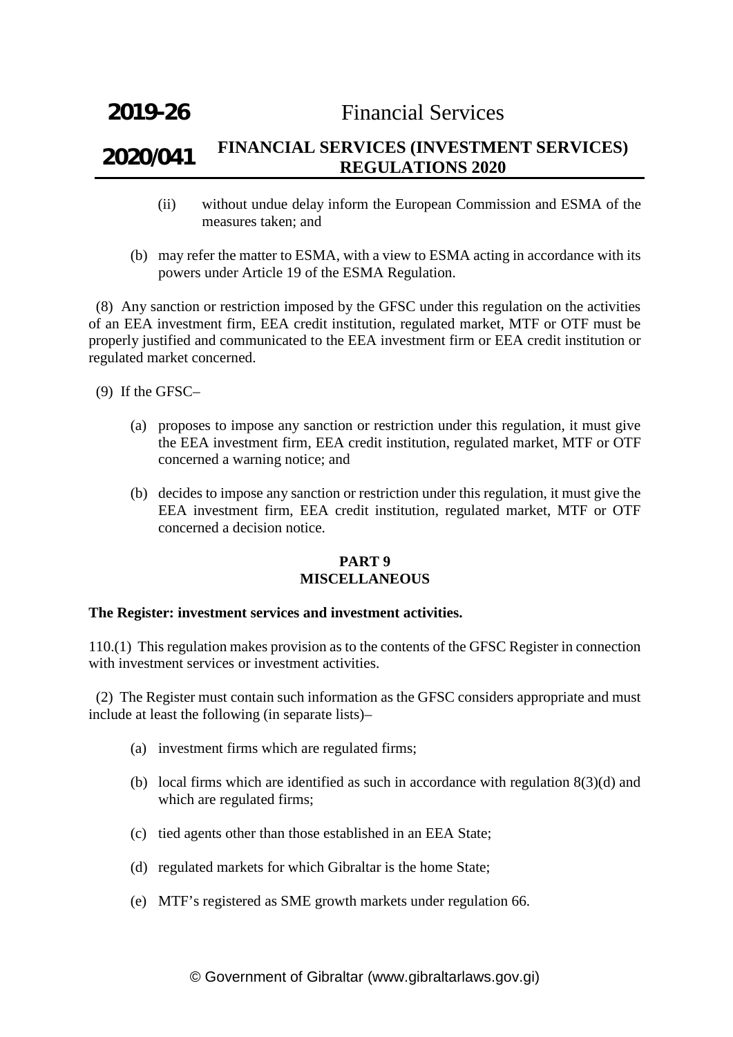### **2020/041 FINANCIAL SERVICES (INVESTMENT SERVICES) REGULATIONS 2020**

- (ii) without undue delay inform the European Commission and ESMA of the measures taken; and
- (b) may refer the matter to ESMA, with a view to ESMA acting in accordance with its powers under Article 19 of the ESMA Regulation.

(8) Any sanction or restriction imposed by the GFSC under this regulation on the activities of an EEA investment firm, EEA credit institution, regulated market, MTF or OTF must be properly justified and communicated to the EEA investment firm or EEA credit institution or regulated market concerned.

(9) If the GFSC–

- (a) proposes to impose any sanction or restriction under this regulation, it must give the EEA investment firm, EEA credit institution, regulated market, MTF or OTF concerned a warning notice; and
- (b) decides to impose any sanction or restriction under this regulation, it must give the EEA investment firm, EEA credit institution, regulated market, MTF or OTF concerned a decision notice.

### **PART 9 MISCELLANEOUS**

### **The Register: investment services and investment activities.**

110.(1) This regulation makes provision as to the contents of the GFSC Register in connection with investment services or investment activities.

(2) The Register must contain such information as the GFSC considers appropriate and must include at least the following (in separate lists)–

- (a) investment firms which are regulated firms;
- (b) local firms which are identified as such in accordance with regulation 8(3)(d) and which are regulated firms;
- (c) tied agents other than those established in an EEA State;
- (d) regulated markets for which Gibraltar is the home State;
- (e) MTF's registered as SME growth markets under regulation 66.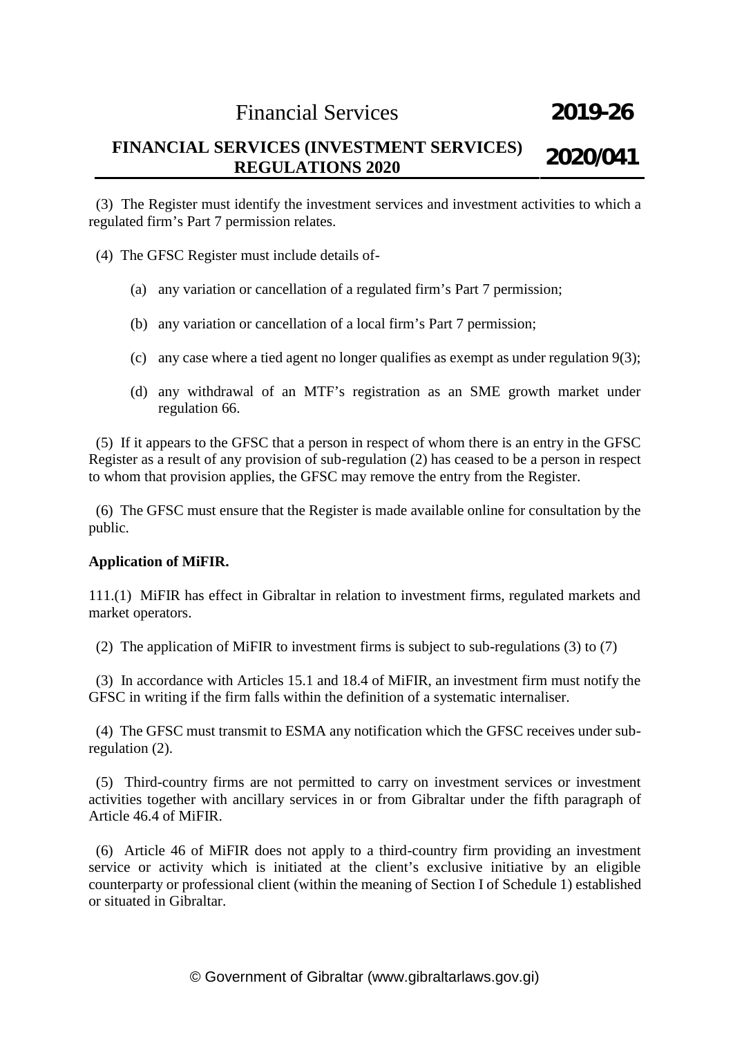## FINANCIAL SERVICES (INVESTMENT SERVICES) 2020/041 **REGULATIONS 2020**

(3) The Register must identify the investment services and investment activities to which a regulated firm's Part 7 permission relates.

- (4) The GFSC Register must include details of-
	- (a) any variation or cancellation of a regulated firm's Part 7 permission;
	- (b) any variation or cancellation of a local firm's Part 7 permission;
	- (c) any case where a tied agent no longer qualifies as exempt as under regulation 9(3);
	- (d) any withdrawal of an MTF's registration as an SME growth market under regulation 66.

(5) If it appears to the GFSC that a person in respect of whom there is an entry in the GFSC Register as a result of any provision of sub-regulation (2) has ceased to be a person in respect to whom that provision applies, the GFSC may remove the entry from the Register.

(6) The GFSC must ensure that the Register is made available online for consultation by the public.

### **Application of MiFIR.**

111.(1) MiFIR has effect in Gibraltar in relation to investment firms, regulated markets and market operators.

(2) The application of MiFIR to investment firms is subject to sub-regulations (3) to (7)

(3) In accordance with Articles 15.1 and 18.4 of MiFIR, an investment firm must notify the GFSC in writing if the firm falls within the definition of a systematic internaliser.

(4) The GFSC must transmit to ESMA any notification which the GFSC receives under subregulation (2).

(5) Third-country firms are not permitted to carry on investment services or investment activities together with ancillary services in or from Gibraltar under the fifth paragraph of Article 46.4 of MiFIR.

(6) Article 46 of MiFIR does not apply to a third-country firm providing an investment service or activity which is initiated at the client's exclusive initiative by an eligible counterparty or professional client (within the meaning of Section I of Schedule 1) established or situated in Gibraltar.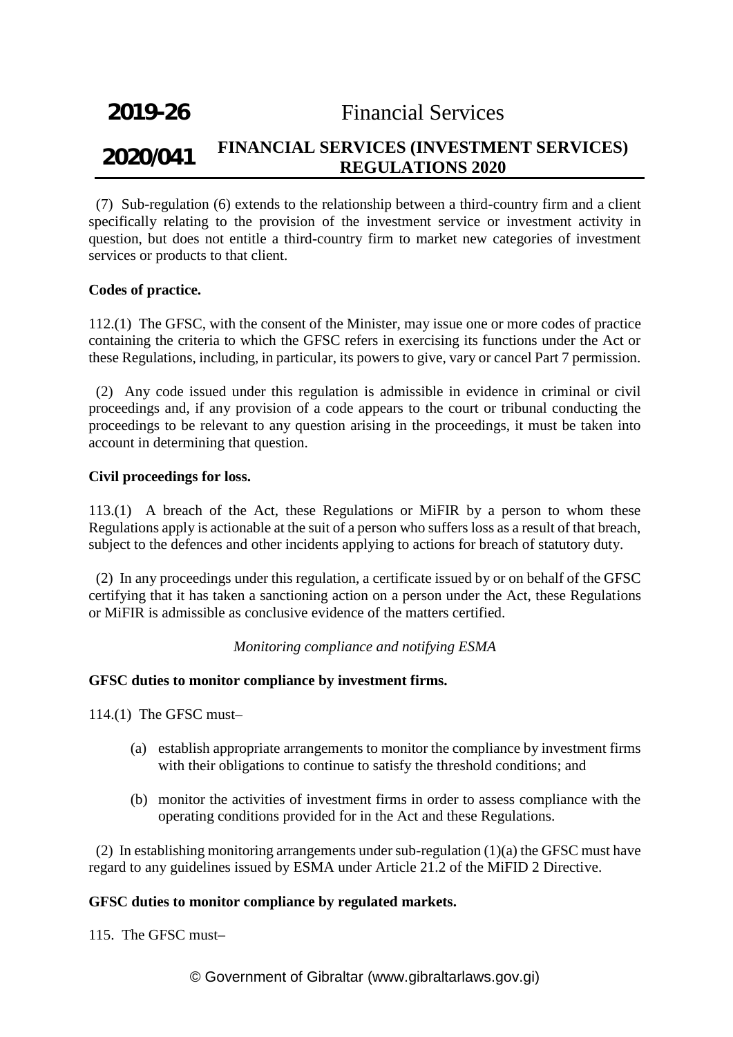## **2020/041 FINANCIAL SERVICES (INVESTMENT SERVICES) REGULATIONS 2020**

(7) Sub-regulation (6) extends to the relationship between a third-country firm and a client specifically relating to the provision of the investment service or investment activity in question, but does not entitle a third-country firm to market new categories of investment services or products to that client.

### **Codes of practice.**

112.(1) The GFSC, with the consent of the Minister, may issue one or more codes of practice containing the criteria to which the GFSC refers in exercising its functions under the Act or these Regulations, including, in particular, its powers to give, vary or cancel Part 7 permission.

(2) Any code issued under this regulation is admissible in evidence in criminal or civil proceedings and, if any provision of a code appears to the court or tribunal conducting the proceedings to be relevant to any question arising in the proceedings, it must be taken into account in determining that question.

### **Civil proceedings for loss.**

113.(1) A breach of the Act, these Regulations or MiFIR by a person to whom these Regulations apply is actionable at the suit of a person who suffers loss as a result of that breach, subject to the defences and other incidents applying to actions for breach of statutory duty.

(2) In any proceedings under this regulation, a certificate issued by or on behalf of the GFSC certifying that it has taken a sanctioning action on a person under the Act, these Regulations or MiFIR is admissible as conclusive evidence of the matters certified.

### *Monitoring compliance and notifying ESMA*

### **GFSC duties to monitor compliance by investment firms.**

114.(1) The GFSC must–

- (a) establish appropriate arrangements to monitor the compliance by investment firms with their obligations to continue to satisfy the threshold conditions; and
- (b) monitor the activities of investment firms in order to assess compliance with the operating conditions provided for in the Act and these Regulations.

(2) In establishing monitoring arrangements under sub-regulation  $(1)(a)$  the GFSC must have regard to any guidelines issued by ESMA under Article 21.2 of the MiFID 2 Directive.

### **GFSC duties to monitor compliance by regulated markets.**

115. The GFSC must–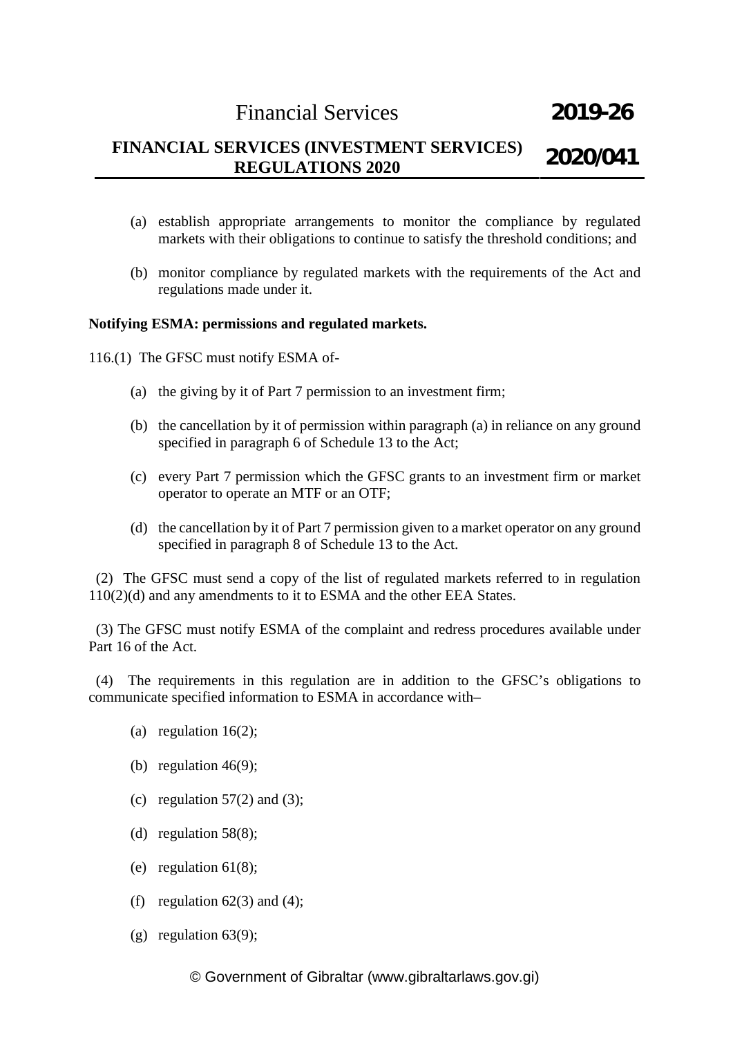## FINANCIAL SERVICES (INVESTMENT SERVICES) 2020/041 **REGULATIONS 2020**

- (a) establish appropriate arrangements to monitor the compliance by regulated markets with their obligations to continue to satisfy the threshold conditions; and
- (b) monitor compliance by regulated markets with the requirements of the Act and regulations made under it.

### **Notifying ESMA: permissions and regulated markets.**

116.(1) The GFSC must notify ESMA of-

- (a) the giving by it of Part 7 permission to an investment firm;
- (b) the cancellation by it of permission within paragraph (a) in reliance on any ground specified in paragraph 6 of Schedule 13 to the Act;
- (c) every Part 7 permission which the GFSC grants to an investment firm or market operator to operate an MTF or an OTF;
- (d) the cancellation by it of Part 7 permission given to a market operator on any ground specified in paragraph 8 of Schedule 13 to the Act.

(2) The GFSC must send a copy of the list of regulated markets referred to in regulation 110(2)(d) and any amendments to it to ESMA and the other EEA States.

(3) The GFSC must notify ESMA of the complaint and redress procedures available under Part 16 of the Act.

(4) The requirements in this regulation are in addition to the GFSC's obligations to communicate specified information to ESMA in accordance with–

- (a) regulation  $16(2)$ ;
- (b) regulation 46(9);
- (c) regulation  $57(2)$  and  $(3)$ ;
- (d) regulation 58(8);
- (e) regulation 61(8);
- (f) regulation  $62(3)$  and  $(4)$ ;
- (g) regulation  $63(9)$ ;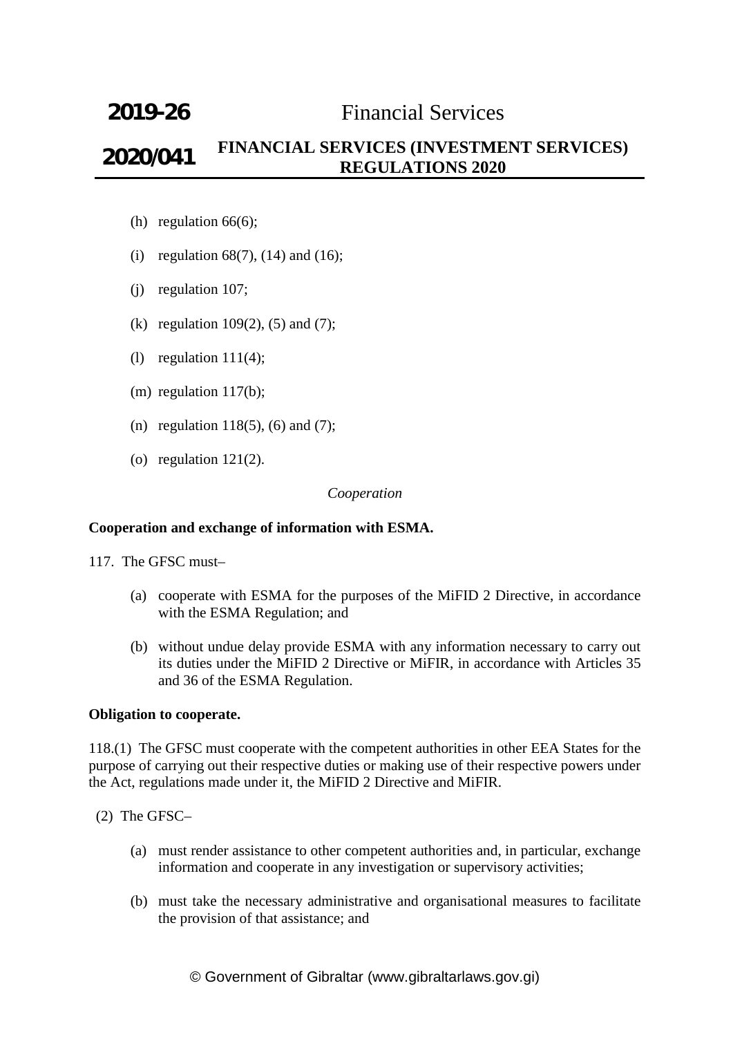## **2020/041 FINANCIAL SERVICES (INVESTMENT SERVICES) REGULATIONS 2020**

- (h) regulation  $66(6)$ ;
- (i) regulation  $68(7)$ ,  $(14)$  and  $(16)$ ;
- (j) regulation 107;
- (k) regulation  $109(2)$ , (5) and (7);
- (1) regulation  $111(4)$ :
- (m) regulation 117(b);
- (n) regulation  $118(5)$ , (6) and (7);
- (o) regulation  $121(2)$ .

*Cooperation*

### **Cooperation and exchange of information with ESMA.**

- 117 The GFSC must-
	- (a) cooperate with ESMA for the purposes of the MiFID 2 Directive, in accordance with the ESMA Regulation; and
	- (b) without undue delay provide ESMA with any information necessary to carry out its duties under the MiFID 2 Directive or MiFIR, in accordance with Articles 35 and 36 of the ESMA Regulation.

### **Obligation to cooperate.**

118.(1) The GFSC must cooperate with the competent authorities in other EEA States for the purpose of carrying out their respective duties or making use of their respective powers under the Act, regulations made under it, the MiFID 2 Directive and MiFIR.

- (2) The GFSC–
	- (a) must render assistance to other competent authorities and, in particular, exchange information and cooperate in any investigation or supervisory activities;
	- (b) must take the necessary administrative and organisational measures to facilitate the provision of that assistance; and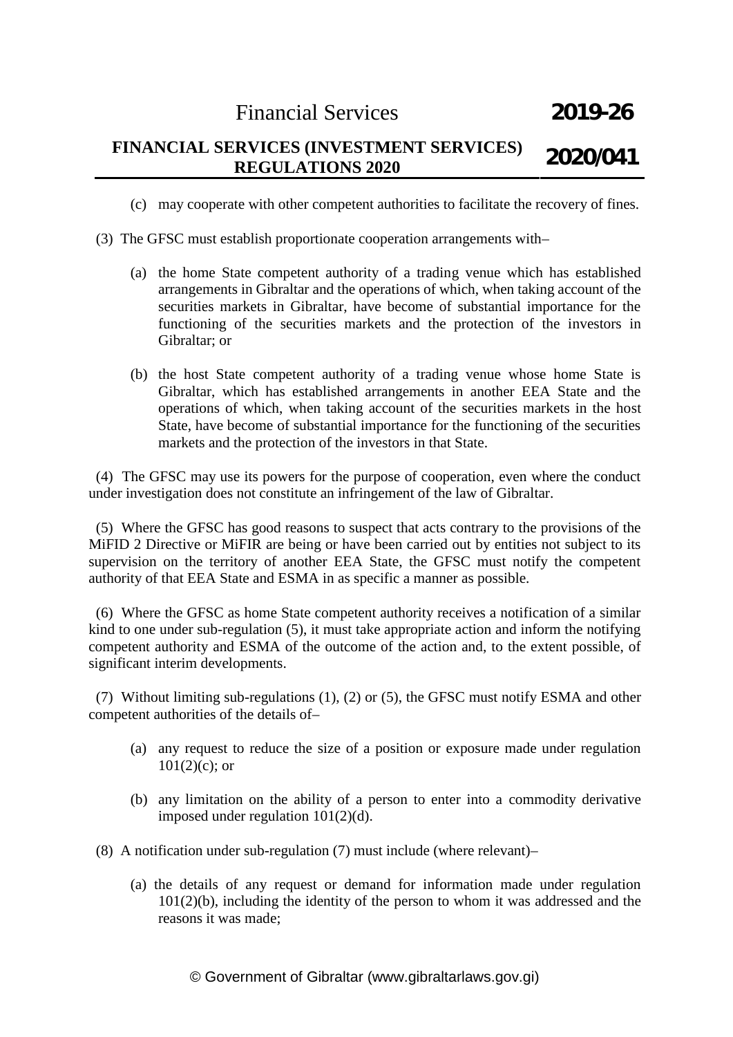## FINANCIAL SERVICES (INVESTMENT SERVICES) 2020/041 **REGULATIONS 2020**

- (c) may cooperate with other competent authorities to facilitate the recovery of fines.
- (3) The GFSC must establish proportionate cooperation arrangements with–
	- (a) the home State competent authority of a trading venue which has established arrangements in Gibraltar and the operations of which, when taking account of the securities markets in Gibraltar, have become of substantial importance for the functioning of the securities markets and the protection of the investors in Gibraltar; or
	- (b) the host State competent authority of a trading venue whose home State is Gibraltar, which has established arrangements in another EEA State and the operations of which, when taking account of the securities markets in the host State, have become of substantial importance for the functioning of the securities markets and the protection of the investors in that State.

(4) The GFSC may use its powers for the purpose of cooperation, even where the conduct under investigation does not constitute an infringement of the law of Gibraltar.

(5) Where the GFSC has good reasons to suspect that acts contrary to the provisions of the MiFID 2 Directive or MiFIR are being or have been carried out by entities not subject to its supervision on the territory of another EEA State, the GFSC must notify the competent authority of that EEA State and ESMA in as specific a manner as possible.

(6) Where the GFSC as home State competent authority receives a notification of a similar kind to one under sub-regulation (5), it must take appropriate action and inform the notifying competent authority and ESMA of the outcome of the action and, to the extent possible, of significant interim developments.

(7) Without limiting sub-regulations (1), (2) or (5), the GFSC must notify ESMA and other competent authorities of the details of–

- (a) any request to reduce the size of a position or exposure made under regulation  $101(2)(c)$ ; or
- (b) any limitation on the ability of a person to enter into a commodity derivative imposed under regulation 101(2)(d).
- (8) A notification under sub-regulation (7) must include (where relevant)–
	- (a) the details of any request or demand for information made under regulation 101(2)(b), including the identity of the person to whom it was addressed and the reasons it was made;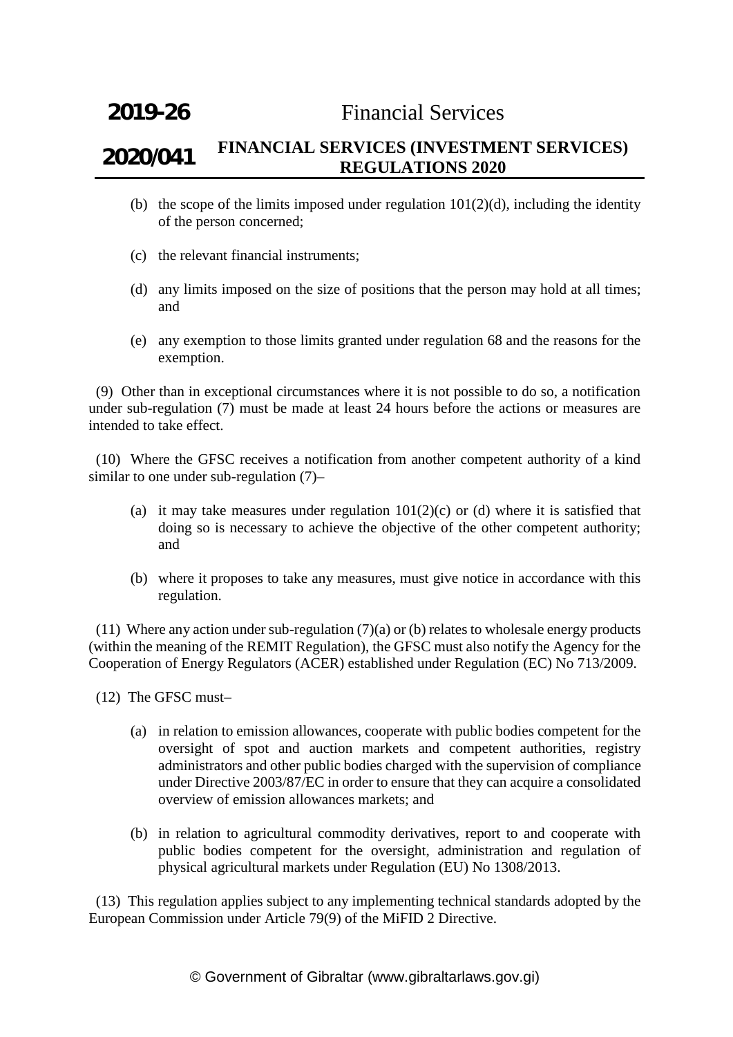## **2020/041 FINANCIAL SERVICES (INVESTMENT SERVICES) REGULATIONS 2020**

- (b) the scope of the limits imposed under regulation  $101(2)(d)$ , including the identity of the person concerned;
- (c) the relevant financial instruments;
- (d) any limits imposed on the size of positions that the person may hold at all times; and
- (e) any exemption to those limits granted under regulation 68 and the reasons for the exemption.

(9) Other than in exceptional circumstances where it is not possible to do so, a notification under sub-regulation (7) must be made at least 24 hours before the actions or measures are intended to take effect.

(10) Where the GFSC receives a notification from another competent authority of a kind similar to one under sub-regulation (7)–

- (a) it may take measures under regulation  $101(2)(c)$  or (d) where it is satisfied that doing so is necessary to achieve the objective of the other competent authority; and
- (b) where it proposes to take any measures, must give notice in accordance with this regulation.

(11) Where any action under sub-regulation (7)(a) or (b) relates to wholesale energy products (within the meaning of the REMIT Regulation), the GFSC must also notify the Agency for the Cooperation of Energy Regulators (ACER) established under Regulation (EC) No 713/2009.

(12) The GFSC must–

- (a) in relation to emission allowances, cooperate with public bodies competent for the oversight of spot and auction markets and competent authorities, registry administrators and other public bodies charged with the supervision of compliance under Directive 2003/87/EC in order to ensure that they can acquire a consolidated overview of emission allowances markets; and
- (b) in relation to agricultural commodity derivatives, report to and cooperate with public bodies competent for the oversight, administration and regulation of physical agricultural markets under Regulation (EU) No 1308/2013.

(13) This regulation applies subject to any implementing technical standards adopted by the European Commission under Article 79(9) of the MiFID 2 Directive.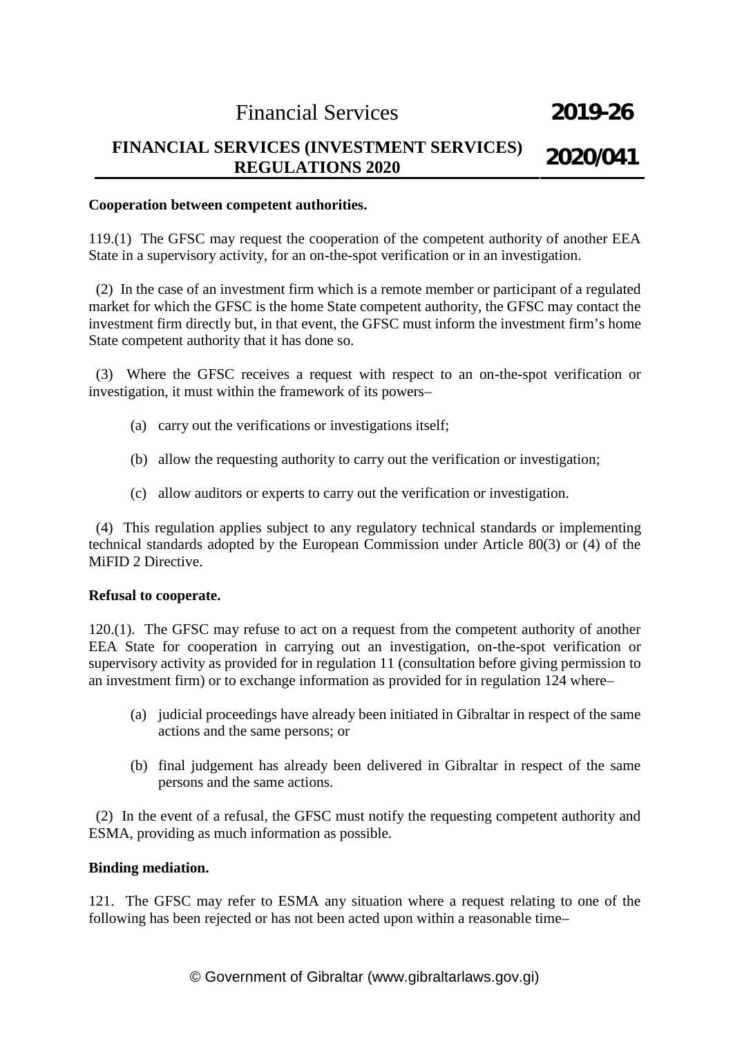### FINANCIAL SERVICES (INVESTMENT SERVICES) 2020/041 **REGULATIONS 2020**

### **Cooperation between competent authorities.**

119.(1) The GFSC may request the cooperation of the competent authority of another EEA State in a supervisory activity, for an on-the-spot verification or in an investigation.

(2) In the case of an investment firm which is a remote member or participant of a regulated market for which the GFSC is the home State competent authority, the GFSC may contact the investment firm directly but, in that event, the GFSC must inform the investment firm's home State competent authority that it has done so.

(3) Where the GFSC receives a request with respect to an on-the-spot verification or investigation, it must within the framework of its powers–

- (a) carry out the verifications or investigations itself;
- (b) allow the requesting authority to carry out the verification or investigation;
- (c) allow auditors or experts to carry out the verification or investigation.

(4) This regulation applies subject to any regulatory technical standards or implementing technical standards adopted by the European Commission under Article 80(3) or (4) of the MiFID 2 Directive.

#### **Refusal to cooperate.**

120.(1). The GFSC may refuse to act on a request from the competent authority of another EEA State for cooperation in carrying out an investigation, on-the-spot verification or supervisory activity as provided for in regulation 11 (consultation before giving permission to an investment firm) or to exchange information as provided for in regulation 124 where–

- (a) judicial proceedings have already been initiated in Gibraltar in respect of the same actions and the same persons; or
- (b) final judgement has already been delivered in Gibraltar in respect of the same persons and the same actions.

(2) In the event of a refusal, the GFSC must notify the requesting competent authority and ESMA, providing as much information as possible.

#### **Binding mediation.**

121. The GFSC may refer to ESMA any situation where a request relating to one of the following has been rejected or has not been acted upon within a reasonable time–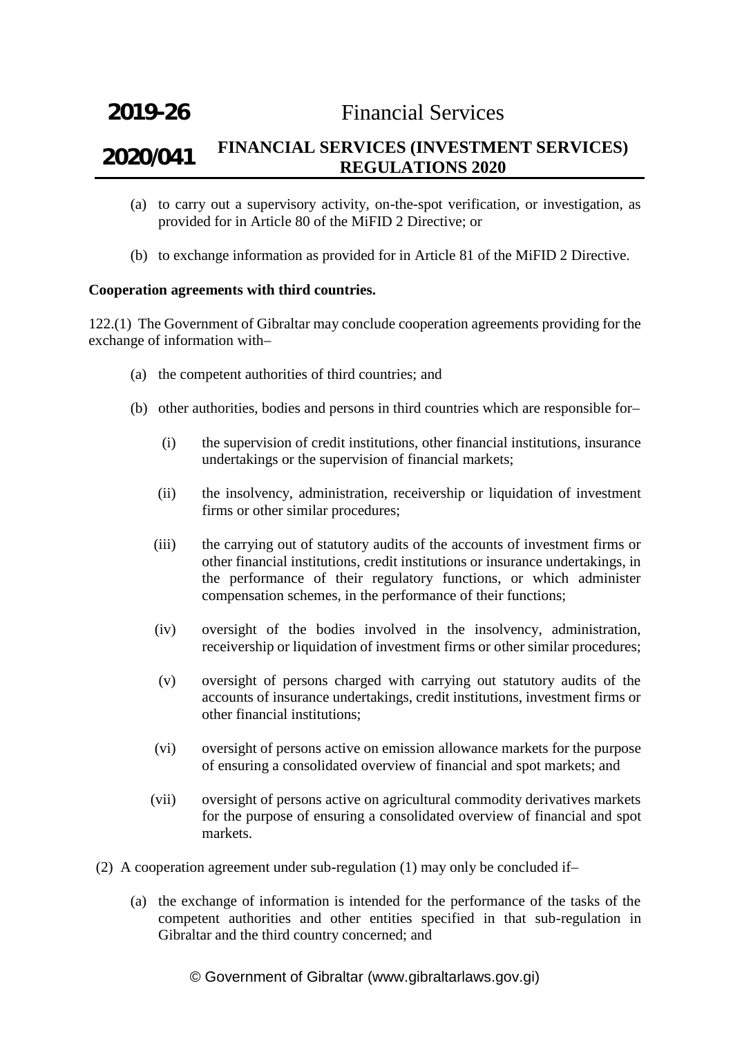## **2020/041 FINANCIAL SERVICES (INVESTMENT SERVICES) REGULATIONS 2020**

- (a) to carry out a supervisory activity, on-the-spot verification, or investigation, as provided for in Article 80 of the MiFID 2 Directive; or
- (b) to exchange information as provided for in Article 81 of the MiFID 2 Directive.

### **Cooperation agreements with third countries.**

122.(1) The Government of Gibraltar may conclude cooperation agreements providing for the exchange of information with–

- (a) the competent authorities of third countries; and
- (b) other authorities, bodies and persons in third countries which are responsible for–
	- (i) the supervision of credit institutions, other financial institutions, insurance undertakings or the supervision of financial markets;
	- (ii) the insolvency, administration, receivership or liquidation of investment firms or other similar procedures;
	- (iii) the carrying out of statutory audits of the accounts of investment firms or other financial institutions, credit institutions or insurance undertakings, in the performance of their regulatory functions, or which administer compensation schemes, in the performance of their functions;
	- (iv) oversight of the bodies involved in the insolvency, administration, receivership or liquidation of investment firms or other similar procedures;
	- (v) oversight of persons charged with carrying out statutory audits of the accounts of insurance undertakings, credit institutions, investment firms or other financial institutions;
	- (vi) oversight of persons active on emission allowance markets for the purpose of ensuring a consolidated overview of financial and spot markets; and
	- (vii) oversight of persons active on agricultural commodity derivatives markets for the purpose of ensuring a consolidated overview of financial and spot markets.
- (2) A cooperation agreement under sub-regulation (1) may only be concluded if–
	- (a) the exchange of information is intended for the performance of the tasks of the competent authorities and other entities specified in that sub-regulation in Gibraltar and the third country concerned; and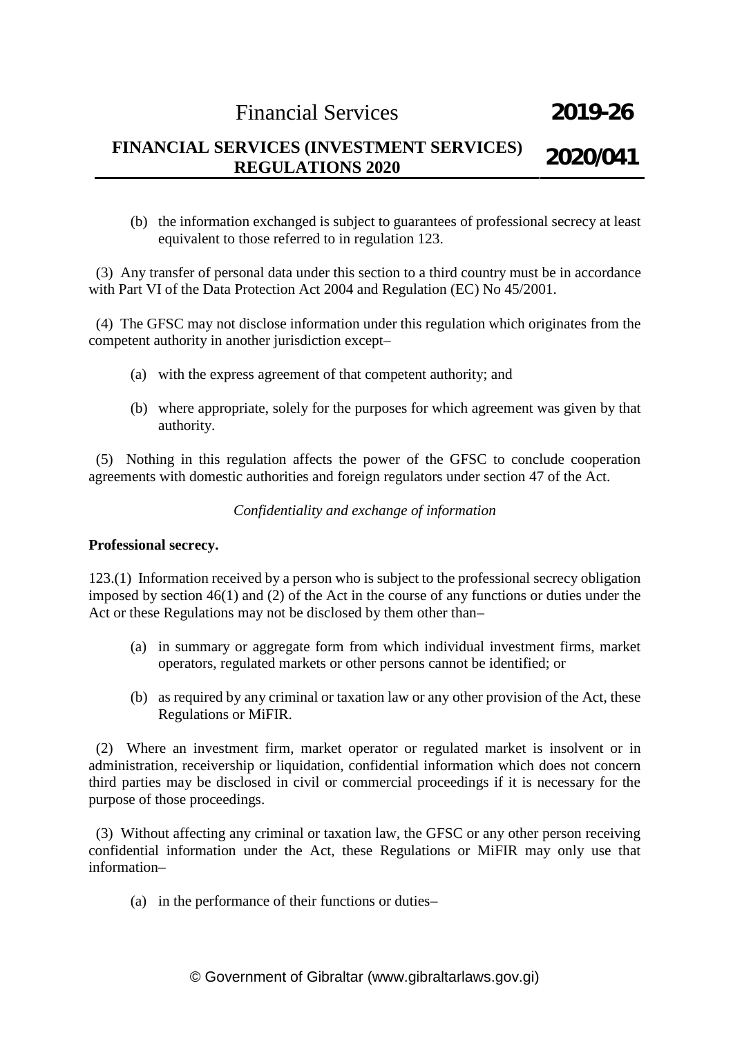## FINANCIAL SERVICES (INVESTMENT SERVICES) 2020/041 **REGULATIONS 2020**

(b) the information exchanged is subject to guarantees of professional secrecy at least equivalent to those referred to in regulation 123.

(3) Any transfer of personal data under this section to a third country must be in accordance with Part VI of the Data Protection Act 2004 and Regulation (EC) No 45/2001.

(4) The GFSC may not disclose information under this regulation which originates from the competent authority in another jurisdiction except–

- (a) with the express agreement of that competent authority; and
- (b) where appropriate, solely for the purposes for which agreement was given by that authority.

(5) Nothing in this regulation affects the power of the GFSC to conclude cooperation agreements with domestic authorities and foreign regulators under section 47 of the Act.

*Confidentiality and exchange of information*

### **Professional secrecy.**

123.(1) Information received by a person who is subject to the professional secrecy obligation imposed by section 46(1) and (2) of the Act in the course of any functions or duties under the Act or these Regulations may not be disclosed by them other than–

- (a) in summary or aggregate form from which individual investment firms, market operators, regulated markets or other persons cannot be identified; or
- (b) as required by any criminal or taxation law or any other provision of the Act, these Regulations or MiFIR.

(2) Where an investment firm, market operator or regulated market is insolvent or in administration, receivership or liquidation, confidential information which does not concern third parties may be disclosed in civil or commercial proceedings if it is necessary for the purpose of those proceedings.

(3) Without affecting any criminal or taxation law, the GFSC or any other person receiving confidential information under the Act, these Regulations or MiFIR may only use that information–

(a) in the performance of their functions or duties–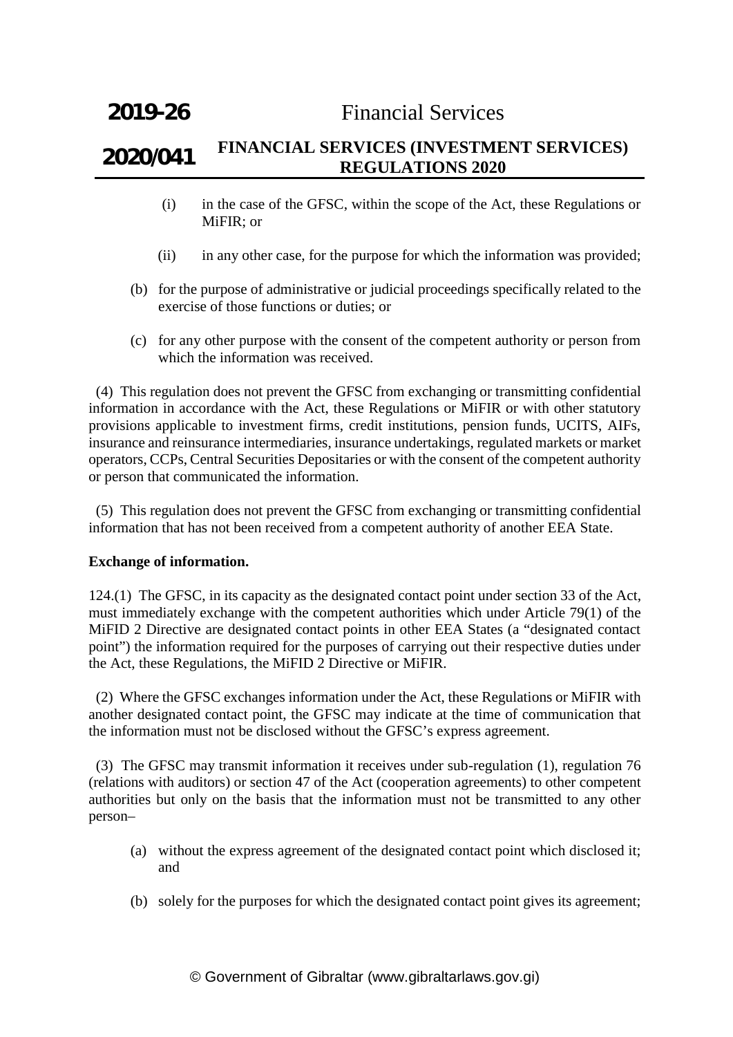## **2020/041 FINANCIAL SERVICES (INVESTMENT SERVICES) REGULATIONS 2020**

- (i) in the case of the GFSC, within the scope of the Act, these Regulations or MiFIR; or
- (ii) in any other case, for the purpose for which the information was provided;
- (b) for the purpose of administrative or judicial proceedings specifically related to the exercise of those functions or duties; or
- (c) for any other purpose with the consent of the competent authority or person from which the information was received.

(4) This regulation does not prevent the GFSC from exchanging or transmitting confidential information in accordance with the Act, these Regulations or MiFIR or with other statutory provisions applicable to investment firms, credit institutions, pension funds, UCITS, AIFs, insurance and reinsurance intermediaries, insurance undertakings, regulated markets or market operators, CCPs, Central Securities Depositaries or with the consent of the competent authority or person that communicated the information.

(5) This regulation does not prevent the GFSC from exchanging or transmitting confidential information that has not been received from a competent authority of another EEA State.

### **Exchange of information.**

124.(1) The GFSC, in its capacity as the designated contact point under section 33 of the Act, must immediately exchange with the competent authorities which under Article 79(1) of the MiFID 2 Directive are designated contact points in other EEA States (a "designated contact point") the information required for the purposes of carrying out their respective duties under the Act, these Regulations, the MiFID 2 Directive or MiFIR.

(2) Where the GFSC exchanges information under the Act, these Regulations or MiFIR with another designated contact point, the GFSC may indicate at the time of communication that the information must not be disclosed without the GFSC's express agreement.

(3) The GFSC may transmit information it receives under sub-regulation (1), regulation 76 (relations with auditors) or section 47 of the Act (cooperation agreements) to other competent authorities but only on the basis that the information must not be transmitted to any other person–

- (a) without the express agreement of the designated contact point which disclosed it; and
- (b) solely for the purposes for which the designated contact point gives its agreement;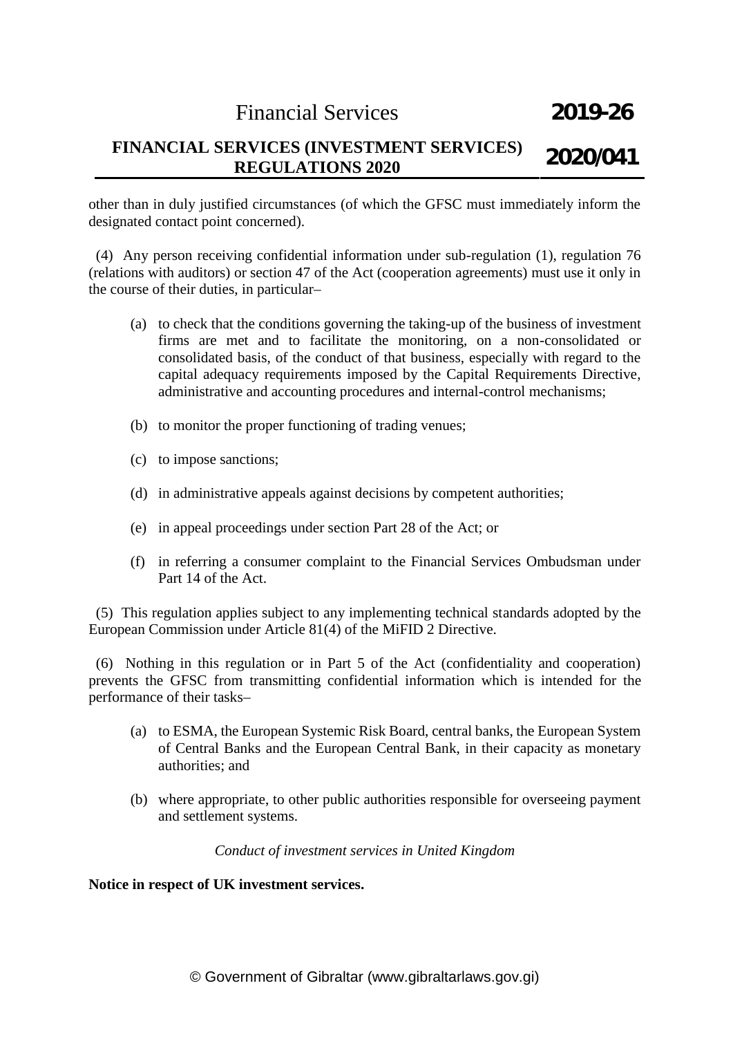### FINANCIAL SERVICES (INVESTMENT SERVICES) 2020/041 **REGULATIONS 2020**

other than in duly justified circumstances (of which the GFSC must immediately inform the designated contact point concerned).

(4) Any person receiving confidential information under sub-regulation (1), regulation 76 (relations with auditors) or section 47 of the Act (cooperation agreements) must use it only in the course of their duties, in particular–

- (a) to check that the conditions governing the taking-up of the business of investment firms are met and to facilitate the monitoring, on a non-consolidated or consolidated basis, of the conduct of that business, especially with regard to the capital adequacy requirements imposed by the Capital Requirements Directive, administrative and accounting procedures and internal-control mechanisms;
- (b) to monitor the proper functioning of trading venues;
- (c) to impose sanctions;
- (d) in administrative appeals against decisions by competent authorities;
- (e) in appeal proceedings under section Part 28 of the Act; or
- (f) in referring a consumer complaint to the Financial Services Ombudsman under Part 14 of the Act.

(5) This regulation applies subject to any implementing technical standards adopted by the European Commission under Article 81(4) of the MiFID 2 Directive.

(6) Nothing in this regulation or in Part 5 of the Act (confidentiality and cooperation) prevents the GFSC from transmitting confidential information which is intended for the performance of their tasks–

- (a) to ESMA, the European Systemic Risk Board, central banks, the European System of Central Banks and the European Central Bank, in their capacity as monetary authorities; and
- (b) where appropriate, to other public authorities responsible for overseeing payment and settlement systems.

*Conduct of investment services in United Kingdom*

#### **Notice in respect of UK investment services.**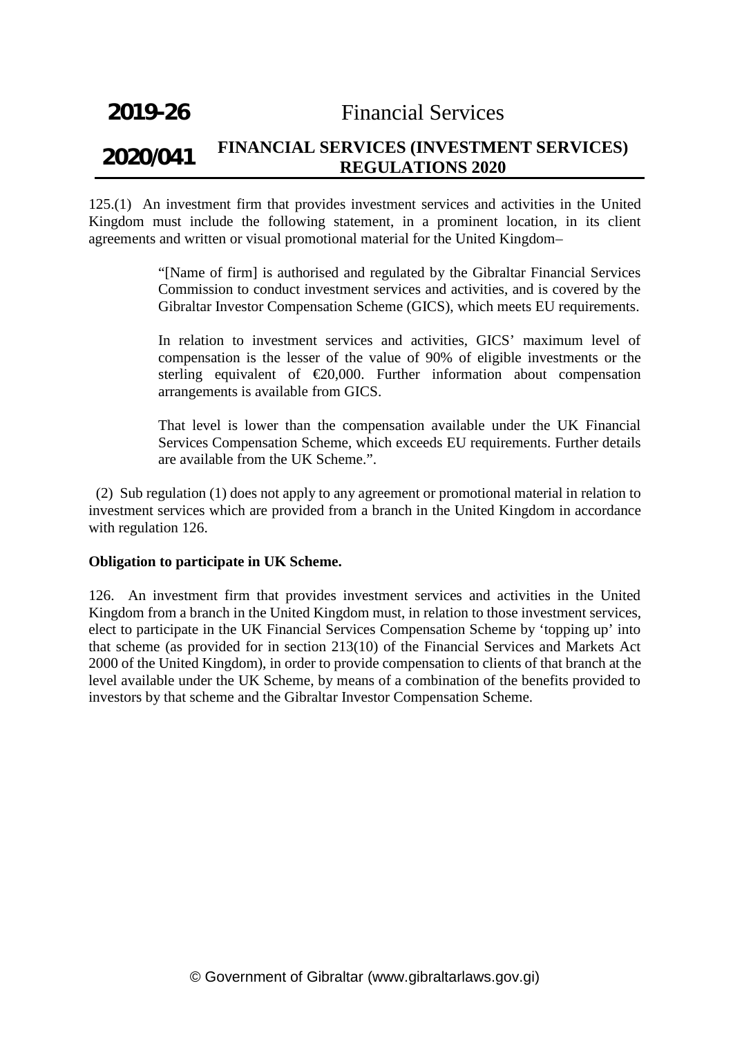### **2020/041 FINANCIAL SERVICES (INVESTMENT SERVICES) REGULATIONS 2020**

125.(1) An investment firm that provides investment services and activities in the United Kingdom must include the following statement, in a prominent location, in its client agreements and written or visual promotional material for the United Kingdom–

> "[Name of firm] is authorised and regulated by the Gibraltar Financial Services Commission to conduct investment services and activities, and is covered by the Gibraltar Investor Compensation Scheme (GICS), which meets EU requirements.

> In relation to investment services and activities, GICS' maximum level of compensation is the lesser of the value of 90% of eligible investments or the sterling equivalent of  $\epsilon$ 20,000. Further information about compensation arrangements is available from GICS.

> That level is lower than the compensation available under the UK Financial Services Compensation Scheme, which exceeds EU requirements. Further details are available from the UK Scheme.".

(2) Sub regulation (1) does not apply to any agreement or promotional material in relation to investment services which are provided from a branch in the United Kingdom in accordance with regulation 126.

#### **Obligation to participate in UK Scheme.**

126. An investment firm that provides investment services and activities in the United Kingdom from a branch in the United Kingdom must, in relation to those investment services, elect to participate in the UK Financial Services Compensation Scheme by 'topping up' into that scheme (as provided for in section 213(10) of the Financial Services and Markets Act 2000 of the United Kingdom), in order to provide compensation to clients of that branch at the level available under the UK Scheme, by means of a combination of the benefits provided to investors by that scheme and the Gibraltar Investor Compensation Scheme.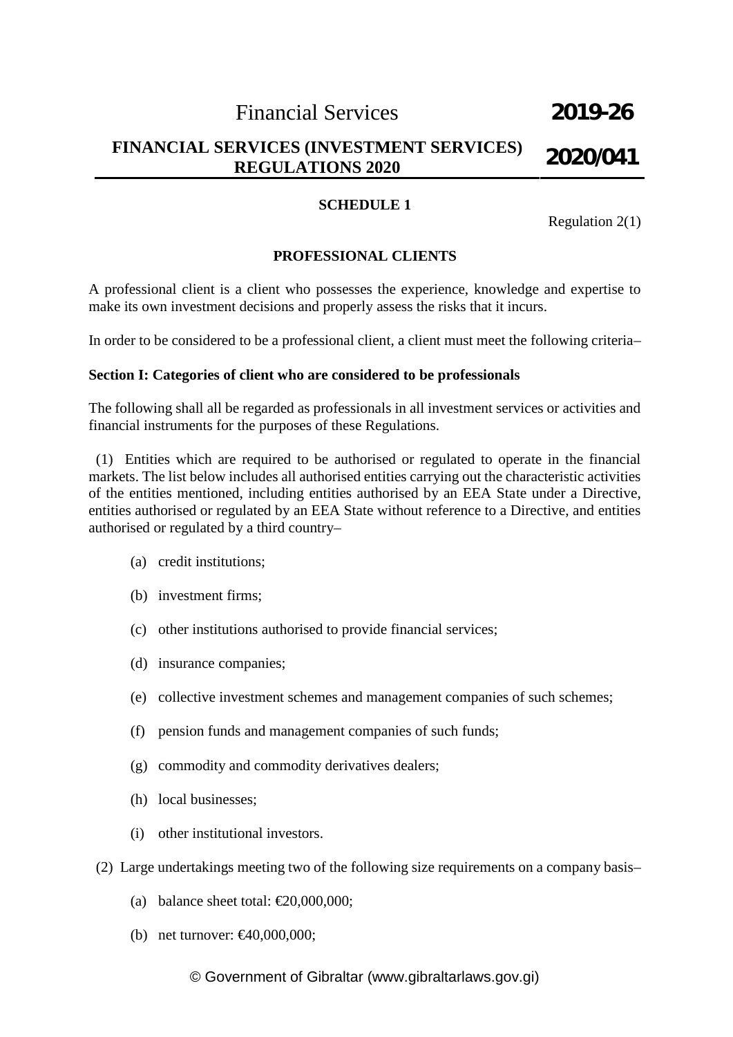### FINANCIAL SERVICES (INVESTMENT SERVICES) 2020/041 **REGULATIONS 2020**

#### **SCHEDULE 1**

Regulation 2(1)

#### **PROFESSIONAL CLIENTS**

A professional client is a client who possesses the experience, knowledge and expertise to make its own investment decisions and properly assess the risks that it incurs.

In order to be considered to be a professional client, a client must meet the following criteria–

### **Section I: Categories of client who are considered to be professionals**

The following shall all be regarded as professionals in all investment services or activities and financial instruments for the purposes of these Regulations.

(1) Entities which are required to be authorised or regulated to operate in the financial markets. The list below includes all authorised entities carrying out the characteristic activities of the entities mentioned, including entities authorised by an EEA State under a Directive, entities authorised or regulated by an EEA State without reference to a Directive, and entities authorised or regulated by a third country–

- (a) credit institutions;
- (b) investment firms;
- (c) other institutions authorised to provide financial services;
- (d) insurance companies;
- (e) collective investment schemes and management companies of such schemes;
- (f) pension funds and management companies of such funds;
- (g) commodity and commodity derivatives dealers;
- (h) local businesses;
- (i) other institutional investors.
- (2) Large undertakings meeting two of the following size requirements on a company basis–
	- (a) balance sheet total:  $\text{\textsterling}0.000,000$ :
	- (b) net turnover: €40,000,000;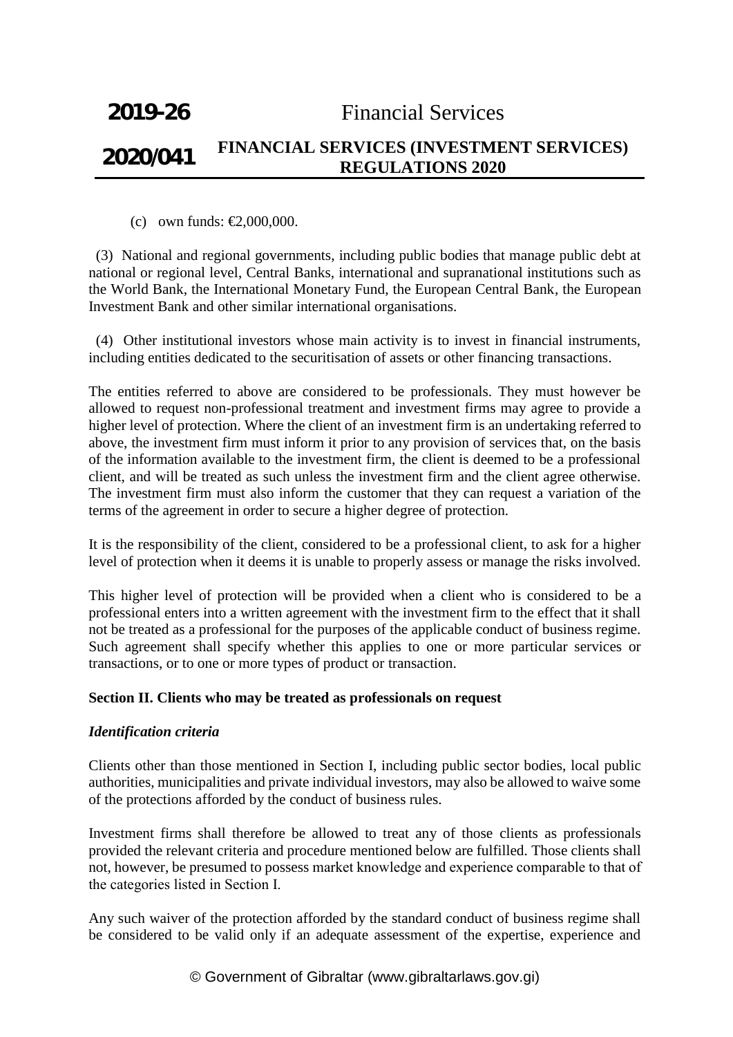### **2020/041 FINANCIAL SERVICES (INVESTMENT SERVICES) REGULATIONS 2020**

(c) own funds:  $\epsilon 2,000,000$ .

(3) National and regional governments, including public bodies that manage public debt at national or regional level, Central Banks, international and supranational institutions such as the World Bank, the International Monetary Fund, the European Central Bank, the European Investment Bank and other similar international organisations.

(4) Other institutional investors whose main activity is to invest in financial instruments, including entities dedicated to the securitisation of assets or other financing transactions.

The entities referred to above are considered to be professionals. They must however be allowed to request non-professional treatment and investment firms may agree to provide a higher level of protection. Where the client of an investment firm is an undertaking referred to above, the investment firm must inform it prior to any provision of services that, on the basis of the information available to the investment firm, the client is deemed to be a professional client, and will be treated as such unless the investment firm and the client agree otherwise. The investment firm must also inform the customer that they can request a variation of the terms of the agreement in order to secure a higher degree of protection.

It is the responsibility of the client, considered to be a professional client, to ask for a higher level of protection when it deems it is unable to properly assess or manage the risks involved.

This higher level of protection will be provided when a client who is considered to be a professional enters into a written agreement with the investment firm to the effect that it shall not be treated as a professional for the purposes of the applicable conduct of business regime. Such agreement shall specify whether this applies to one or more particular services or transactions, or to one or more types of product or transaction.

### **Section II. Clients who may be treated as professionals on request**

### *Identification criteria*

Clients other than those mentioned in Section I, including public sector bodies, local public authorities, municipalities and private individual investors, may also be allowed to waive some of the protections afforded by the conduct of business rules.

Investment firms shall therefore be allowed to treat any of those clients as professionals provided the relevant criteria and procedure mentioned below are fulfilled. Those clients shall not, however, be presumed to possess market knowledge and experience comparable to that of the categories listed in Section I.

Any such waiver of the protection afforded by the standard conduct of business regime shall be considered to be valid only if an adequate assessment of the expertise, experience and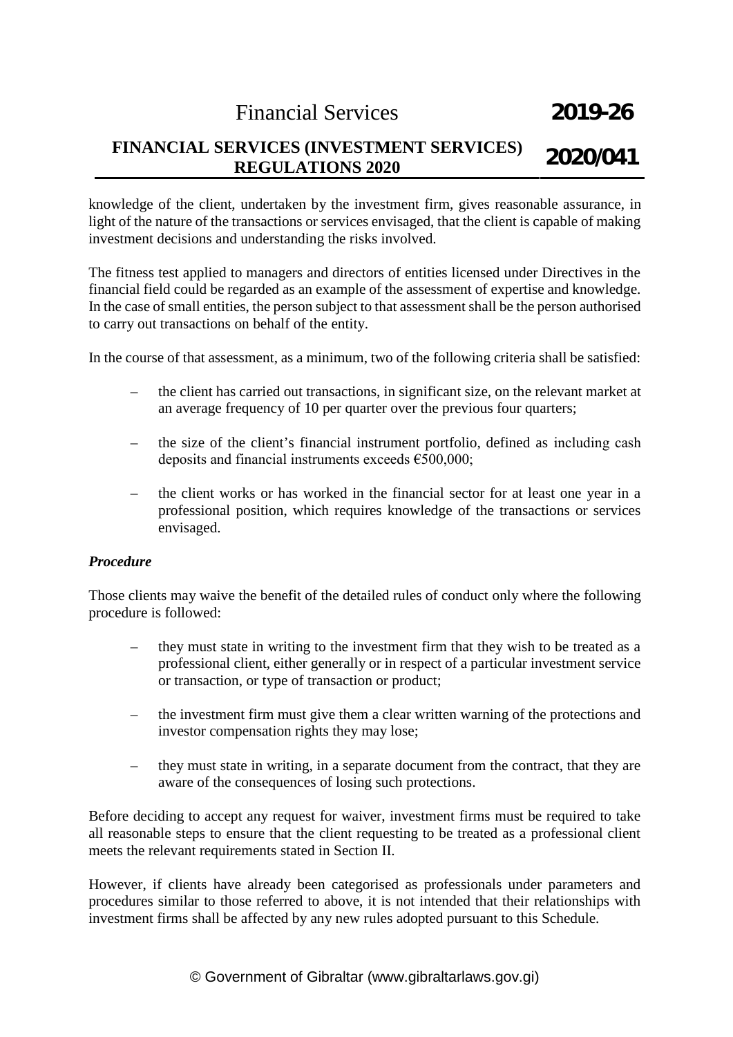## FINANCIAL SERVICES (INVESTMENT SERVICES) 2020/041 **REGULATIONS 2020**

knowledge of the client, undertaken by the investment firm, gives reasonable assurance, in light of the nature of the transactions or services envisaged, that the client is capable of making investment decisions and understanding the risks involved.

The fitness test applied to managers and directors of entities licensed under Directives in the financial field could be regarded as an example of the assessment of expertise and knowledge. In the case of small entities, the person subject to that assessment shall be the person authorised to carry out transactions on behalf of the entity.

In the course of that assessment, as a minimum, two of the following criteria shall be satisfied:

- the client has carried out transactions, in significant size, on the relevant market at an average frequency of 10 per quarter over the previous four quarters;
- the size of the client's financial instrument portfolio, defined as including cash deposits and financial instruments exceeds €500,000;
- the client works or has worked in the financial sector for at least one year in a professional position, which requires knowledge of the transactions or services envisaged.

### *Procedure*

Those clients may waive the benefit of the detailed rules of conduct only where the following procedure is followed:

- they must state in writing to the investment firm that they wish to be treated as a professional client, either generally or in respect of a particular investment service or transaction, or type of transaction or product;
- the investment firm must give them a clear written warning of the protections and investor compensation rights they may lose;
- they must state in writing, in a separate document from the contract, that they are aware of the consequences of losing such protections.

Before deciding to accept any request for waiver, investment firms must be required to take all reasonable steps to ensure that the client requesting to be treated as a professional client meets the relevant requirements stated in Section II.

However, if clients have already been categorised as professionals under parameters and procedures similar to those referred to above, it is not intended that their relationships with investment firms shall be affected by any new rules adopted pursuant to this Schedule.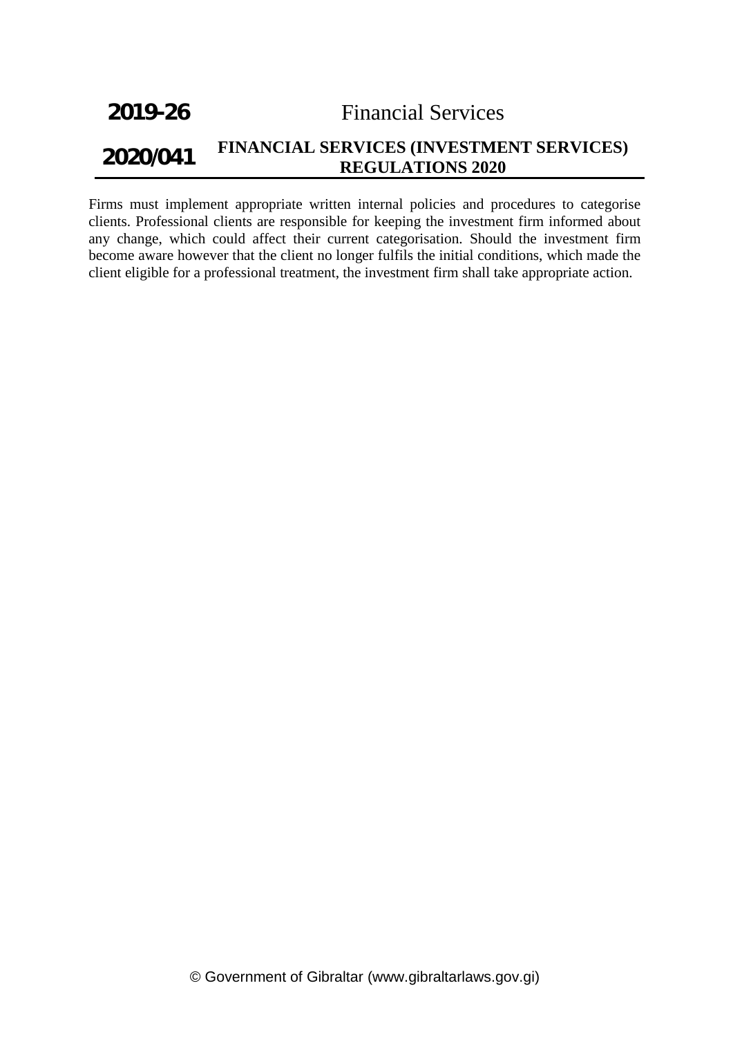### **2020/041 FINANCIAL SERVICES (INVESTMENT SERVICES) REGULATIONS 2020**

Firms must implement appropriate written internal policies and procedures to categorise clients. Professional clients are responsible for keeping the investment firm informed about any change, which could affect their current categorisation. Should the investment firm become aware however that the client no longer fulfils the initial conditions, which made the client eligible for a professional treatment, the investment firm shall take appropriate action.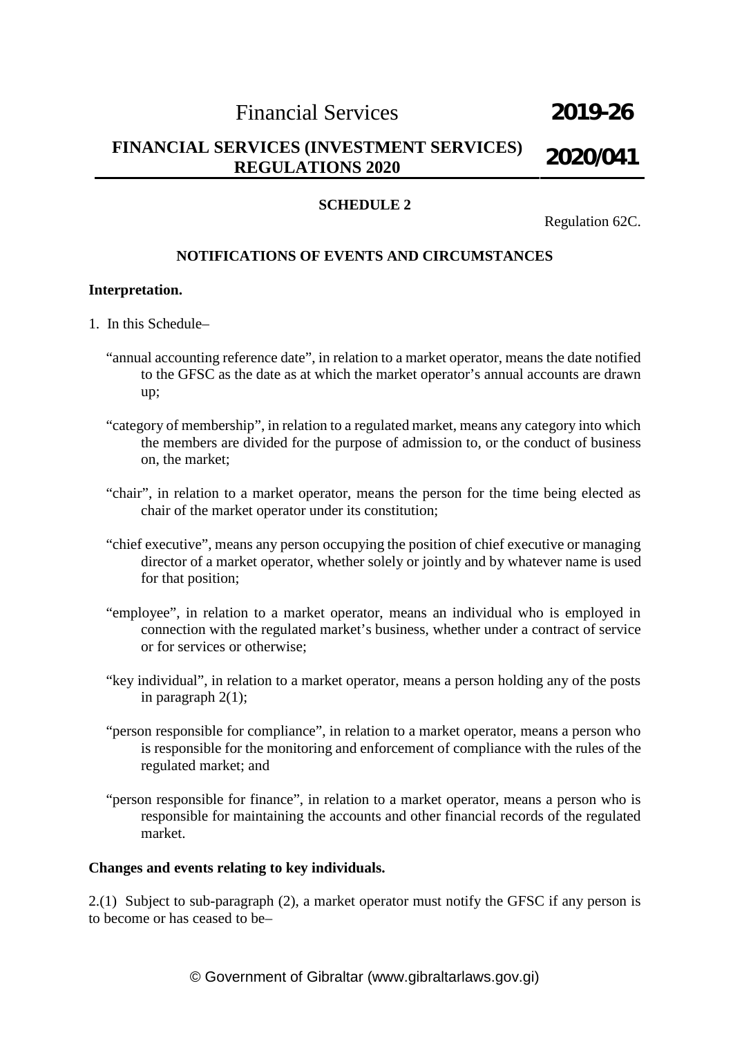### FINANCIAL SERVICES (INVESTMENT SERVICES) 2020/041 **REGULATIONS 2020**

### **SCHEDULE 2**

Regulation 62C.

### **NOTIFICATIONS OF EVENTS AND CIRCUMSTANCES**

#### **Interpretation.**

- 1. In this Schedule–
	- "annual accounting reference date", in relation to a market operator, means the date notified to the GFSC as the date as at which the market operator's annual accounts are drawn up;
	- "category of membership", in relation to a regulated market, means any category into which the members are divided for the purpose of admission to, or the conduct of business on, the market;
	- "chair", in relation to a market operator, means the person for the time being elected as chair of the market operator under its constitution;
	- "chief executive", means any person occupying the position of chief executive or managing director of a market operator, whether solely or jointly and by whatever name is used for that position;
	- "employee", in relation to a market operator, means an individual who is employed in connection with the regulated market's business, whether under a contract of service or for services or otherwise;
	- "key individual", in relation to a market operator, means a person holding any of the posts in paragraph 2(1);
	- "person responsible for compliance", in relation to a market operator, means a person who is responsible for the monitoring and enforcement of compliance with the rules of the regulated market; and
	- "person responsible for finance", in relation to a market operator, means a person who is responsible for maintaining the accounts and other financial records of the regulated market.

#### **Changes and events relating to key individuals.**

2.(1) Subject to sub-paragraph (2), a market operator must notify the GFSC if any person is to become or has ceased to be–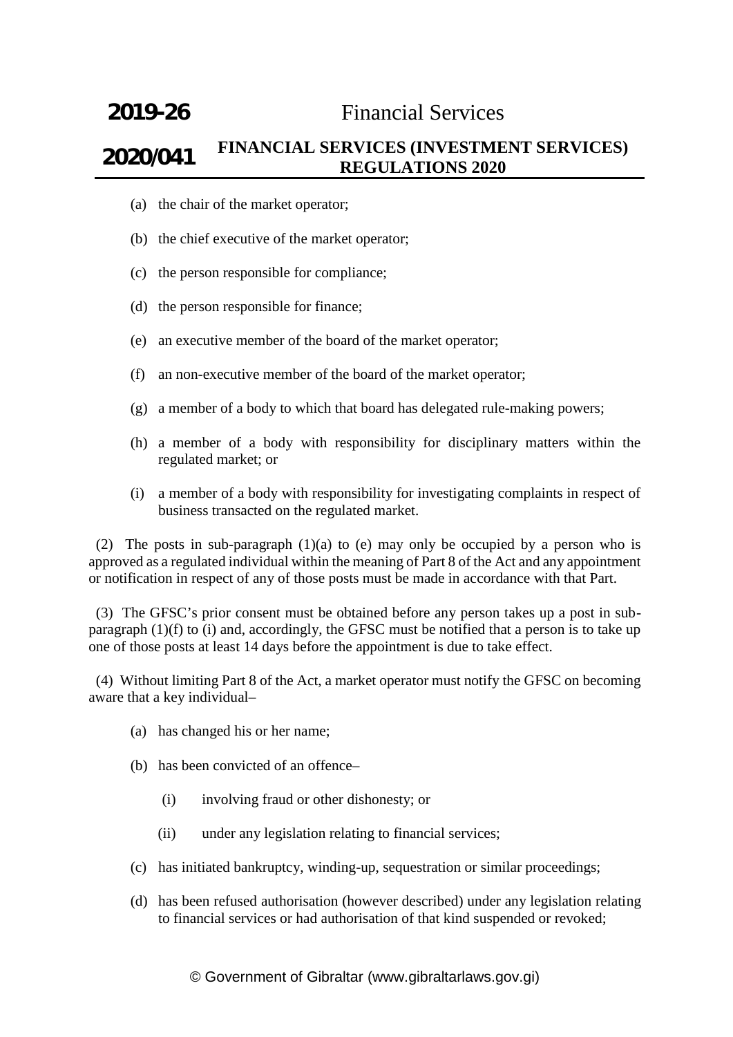### **2020/041 FINANCIAL SERVICES (INVESTMENT SERVICES) REGULATIONS 2020**

- (a) the chair of the market operator;
- (b) the chief executive of the market operator;
- (c) the person responsible for compliance;
- (d) the person responsible for finance;
- (e) an executive member of the board of the market operator;
- (f) an non-executive member of the board of the market operator;
- (g) a member of a body to which that board has delegated rule-making powers;
- (h) a member of a body with responsibility for disciplinary matters within the regulated market; or
- (i) a member of a body with responsibility for investigating complaints in respect of business transacted on the regulated market.

(2) The posts in sub-paragraph (1)(a) to (e) may only be occupied by a person who is approved as a regulated individual within the meaning of Part 8 of the Act and any appointment or notification in respect of any of those posts must be made in accordance with that Part.

(3) The GFSC's prior consent must be obtained before any person takes up a post in sub paragraph (1)(f) to (i) and, accordingly, the GFSC must be notified that a person is to take up one of those posts at least 14 days before the appointment is due to take effect.

(4) Without limiting Part 8 of the Act, a market operator must notify the GFSC on becoming aware that a key individual–

- (a) has changed his or her name;
- (b) has been convicted of an offence–
	- (i) involving fraud or other dishonesty; or
	- (ii) under any legislation relating to financial services;
- (c) has initiated bankruptcy, winding-up, sequestration or similar proceedings;
- (d) has been refused authorisation (however described) under any legislation relating to financial services or had authorisation of that kind suspended or revoked;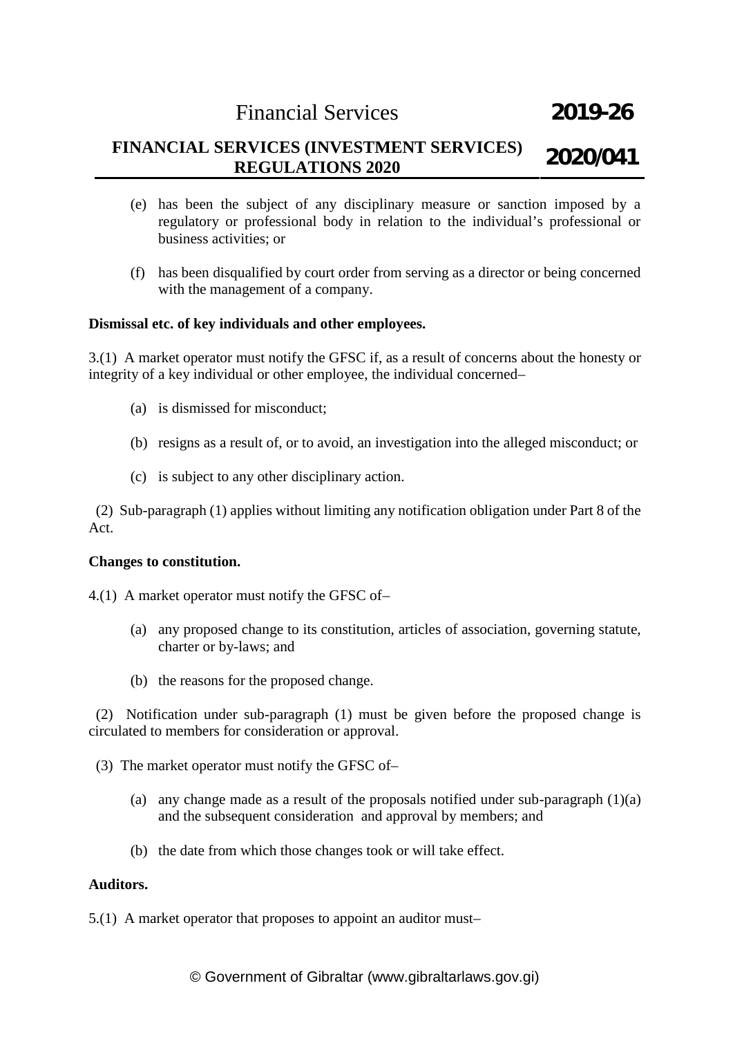### FINANCIAL SERVICES (INVESTMENT SERVICES) 2020/041 **REGULATIONS 2020**

- (e) has been the subject of any disciplinary measure or sanction imposed by a regulatory or professional body in relation to the individual's professional or business activities; or
- (f) has been disqualified by court order from serving as a director or being concerned with the management of a company.

### **Dismissal etc. of key individuals and other employees.**

3.(1) A market operator must notify the GFSC if, as a result of concerns about the honesty or integrity of a key individual or other employee, the individual concerned–

- (a) is dismissed for misconduct;
- (b) resigns as a result of, or to avoid, an investigation into the alleged misconduct; or
- (c) is subject to any other disciplinary action.

(2) Sub-paragraph (1) applies without limiting any notification obligation under Part 8 of the Act.

#### **Changes to constitution.**

4.(1) A market operator must notify the GFSC of–

- (a) any proposed change to its constitution, articles of association, governing statute, charter or by-laws; and
- (b) the reasons for the proposed change.

(2) Notification under sub-paragraph (1) must be given before the proposed change is circulated to members for consideration or approval.

(3) The market operator must notify the GFSC of–

- (a) any change made as a result of the proposals notified under sub-paragraph  $(1)(a)$ and the subsequent consideration and approval by members; and
- (b) the date from which those changes took or will take effect.

### **Auditors.**

5.(1) A market operator that proposes to appoint an auditor must–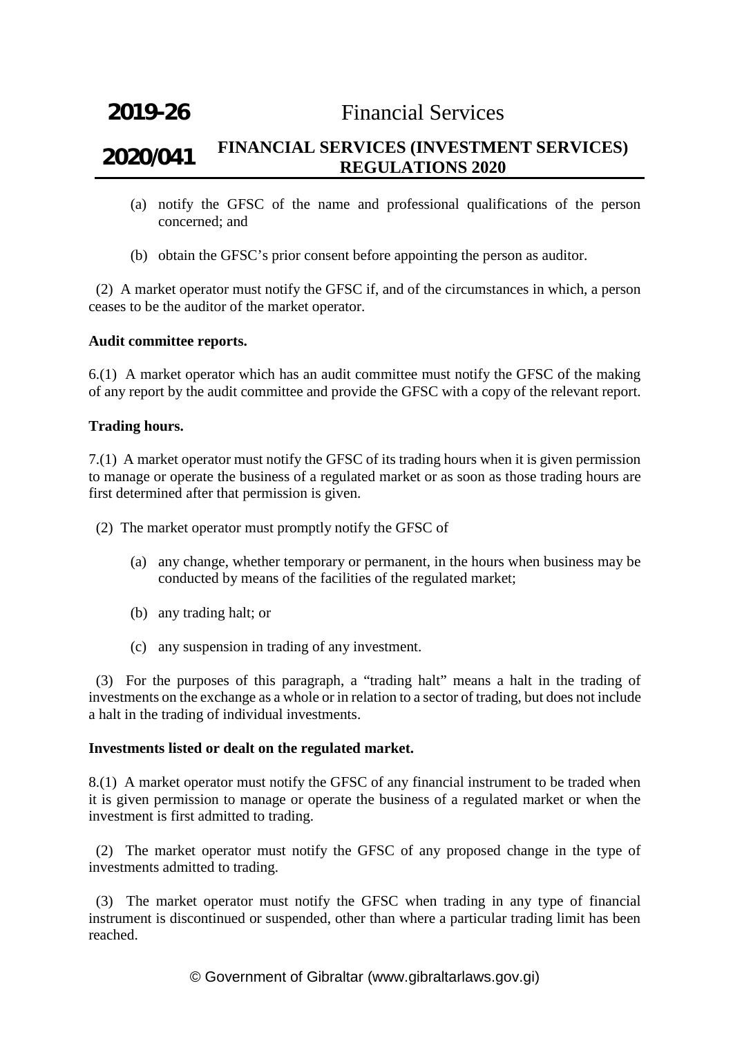### **2020/041 FINANCIAL SERVICES (INVESTMENT SERVICES) REGULATIONS 2020**

- (a) notify the GFSC of the name and professional qualifications of the person concerned; and
- (b) obtain the GFSC's prior consent before appointing the person as auditor.

(2) A market operator must notify the GFSC if, and of the circumstances in which, a person ceases to be the auditor of the market operator.

### **Audit committee reports.**

6.(1) A market operator which has an audit committee must notify the GFSC of the making of any report by the audit committee and provide the GFSC with a copy of the relevant report.

### **Trading hours.**

7.(1) A market operator must notify the GFSC of its trading hours when it is given permission to manage or operate the business of a regulated market or as soon as those trading hours are first determined after that permission is given.

(2) The market operator must promptly notify the GFSC of

- (a) any change, whether temporary or permanent, in the hours when business may be conducted by means of the facilities of the regulated market;
- (b) any trading halt; or
- (c) any suspension in trading of any investment.

(3) For the purposes of this paragraph, a "trading halt" means a halt in the trading of investments on the exchange as a whole or in relation to a sector of trading, but does not include a halt in the trading of individual investments.

### **Investments listed or dealt on the regulated market.**

8.(1) A market operator must notify the GFSC of any financial instrument to be traded when it is given permission to manage or operate the business of a regulated market or when the investment is first admitted to trading.

(2) The market operator must notify the GFSC of any proposed change in the type of investments admitted to trading.

(3) The market operator must notify the GFSC when trading in any type of financial instrument is discontinued or suspended, other than where a particular trading limit has been reached.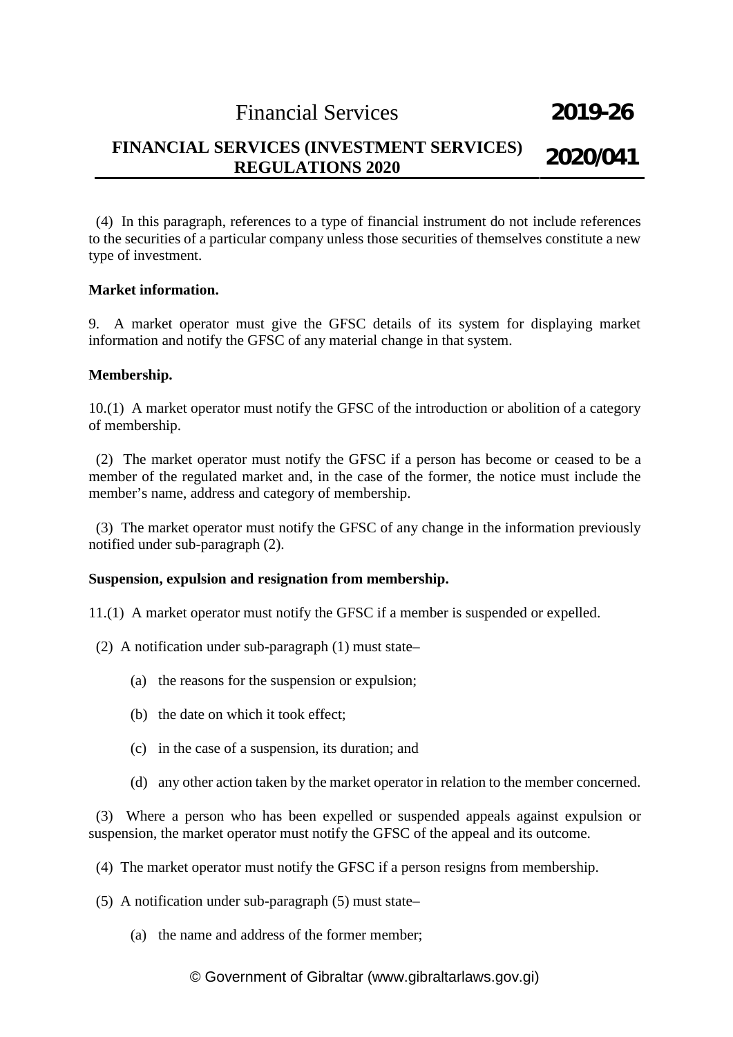### FINANCIAL SERVICES (INVESTMENT SERVICES) 2020/041 **REGULATIONS 2020**

(4) In this paragraph, references to a type of financial instrument do not include references to the securities of a particular company unless those securities of themselves constitute a new type of investment.

#### **Market information.**

9. A market operator must give the GFSC details of its system for displaying market information and notify the GFSC of any material change in that system.

### **Membership.**

10.(1) A market operator must notify the GFSC of the introduction or abolition of a category of membership.

(2) The market operator must notify the GFSC if a person has become or ceased to be a member of the regulated market and, in the case of the former, the notice must include the member's name, address and category of membership.

(3) The market operator must notify the GFSC of any change in the information previously notified under sub-paragraph (2).

#### **Suspension, expulsion and resignation from membership.**

11.(1) A market operator must notify the GFSC if a member is suspended or expelled.

- (2) A notification under sub-paragraph (1) must state–
	- (a) the reasons for the suspension or expulsion;
	- (b) the date on which it took effect;
	- (c) in the case of a suspension, its duration; and
	- (d) any other action taken by the market operator in relation to the member concerned.

(3) Where a person who has been expelled or suspended appeals against expulsion or suspension, the market operator must notify the GFSC of the appeal and its outcome.

- (4) The market operator must notify the GFSC if a person resigns from membership.
- (5) A notification under sub-paragraph (5) must state–
	- (a) the name and address of the former member;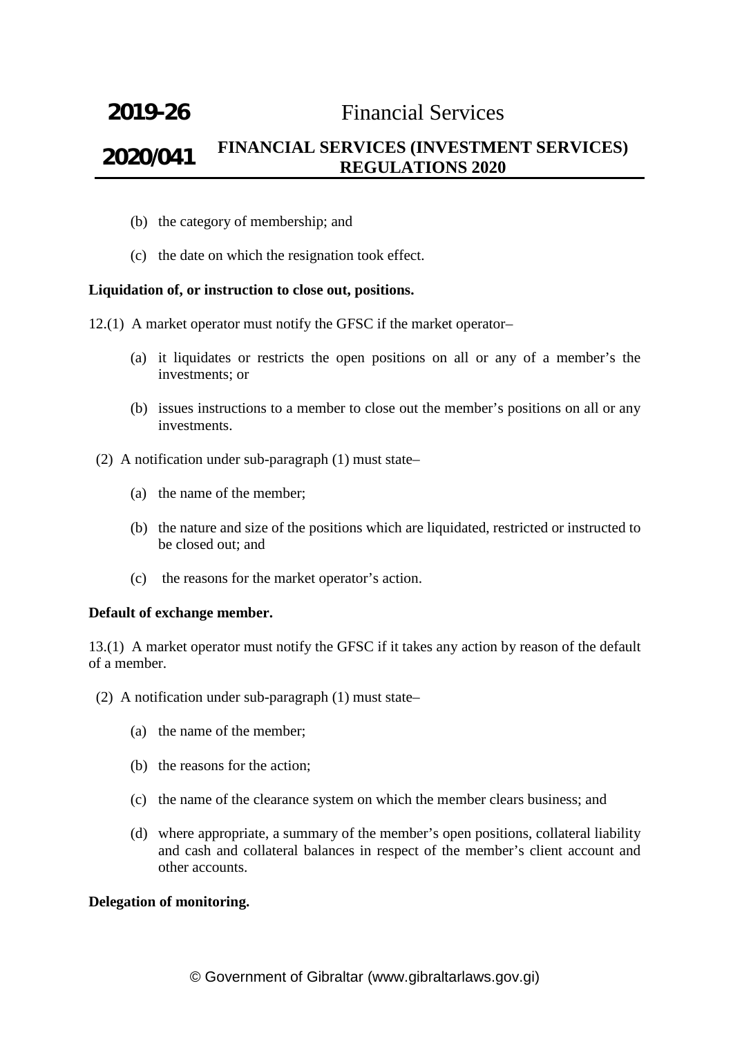## **2020/041 FINANCIAL SERVICES (INVESTMENT SERVICES) REGULATIONS 2020**

- (b) the category of membership; and
- (c) the date on which the resignation took effect.

### **Liquidation of, or instruction to close out, positions.**

- 12.(1) A market operator must notify the GFSC if the market operator–
	- (a) it liquidates or restricts the open positions on all or any of a member's the investments; or
	- (b) issues instructions to a member to close out the member's positions on all or any investments.
- (2) A notification under sub-paragraph (1) must state–
	- (a) the name of the member;
	- (b) the nature and size of the positions which are liquidated, restricted or instructed to be closed out; and
	- (c) the reasons for the market operator's action.

#### **Default of exchange member.**

13.(1) A market operator must notify the GFSC if it takes any action by reason of the default of a member.

- (2) A notification under sub-paragraph (1) must state–
	- (a) the name of the member;
	- (b) the reasons for the action;
	- (c) the name of the clearance system on which the member clears business; and
	- (d) where appropriate, a summary of the member's open positions, collateral liability and cash and collateral balances in respect of the member's client account and other accounts.

### **Delegation of monitoring.**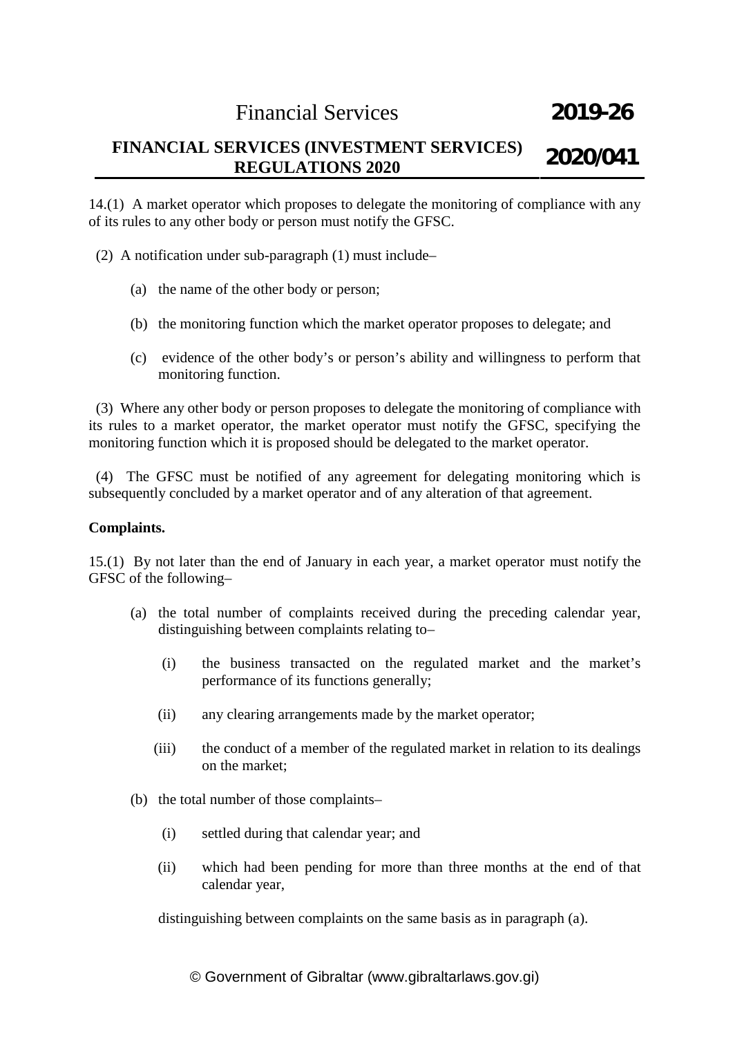### FINANCIAL SERVICES (INVESTMENT SERVICES) 2020/041 **REGULATIONS 2020**

14.(1) A market operator which proposes to delegate the monitoring of compliance with any of its rules to any other body or person must notify the GFSC.

(2) A notification under sub-paragraph (1) must include–

- (a) the name of the other body or person;
- (b) the monitoring function which the market operator proposes to delegate; and
- (c) evidence of the other body's or person's ability and willingness to perform that monitoring function.

(3) Where any other body or person proposes to delegate the monitoring of compliance with its rules to a market operator, the market operator must notify the GFSC, specifying the monitoring function which it is proposed should be delegated to the market operator.

(4) The GFSC must be notified of any agreement for delegating monitoring which is subsequently concluded by a market operator and of any alteration of that agreement.

#### **Complaints.**

15.(1) By not later than the end of January in each year, a market operator must notify the GFSC of the following–

- (a) the total number of complaints received during the preceding calendar year, distinguishing between complaints relating to–
	- (i) the business transacted on the regulated market and the market's performance of its functions generally;
	- (ii) any clearing arrangements made by the market operator;
	- (iii) the conduct of a member of the regulated market in relation to its dealings on the market;
- (b) the total number of those complaints–
	- (i) settled during that calendar year; and
	- (ii) which had been pending for more than three months at the end of that calendar year,

distinguishing between complaints on the same basis as in paragraph (a).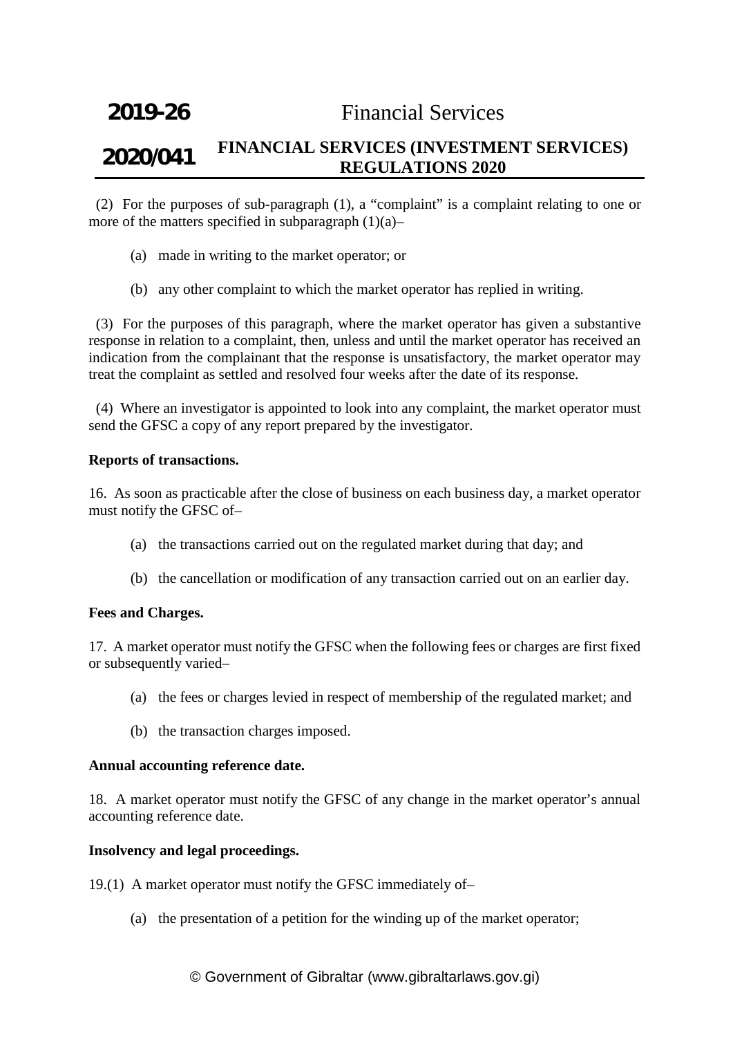### **2020/041 FINANCIAL SERVICES (INVESTMENT SERVICES) REGULATIONS 2020**

(2) For the purposes of sub-paragraph (1), a "complaint" is a complaint relating to one or more of the matters specified in subparagraph  $(1)(a)$ –

- (a) made in writing to the market operator; or
- (b) any other complaint to which the market operator has replied in writing.

(3) For the purposes of this paragraph, where the market operator has given a substantive response in relation to a complaint, then, unless and until the market operator has received an indication from the complainant that the response is unsatisfactory, the market operator may treat the complaint as settled and resolved four weeks after the date of its response.

(4) Where an investigator is appointed to look into any complaint, the market operator must send the GFSC a copy of any report prepared by the investigator.

### **Reports of transactions.**

16. As soon as practicable after the close of business on each business day, a market operator must notify the GFSC of–

- (a) the transactions carried out on the regulated market during that day; and
- (b) the cancellation or modification of any transaction carried out on an earlier day.

### **Fees and Charges.**

17. A market operator must notify the GFSC when the following fees or charges are first fixed or subsequently varied–

- (a) the fees or charges levied in respect of membership of the regulated market; and
- (b) the transaction charges imposed.

#### **Annual accounting reference date.**

18. A market operator must notify the GFSC of any change in the market operator's annual accounting reference date.

#### **Insolvency and legal proceedings.**

19.(1) A market operator must notify the GFSC immediately of–

(a) the presentation of a petition for the winding up of the market operator;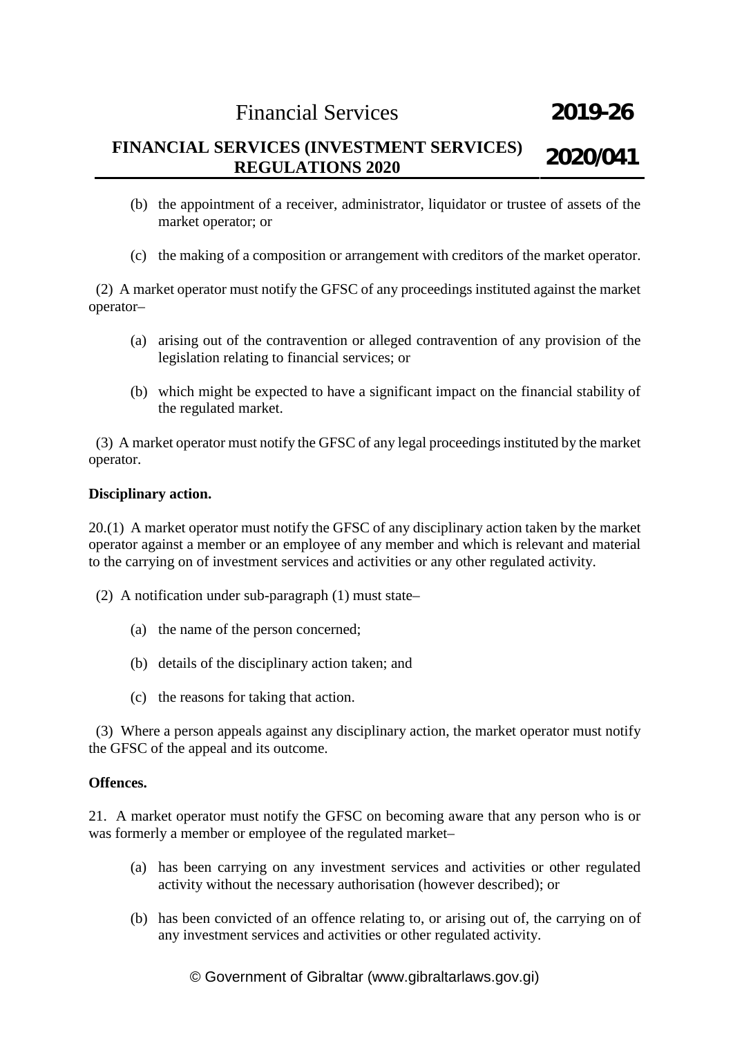## FINANCIAL SERVICES (INVESTMENT SERVICES) 2020/041 **REGULATIONS 2020**

- (b) the appointment of a receiver, administrator, liquidator or trustee of assets of the market operator; or
- (c) the making of a composition or arrangement with creditors of the market operator.

(2) A market operator must notify the GFSC of any proceedings instituted against the market operator–

- (a) arising out of the contravention or alleged contravention of any provision of the legislation relating to financial services; or
- (b) which might be expected to have a significant impact on the financial stability of the regulated market.

(3) A market operator must notify the GFSC of any legal proceedings instituted by the market operator.

#### **Disciplinary action.**

20.(1) A market operator must notify the GFSC of any disciplinary action taken by the market operator against a member or an employee of any member and which is relevant and material to the carrying on of investment services and activities or any other regulated activity.

- (2) A notification under sub-paragraph (1) must state–
	- (a) the name of the person concerned;
	- (b) details of the disciplinary action taken; and
	- (c) the reasons for taking that action.

(3) Where a person appeals against any disciplinary action, the market operator must notify the GFSC of the appeal and its outcome.

#### **Offences.**

21. A market operator must notify the GFSC on becoming aware that any person who is or was formerly a member or employee of the regulated market–

- (a) has been carrying on any investment services and activities or other regulated activity without the necessary authorisation (however described); or
- (b) has been convicted of an offence relating to, or arising out of, the carrying on of any investment services and activities or other regulated activity.